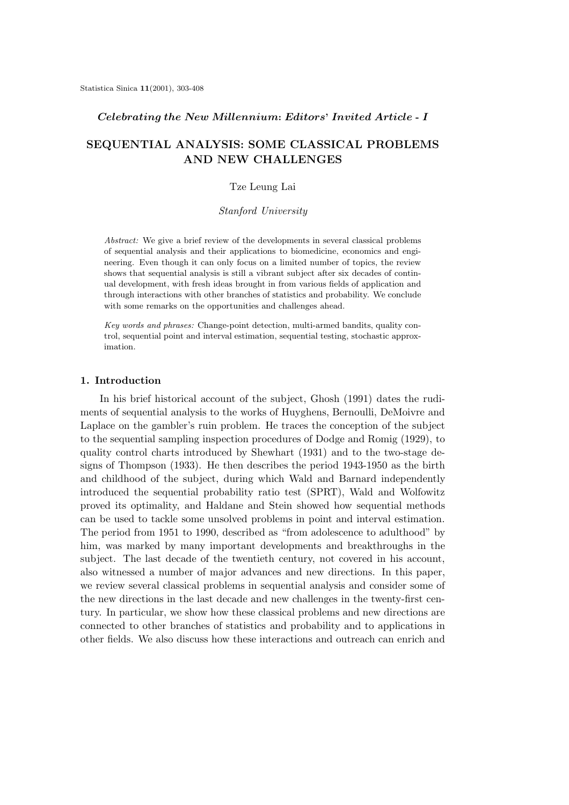### *Celebrating the New Millennium***:** *Editors***'** *Invited Article* **-** *I*

# **SEQUENTIAL ANALYSIS: SOME CLASSICAL PROBLEMS AND NEW CHALLENGES**

#### Tze Leung Lai

#### *Stanford University*

*Abstract:* We give a brief review of the developments in several classical problems of sequential analysis and their applications to biomedicine, economics and engineering. Even though it can only focus on a limited number of topics, the review shows that sequential analysis is still a vibrant subject after six decades of continual development, with fresh ideas brought in from various fields of application and through interactions with other branches of statistics and probability. We conclude with some remarks on the opportunities and challenges ahead.

*Key words and phrases:* Change-point detection, multi-armed bandits, quality control, sequential point and interval estimation, sequential testing, stochastic approximation.

## **1. Introduction**

In his brief historical account of the subject, Ghosh (1991) dates the rudiments of sequential analysis to the works of Huyghens, Bernoulli, DeMoivre and Laplace on the gambler's ruin problem. He traces the conception of the subject to the sequential sampling inspection procedures of Dodge and Romig (1929), to quality control charts introduced by Shewhart (1931) and to the two-stage designs of Thompson (1933). He then describes the period 1943-1950 as the birth and childhood of the subject, during which Wald and Barnard independently introduced the sequential probability ratio test (SPRT), Wald and Wolfowitz proved its optimality, and Haldane and Stein showed how sequential methods can be used to tackle some unsolved problems in point and interval estimation. The period from 1951 to 1990, described as "from adolescence to adulthood" by him, was marked by many important developments and breakthroughs in the subject. The last decade of the twentieth century, not covered in his account, also witnessed a number of major advances and new directions. In this paper, we review several classical problems in sequential analysis and consider some of the new directions in the last decade and new challenges in the twenty-first century. In particular, we show how these classical problems and new directions are connected to other branches of statistics and probability and to applications in other fields. We also discuss how these interactions and outreach can enrich and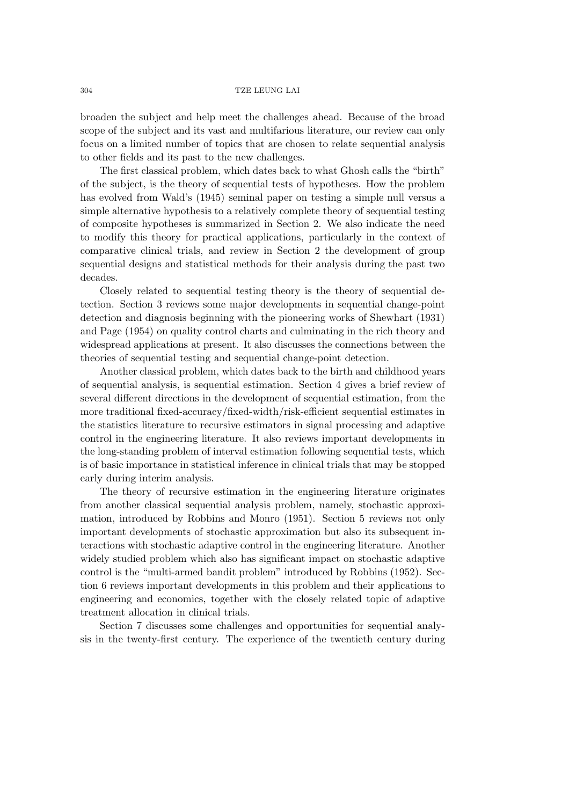broaden the subject and help meet the challenges ahead. Because of the broad scope of the subject and its vast and multifarious literature, our review can only focus on a limited number of topics that are chosen to relate sequential analysis to other fields and its past to the new challenges.

The first classical problem, which dates back to what Ghosh calls the "birth" of the subject, is the theory of sequential tests of hypotheses. How the problem has evolved from Wald's (1945) seminal paper on testing a simple null versus a simple alternative hypothesis to a relatively complete theory of sequential testing of composite hypotheses is summarized in Section 2. We also indicate the need to modify this theory for practical applications, particularly in the context of comparative clinical trials, and review in Section 2 the development of group sequential designs and statistical methods for their analysis during the past two decades.

Closely related to sequential testing theory is the theory of sequential detection. Section 3 reviews some major developments in sequential change-point detection and diagnosis beginning with the pioneering works of Shewhart (1931) and Page (1954) on quality control charts and culminating in the rich theory and widespread applications at present. It also discusses the connections between the theories of sequential testing and sequential change-point detection.

Another classical problem, which dates back to the birth and childhood years of sequential analysis, is sequential estimation. Section 4 gives a brief review of several different directions in the development of sequential estimation, from the more traditional fixed-accuracy/fixed-width/risk-efficient sequential estimates in the statistics literature to recursive estimators in signal processing and adaptive control in the engineering literature. It also reviews important developments in the long-standing problem of interval estimation following sequential tests, which is of basic importance in statistical inference in clinical trials that may be stopped early during interim analysis.

The theory of recursive estimation in the engineering literature originates from another classical sequential analysis problem, namely, stochastic approximation, introduced by Robbins and Monro (1951). Section 5 reviews not only important developments of stochastic approximation but also its subsequent interactions with stochastic adaptive control in the engineering literature. Another widely studied problem which also has significant impact on stochastic adaptive control is the "multi-armed bandit problem" introduced by Robbins (1952). Section 6 reviews important developments in this problem and their applications to engineering and economics, together with the closely related topic of adaptive treatment allocation in clinical trials.

Section 7 discusses some challenges and opportunities for sequential analysis in the twenty-first century. The experience of the twentieth century during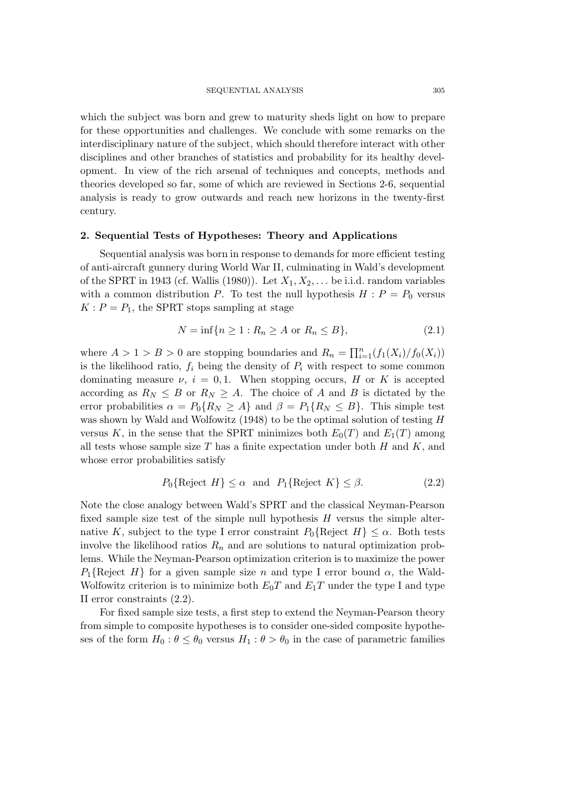which the subject was born and grew to maturity sheds light on how to prepare for these opportunities and challenges. We conclude with some remarks on the interdisciplinary nature of the subject, which should therefore interact with other disciplines and other branches of statistics and probability for its healthy development. In view of the rich arsenal of techniques and concepts, methods and theories developed so far, some of which are reviewed in Sections 2-6, sequential analysis is ready to grow outwards and reach new horizons in the twenty-first century.

### **2. Sequential Tests of Hypotheses: Theory and Applications**

Sequential analysis was born in response to demands for more efficient testing of anti-aircraft gunnery during World War II, culminating in Wald's development of the SPRT in 1943 (cf. Wallis (1980)). Let  $X_1, X_2, \ldots$  be i.i.d. random variables with a common distribution P. To test the null hypothesis  $H : P = P_0$  versus  $K: P = P_1$ , the SPRT stops sampling at stage

$$
N = \inf\{n \ge 1 : R_n \ge A \text{ or } R_n \le B\},\tag{2.1}
$$

where  $A > 1 > B > 0$  are stopping boundaries and  $R_n = \prod_{i=1}^n (f_1(X_i)/f_0(X_i))$ is the likelihood ratio,  $f_i$  being the density of  $P_i$  with respect to some common dominating measure  $\nu$ ,  $i = 0, 1$ . When stopping occurs, H or K is accepted according as  $R_N \leq B$  or  $R_N \geq A$ . The choice of A and B is dictated by the error probabilities  $\alpha = P_0\{R_N \ge A\}$  and  $\beta = P_1\{R_N \le B\}$ . This simple test was shown by Wald and Wolfowitz (1948) to be the optimal solution of testing H versus K, in the sense that the SPRT minimizes both  $E_0(T)$  and  $E_1(T)$  among all tests whose sample size  $T$  has a finite expectation under both  $H$  and  $K$ , and whose error probabilities satisfy

$$
P_0\{\text{Reject } H\} \le \alpha \quad \text{and} \quad P_1\{\text{Reject } K\} \le \beta. \tag{2.2}
$$

Note the close analogy between Wald's SPRT and the classical Neyman-Pearson fixed sample size test of the simple null hypothesis  $H$  versus the simple alternative K, subject to the type I error constraint  $P_0\{\text{Reject } H\} \leq \alpha$ . Both tests involve the likelihood ratios  $R_n$  and are solutions to natural optimization problems. While the Neyman-Pearson optimization criterion is to maximize the power  $P_1$ {Reject H} for a given sample size n and type I error bound  $\alpha$ , the Wald-Wolfowitz criterion is to minimize both  $E_0T$  and  $E_1T$  under the type I and type II error constraints (2.2).

For fixed sample size tests, a first step to extend the Neyman-Pearson theory from simple to composite hypotheses is to consider one-sided composite hypotheses of the form  $H_0: \theta \leq \theta_0$  versus  $H_1: \theta > \theta_0$  in the case of parametric families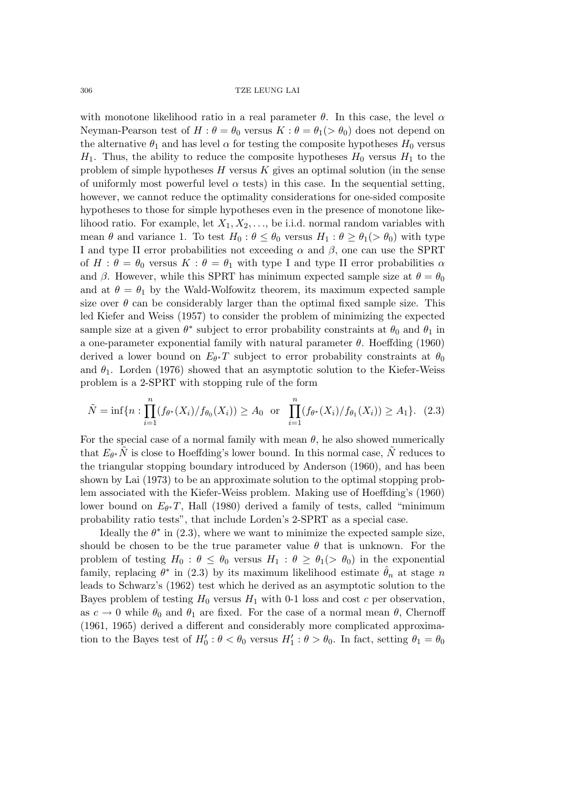with monotone likelihood ratio in a real parameter  $\theta$ . In this case, the level  $\alpha$ Neyman-Pearson test of  $H: \theta = \theta_0$  versus  $K: \theta = \theta_1(>\theta_0)$  does not depend on the alternative  $\theta_1$  and has level  $\alpha$  for testing the composite hypotheses  $H_0$  versus  $H_1$ . Thus, the ability to reduce the composite hypotheses  $H_0$  versus  $H_1$  to the problem of simple hypotheses  $H$  versus  $K$  gives an optimal solution (in the sense of uniformly most powerful level  $\alpha$  tests) in this case. In the sequential setting, however, we cannot reduce the optimality considerations for one-sided composite hypotheses to those for simple hypotheses even in the presence of monotone likelihood ratio. For example, let  $X_1, X_2, \ldots$ , be i.i.d. normal random variables with mean  $\theta$  and variance 1. To test  $H_0$ :  $\theta \leq \theta_0$  versus  $H_1$ :  $\theta \geq \theta_1$   $> \theta_0$  with type I and type II error probabilities not exceeding  $\alpha$  and  $\beta$ , one can use the SPRT of  $H : \theta = \theta_0$  versus  $K : \theta = \theta_1$  with type I and type II error probabilities  $\alpha$ and  $\beta$ . However, while this SPRT has minimum expected sample size at  $\theta = \theta_0$ and at  $\theta = \theta_1$  by the Wald-Wolfowitz theorem, its maximum expected sample size over  $\theta$  can be considerably larger than the optimal fixed sample size. This led Kiefer and Weiss (1957) to consider the problem of minimizing the expected sample size at a given  $\theta^*$  subject to error probability constraints at  $\theta_0$  and  $\theta_1$  in a one-parameter exponential family with natural parameter  $\theta$ . Hoeffding (1960) derived a lower bound on  $E_{\theta^*}T$  subject to error probability constraints at  $\theta_0$ and  $\theta_1$ . Lorden (1976) showed that an asymptotic solution to the Kiefer-Weiss problem is a 2-SPRT with stopping rule of the form

$$
\tilde{N} = \inf \{ n : \prod_{i=1}^{n} (f_{\theta^*}(X_i) / f_{\theta_0}(X_i)) \ge A_0 \text{ or } \prod_{i=1}^{n} (f_{\theta^*}(X_i) / f_{\theta_1}(X_i)) \ge A_1 \}. (2.3)
$$

For the special case of a normal family with mean  $\theta$ , he also showed numerically that  $E_{\theta^*}N$  is close to Hoeffding's lower bound. In this normal case, N reduces to the triangular stopping boundary introduced by Anderson (1960), and has been shown by Lai (1973) to be an approximate solution to the optimal stopping problem associated with the Kiefer-Weiss problem. Making use of Hoeffding's (1960) lower bound on  $E_{\theta^*}T$ , Hall (1980) derived a family of tests, called "minimum probability ratio tests", that include Lorden's 2-SPRT as a special case.

Ideally the  $\theta^*$  in (2.3), where we want to minimize the expected sample size, should be chosen to be the true parameter value  $\theta$  that is unknown. For the problem of testing  $H_0$ :  $\theta \leq \theta_0$  versus  $H_1$ :  $\theta \geq \theta_1$   $(>\theta_0)$  in the exponential family, replacing  $\theta^*$  in (2.3) by its maximum likelihood estimate  $\hat{\theta}_n$  at stage n leads to Schwarz's (1962) test which he derived as an asymptotic solution to the Bayes problem of testing  $H_0$  versus  $H_1$  with 0-1 loss and cost c per observation, as  $c \to 0$  while  $\theta_0$  and  $\theta_1$  are fixed. For the case of a normal mean  $\theta$ , Chernoff (1961, 1965) derived a different and considerably more complicated approximation to the Bayes test of  $H'_0$ :  $\theta < \theta_0$  versus  $H'_1$ :  $\theta > \theta_0$ . In fact, setting  $\theta_1 = \theta_0$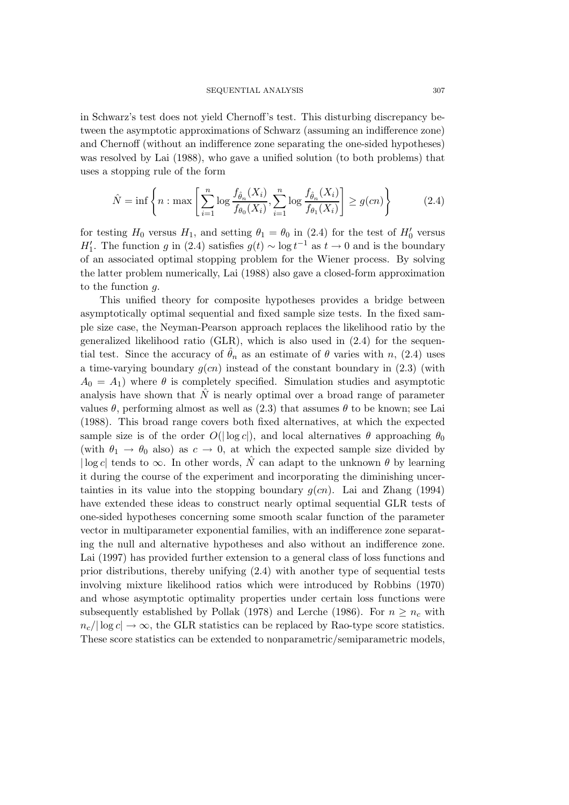in Schwarz's test does not yield Chernoff's test. This disturbing discrepancy between the asymptotic approximations of Schwarz (assuming an indifference zone) and Chernoff (without an indifference zone separating the one-sided hypotheses) was resolved by Lai (1988), who gave a unified solution (to both problems) that uses a stopping rule of the form

$$
\hat{N} = \inf \left\{ n : \max \left[ \sum_{i=1}^{n} \log \frac{f_{\hat{\theta}_n}(X_i)}{f_{\theta_0}(X_i)}, \sum_{i=1}^{n} \log \frac{f_{\hat{\theta}_n}(X_i)}{f_{\theta_1}(X_i)} \right] \ge g(cn) \right\}
$$
(2.4)

for testing  $H_0$  versus  $H_1$ , and setting  $\theta_1 = \theta_0$  in (2.4) for the test of  $H'_0$  versus  $H'_1$ . The function g in (2.4) satisfies  $g(t) \sim \log t^{-1}$  as  $t \to 0$  and is the boundary of an associated optimal stopping problem for the Wiener process. By solving the latter problem numerically, Lai (1988) also gave a closed-form approximation to the function g.

This unified theory for composite hypotheses provides a bridge between asymptotically optimal sequential and fixed sample size tests. In the fixed sample size case, the Neyman-Pearson approach replaces the likelihood ratio by the generalized likelihood ratio (GLR), which is also used in (2.4) for the sequential test. Since the accuracy of  $\hat{\theta}_n$  as an estimate of  $\theta$  varies with n, (2.4) uses a time-varying boundary  $g(cn)$  instead of the constant boundary in (2.3) (with  $A_0 = A_1$ ) where  $\theta$  is completely specified. Simulation studies and asymptotic analysis have shown that  $\hat{N}$  is nearly optimal over a broad range of parameter values  $\theta$ , performing almost as well as (2.3) that assumes  $\theta$  to be known; see Lai (1988). This broad range covers both fixed alternatives, at which the expected sample size is of the order  $O(|\log c|)$ , and local alternatives  $\theta$  approaching  $\theta_0$ (with  $\theta_1 \rightarrow \theta_0$  also) as  $c \rightarrow 0$ , at which the expected sample size divided by  $\log c$  tends to  $\infty$ . In other words,  $\hat{N}$  can adapt to the unknown  $\theta$  by learning it during the course of the experiment and incorporating the diminishing uncertainties in its value into the stopping boundary  $q(cn)$ . Lai and Zhang (1994) have extended these ideas to construct nearly optimal sequential GLR tests of one-sided hypotheses concerning some smooth scalar function of the parameter vector in multiparameter exponential families, with an indifference zone separating the null and alternative hypotheses and also without an indifference zone. Lai (1997) has provided further extension to a general class of loss functions and prior distributions, thereby unifying (2.4) with another type of sequential tests involving mixture likelihood ratios which were introduced by Robbins (1970) and whose asymptotic optimality properties under certain loss functions were subsequently established by Pollak (1978) and Lerche (1986). For  $n \geq n_c$  with  $n_c/|\log c| \to \infty$ , the GLR statistics can be replaced by Rao-type score statistics. These score statistics can be extended to nonparametric/semiparametric models,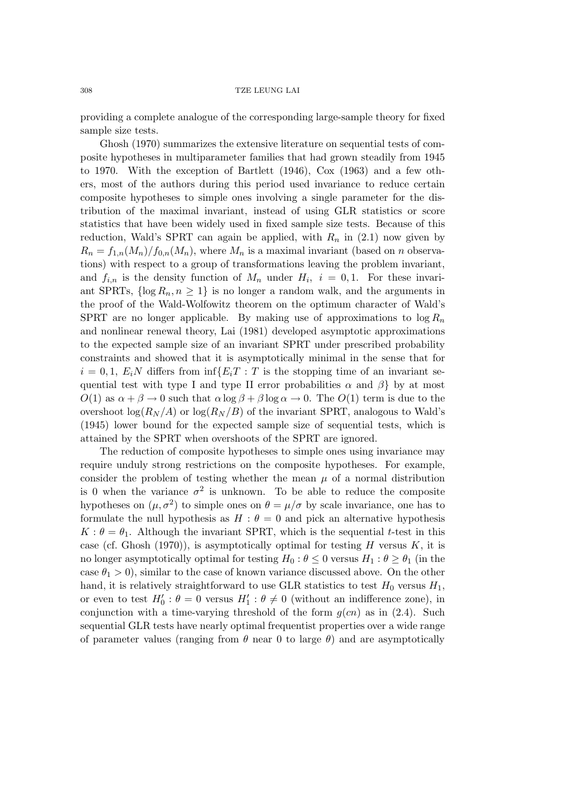providing a complete analogue of the corresponding large-sample theory for fixed sample size tests.

Ghosh (1970) summarizes the extensive literature on sequential tests of composite hypotheses in multiparameter families that had grown steadily from 1945 to 1970. With the exception of Bartlett (1946), Cox (1963) and a few others, most of the authors during this period used invariance to reduce certain composite hypotheses to simple ones involving a single parameter for the distribution of the maximal invariant, instead of using GLR statistics or score statistics that have been widely used in fixed sample size tests. Because of this reduction, Wald's SPRT can again be applied, with  $R_n$  in (2.1) now given by  $R_n = f_{1,n}(M_n)/f_{0,n}(M_n)$ , where  $M_n$  is a maximal invariant (based on n observations) with respect to a group of transformations leaving the problem invariant, and  $f_{i,n}$  is the density function of  $M_n$  under  $H_i$ ,  $i = 0,1$ . For these invariant SPRTs,  $\{\log R_n, n \geq 1\}$  is no longer a random walk, and the arguments in the proof of the Wald-Wolfowitz theorem on the optimum character of Wald's SPRT are no longer applicable. By making use of approximations to  $\log R_n$ and nonlinear renewal theory, Lai (1981) developed asymptotic approximations to the expected sample size of an invariant SPRT under prescribed probability constraints and showed that it is asymptotically minimal in the sense that for  $i = 0, 1, E_iN$  differs from  $\inf\{E_iT : T$  is the stopping time of an invariant sequential test with type I and type II error probabilities  $\alpha$  and  $\beta$  by at most  $O(1)$  as  $\alpha + \beta \rightarrow 0$  such that  $\alpha \log \beta + \beta \log \alpha \rightarrow 0$ . The  $O(1)$  term is due to the overshoot  $\log(R_N/A)$  or  $\log(R_N/B)$  of the invariant SPRT, analogous to Wald's (1945) lower bound for the expected sample size of sequential tests, which is attained by the SPRT when overshoots of the SPRT are ignored.

The reduction of composite hypotheses to simple ones using invariance may require unduly strong restrictions on the composite hypotheses. For example, consider the problem of testing whether the mean  $\mu$  of a normal distribution is 0 when the variance  $\sigma^2$  is unknown. To be able to reduce the composite hypotheses on  $(\mu, \sigma^2)$  to simple ones on  $\theta = \mu/\sigma$  by scale invariance, one has to formulate the null hypothesis as  $H : \theta = 0$  and pick an alternative hypothesis  $K: \theta = \theta_1$ . Although the invariant SPRT, which is the sequential t-test in this case (cf. Ghosh (1970)), is asymptotically optimal for testing  $H$  versus  $K$ , it is no longer asymptotically optimal for testing  $H_0$ :  $\theta \leq 0$  versus  $H_1$ :  $\theta \geq \theta_1$  (in the case  $\theta_1 > 0$ , similar to the case of known variance discussed above. On the other hand, it is relatively straightforward to use GLR statistics to test  $H_0$  versus  $H_1$ , or even to test  $H'_0$ :  $\theta = 0$  versus  $H'_1$ :  $\theta \neq 0$  (without an indifference zone), in conjunction with a time-varying threshold of the form  $g(cn)$  as in (2.4). Such sequential GLR tests have nearly optimal frequentist properties over a wide range of parameter values (ranging from  $\theta$  near 0 to large  $\theta$ ) and are asymptotically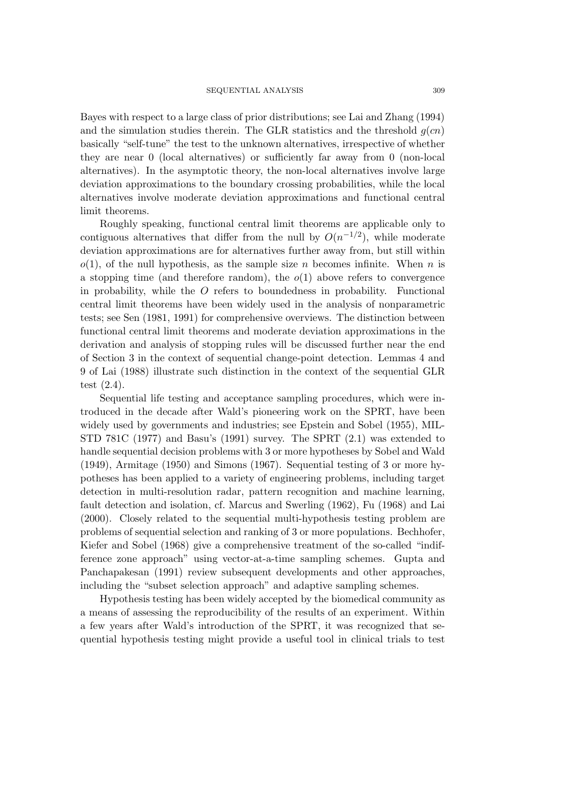Bayes with respect to a large class of prior distributions; see Lai and Zhang (1994) and the simulation studies therein. The GLR statistics and the threshold  $g(cn)$ basically "self-tune" the test to the unknown alternatives, irrespective of whether they are near 0 (local alternatives) or sufficiently far away from 0 (non-local alternatives). In the asymptotic theory, the non-local alternatives involve large deviation approximations to the boundary crossing probabilities, while the local alternatives involve moderate deviation approximations and functional central limit theorems.

Roughly speaking, functional central limit theorems are applicable only to contiguous alternatives that differ from the null by  $O(n^{-1/2})$ , while moderate deviation approximations are for alternatives further away from, but still within  $o(1)$ , of the null hypothesis, as the sample size n becomes infinite. When n is a stopping time (and therefore random), the  $o(1)$  above refers to convergence in probability, while the  $\hat{O}$  refers to boundedness in probability. Functional central limit theorems have been widely used in the analysis of nonparametric tests; see Sen (1981, 1991) for comprehensive overviews. The distinction between functional central limit theorems and moderate deviation approximations in the derivation and analysis of stopping rules will be discussed further near the end of Section 3 in the context of sequential change-point detection. Lemmas 4 and 9 of Lai (1988) illustrate such distinction in the context of the sequential GLR test (2.4).

Sequential life testing and acceptance sampling procedures, which were introduced in the decade after Wald's pioneering work on the SPRT, have been widely used by governments and industries; see Epstein and Sobel (1955), MIL-STD 781C (1977) and Basu's (1991) survey. The SPRT (2.1) was extended to handle sequential decision problems with 3 or more hypotheses by Sobel and Wald (1949), Armitage (1950) and Simons (1967). Sequential testing of 3 or more hypotheses has been applied to a variety of engineering problems, including target detection in multi-resolution radar, pattern recognition and machine learning, fault detection and isolation, cf. Marcus and Swerling (1962), Fu (1968) and Lai (2000). Closely related to the sequential multi-hypothesis testing problem are problems of sequential selection and ranking of 3 or more populations. Bechhofer, Kiefer and Sobel (1968) give a comprehensive treatment of the so-called "indifference zone approach" using vector-at-a-time sampling schemes. Gupta and Panchapakesan (1991) review subsequent developments and other approaches, including the "subset selection approach" and adaptive sampling schemes.

Hypothesis testing has been widely accepted by the biomedical community as a means of assessing the reproducibility of the results of an experiment. Within a few years after Wald's introduction of the SPRT, it was recognized that sequential hypothesis testing might provide a useful tool in clinical trials to test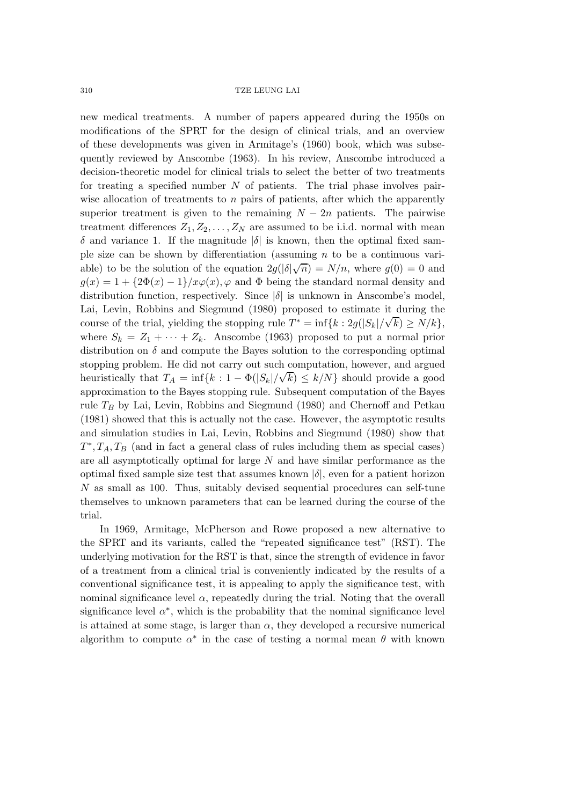new medical treatments. A number of papers appeared during the 1950s on modifications of the SPRT for the design of clinical trials, and an overview of these developments was given in Armitage's (1960) book, which was subsequently reviewed by Anscombe (1963). In his review, Anscombe introduced a decision-theoretic model for clinical trials to select the better of two treatments for treating a specified number  $N$  of patients. The trial phase involves pairwise allocation of treatments to  $n$  pairs of patients, after which the apparently superior treatment is given to the remaining  $N - 2n$  patients. The pairwise treatment differences  $Z_1, Z_2, \ldots, Z_N$  are assumed to be i.i.d. normal with mean  $\delta$  and variance 1. If the magnitude  $|\delta|$  is known, then the optimal fixed sample size can be shown by differentiation (assuming  $n$  to be a continuous variable) to be the solution of the equation  $2g(|\delta|\sqrt{n}) = N/n$ , where  $g(0) = 0$  and  $g(x)=1+ {2\Phi(x)-1}/x\varphi(x), \varphi$  and  $\Phi$  being the standard normal density and distribution function, respectively. Since  $|\delta|$  is unknown in Anscombe's model, Lai, Levin, Robbins and Siegmund (1980) proposed to estimate it during the course of the trial, yielding the stopping rule  $T^* = \inf\{k : 2g(|S_k|/\sqrt{k}) \ge N/k\}$ , where  $S_k = Z_1 + \cdots + Z_k$ . Anscombe (1963) proposed to put a normal prior distribution on  $\delta$  and compute the Bayes solution to the corresponding optimal stopping problem. He did not carry out such computation, however, and argued heuristically that  $T_A = \inf\{k : 1 - \Phi(|S_k|/\sqrt{k}) \leq k/N\}$  should provide a good approximation to the Bayes stopping rule. Subsequent computation of the Bayes rule  $T_B$  by Lai, Levin, Robbins and Siegmund (1980) and Chernoff and Petkau (1981) showed that this is actually not the case. However, the asymptotic results and simulation studies in Lai, Levin, Robbins and Siegmund (1980) show that  $T^*, T_A, T_B$  (and in fact a general class of rules including them as special cases) are all asymptotically optimal for large N and have similar performance as the optimal fixed sample size test that assumes known  $|\delta|$ , even for a patient horizon N as small as 100. Thus, suitably devised sequential procedures can self-tune themselves to unknown parameters that can be learned during the course of the trial.

In 1969, Armitage, McPherson and Rowe proposed a new alternative to the SPRT and its variants, called the "repeated significance test" (RST). The underlying motivation for the RST is that, since the strength of evidence in favor of a treatment from a clinical trial is conveniently indicated by the results of a conventional significance test, it is appealing to apply the significance test, with nominal significance level  $\alpha$ , repeatedly during the trial. Noting that the overall significance level  $\alpha^*$ , which is the probability that the nominal significance level is attained at some stage, is larger than  $\alpha$ , they developed a recursive numerical algorithm to compute  $\alpha^*$  in the case of testing a normal mean  $\theta$  with known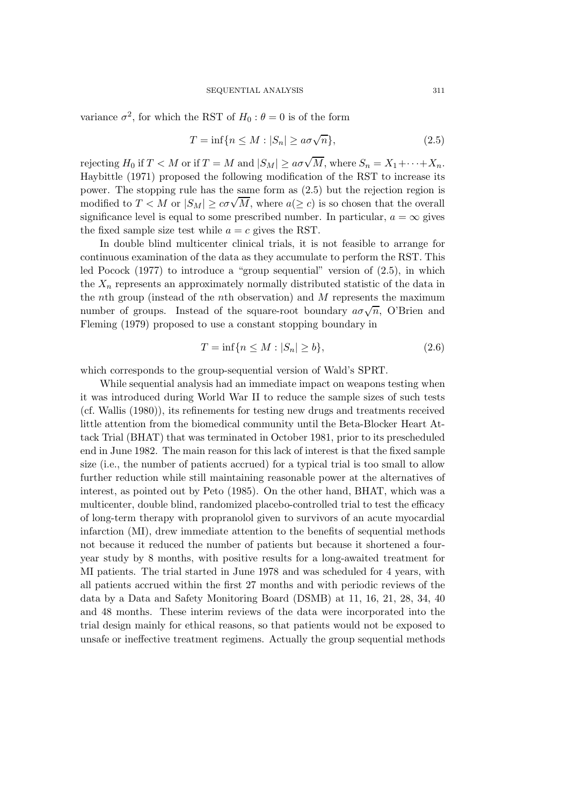variance  $\sigma^2$ , for which the RST of  $H_0$ :  $\theta = 0$  is of the form

$$
T = \inf\{n \le M : |S_n| \ge a\sigma\sqrt{n}\},\tag{2.5}
$$

rejecting  $H_0$  if  $T < M$  or if  $T = M$  and  $|S_M| \ge a\sigma\sqrt{M}$ , where  $S_n = X_1 + \cdots + X_n$ . Haybittle (1971) proposed the following modification of the RST to increase its power. The stopping rule has the same form as (2.5) but the rejection region is power. The stopping rule has the same form as  $(2.5)$  but the rejection region is modified to  $T < M$  or  $|S_M| \ge c\sigma\sqrt{M}$ , where  $a(\ge c)$  is so chosen that the overall significance level is equal to some prescribed number. In particular,  $a = \infty$  gives the fixed sample size test while  $a = c$  gives the RST.

In double blind multicenter clinical trials, it is not feasible to arrange for continuous examination of the data as they accumulate to perform the RST. This led Pocock (1977) to introduce a "group sequential" version of (2.5), in which the  $X_n$  represents an approximately normally distributed statistic of the data in the nth group (instead of the nth observation) and  $M$  represents the maximum number of groups. Instead of the square-root boundary  $a\sigma\sqrt{n}$ , O'Brien and Fleming (1979) proposed to use a constant stopping boundary in

$$
T = \inf\{n \le M : |S_n| \ge b\},\tag{2.6}
$$

which corresponds to the group-sequential version of Wald's SPRT.

While sequential analysis had an immediate impact on weapons testing when it was introduced during World War II to reduce the sample sizes of such tests (cf. Wallis (1980)), its refinements for testing new drugs and treatments received little attention from the biomedical community until the Beta-Blocker Heart Attack Trial (BHAT) that was terminated in October 1981, prior to its prescheduled end in June 1982. The main reason for this lack of interest is that the fixed sample size (i.e., the number of patients accrued) for a typical trial is too small to allow further reduction while still maintaining reasonable power at the alternatives of interest, as pointed out by Peto (1985). On the other hand, BHAT, which was a multicenter, double blind, randomized placebo-controlled trial to test the efficacy of long-term therapy with propranolol given to survivors of an acute myocardial infarction (MI), drew immediate attention to the benefits of sequential methods not because it reduced the number of patients but because it shortened a fouryear study by 8 months, with positive results for a long-awaited treatment for MI patients. The trial started in June 1978 and was scheduled for 4 years, with all patients accrued within the first 27 months and with periodic reviews of the data by a Data and Safety Monitoring Board (DSMB) at 11, 16, 21, 28, 34, 40 and 48 months. These interim reviews of the data were incorporated into the trial design mainly for ethical reasons, so that patients would not be exposed to unsafe or ineffective treatment regimens. Actually the group sequential methods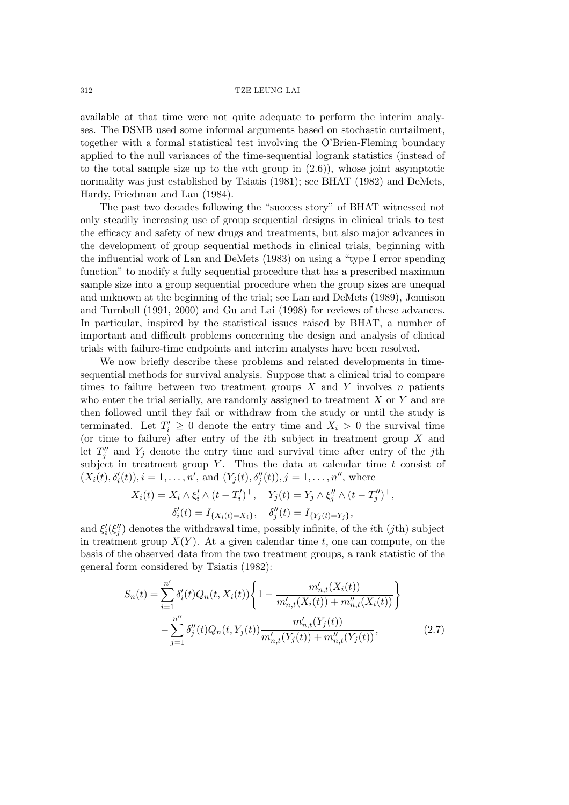available at that time were not quite adequate to perform the interim analyses. The DSMB used some informal arguments based on stochastic curtailment, together with a formal statistical test involving the O'Brien-Fleming boundary applied to the null variances of the time-sequential logrank statistics (instead of to the total sample size up to the *n*th group in  $(2.6)$ , whose joint asymptotic normality was just established by Tsiatis (1981); see BHAT (1982) and DeMets, Hardy, Friedman and Lan (1984).

The past two decades following the "success story" of BHAT witnessed not only steadily increasing use of group sequential designs in clinical trials to test the efficacy and safety of new drugs and treatments, but also major advances in the development of group sequential methods in clinical trials, beginning with the influential work of Lan and DeMets (1983) on using a "type I error spending function" to modify a fully sequential procedure that has a prescribed maximum sample size into a group sequential procedure when the group sizes are unequal and unknown at the beginning of the trial; see Lan and DeMets (1989), Jennison and Turnbull (1991, 2000) and Gu and Lai (1998) for reviews of these advances. In particular, inspired by the statistical issues raised by BHAT, a number of important and difficult problems concerning the design and analysis of clinical trials with failure-time endpoints and interim analyses have been resolved.

We now briefly describe these problems and related developments in timesequential methods for survival analysis. Suppose that a clinical trial to compare times to failure between two treatment groups  $X$  and  $Y$  involves  $n$  patients who enter the trial serially, are randomly assigned to treatment  $X$  or  $Y$  and are then followed until they fail or withdraw from the study or until the study is terminated. Let  $T'_i \geq 0$  denote the entry time and  $X_i > 0$  the survival time (or time to failure) after entry of the *i*th subject in treatment group  $X$  and let  $T''_j$  and  $Y_j$  denote the entry time and survival time after entry of the jth subject in treatment group  $Y$ . Thus the data at calendar time  $t$  consist of  $(X_i(t), \delta'_i(t)), i = 1, \ldots, n'$ , and  $(Y_j(t), \delta''_j(t)), j = 1, \ldots, n''$ , where

$$
X_i(t) = X_i \wedge \xi'_i \wedge (t - T'_i)^+, \quad Y_j(t) = Y_j \wedge \xi''_j \wedge (t - T''_j)^+, \n\delta'_i(t) = I_{\{X_i(t) = X_i\}}, \quad \delta''_j(t) = I_{\{Y_j(t) = Y_j\}},
$$

and  $\xi_i'(\xi_j'')$  denotes the withdrawal time, possibly infinite, of the *i*th (*j*th) subject in treatment group  $X(Y)$ . At a given calendar time t, one can compute, on the basis of the observed data from the two treatment groups, a rank statistic of the general form considered by Tsiatis (1982):

$$
S_n(t) = \sum_{i=1}^{n'} \delta_i'(t) Q_n(t, X_i(t)) \left\{ 1 - \frac{m'_{n,t}(X_i(t))}{m'_{n,t}(X_i(t)) + m''_{n,t}(X_i(t))} \right\}
$$

$$
- \sum_{j=1}^{n''} \delta_j''(t) Q_n(t, Y_j(t)) \frac{m'_{n,t}(Y_j(t))}{m'_{n,t}(Y_j(t)) + m''_{n,t}(Y_j(t))},
$$
(2.7)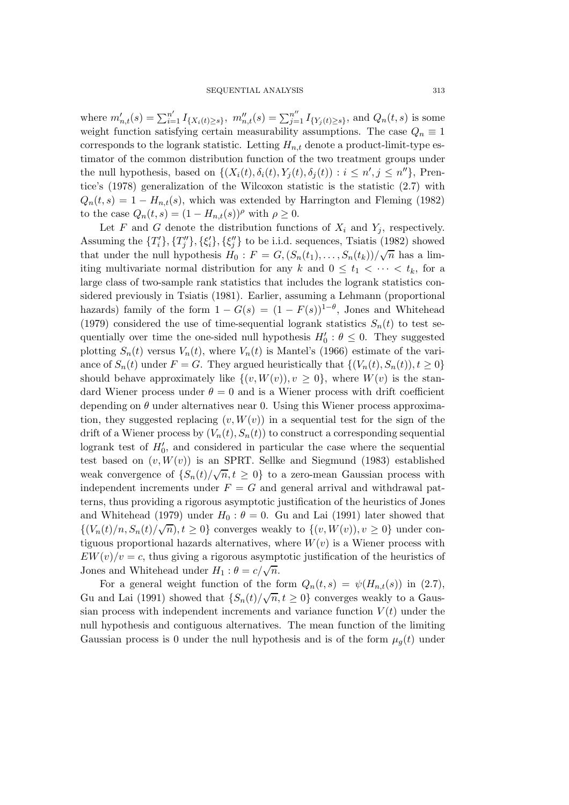where  $m'_{n,t}(s) = \sum_{i=1}^{n'} I_{\{X_i(t) \ge s\}}, m''_{n,t}(s) = \sum_{j=1}^{n''} I_{\{Y_j(t) \ge s\}},$  and  $Q_n(t, s)$  is some weight function satisfying certain measurability assumptions. The case  $Q_n \equiv 1$ corresponds to the logrank statistic. Letting  $H_{n,t}$  denote a product-limit-type estimator of the common distribution function of the two treatment groups under the null hypothesis, based on  $\{(X_i(t), \delta_i(t), Y_j(t), \delta_j(t)) : i \leq n', j \leq n''\}$ , Prentice's (1978) generalization of the Wilcoxon statistic is the statistic (2.7) with  $Q_n(t,s)=1 - H_{n,t}(s)$ , which was extended by Harrington and Fleming (1982) to the case  $Q_n(t,s) = (1 - H_{n,t}(s))^{\rho}$  with  $\rho \geq 0$ .

Let F and G denote the distribution functions of  $X_i$  and  $Y_j$ , respectively. Assuming the  ${T'_{i}}$ ,  ${T''_{j}}$ ,  $\{\xi'_{i}\}$ ,  $\{\xi''_{j}\}$  to be i.i.d. sequences, Tsiatis (1982) showed that under the null hypothesis  $H_0 : F = G$ ,  $(S_n(t_1),...,S_n(t_k))/\sqrt{n}$  has a limiting multivariate normal distribution for any k and  $0 \leq t_1 < \cdots < t_k$ , for a large class of two-sample rank statistics that includes the logrank statistics considered previously in Tsiatis (1981). Earlier, assuming a Lehmann (proportional hazards) family of the form  $1 - G(s) = (1 - F(s))^{1-\theta}$ , Jones and Whitehead (1979) considered the use of time-sequential logrank statistics  $S_n(t)$  to test sequentially over time the one-sided null hypothesis  $H'_0: \theta \leq 0$ . They suggested plotting  $S_n(t)$  versus  $V_n(t)$ , where  $V_n(t)$  is Mantel's (1966) estimate of the variance of  $S_n(t)$  under  $F = G$ . They argued heuristically that  $\{(V_n(t), S_n(t)), t \geq 0\}$ should behave approximately like  $\{(v, W(v)), v \geq 0\}$ , where  $W(v)$  is the standard Wiener process under  $\theta = 0$  and is a Wiener process with drift coefficient depending on  $\theta$  under alternatives near 0. Using this Wiener process approximation, they suggested replacing  $(v, W(v))$  in a sequential test for the sign of the drift of a Wiener process by  $(V_n(t), S_n(t))$  to construct a corresponding sequential logrank test of  $H'_0$ , and considered in particular the case where the sequential test based on  $(v, W(v))$  is an SPRT. Sellke and Siegmund (1983) established weak convergence of  $\{S_n(t)/\sqrt{n}, t \geq 0\}$  to a zero-mean Gaussian process with independent increments under  $F = G$  and general arrival and withdrawal patterns, thus providing a rigorous asymptotic justification of the heuristics of Jones and Whitehead (1979) under  $H_0$ :  $\theta = 0$ . Gu and Lai (1991) later showed that  $\{ (V_n(t)/n, S_n(t)/\sqrt{n}), t \ge 0 \}$  converges weakly to  $\{ (v, W(v)), v \ge 0 \}$  under contiguous proportional hazards alternatives, where  $W(v)$  is a Wiener process with  $EW(v)/v = c$ , thus giving a rigorous asymptotic justification of the heuristics of Jones and Whitehead under  $H_1$  :  $\theta = c/\sqrt{n}$ .

For a general weight function of the form  $Q_n(t,s) = \psi(H_{n,t}(s))$  in (2.7), Gu and Lai (1991) showed that  $\{S_n(t)/\sqrt{n}, t \ge 0\}$  converges weakly to a Gaussian process with independent increments and variance function  $V(t)$  under the null hypothesis and contiguous alternatives. The mean function of the limiting Gaussian process is 0 under the null hypothesis and is of the form  $\mu_q(t)$  under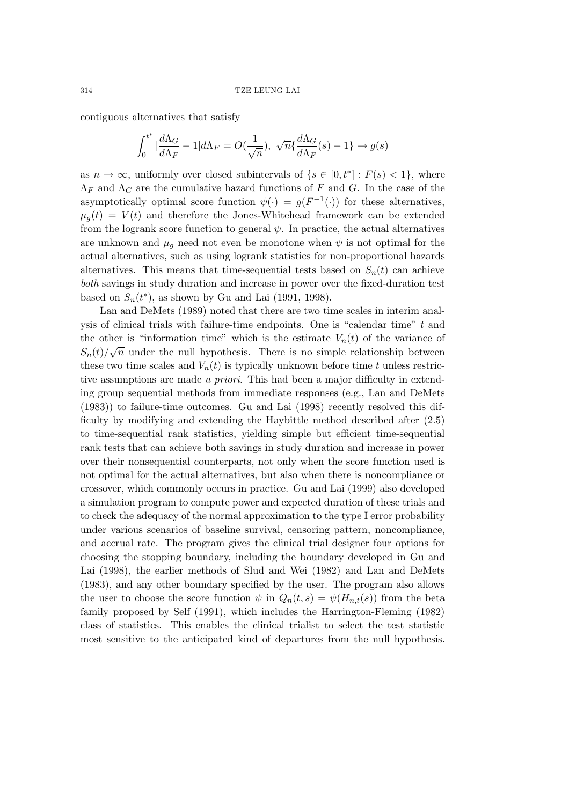contiguous alternatives that satisfy

$$
\int_0^{t^*} \left| \frac{d\Lambda_G}{d\Lambda_F} - 1 \right| d\Lambda_F = O\left(\frac{1}{\sqrt{n}}\right), \sqrt{n} \left\{ \frac{d\Lambda_G}{d\Lambda_F}(s) - 1 \right\} \to g(s)
$$

as  $n \to \infty$ , uniformly over closed subintervals of  $\{s \in [0, t^*] : F(s) < 1\}$ , where  $\Lambda_F$  and  $\Lambda_G$  are the cumulative hazard functions of F and G. In the case of the asymptotically optimal score function  $\psi(\cdot) = g(F^{-1}(\cdot))$  for these alternatives,  $\mu_q(t) = V(t)$  and therefore the Jones-Whitehead framework can be extended from the logrank score function to general  $\psi$ . In practice, the actual alternatives are unknown and  $\mu_q$  need not even be monotone when  $\psi$  is not optimal for the actual alternatives, such as using logrank statistics for non-proportional hazards alternatives. This means that time-sequential tests based on  $S_n(t)$  can achieve *both* savings in study duration and increase in power over the fixed-duration test based on  $S_n(t^*)$ , as shown by Gu and Lai (1991, 1998).

Lan and DeMets (1989) noted that there are two time scales in interim analysis of clinical trials with failure-time endpoints. One is "calendar time" t and the other is "information time" which is the estimate  $V_n(t)$  of the variance of  $S_n(t)/\sqrt{n}$  under the null hypothesis. There is no simple relationship between these two time scales and  $V_n(t)$  is typically unknown before time t unless restrictive assumptions are made *a priori*. This had been a major difficulty in extending group sequential methods from immediate responses (e.g., Lan and DeMets (1983)) to failure-time outcomes. Gu and Lai (1998) recently resolved this difficulty by modifying and extending the Haybittle method described after (2.5) to time-sequential rank statistics, yielding simple but efficient time-sequential rank tests that can achieve both savings in study duration and increase in power over their nonsequential counterparts, not only when the score function used is not optimal for the actual alternatives, but also when there is noncompliance or crossover, which commonly occurs in practice. Gu and Lai (1999) also developed a simulation program to compute power and expected duration of these trials and to check the adequacy of the normal approximation to the type I error probability under various scenarios of baseline survival, censoring pattern, noncompliance, and accrual rate. The program gives the clinical trial designer four options for choosing the stopping boundary, including the boundary developed in Gu and Lai (1998), the earlier methods of Slud and Wei (1982) and Lan and DeMets (1983), and any other boundary specified by the user. The program also allows the user to choose the score function  $\psi$  in  $Q_n(t,s) = \psi(H_{n,t}(s))$  from the beta family proposed by Self (1991), which includes the Harrington-Fleming (1982) class of statistics. This enables the clinical trialist to select the test statistic most sensitive to the anticipated kind of departures from the null hypothesis.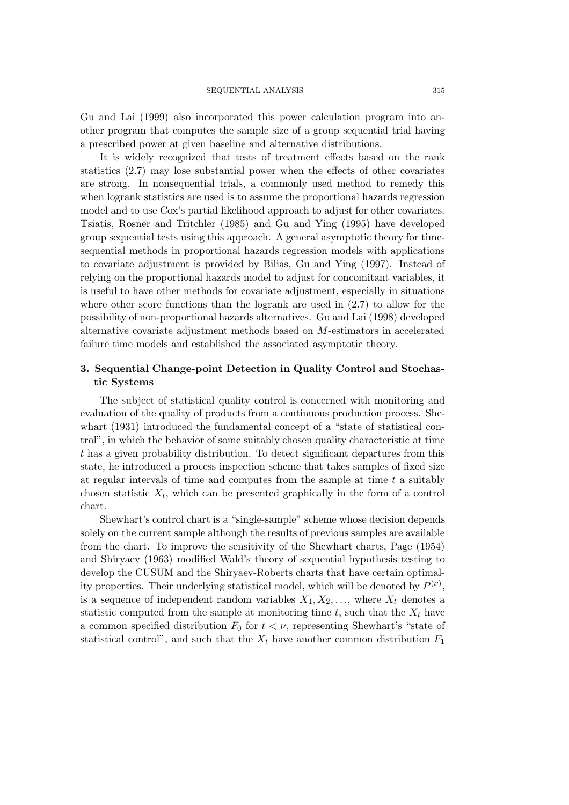Gu and Lai (1999) also incorporated this power calculation program into another program that computes the sample size of a group sequential trial having a prescribed power at given baseline and alternative distributions.

It is widely recognized that tests of treatment effects based on the rank statistics (2.7) may lose substantial power when the effects of other covariates are strong. In nonsequential trials, a commonly used method to remedy this when logrank statistics are used is to assume the proportional hazards regression model and to use Cox's partial likelihood approach to adjust for other covariates. Tsiatis, Rosner and Tritchler (1985) and Gu and Ying (1995) have developed group sequential tests using this approach. A general asymptotic theory for timesequential methods in proportional hazards regression models with applications to covariate adjustment is provided by Bilias, Gu and Ying (1997). Instead of relying on the proportional hazards model to adjust for concomitant variables, it is useful to have other methods for covariate adjustment, especially in situations where other score functions than the logrank are used in (2.7) to allow for the possibility of non-proportional hazards alternatives. Gu and Lai (1998) developed alternative covariate adjustment methods based on M-estimators in accelerated failure time models and established the associated asymptotic theory.

## **3. Sequential Change-point Detection in Quality Control and Stochastic Systems**

The subject of statistical quality control is concerned with monitoring and evaluation of the quality of products from a continuous production process. Shewhart (1931) introduced the fundamental concept of a "state of statistical control", in which the behavior of some suitably chosen quality characteristic at time t has a given probability distribution. To detect significant departures from this state, he introduced a process inspection scheme that takes samples of fixed size at regular intervals of time and computes from the sample at time  $t$  a suitably chosen statistic  $X_t$ , which can be presented graphically in the form of a control chart.

Shewhart's control chart is a "single-sample" scheme whose decision depends solely on the current sample although the results of previous samples are available from the chart. To improve the sensitivity of the Shewhart charts, Page (1954) and Shiryaev (1963) modified Wald's theory of sequential hypothesis testing to develop the CUSUM and the Shiryaev-Roberts charts that have certain optimality properties. Their underlying statistical model, which will be denoted by  $P^{(\nu)}$ , is a sequence of independent random variables  $X_1, X_2, \ldots$ , where  $X_t$  denotes a statistic computed from the sample at monitoring time  $t$ , such that the  $X_t$  have a common specified distribution  $F_0$  for  $t < \nu$ , representing Shewhart's "state of statistical control", and such that the  $X_t$  have another common distribution  $F_1$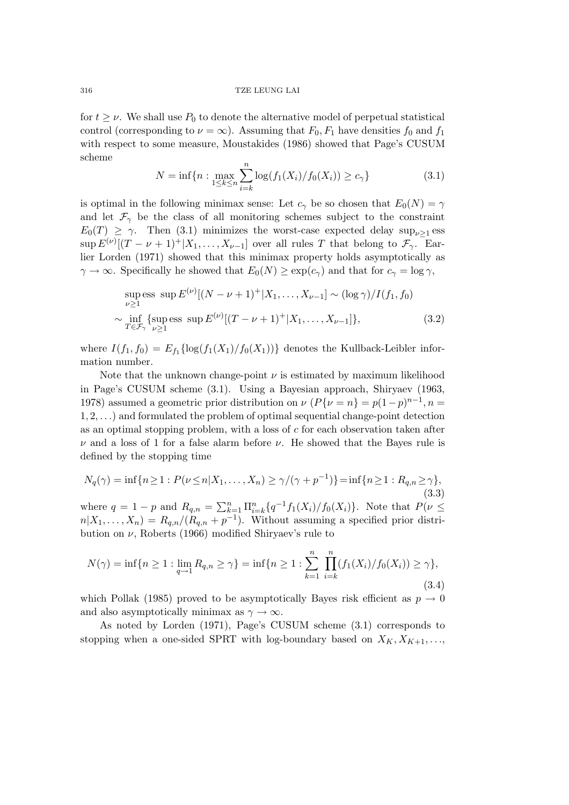for  $t \geq \nu$ . We shall use  $P_0$  to denote the alternative model of perpetual statistical control (corresponding to  $\nu = \infty$ ). Assuming that  $F_0, F_1$  have densities  $f_0$  and  $f_1$ with respect to some measure, Moustakides (1986) showed that Page's CUSUM scheme

$$
N = \inf\{n : \max_{1 \le k \le n} \sum_{i=k}^{n} \log(f_1(X_i)/f_0(X_i)) \ge c_\gamma\}
$$
(3.1)

is optimal in the following minimax sense: Let  $c_{\gamma}$  be so chosen that  $E_0(N) = \gamma$ and let  $\mathcal{F}_{\gamma}$  be the class of all monitoring schemes subject to the constraint  $E_0(T) \geq \gamma$ . Then (3.1) minimizes the worst-case expected delay sup<sub> $\nu>1$ </sub> ess  $\sup E^{(\nu)}[(T-\nu+1)^+]X_1,\ldots,X_{\nu-1}]$  over all rules T that belong to  $\mathcal{F}_{\gamma}$ . Earlier Lorden (1971) showed that this minimax property holds asymptotically as  $\gamma \to \infty$ . Specifically he showed that  $E_0(N) \geq \exp(c_\gamma)$  and that for  $c_\gamma = \log \gamma$ ,

sup> 
$$
\text{ess sup } E^{(\nu)}[(N - \nu + 1)^+ | X_1, \dots, X_{\nu-1}] \sim (\log \gamma) / I(f_1, f_0)
$$
  
\n $\sim \inf_{T \in \mathcal{F}_{\gamma}} \{ \text{sup} \text{ess sup } E^{(\nu)}[(T - \nu + 1)^+ | X_1, \dots, X_{\nu-1}] \},$  (3.2)

where  $I(f_1, f_0) = E_{f_1} \{ \log(f_1(X_1)/f_0(X_1)) \}$  denotes the Kullback-Leibler information number.

Note that the unknown change-point  $\nu$  is estimated by maximum likelihood in Page's CUSUM scheme (3.1). Using a Bayesian approach, Shiryaev (1963, 1978) assumed a geometric prior distribution on  $\nu$  ( $P\{\nu = n\} = p(1-p)^{n-1}, n =$ 1, 2,...) and formulated the problem of optimal sequential change-point detection as an optimal stopping problem, with a loss of  $c$  for each observation taken after  $\nu$  and a loss of 1 for a false alarm before  $\nu$ . He showed that the Bayes rule is defined by the stopping time

$$
N_q(\gamma) = \inf\{n \ge 1 : P(\nu \le n | X_1, \dots, X_n) \ge \gamma/(\gamma + p^{-1})\} = \inf\{n \ge 1 : R_{q,n} \ge \gamma\},\tag{3.3}
$$

where  $q = 1 - p$  and  $R_{q,n} = \sum_{k=1}^{n} \prod_{i=k}^{n} {q^{-1}f_1(X_i)/f_0(X_i)}$ . Note that  $P(\nu \leq$  $n|X_1,\ldots,X_n|=R_{q,n}/(R_{q,n}+p^{-1}).$  Without assuming a specified prior distribution on  $\nu$ , Roberts (1966) modified Shiryaev's rule to

$$
N(\gamma) = \inf\{n \ge 1 : \lim_{q \to 1} R_{q,n} \ge \gamma\} = \inf\{n \ge 1 : \sum_{k=1}^{n} \prod_{i=k}^{n} (f_1(X_i)/f_0(X_i)) \ge \gamma\},\tag{3.4}
$$

which Pollak (1985) proved to be asymptotically Bayes risk efficient as  $p \to 0$ and also asymptotically minimax as  $\gamma \to \infty$ .

As noted by Lorden (1971), Page's CUSUM scheme (3.1) corresponds to stopping when a one-sided SPRT with log-boundary based on  $X_K, X_{K+1}, \ldots$ ,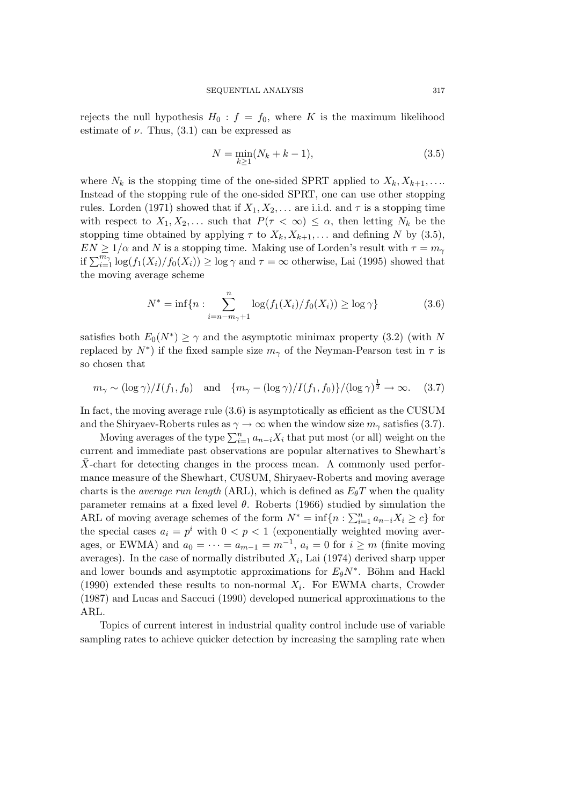rejects the null hypothesis  $H_0$ :  $f = f_0$ , where K is the maximum likelihood estimate of  $\nu$ . Thus, (3.1) can be expressed as

$$
N = \min_{k \ge 1} (N_k + k - 1),
$$
\n(3.5)

where  $N_k$  is the stopping time of the one-sided SPRT applied to  $X_k, X_{k+1}, \ldots$ Instead of the stopping rule of the one-sided SPRT, one can use other stopping rules. Lorden (1971) showed that if  $X_1, X_2, \ldots$  are i.i.d. and  $\tau$  is a stopping time with respect to  $X_1, X_2, \ldots$  such that  $P(\tau < \infty) \leq \alpha$ , then letting  $N_k$  be the stopping time obtained by applying  $\tau$  to  $X_k, X_{k+1},...$  and defining N by (3.5),  $EN \geq 1/\alpha$  and N is a stopping time. Making use of Lorden's result with  $\tau = m_{\gamma}$ if  $\sum_{i=1}^{m_{\gamma}} \log(f_1(X_i)/f_0(X_i)) \ge \log \gamma$  and  $\tau = \infty$  otherwise, Lai (1995) showed that the moving average scheme

$$
N^* = \inf\{n : \sum_{i=n-m_{\gamma}+1}^{n} \log(f_1(X_i)/f_0(X_i)) \ge \log \gamma\}
$$
 (3.6)

satisfies both  $E_0(N^*) \geq \gamma$  and the asymptotic minimax property (3.2) (with N replaced by  $N^*$ ) if the fixed sample size  $m_{\gamma}$  of the Neyman-Pearson test in  $\tau$  is so chosen that

$$
m_{\gamma} \sim (\log \gamma) / I(f_1, f_0)
$$
 and  $\{m_{\gamma} - (\log \gamma) / I(f_1, f_0)\} / (\log \gamma)^{\frac{1}{2}} \to \infty.$  (3.7)

In fact, the moving average rule (3.6) is asymptotically as efficient as the CUSUM and the Shiryaev-Roberts rules as  $\gamma \to \infty$  when the window size  $m_{\gamma}$  satisfies (3.7).

Moving averages of the type  $\sum_{i=1}^n a_{n-i}X_i$  that put most (or all) weight on the current and immediate past observations are popular alternatives to Shewhart's  $\bar{X}$ -chart for detecting changes in the process mean. A commonly used performance measure of the Shewhart, CUSUM, Shiryaev-Roberts and moving average charts is the *average run length* (ARL), which is defined as  $E_{\theta}T$  when the quality parameter remains at a fixed level  $\theta$ . Roberts (1966) studied by simulation the ARL of moving average schemes of the form  $N^* = \inf\{n : \sum_{i=1}^n a_{n-i}X_i \ge c\}$  for the special cases  $a_i = p^i$  with  $0 < p < 1$  (exponentially weighted moving averages, or EWMA) and  $a_0 = \cdots = a_{m-1} = m^{-1}$ ,  $a_i = 0$  for  $i \geq m$  (finite moving averages). In the case of normally distributed  $X_i$ , Lai (1974) derived sharp upper and lower bounds and asymptotic approximations for  $E_{\theta}N^*$ . Böhm and Hackl (1990) extended these results to non-normal  $X_i$ . For EWMA charts, Crowder (1987) and Lucas and Saccuci (1990) developed numerical approximations to the ARL.

Topics of current interest in industrial quality control include use of variable sampling rates to achieve quicker detection by increasing the sampling rate when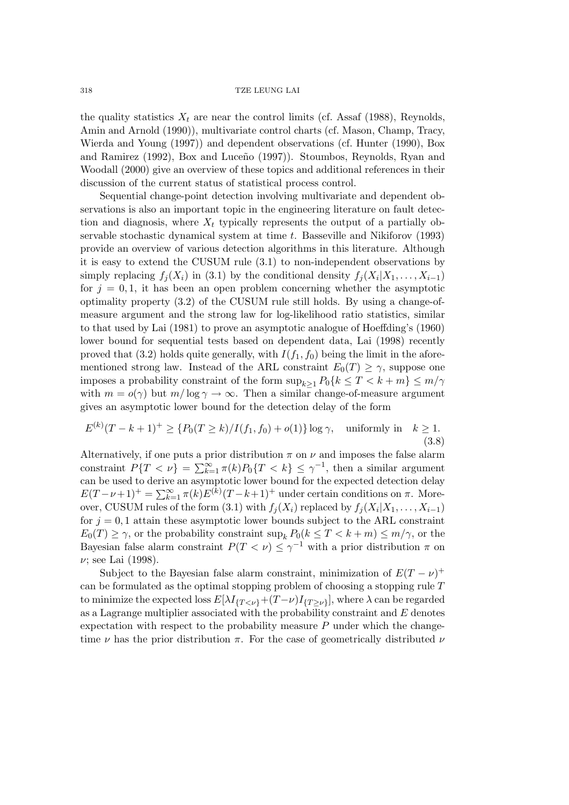the quality statistics  $X_t$  are near the control limits (cf. Assaf (1988), Reynolds, Amin and Arnold (1990)), multivariate control charts (cf. Mason, Champ, Tracy, Wierda and Young (1997)) and dependent observations (cf. Hunter (1990), Box and Ramirez (1992), Box and Luceño (1997). Stoumbos, Reynolds, Ryan and Woodall (2000) give an overview of these topics and additional references in their discussion of the current status of statistical process control.

Sequential change-point detection involving multivariate and dependent observations is also an important topic in the engineering literature on fault detection and diagnosis, where  $X_t$  typically represents the output of a partially observable stochastic dynamical system at time t. Basseville and Nikiforov (1993) provide an overview of various detection algorithms in this literature. Although it is easy to extend the CUSUM rule (3.1) to non-independent observations by simply replacing  $f_i(X_i)$  in (3.1) by the conditional density  $f_i(X_i|X_1,\ldots,X_{i-1})$ for  $j = 0, 1$ , it has been an open problem concerning whether the asymptotic optimality property (3.2) of the CUSUM rule still holds. By using a change-ofmeasure argument and the strong law for log-likelihood ratio statistics, similar to that used by Lai (1981) to prove an asymptotic analogue of Hoeffding's (1960) lower bound for sequential tests based on dependent data, Lai (1998) recently proved that  $(3.2)$  holds quite generally, with  $I(f_1, f_0)$  being the limit in the aforementioned strong law. Instead of the ARL constraint  $E_0(T) \geq \gamma$ , suppose one imposes a probability constraint of the form  $\sup_{k>1} P_0\{k \leq T < k+m\} \leq m/\gamma$ with  $m = o(\gamma)$  but  $m / \log \gamma \to \infty$ . Then a similar change-of-measure argument gives an asymptotic lower bound for the detection delay of the form

$$
E^{(k)}(T - k + 1)^{+} \geq \{P_0(T \geq k) / I(f_1, f_0) + o(1)\} \log \gamma, \quad \text{uniformly in} \quad k \geq 1.
$$
\n(3.8)

Alternatively, if one puts a prior distribution  $\pi$  on  $\nu$  and imposes the false alarm constraint  $P\{T < \nu\} = \sum_{k=1}^{\infty} \pi(k) P_0\{T < k\} \leq \gamma^{-1}$ , then a similar argument can be used to derive an asymptotic lower bound for the expected detection delay  $E(T-\nu+1)^{+} = \sum_{k=1}^{\infty} \pi(k)E^{(k)}(T-k+1)^{+}$  under certain conditions on  $\pi$ . Moreover, CUSUM rules of the form (3.1) with  $f_i(X_i)$  replaced by  $f_i(X_i|X_1,\ldots,X_{i-1})$ for  $j = 0, 1$  attain these asymptotic lower bounds subject to the ARL constraint  $E_0(T) \geq \gamma$ , or the probability constraint  $\sup_k P_0(k \leq T < k + m) \leq m/\gamma$ , or the Bayesian false alarm constraint  $P(T \lt \nu) \leq \gamma^{-1}$  with a prior distribution  $\pi$  on  $\nu$ ; see Lai (1998).

Subject to the Bayesian false alarm constraint, minimization of  $E(T - \nu)^+$ can be formulated as the optimal stopping problem of choosing a stopping rule  $T$ to minimize the expected loss  $E[\lambda I_{\{T \leq \nu\}}+(T-\nu)I_{\{T \geq \nu\}}]$ , where  $\lambda$  can be regarded as a Lagrange multiplier associated with the probability constraint and  $E$  denotes expectation with respect to the probability measure  $P$  under which the changetime  $\nu$  has the prior distribution  $\pi$ . For the case of geometrically distributed  $\nu$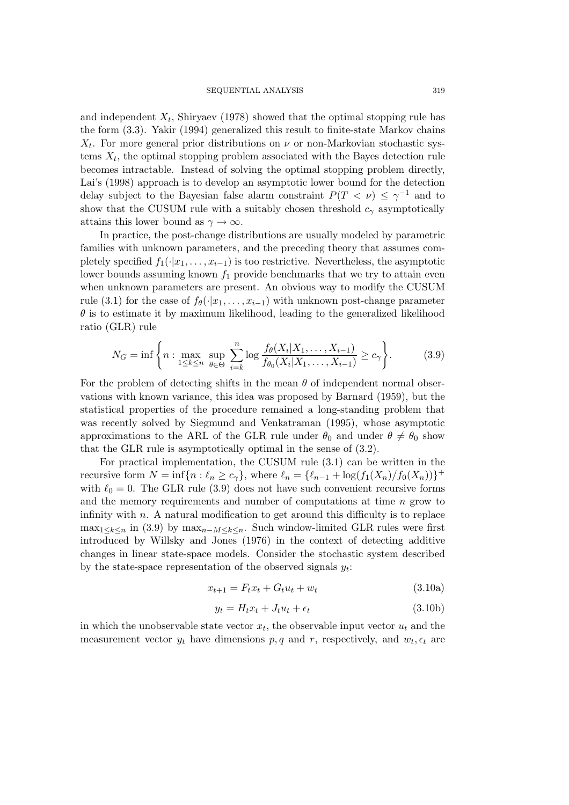and independent  $X_t$ , Shiryaev (1978) showed that the optimal stopping rule has the form (3.3). Yakir (1994) generalized this result to finite-state Markov chains  $X_t$ . For more general prior distributions on  $\nu$  or non-Markovian stochastic systems  $X_t$ , the optimal stopping problem associated with the Bayes detection rule becomes intractable. Instead of solving the optimal stopping problem directly, Lai's (1998) approach is to develop an asymptotic lower bound for the detection delay subject to the Bayesian false alarm constraint  $P(T \langle \nu \rangle \leq \gamma^{-1}$  and to show that the CUSUM rule with a suitably chosen threshold  $c<sub>\gamma</sub>$  asymptotically attains this lower bound as  $\gamma \to \infty$ .

In practice, the post-change distributions are usually modeled by parametric families with unknown parameters, and the preceding theory that assumes completely specified  $f_1(\cdot|x_1,\ldots,x_{i-1})$  is too restrictive. Nevertheless, the asymptotic lower bounds assuming known  $f_1$  provide benchmarks that we try to attain even when unknown parameters are present. An obvious way to modify the CUSUM rule (3.1) for the case of  $f_{\theta}(\cdot|x_1,\ldots,x_{i-1})$  with unknown post-change parameter  $\theta$  is to estimate it by maximum likelihood, leading to the generalized likelihood ratio (GLR) rule

$$
N_G = \inf \left\{ n : \max_{1 \le k \le n} \sup_{\theta \in \Theta} \sum_{i=k}^n \log \frac{f_{\theta}(X_i | X_1, \dots, X_{i-1})}{f_{\theta_0}(X_i | X_1, \dots, X_{i-1})} \ge c_\gamma \right\}.
$$
 (3.9)

For the problem of detecting shifts in the mean  $\theta$  of independent normal observations with known variance, this idea was proposed by Barnard (1959), but the statistical properties of the procedure remained a long-standing problem that was recently solved by Siegmund and Venkatraman (1995), whose asymptotic approximations to the ARL of the GLR rule under  $\theta_0$  and under  $\theta \neq \theta_0$  show that the GLR rule is asymptotically optimal in the sense of (3.2).

For practical implementation, the CUSUM rule (3.1) can be written in the recursive form  $N = \inf\{n : \ell_n \geq c_\gamma\}$ , where  $\ell_n = {\ell_{n-1} + \log(f_1(X_n)/f_0(X_n))\}^+$ with  $\ell_0 = 0$ . The GLR rule (3.9) does not have such convenient recursive forms and the memory requirements and number of computations at time n grow to infinity with  $n$ . A natural modification to get around this difficulty is to replace max<sub>1≤k≤n</sub> in (3.9) by max<sub>n-M≤k≤n</sub>. Such window-limited GLR rules were first introduced by Willsky and Jones (1976) in the context of detecting additive changes in linear state-space models. Consider the stochastic system described by the state-space representation of the observed signals  $y_t$ :

$$
x_{t+1} = F_t x_t + G_t u_t + w_t \tag{3.10a}
$$

$$
y_t = H_t x_t + J_t u_t + \epsilon_t \tag{3.10b}
$$

in which the unobservable state vector  $x_t$ , the observable input vector  $u_t$  and the measurement vector  $y_t$  have dimensions  $p, q$  and  $r$ , respectively, and  $w_t, \epsilon_t$  are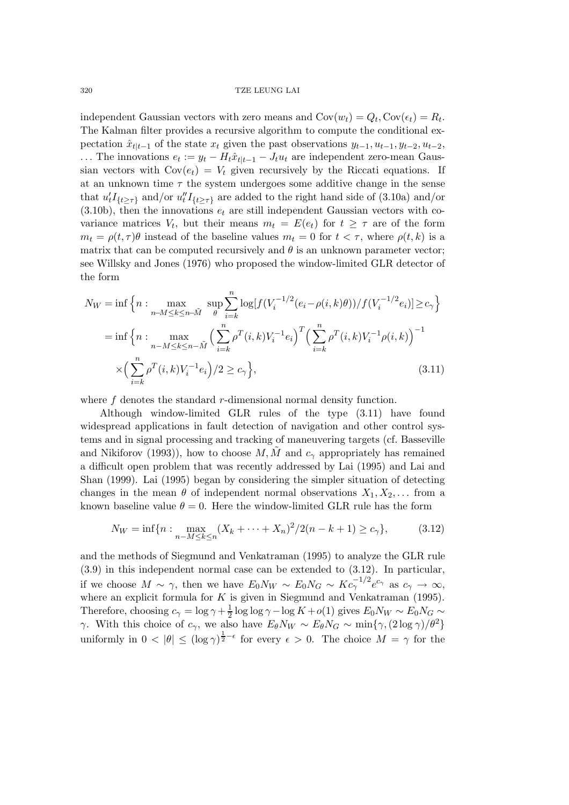independent Gaussian vectors with zero means and  $Cov(w_t) = Q_t$ ,  $Cov(\epsilon_t) = R_t$ . The Kalman filter provides a recursive algorithm to compute the conditional expectation  $\hat{x}_{t|t-1}$  of the state  $x_t$  given the past observations  $y_{t-1}, u_{t-1}, y_{t-2}, u_{t-2}$ , ... The innovations  $e_t := y_t - H_t \hat{x}_{t|t-1} - J_t u_t$  are independent zero-mean Gaussian vectors with  $Cov(e_t) = V_t$  given recursively by the Riccati equations. If at an unknown time  $\tau$  the system undergoes some additive change in the sense that  $u'_t I_{\{t \geq \tau\}}$  and/or  $u''_t I_{\{t \geq \tau\}}$  are added to the right hand side of (3.10a) and/or  $(3.10b)$ , then the innovations  $e_t$  are still independent Gaussian vectors with covariance matrices  $V_t$ , but their means  $m_t = E(e_t)$  for  $t \geq \tau$  are of the form  $m_t = \rho(t, \tau) \theta$  instead of the baseline values  $m_t = 0$  for  $t < \tau$ , where  $\rho(t, k)$  is a matrix that can be computed recursively and  $\theta$  is an unknown parameter vector; see Willsky and Jones (1976) who proposed the window-limited GLR detector of the form

$$
N_W = \inf \left\{ n : \max_{n-M \le k \le n-\tilde{M}} \sup_{\theta} \sum_{i=k}^n \log[f(V_i^{-1/2}(e_i - \rho(i,k)\theta))/f(V_i^{-1/2}e_i)] \ge c_{\gamma} \right\}
$$
  
= 
$$
\inf \left\{ n : \max_{n-M \le k \le n-\tilde{M}} \left( \sum_{i=k}^n \rho^T(i,k)V_i^{-1}e_i \right)^T \left( \sum_{i=k}^n \rho^T(i,k)V_i^{-1}\rho(i,k) \right)^{-1} \right\}
$$
  

$$
\times \left( \sum_{i=k}^n \rho^T(i,k)V_i^{-1}e_i \right) / 2 \ge c_{\gamma} \right\},
$$
(3.11)

where f denotes the standard r-dimensional normal density function.

Although window-limited GLR rules of the type (3.11) have found widespread applications in fault detection of navigation and other control systems and in signal processing and tracking of maneuvering targets (cf. Basseville and Nikiforov (1993)), how to choose  $M, M$  and  $c<sub>\gamma</sub>$  appropriately has remained a difficult open problem that was recently addressed by Lai (1995) and Lai and Shan (1999). Lai (1995) began by considering the simpler situation of detecting changes in the mean  $\theta$  of independent normal observations  $X_1, X_2, \ldots$  from a known baseline value  $\theta = 0$ . Here the window-limited GLR rule has the form

$$
N_W = \inf\{n : \max_{n-M \le k \le n} (X_k + \dots + X_n)^2 / 2(n - k + 1) \ge c_\gamma\},\tag{3.12}
$$

and the methods of Siegmund and Venkatraman (1995) to analyze the GLR rule (3.9) in this independent normal case can be extended to (3.12). In particular, if we choose  $M \sim \gamma$ , then we have  $E_0 N_W \sim E_0 N_G \sim K c_\gamma^{-1/2} e^{c_\gamma}$  as  $c_\gamma \to \infty$ , where an explicit formula for  $K$  is given in Siegmund and Venkatraman (1995). Therefore, choosing  $c_{\gamma} = \log \gamma + \frac{1}{2} \log \log \gamma - \log K + o(1)$  gives  $E_0 N_W \sim E_0 N_G \sim$ γ. With this choice of  $c_\gamma$ , we also have  $E_\theta N_W \sim E_\theta N_G \sim \min\{\gamma, (2\log \gamma)/\theta^2\}$ uniformly in  $0 < |\theta| \leq (\log \gamma)^{\frac{1}{2}-\epsilon}$  for every  $\epsilon > 0$ . The choice  $M = \gamma$  for the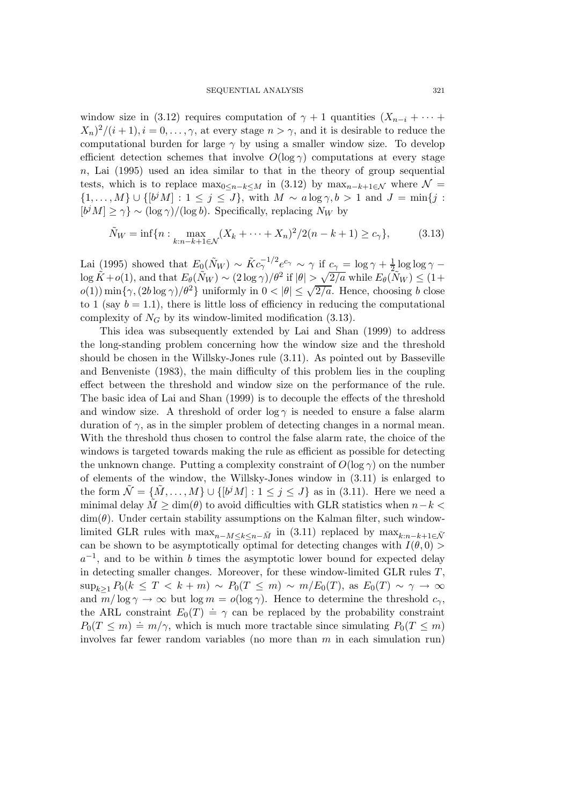window size in (3.12) requires computation of  $\gamma + 1$  quantities  $(X_{n-i} + \cdots +$  $X_n^2/(i+1), i=0,\ldots,\gamma$ , at every stage  $n>\gamma$ , and it is desirable to reduce the computational burden for large  $\gamma$  by using a smaller window size. To develop efficient detection schemes that involve  $O(\log \gamma)$  computations at every stage  $n<sub>1</sub>$ , Lai (1995) used an idea similar to that in the theory of group sequential tests, which is to replace  $\max_{0 \leq n-k \leq M}$  in (3.12) by  $\max_{n-k+1 \in \mathcal{N}}$  where  $\mathcal{N}$  =  $\{1,\ldots,M\}\cup\{[b^jM]:1\leq j\leq J\}$ , with  $M\sim a\log\gamma, b>1$  and  $J=\min\{j:1\leq j\leq J\}$  $[b^j M] \ge \gamma$  ~  $(\log \gamma)/(\log b)$ . Specifically, replacing N<sub>W</sub> by

$$
\tilde{N}_W = \inf \{ n : \max_{k:n-k+1 \in \mathcal{N}} (X_k + \dots + X_n)^2 / 2(n - k + 1) \ge c_\gamma \},\tag{3.13}
$$

Lai (1995) showed that  $E_0(N_W) \sim \tilde{K} c_\gamma^{-1/2} e^{c_\gamma} \sim \gamma$  if  $c_\gamma = \log \gamma + \frac{1}{2} \log \log \gamma \log \tilde{K} + o(1)$ , and that  $E_{\theta}(\tilde{N}_W) \sim (2 \log \gamma)/\theta^2$  if  $|\theta| > \sqrt{2/a}$  while  $E_{\theta}(\tilde{N}_W) \leq (1+\epsilon)/\sqrt{2/a}$  $o(1)$ ) min{ $\gamma$ ,  $(2b \log \gamma)/\theta^2$ } uniformly in  $0 < |\theta| \leq \sqrt{2/a}$ . Hence, choosing b close to 1 (say  $b = 1.1$ ), there is little loss of efficiency in reducing the computational complexity of  $N_G$  by its window-limited modification (3.13).

This idea was subsequently extended by Lai and Shan (1999) to address the long-standing problem concerning how the window size and the threshold should be chosen in the Willsky-Jones rule (3.11). As pointed out by Basseville and Benveniste (1983), the main difficulty of this problem lies in the coupling effect between the threshold and window size on the performance of the rule. The basic idea of Lai and Shan (1999) is to decouple the effects of the threshold and window size. A threshold of order  $\log \gamma$  is needed to ensure a false alarm duration of  $\gamma$ , as in the simpler problem of detecting changes in a normal mean. With the threshold thus chosen to control the false alarm rate, the choice of the windows is targeted towards making the rule as efficient as possible for detecting the unknown change. Putting a complexity constraint of  $O(\log \gamma)$  on the number of elements of the window, the Willsky-Jones window in (3.11) is enlarged to the form  $\mathcal{N} = \{M, \ldots, M\} \cup \{b^j M : 1 \leq j \leq J\}$  as in (3.11). Here we need a minimal delay  $\tilde{M} \geq \dim(\theta)$  to avoid difficulties with GLR statistics when  $n-k$  $\dim(\theta)$ . Under certain stability assumptions on the Kalman filter, such windowlimited GLR rules with  $\max_{n-M\leq k\leq n-\tilde{M}}$  in (3.11) replaced by  $\max_{k:n-k+1\in\tilde{\mathcal{N}}}$ can be shown to be asymptotically optimal for detecting changes with  $I(\theta,0)$  $a^{-1}$ , and to be within b times the asymptotic lower bound for expected delay in detecting smaller changes. Moreover, for these window-limited GLR rules T,  $\sup_{k\geq 1} P_0(k \leq T < k+m) \sim P_0(T \leq m) \sim m/E_0(T)$ , as  $E_0(T) \sim \gamma \to \infty$ and  $m/\log \gamma \to \infty$  but  $\log m = o(\log \gamma)$ . Hence to determine the threshold  $c_{\gamma}$ , the ARL constraint  $E_0(T) \doteq \gamma$  can be replaced by the probability constraint  $P_0(T \le m) \doteq m/\gamma$ , which is much more tractable since simulating  $P_0(T \le m)$ involves far fewer random variables (no more than  $m$  in each simulation run)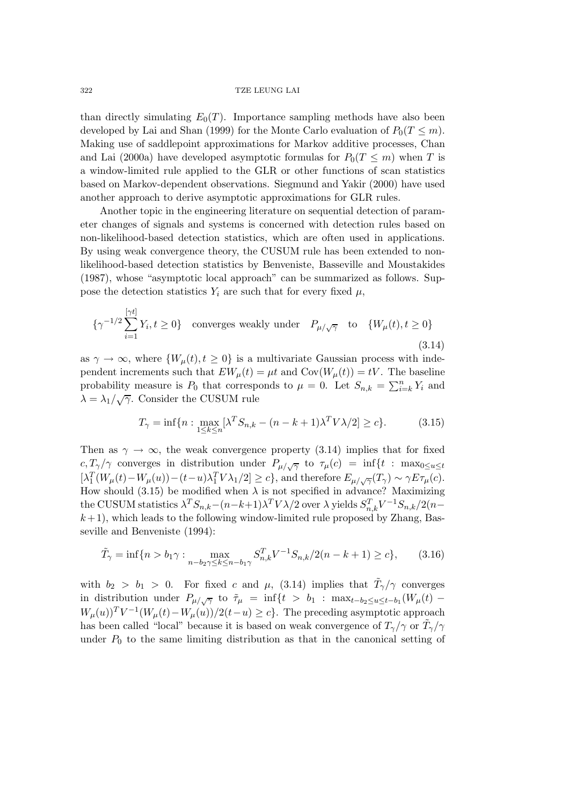than directly simulating  $E_0(T)$ . Importance sampling methods have also been developed by Lai and Shan (1999) for the Monte Carlo evaluation of  $P_0(T \leq m)$ . Making use of saddlepoint approximations for Markov additive processes, Chan and Lai (2000a) have developed asymptotic formulas for  $P_0(T \leq m)$  when T is a window-limited rule applied to the GLR or other functions of scan statistics based on Markov-dependent observations. Siegmund and Yakir (2000) have used another approach to derive asymptotic approximations for GLR rules.

Another topic in the engineering literature on sequential detection of parameter changes of signals and systems is concerned with detection rules based on non-likelihood-based detection statistics, which are often used in applications. By using weak convergence theory, the CUSUM rule has been extended to nonlikelihood-based detection statistics by Benveniste, Basseville and Moustakides (1987), whose "asymptotic local approach" can be summarized as follows. Suppose the detection statistics  $Y_i$  are such that for every fixed  $\mu$ ,

$$
\{\gamma^{-1/2} \sum_{i=1}^{\lfloor \gamma t \rfloor} Y_i, t \ge 0\} \quad \text{converges weakly under} \quad P_{\mu/\sqrt{\gamma}} \quad \text{to} \quad \{W_{\mu}(t), t \ge 0\}
$$
\n
$$
(3.14)
$$

as  $\gamma \to \infty$ , where  $\{W_\mu(t), t \geq 0\}$  is a multivariate Gaussian process with independent increments such that  $EW_\mu(t) = \mu t$  and  $Cov(W_\mu(t)) = tV$ . The baseline probability measure is  $P_0$  that corresponds to  $\mu = 0$ . Let  $S_{n,k} = \sum_{i=k}^{n} Y_i$  and  $\lambda = \lambda_1/\sqrt{\gamma}$ . Consider the CUSUM rule

$$
T_{\gamma} = \inf \{ n : \max_{1 \le k \le n} [\lambda^T S_{n,k} - (n - k + 1)\lambda^T V \lambda / 2] \ge c \}. \tag{3.15}
$$

Then as  $\gamma \to \infty$ , the weak convergence property (3.14) implies that for fixed  $c, T_\gamma/\gamma$  converges in distribution under  $P_{\mu/\sqrt{\gamma}}$  to  $\tau_\mu(c) = \inf\{t : \max_{0 \le u \le t}\}$  $\left[\lambda_1^T(W_\mu(t)-W_\mu(u))-(t-u)\lambda_1^TV\lambda_1/2\right] \geq c\},$  and therefore  $E_{\mu/\sqrt{\gamma}}(T_\gamma) \sim \gamma E \tau_\mu(c)$ . How should (3.15) be modified when  $\lambda$  is not specified in advance? Maximizing the CUSUM statistics  $\lambda^T S_{n,k} - (n-k+1)\lambda^T V \lambda/2$  over  $\lambda$  yields  $S_{n,k}^T V^{-1} S_{n,k}/2(n-k+1)$  $k+1$ , which leads to the following window-limited rule proposed by Zhang, Basseville and Benveniste (1994):

$$
\tilde{T}_{\gamma} = \inf\{n > b_1\gamma : \max_{n - b_2\gamma \le k \le n - b_1\gamma} S_{n,k}^T V^{-1} S_{n,k} / 2(n - k + 1) \ge c\},\tag{3.16}
$$

with  $b_2 > b_1 > 0$ . For fixed c and  $\mu$ , (3.14) implies that  $\tilde{T}_{\gamma}/\gamma$  converges in distribution under  $P_{\mu/\sqrt{\gamma}}$  to  $\tilde{\tau}_{\mu} = \inf\{t > b_1 : \max_{t-b_2 \le u \le t-b_1} (W_{\mu}(t) W_{\mu}(u)T V^{-1}(W_{\mu}(t)-W_{\mu}(u))/2(t-u) \geq c$ . The preceding asymptotic approach has been called "local" because it is based on weak convergence of  $T_\gamma/\gamma$  or  $\tilde{T}_\gamma/\gamma$ under  $P_0$  to the same limiting distribution as that in the canonical setting of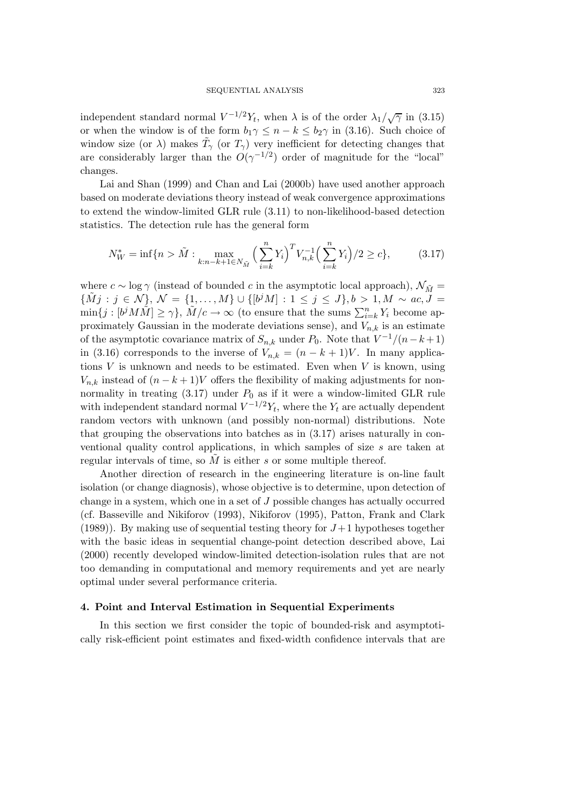independent standard normal  $V^{-1/2}Y_t$ , when  $\lambda$  is of the order  $\lambda_1/\sqrt{\gamma}$  in (3.15) or when the window is of the form  $b_1\gamma \leq n-k \leq b_2\gamma$  in (3.16). Such choice of window size (or  $\lambda$ ) makes  $\tilde{T}_{\gamma}$  (or  $T_{\gamma}$ ) very inefficient for detecting changes that are considerably larger than the  $O(\gamma^{-1/2})$  order of magnitude for the "local" changes.

Lai and Shan (1999) and Chan and Lai (2000b) have used another approach based on moderate deviations theory instead of weak convergence approximations to extend the window-limited GLR rule (3.11) to non-likelihood-based detection statistics. The detection rule has the general form

$$
N_W^* = \inf\{n > \tilde{M} : \max_{k:n-k+1 \in N_{\tilde{M}}} \left(\sum_{i=k}^n Y_i\right)^T V_{n,k}^{-1} \left(\sum_{i=k}^n Y_i\right) / 2 \ge c\},\tag{3.17}
$$

where  $c \sim \log \gamma$  (instead of bounded c in the asymptotic local approach),  $\mathcal{N}_{\tilde{M}} =$  $\{\tilde{M}j : j \in \mathcal{N}\}, \mathcal{N} = \{1,\ldots,M\} \cup \{[b^jM] : 1 \leq j \leq J\}, b > 1, M \sim ac, J =$  $\min\{j : [b^j M \tilde{M}] \ge \gamma\}, \tilde{M}/c \to \infty$  (to ensure that the sums  $\sum_{i=k}^n Y_i$  become approximately Gaussian in the moderate deviations sense), and  $V_{n,k}$  is an estimate of the asymptotic covariance matrix of  $S_{n,k}$  under  $P_0$ . Note that  $V^{-1}/(n-k+1)$ in (3.16) corresponds to the inverse of  $V_{n,k} = (n - k + 1)V$ . In many applications  $V$  is unknown and needs to be estimated. Even when  $V$  is known, using  $V_{n,k}$  instead of  $(n-k+1)V$  offers the flexibility of making adjustments for nonnormality in treating  $(3.17)$  under  $P_0$  as if it were a window-limited GLR rule with independent standard normal  $V^{-1/2}Y_t$ , where the  $Y_t$  are actually dependent random vectors with unknown (and possibly non-normal) distributions. Note that grouping the observations into batches as in (3.17) arises naturally in conventional quality control applications, in which samples of size s are taken at regular intervals of time, so  $M$  is either  $s$  or some multiple thereof.

Another direction of research in the engineering literature is on-line fault isolation (or change diagnosis), whose objective is to determine, upon detection of change in a system, which one in a set of J possible changes has actually occurred (cf. Basseville and Nikiforov (1993), Nikiforov (1995), Patton, Frank and Clark (1989)). By making use of sequential testing theory for  $J+1$  hypotheses together with the basic ideas in sequential change-point detection described above, Lai (2000) recently developed window-limited detection-isolation rules that are not too demanding in computational and memory requirements and yet are nearly optimal under several performance criteria.

## **4. Point and Interval Estimation in Sequential Experiments**

In this section we first consider the topic of bounded-risk and asymptotically risk-efficient point estimates and fixed-width confidence intervals that are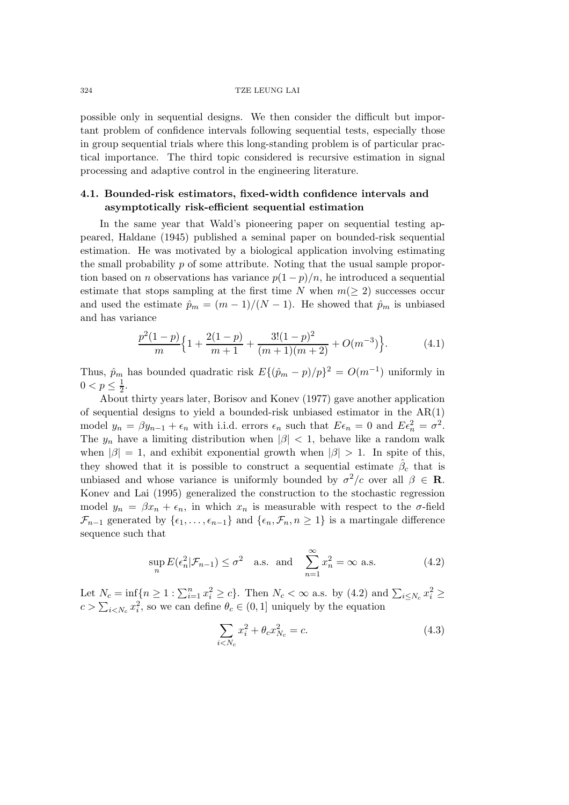possible only in sequential designs. We then consider the difficult but important problem of confidence intervals following sequential tests, especially those in group sequential trials where this long-standing problem is of particular practical importance. The third topic considered is recursive estimation in signal processing and adaptive control in the engineering literature.

## **4.1. Bounded-risk estimators, fixed-width confidence intervals and asymptotically risk-efficient sequential estimation**

In the same year that Wald's pioneering paper on sequential testing appeared, Haldane (1945) published a seminal paper on bounded-risk sequential estimation. He was motivated by a biological application involving estimating the small probability p of some attribute. Noting that the usual sample proportion based on *n* observations has variance  $p(1-p)/n$ , he introduced a sequential estimate that stops sampling at the first time N when  $m(\geq 2)$  successes occur and used the estimate  $\hat{p}_m = (m-1)/(N-1)$ . He showed that  $\hat{p}_m$  is unbiased and has variance

$$
\frac{p^2(1-p)}{m} \left\{ 1 + \frac{2(1-p)}{m+1} + \frac{3!(1-p)^2}{(m+1)(m+2)} + O(m^{-3}) \right\}.
$$
 (4.1)

Thus,  $\hat{p}_m$  has bounded quadratic risk  $E\{(\hat{p}_m - p)/p\}^2 = O(m^{-1})$  uniformly in  $0 < p \leq \frac{1}{2}$ .

About thirty years later, Borisov and Konev (1977) gave another application of sequential designs to yield a bounded-risk unbiased estimator in the AR(1) model  $y_n = \beta y_{n-1} + \epsilon_n$  with i.i.d. errors  $\epsilon_n$  such that  $E \epsilon_n = 0$  and  $E \epsilon_n^2 = \sigma^2$ . The  $y_n$  have a limiting distribution when  $|\beta|$  < 1, behave like a random walk when  $|\beta| = 1$ , and exhibit exponential growth when  $|\beta| > 1$ . In spite of this, they showed that it is possible to construct a sequential estimate  $\hat{\beta}_c$  that is unbiased and whose variance is uniformly bounded by  $\sigma^2/c$  over all  $\beta \in \mathbb{R}$ . Konev and Lai (1995) generalized the construction to the stochastic regression model  $y_n = \beta x_n + \epsilon_n$ , in which  $x_n$  is measurable with respect to the  $\sigma$ -field  $\mathcal{F}_{n-1}$  generated by  $\{\epsilon_1,\ldots,\epsilon_{n-1}\}\$  and  $\{\epsilon_n,\mathcal{F}_n, n \geq 1\}$  is a martingale difference sequence such that

$$
\sup_{n} E(\epsilon_n^2 | \mathcal{F}_{n-1}) \le \sigma^2 \quad \text{a.s. and} \quad \sum_{n=1}^{\infty} x_n^2 = \infty \text{ a.s.}
$$
 (4.2)

Let  $N_c = \inf\{n \ge 1 : \sum_{i=1}^n x_i^2 \ge c\}$ . Then  $N_c < \infty$  a.s. by (4.2) and  $\sum_{i \le N_c} x_i^2 \ge c$  $c > \sum_{i < N_c} x_i^2$ , so we can define  $\theta_c \in (0, 1]$  uniquely by the equation

$$
\sum_{i < N_c} x_i^2 + \theta_c x_{N_c}^2 = c. \tag{4.3}
$$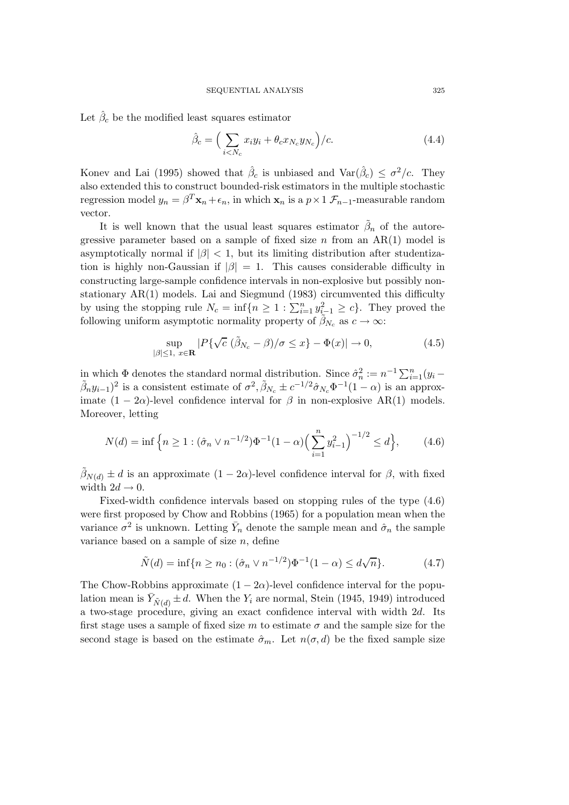Let  $\hat{\beta}_c$  be the modified least squares estimator

$$
\hat{\beta}_c = \left(\sum_{i < N_c} x_i y_i + \theta_c x_{N_c} y_{N_c}\right) / c. \tag{4.4}
$$

Konev and Lai (1995) showed that  $\hat{\beta}_c$  is unbiased and  $\text{Var}(\hat{\beta}_c) \leq \sigma^2/c$ . They also extended this to construct bounded-risk estimators in the multiple stochastic regression model  $y_n = \beta^T \mathbf{x}_n + \epsilon_n$ , in which  $\mathbf{x}_n$  is a  $p \times 1$   $\mathcal{F}_{n-1}$ -measurable random vector.

It is well known that the usual least squares estimator  $\beta_n$  of the autoregressive parameter based on a sample of fixed size  $n$  from an AR(1) model is asymptotically normal if  $|\beta|$  < 1, but its limiting distribution after studentization is highly non-Gaussian if  $|\beta| = 1$ . This causes considerable difficulty in constructing large-sample confidence intervals in non-explosive but possibly nonstationary AR(1) models. Lai and Siegmund (1983) circumvented this difficulty by using the stopping rule  $N_c = \inf\{n \geq 1 : \sum_{i=1}^n y_{i-1}^2 \geq c\}$ . They proved the following uniform asymptotic normality property of  $\tilde{\beta}_{N_c}$  as  $c \to \infty$ :

$$
\sup_{|\beta| \le 1, x \in \mathbf{R}} |P\{\sqrt{c} \ (\tilde{\beta}_{N_c} - \beta)/\sigma \le x\} - \Phi(x)| \to 0,
$$
\n(4.5)

in which  $\Phi$  denotes the standard normal distribution. Since  $\hat{\sigma}_n^2 := n^{-1} \sum_{i=1}^n (y_i (\tilde{\beta}_n y_{i-1})^2$  is a consistent estimate of  $\sigma^2$ ,  $\tilde{\beta}_{N_c} \pm c^{-1/2} \hat{\sigma}_{N_c} \Phi^{-1}(1-\alpha)$  is an approximate  $(1 - 2\alpha)$ -level confidence interval for  $\beta$  in non-explosive AR(1) models. Moreover, letting

$$
N(d) = \inf \left\{ n \ge 1 : (\hat{\sigma}_n \vee n^{-1/2}) \Phi^{-1} (1 - \alpha) \Big( \sum_{i=1}^n y_{i-1}^2 \Big)^{-1/2} \le d \right\},\qquad(4.6)
$$

 $\tilde{\beta}_{N(d)} \pm d$  is an approximate  $(1 - 2\alpha)$ -level confidence interval for  $\beta$ , with fixed width  $2d \rightarrow 0$ .

Fixed-width confidence intervals based on stopping rules of the type (4.6) were first proposed by Chow and Robbins (1965) for a population mean when the variance  $\sigma^2$  is unknown. Letting  $\bar{Y}_n$  denote the sample mean and  $\hat{\sigma}_n$  the sample variance based on a sample of size  $n$ , define

$$
\tilde{N}(d) = \inf\{n \ge n_0 : (\hat{\sigma}_n \vee n^{-1/2})\Phi^{-1}(1-\alpha) \le d\sqrt{n}\}.
$$
 (4.7)

The Chow-Robbins approximate  $(1 - 2\alpha)$ -level confidence interval for the population mean is  $\bar{Y}_{\tilde{N}(d)} \pm d$ . When the  $Y_i$  are normal, Stein (1945, 1949) introduced a two-stage procedure, giving an exact confidence interval with width 2d. Its first stage uses a sample of fixed size m to estimate  $\sigma$  and the sample size for the second stage is based on the estimate  $\hat{\sigma}_m$ . Let  $n(\sigma, d)$  be the fixed sample size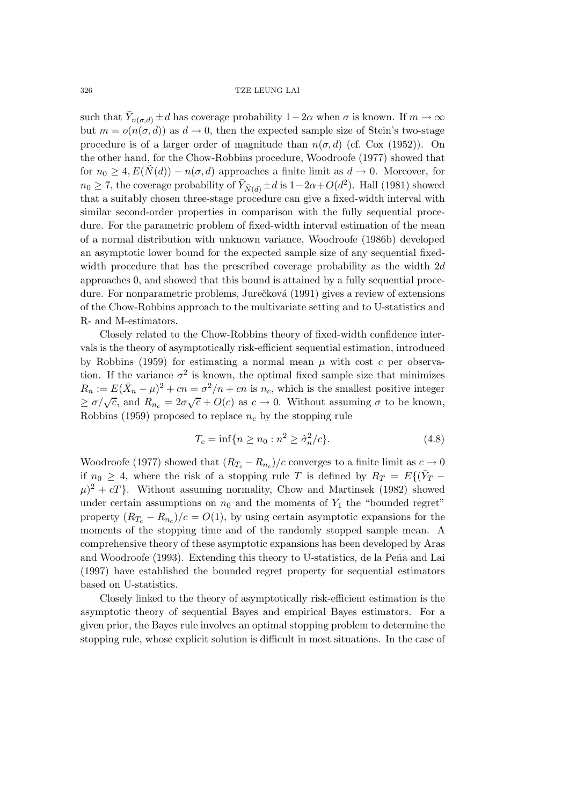such that  $\bar{Y}_{n(\sigma,d)} \pm d$  has coverage probability  $1-2\alpha$  when  $\sigma$  is known. If  $m \to \infty$ but  $m = o(n(\sigma, d))$  as  $d \to 0$ , then the expected sample size of Stein's two-stage procedure is of a larger order of magnitude than  $n(\sigma, d)$  (cf. Cox (1952)). On the other hand, for the Chow-Robbins procedure, Woodroofe (1977) showed that for  $n_0 \geq 4$ ,  $E(\tilde{N}(d)) - n(\sigma, d)$  approaches a finite limit as  $d \to 0$ . Moreover, for  $n_0 \geq 7$ , the coverage probability of  $\bar{Y}_{\tilde{N}(d)} \pm d$  is  $1-2\alpha+O(d^2)$ . Hall (1981) showed that a suitably chosen three-stage procedure can give a fixed-width interval with similar second-order properties in comparison with the fully sequential procedure. For the parametric problem of fixed-width interval estimation of the mean of a normal distribution with unknown variance, Woodroofe (1986b) developed an asymptotic lower bound for the expected sample size of any sequential fixedwidth procedure that has the prescribed coverage probability as the width  $2d$ approaches 0, and showed that this bound is attained by a fully sequential procedure. For nonparametric problems, Jurečková (1991) gives a review of extensions of the Chow-Robbins approach to the multivariate setting and to U-statistics and R- and M-estimators.

Closely related to the Chow-Robbins theory of fixed-width confidence intervals is the theory of asymptotically risk-efficient sequential estimation, introduced by Robbins (1959) for estimating a normal mean  $\mu$  with cost c per observation. If the variance  $\sigma^2$  is known, the optimal fixed sample size that minimizes  $R_n := E(\bar{X}_n - \mu)^2 + cn = \sigma^2/n + cn$  is  $n_c$ , which is the smallest positive integer  $\sum \sigma/\sqrt{c}$ , and  $R_{n_c} = 2\sigma\sqrt{c} + O(c)$  as  $c \to 0$ . Without assuming  $\sigma$  to be known, Robbins (1959) proposed to replace  $n_c$  by the stopping rule

$$
T_c = \inf\{n \ge n_0 : n^2 \ge \hat{\sigma}_n^2/c\}.
$$
 (4.8)

Woodroofe (1977) showed that  $(R_{T_c} - R_{n_c})/c$  converges to a finite limit as  $c \to 0$ if  $n_0 \geq 4$ , where the risk of a stopping rule T is defined by  $R_T = E\{(\bar{Y}_T (\mu)^2 + cT$ . Without assuming normality, Chow and Martinsek (1982) showed under certain assumptions on  $n_0$  and the moments of  $Y_1$  the "bounded regret" property  $(R_{T_c} - R_{n_c})/c = O(1)$ , by using certain asymptotic expansions for the moments of the stopping time and of the randomly stopped sample mean. A comprehensive theory of these asymptotic expansions has been developed by Aras and Woodroofe (1993). Extending this theory to U-statistics, de la Peña and Lai (1997) have established the bounded regret property for sequential estimators based on U-statistics.

Closely linked to the theory of asymptotically risk-efficient estimation is the asymptotic theory of sequential Bayes and empirical Bayes estimators. For a given prior, the Bayes rule involves an optimal stopping problem to determine the stopping rule, whose explicit solution is difficult in most situations. In the case of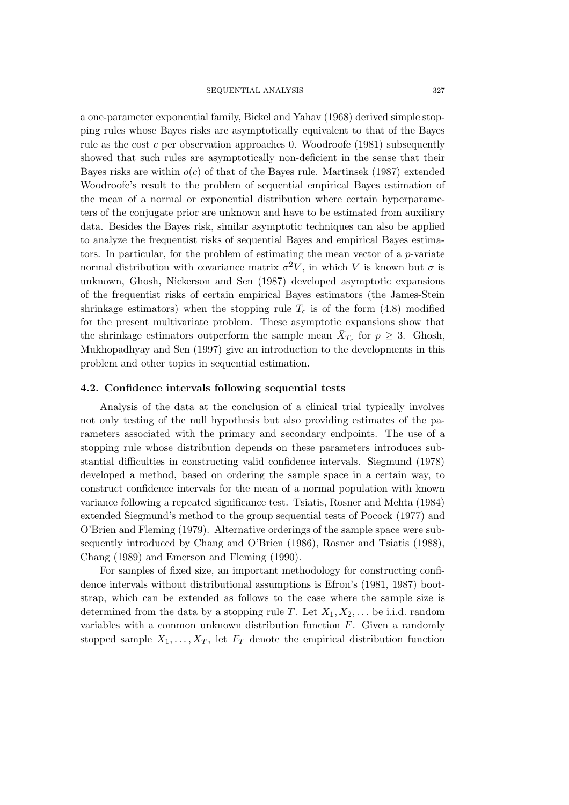a one-parameter exponential family, Bickel and Yahav (1968) derived simple stopping rules whose Bayes risks are asymptotically equivalent to that of the Bayes rule as the cost c per observation approaches 0. Woodroofe  $(1981)$  subsequently showed that such rules are asymptotically non-deficient in the sense that their Bayes risks are within  $o(c)$  of that of the Bayes rule. Martinsek (1987) extended Woodroofe's result to the problem of sequential empirical Bayes estimation of the mean of a normal or exponential distribution where certain hyperparameters of the conjugate prior are unknown and have to be estimated from auxiliary data. Besides the Bayes risk, similar asymptotic techniques can also be applied to analyze the frequentist risks of sequential Bayes and empirical Bayes estimators. In particular, for the problem of estimating the mean vector of a  $p$ -variate normal distribution with covariance matrix  $\sigma^2 V$ , in which V is known but  $\sigma$  is unknown, Ghosh, Nickerson and Sen (1987) developed asymptotic expansions of the frequentist risks of certain empirical Bayes estimators (the James-Stein shrinkage estimators) when the stopping rule  $T_c$  is of the form (4.8) modified for the present multivariate problem. These asymptotic expansions show that the shrinkage estimators outperform the sample mean  $X_{T_c}$  for  $p \geq 3$ . Ghosh, Mukhopadhyay and Sen (1997) give an introduction to the developments in this problem and other topics in sequential estimation.

#### **4.2. Confidence intervals following sequential tests**

Analysis of the data at the conclusion of a clinical trial typically involves not only testing of the null hypothesis but also providing estimates of the parameters associated with the primary and secondary endpoints. The use of a stopping rule whose distribution depends on these parameters introduces substantial difficulties in constructing valid confidence intervals. Siegmund (1978) developed a method, based on ordering the sample space in a certain way, to construct confidence intervals for the mean of a normal population with known variance following a repeated significance test. Tsiatis, Rosner and Mehta (1984) extended Siegmund's method to the group sequential tests of Pocock (1977) and O'Brien and Fleming (1979). Alternative orderings of the sample space were subsequently introduced by Chang and O'Brien (1986), Rosner and Tsiatis (1988), Chang (1989) and Emerson and Fleming (1990).

For samples of fixed size, an important methodology for constructing confidence intervals without distributional assumptions is Efron's (1981, 1987) bootstrap, which can be extended as follows to the case where the sample size is determined from the data by a stopping rule T. Let  $X_1, X_2, \ldots$  be i.i.d. random variables with a common unknown distribution function  $F$ . Given a randomly stopped sample  $X_1, \ldots, X_T$ , let  $F_T$  denote the empirical distribution function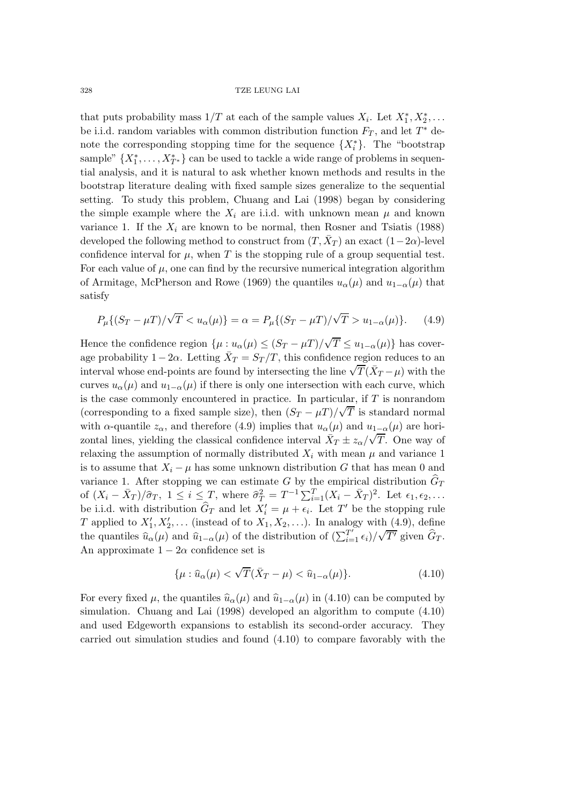that puts probability mass  $1/T$  at each of the sample values  $X_i$ . Let  $X_1^*, X_2^*, \ldots$ be i.i.d. random variables with common distribution function  $F_T$ , and let  $T^*$  denote the corresponding stopping time for the sequence  $\{X_i^*\}$ . The "bootstrap" sample"  $\{X_1^*, \ldots, X_{T^*}^*\}$  can be used to tackle a wide range of problems in sequential analysis, and it is natural to ask whether known methods and results in the bootstrap literature dealing with fixed sample sizes generalize to the sequential setting. To study this problem, Chuang and Lai (1998) began by considering the simple example where the  $X_i$  are i.i.d. with unknown mean  $\mu$  and known variance 1. If the  $X_i$  are known to be normal, then Rosner and Tsiatis (1988) developed the following method to construct from  $(T, \bar{X}_T)$  an exact  $(1-2\alpha)$ -level confidence interval for  $\mu$ , when T is the stopping rule of a group sequential test. For each value of  $\mu$ , one can find by the recursive numerical integration algorithm of Armitage, McPherson and Rowe (1969) the quantiles  $u_{\alpha}(\mu)$  and  $u_{1-\alpha}(\mu)$  that satisfy

$$
P_{\mu}\{(S_T - \mu T)/\sqrt{T} < u_{\alpha}(\mu)\} = \alpha = P_{\mu}\{(S_T - \mu T)/\sqrt{T} > u_{1-\alpha}(\mu)\}.\tag{4.9}
$$

Hence the confidence region  $\{\mu : u_{\alpha}(\mu) \leq (S_T - \mu) / \sqrt{T} \leq u_{1-\alpha}(\mu)\}$  has coverage probability  $1-2\alpha$ . Letting  $\bar{X}_T = S_T/T$ , this confidence region reduces to an age probability  $1 - 2\alpha$ . Letting  $\Delta T = 3T/T$ , this confidence region reduces to all interval whose end-points are found by intersecting the line  $\sqrt{T}(\bar{X}_T - \mu)$  with the curves  $u_{\alpha}(\mu)$  and  $u_{1-\alpha}(\mu)$  if there is only one intersection with each curve, which is the case commonly encountered in practice. In particular, if T is nonrandom (corresponding to a fixed sample size), then  $(S_T - \mu T)/\sqrt{T}$  is standard normal with  $\alpha$ -quantile  $z_{\alpha}$ , and therefore (4.9) implies that  $u_{\alpha}(\mu)$  and  $u_{1-\alpha}(\mu)$  are horiwith  $\alpha$ -quantifie  $z_{\alpha}$ , and therefore (4.3) implies that  $a_{\alpha}(\mu)$  and  $a_{1-\alpha}(\mu)$  are non-<br>zontal lines, yielding the classical confidence interval  $\bar{X}_T \pm z_{\alpha}/\sqrt{T}$ . One way of relaxing the assumption of normally distributed  $X_i$  with mean  $\mu$  and variance 1 is to assume that  $X_i - \mu$  has some unknown distribution G that has mean 0 and variance 1. After stopping we can estimate G by the empirical distribution  $\hat{G}_T$ of  $(X_i - \bar{X}_T)/\hat{\sigma}_T$ ,  $1 \leq i \leq T$ , where  $\hat{\sigma}_T^2 = T^{-1} \sum_{i=1}^T (X_i - \bar{X}_T)^2$ . Let  $\epsilon_1, \epsilon_2, \ldots$ be i.i.d. with distribution  $\widehat{G}_T$  and let  $X'_i = \mu + \epsilon_i$ . Let T' be the stopping rule T applied to  $X'_1, X'_2, \ldots$  (instead of to  $X_1, X_2, \ldots$ ). In analogy with (4.9), define the quantiles  $\widehat{u}_{\alpha}(\mu)$  and  $\widehat{u}_{1-\alpha}(\mu)$  of the distribution of  $(\sum_{i=1}^{T'} \epsilon_i)/\sqrt{T'}$  given  $\widehat{G}_T$ . An approximate  $1 - 2\alpha$  confidence set is

$$
\{\mu : \hat{u}_{\alpha}(\mu) < \sqrt{T}(\bar{X}_T - \mu) < \hat{u}_{1-\alpha}(\mu)\}.\tag{4.10}
$$

For every fixed  $\mu$ , the quantiles  $\hat{u}_{\alpha}(\mu)$  and  $\hat{u}_{1-\alpha}(\mu)$  in (4.10) can be computed by simulation. Chuang and Lai (1998) developed an algorithm to compute (4.10) and used Edgeworth expansions to establish its second-order accuracy. They carried out simulation studies and found (4.10) to compare favorably with the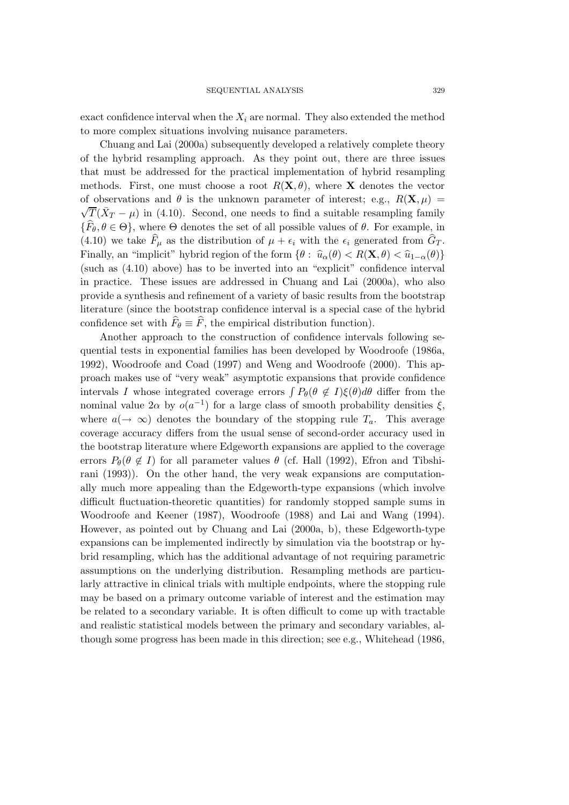exact confidence interval when the  $X_i$  are normal. They also extended the method to more complex situations involving nuisance parameters.

Chuang and Lai (2000a) subsequently developed a relatively complete theory of the hybrid resampling approach. As they point out, there are three issues that must be addressed for the practical implementation of hybrid resampling methods. First, one must choose a root  $R(\mathbf{X}, \theta)$ , where **X** denotes the vector of observations and  $\theta$  is the unknown parameter of interest; e.g.,  $R(\mathbf{X}, \mu) = \sqrt{\pi} \sqrt{\lambda}$  $\sqrt{T}(\bar{X}_T - \mu)$  in (4.10). Second, one needs to find a suitable resampling family  $\{F_{\theta}, \theta \in \Theta\}$ , where  $\Theta$  denotes the set of all possible values of  $\theta$ . For example, in (4.10) we take  $F_{\mu}$  as the distribution of  $\mu + \epsilon_i$  with the  $\epsilon_i$  generated from  $G_T$ . Finally, an "implicit" hybrid region of the form  $\{\theta: \hat{u}_{\alpha}(\theta) < R(\mathbf{X}, \theta) < \hat{u}_{1-\alpha}(\theta)\}\$ (such as (4.10) above) has to be inverted into an "explicit" confidence interval in practice. These issues are addressed in Chuang and Lai (2000a), who also provide a synthesis and refinement of a variety of basic results from the bootstrap literature (since the bootstrap confidence interval is a special case of the hybrid confidence set with  $F_{\theta} \equiv F$ , the empirical distribution function).

Another approach to the construction of confidence intervals following sequential tests in exponential families has been developed by Woodroofe (1986a, 1992), Woodroofe and Coad (1997) and Weng and Woodroofe (2000). This approach makes use of "very weak" asymptotic expansions that provide confidence intervals I whose integrated coverage errors  $\int P_{\theta}(\theta \notin I)\xi(\theta)d\theta$  differ from the nominal value  $2\alpha$  by  $o(a^{-1})$  for a large class of smooth probability densities  $\xi$ , where  $a(\rightarrow \infty)$  denotes the boundary of the stopping rule  $T_a$ . This average coverage accuracy differs from the usual sense of second-order accuracy used in the bootstrap literature where Edgeworth expansions are applied to the coverage errors  $P_{\theta}(\theta \notin I)$  for all parameter values  $\theta$  (cf. Hall (1992), Efron and Tibshirani (1993)). On the other hand, the very weak expansions are computationally much more appealing than the Edgeworth-type expansions (which involve difficult fluctuation-theoretic quantities) for randomly stopped sample sums in Woodroofe and Keener (1987), Woodroofe (1988) and Lai and Wang (1994). However, as pointed out by Chuang and Lai (2000a, b), these Edgeworth-type expansions can be implemented indirectly by simulation via the bootstrap or hybrid resampling, which has the additional advantage of not requiring parametric assumptions on the underlying distribution. Resampling methods are particularly attractive in clinical trials with multiple endpoints, where the stopping rule may be based on a primary outcome variable of interest and the estimation may be related to a secondary variable. It is often difficult to come up with tractable and realistic statistical models between the primary and secondary variables, although some progress has been made in this direction; see e.g., Whitehead (1986,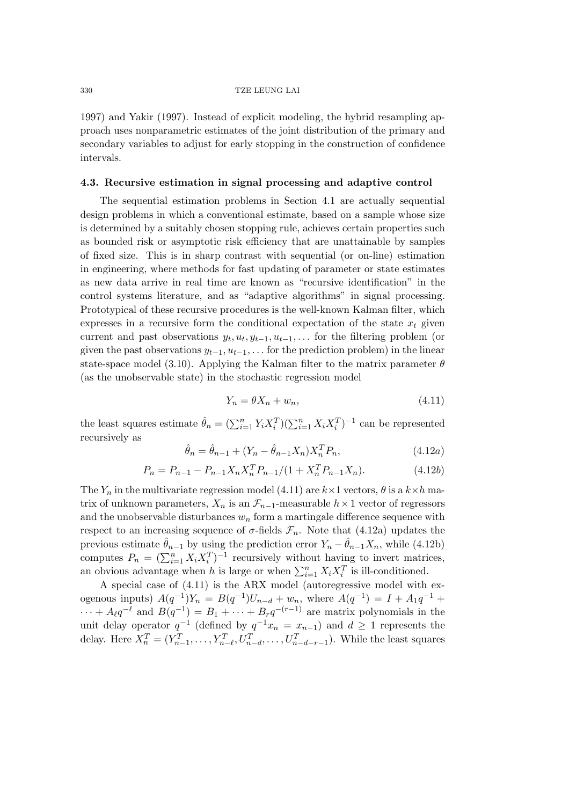1997) and Yakir (1997). Instead of explicit modeling, the hybrid resampling approach uses nonparametric estimates of the joint distribution of the primary and secondary variables to adjust for early stopping in the construction of confidence intervals.

## **4.3. Recursive estimation in signal processing and adaptive control**

The sequential estimation problems in Section 4.1 are actually sequential design problems in which a conventional estimate, based on a sample whose size is determined by a suitably chosen stopping rule, achieves certain properties such as bounded risk or asymptotic risk efficiency that are unattainable by samples of fixed size. This is in sharp contrast with sequential (or on-line) estimation in engineering, where methods for fast updating of parameter or state estimates as new data arrive in real time are known as "recursive identification" in the control systems literature, and as "adaptive algorithms" in signal processing. Prototypical of these recursive procedures is the well-known Kalman filter, which expresses in a recursive form the conditional expectation of the state  $x_t$  given current and past observations  $y_t, u_t, y_{t-1}, u_{t-1}, \ldots$  for the filtering problem (or given the past observations  $y_{t-1}, u_{t-1}, \ldots$  for the prediction problem) in the linear state-space model (3.10). Applying the Kalman filter to the matrix parameter  $\theta$ (as the unobservable state) in the stochastic regression model

$$
Y_n = \theta X_n + w_n,\tag{4.11}
$$

the least squares estimate  $\hat{\theta}_n = (\sum_{i=1}^n Y_i X_i^T)(\sum_{i=1}^n X_i X_i^T)^{-1}$  can be represented recursively as

$$
\hat{\theta}_n = \hat{\theta}_{n-1} + (Y_n - \hat{\theta}_{n-1} X_n) X_n^T P_n,
$$
\n(4.12a)

$$
P_n = P_{n-1} - P_{n-1} X_n X_n^T P_{n-1} / (1 + X_n^T P_{n-1} X_n).
$$
 (4.12b)

The  $Y_n$  in the multivariate regression model (4.11) are  $k \times 1$  vectors,  $\theta$  is a  $k \times h$  matrix of unknown parameters,  $X_n$  is an  $\mathcal{F}_{n-1}$ -measurable  $h \times 1$  vector of regressors and the unobservable disturbances  $w_n$  form a martingale difference sequence with respect to an increasing sequence of  $\sigma$ -fields  $\mathcal{F}_n$ . Note that (4.12a) updates the previous estimate  $\hat{\theta}_{n-1}$  by using the prediction error  $Y_n - \hat{\theta}_{n-1}X_n$ , while (4.12b) computes  $P_n = (\sum_{i=1}^n X_i X_i^T)^{-1}$  recursively without having to invert matrices, an obvious advantage when h is large or when  $\sum_{i=1}^{n} X_i X_i^T$  is ill-conditioned.

A special case of (4.11) is the ARX model (autoregressive model with exogenous inputs)  $A(q^{-1})Y_n = B(q^{-1})U_{n-d} + w_n$ , where  $A(q^{-1}) = I + A_1q^{-1} +$  $\cdots + A_{\ell}q^{-\ell}$  and  $B(q^{-1}) = B_1 + \cdots + B_rq^{-(r-1)}$  are matrix polynomials in the unit delay operator  $q^{-1}$  (defined by  $q^{-1}x_n = x_{n-1}$ ) and  $d \ge 1$  represents the delay. Here  $X_n^T = (Y_{n-1}^T, \ldots, Y_{n-\ell}^T, U_{n-d}^T, \ldots, U_{n-d-r-1}^T)$ . While the least squares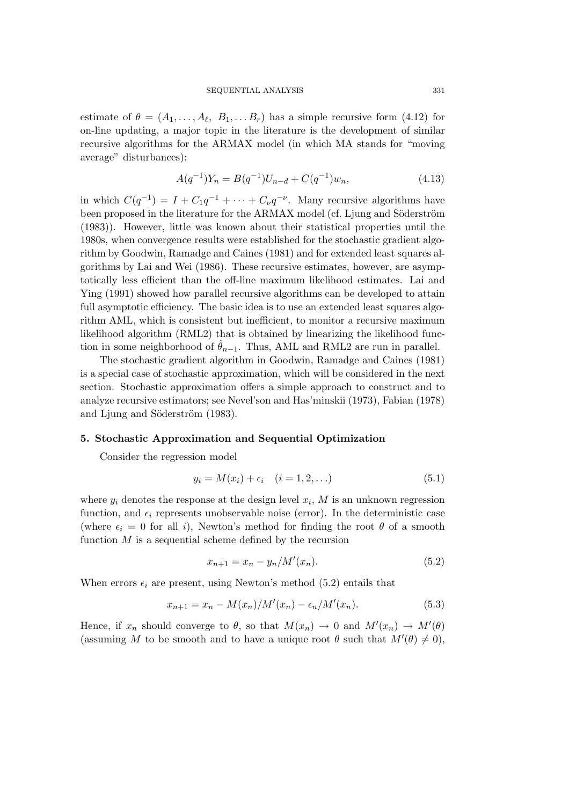estimate of  $\theta = (A_1, \ldots, A_\ell, B_1, \ldots B_r)$  has a simple recursive form  $(4.12)$  for on-line updating, a major topic in the literature is the development of similar recursive algorithms for the ARMAX model (in which MA stands for "moving average" disturbances):

$$
A(q^{-1})Y_n = B(q^{-1})U_{n-d} + C(q^{-1})w_n,
$$
\n(4.13)

in which  $C(q^{-1}) = I + C_1 q^{-1} + \cdots + C_\nu q^{-\nu}$ . Many recursive algorithms have been proposed in the literature for the ARMAX model (cf. Ljung and Söderström (1983)). However, little was known about their statistical properties until the 1980s, when convergence results were established for the stochastic gradient algorithm by Goodwin, Ramadge and Caines (1981) and for extended least squares algorithms by Lai and Wei (1986). These recursive estimates, however, are asymptotically less efficient than the off-line maximum likelihood estimates. Lai and Ying (1991) showed how parallel recursive algorithms can be developed to attain full asymptotic efficiency. The basic idea is to use an extended least squares algorithm AML, which is consistent but inefficient, to monitor a recursive maximum likelihood algorithm (RML2) that is obtained by linearizing the likelihood function in some neighborhood of  $\hat{\theta}_{n-1}$ . Thus, AML and RML2 are run in parallel.

The stochastic gradient algorithm in Goodwin, Ramadge and Caines (1981) is a special case of stochastic approximation, which will be considered in the next section. Stochastic approximation offers a simple approach to construct and to analyze recursive estimators; see Nevel'son and Has'minskii (1973), Fabian (1978) and Ljung and Söderström (1983).

#### **5. Stochastic Approximation and Sequential Optimization**

Consider the regression model

$$
y_i = M(x_i) + \epsilon_i \quad (i = 1, 2, ...)
$$
 (5.1)

where  $y_i$  denotes the response at the design level  $x_i$ , M is an unknown regression function, and  $\epsilon_i$  represents unobservable noise (error). In the deterministic case (where  $\epsilon_i = 0$  for all i), Newton's method for finding the root  $\theta$  of a smooth function  $M$  is a sequential scheme defined by the recursion

$$
x_{n+1} = x_n - y_n / M'(x_n).
$$
 (5.2)

When errors  $\epsilon_i$  are present, using Newton's method (5.2) entails that

$$
x_{n+1} = x_n - M(x_n) / M'(x_n) - \epsilon_n / M'(x_n).
$$
 (5.3)

Hence, if  $x_n$  should converge to  $\theta$ , so that  $M(x_n) \to 0$  and  $M'(x_n) \to M'(\theta)$ (assuming M to be smooth and to have a unique root  $\theta$  such that  $M'(\theta) \neq 0$ ),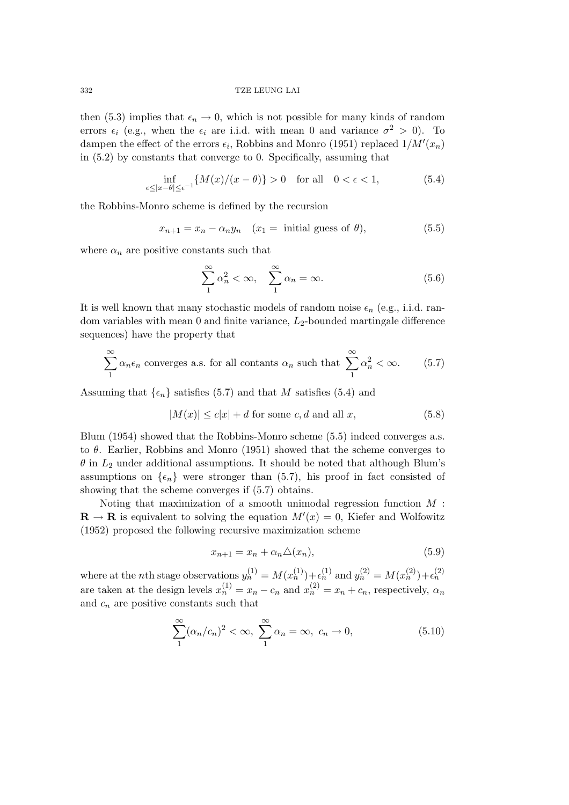then (5.3) implies that  $\epsilon_n \to 0$ , which is not possible for many kinds of random errors  $\epsilon_i$  (e.g., when the  $\epsilon_i$  are i.i.d. with mean 0 and variance  $\sigma^2 > 0$ ). To dampen the effect of the errors  $\epsilon_i$ , Robbins and Monro (1951) replaced  $1/M'(x_n)$ in (5.2) by constants that converge to 0. Specifically, assuming that

$$
\inf_{\epsilon \le |x-\theta| \le \epsilon^{-1}} \{ M(x)/(x-\theta) \} > 0 \quad \text{for all} \quad 0 < \epsilon < 1,
$$
\n
$$
(5.4)
$$

the Robbins-Monro scheme is defined by the recursion

$$
x_{n+1} = x_n - \alpha_n y_n \quad (x_1 = \text{ initial guess of } \theta), \tag{5.5}
$$

where  $\alpha_n$  are positive constants such that

$$
\sum_{1}^{\infty} \alpha_n^2 < \infty, \quad \sum_{1}^{\infty} \alpha_n = \infty. \tag{5.6}
$$

It is well known that many stochastic models of random noise  $\epsilon_n$  (e.g., i.i.d. random variables with mean 0 and finite variance,  $L_2$ -bounded martingale difference sequences) have the property that

$$
\sum_{1}^{\infty} \alpha_n \epsilon_n
$$
 converges a.s. for all constants  $\alpha_n$  such that  $\sum_{1}^{\infty} \alpha_n^2 < \infty$ . (5.7)

Assuming that  $\{\epsilon_n\}$  satisfies (5.7) and that M satisfies (5.4) and

$$
|M(x)| \le c|x| + d
$$
 for some  $c, d$  and all  $x,$  (5.8)

Blum (1954) showed that the Robbins-Monro scheme (5.5) indeed converges a.s. to  $\theta$ . Earlier, Robbins and Monro (1951) showed that the scheme converges to  $\theta$  in  $L_2$  under additional assumptions. It should be noted that although Blum's assumptions on  $\{\epsilon_n\}$  were stronger than (5.7), his proof in fact consisted of showing that the scheme converges if (5.7) obtains.

Noting that maximization of a smooth unimodal regression function  $M$ :  $\mathbf{R} \to \mathbf{R}$  is equivalent to solving the equation  $M'(x) = 0$ , Kiefer and Wolfowitz (1952) proposed the following recursive maximization scheme

$$
x_{n+1} = x_n + \alpha_n \triangle (x_n), \tag{5.9}
$$

where at the *n*th stage observations  $y_n^{(1)} = M(x_n^{(1)}) + \epsilon_n^{(1)}$  and  $y_n^{(2)} = M(x_n^{(2)}) + \epsilon_n^{(2)}$ are taken at the design levels  $x_n^{(1)} = x_n - c_n$  and  $x_n^{(2)} = x_n + c_n$ , respectively,  $\alpha_n$ and  $c_n$  are positive constants such that

$$
\sum_{1}^{\infty} (\alpha_n/c_n)^2 < \infty, \ \sum_{1}^{\infty} \alpha_n = \infty, \ c_n \to 0,\tag{5.10}
$$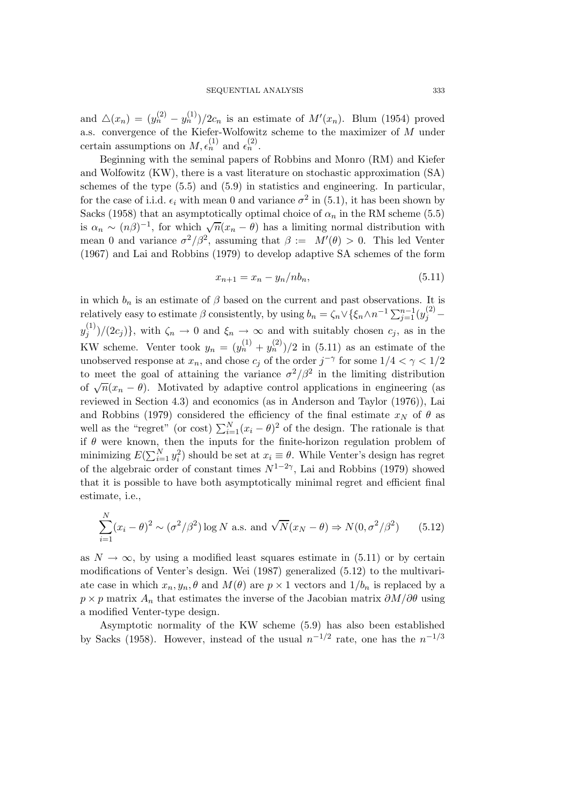and  $\Delta(x_n)=(y_n^{(2)}-y_n^{(1)})/2c_n$  is an estimate of  $M'(x_n)$ . Blum (1954) proved a.s. convergence of the Kiefer-Wolfowitz scheme to the maximizer of M under certain assumptions on  $M, \epsilon_n^{(1)}$  and  $\epsilon_n^{(2)}$ .

Beginning with the seminal papers of Robbins and Monro (RM) and Kiefer and Wolfowitz (KW), there is a vast literature on stochastic approximation (SA) schemes of the type (5.5) and (5.9) in statistics and engineering. In particular, for the case of i.i.d.  $\epsilon_i$  with mean 0 and variance  $\sigma^2$  in (5.1), it has been shown by Sacks (1958) that an asymptotically optimal choice of  $\alpha_n$  in the RM scheme (5.5) is  $\alpha_n \sim (n\beta)^{-1}$ , for which  $\sqrt{n}(x_n - \theta)$  has a limiting normal distribution with mean 0 and variance  $\sigma^2/\beta^2$ , assuming that  $\beta := M'(\theta) > 0$ . This led Venter (1967) and Lai and Robbins (1979) to develop adaptive SA schemes of the form

$$
x_{n+1} = x_n - y_n / nb_n, \t\t(5.11)
$$

in which  $b_n$  is an estimate of  $\beta$  based on the current and past observations. It is relatively easy to estimate  $\beta$  consistently, by using  $b_n = \zeta_n \vee \{\xi_n \wedge n^{-1} \sum_{j=1}^{n-1} (y_j^{(2)}$  $y_j^{(1)})/(2c_j)$ , with  $\zeta_n \to 0$  and  $\xi_n \to \infty$  and with suitably chosen  $c_j$ , as in the KW scheme. Venter took  $y_n = (y_n^{(1)} + y_n^{(2)})/2$  in (5.11) as an estimate of the unobserved response at  $x_n$ , and chose  $c_j$  of the order  $j^{-\gamma}$  for some  $1/4 < \gamma < 1/2$ to meet the goal of attaining the variance  $\sigma^2/\beta^2$  in the limiting distribution of  $\sqrt{n}(x_n - \theta)$ . Motivated by adaptive control applications in engineering (as reviewed in Section 4.3) and economics (as in Anderson and Taylor (1976)), Lai and Robbins (1979) considered the efficiency of the final estimate  $x_N$  of  $\theta$  as well as the "regret" (or cost)  $\sum_{i=1}^{N} (x_i - \theta)^2$  of the design. The rationale is that if  $\theta$  were known, then the inputs for the finite-horizon regulation problem of minimizing  $E(\sum_{i=1}^{N} y_i^2)$  should be set at  $x_i \equiv \theta$ . While Venter's design has regret of the algebraic order of constant times  $N^{1-2\gamma}$ , Lai and Robbins (1979) showed that it is possible to have both asymptotically minimal regret and efficient final estimate, i.e.,

$$
\sum_{i=1}^{N} (x_i - \theta)^2 \sim (\sigma^2/\beta^2) \log N \text{ a.s. and } \sqrt{N}(x_N - \theta) \Rightarrow N(0, \sigma^2/\beta^2) \qquad (5.12)
$$

as  $N \to \infty$ , by using a modified least squares estimate in (5.11) or by certain modifications of Venter's design. Wei (1987) generalized (5.12) to the multivariate case in which  $x_n, y_n, \theta$  and  $M(\theta)$  are  $p \times 1$  vectors and  $1/b_n$  is replaced by a  $p \times p$  matrix  $A_n$  that estimates the inverse of the Jacobian matrix  $\partial M/\partial \theta$  using a modified Venter-type design.

Asymptotic normality of the KW scheme (5.9) has also been established by Sacks (1958). However, instead of the usual  $n^{-1/2}$  rate, one has the  $n^{-1/3}$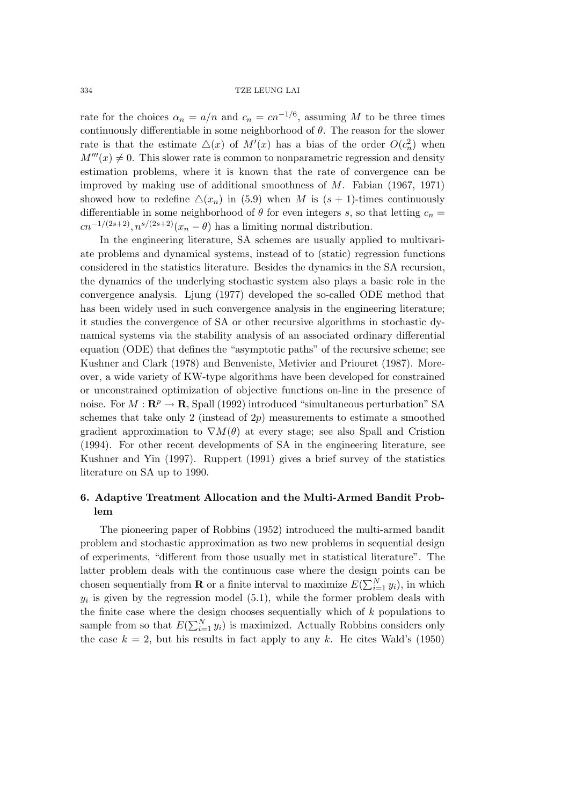rate for the choices  $\alpha_n = a/n$  and  $c_n = cn^{-1/6}$ , assuming M to be three times continuously differentiable in some neighborhood of  $\theta$ . The reason for the slower rate is that the estimate  $\Delta(x)$  of  $M'(x)$  has a bias of the order  $O(c_n^2)$  when  $M'''(x) \neq 0$ . This slower rate is common to nonparametric regression and density estimation problems, where it is known that the rate of convergence can be improved by making use of additional smoothness of M. Fabian (1967, 1971) showed how to redefine  $\Delta(x_n)$  in (5.9) when M is  $(s + 1)$ -times continuously differentiable in some neighborhood of  $\theta$  for even integers s, so that letting  $c_n =$  $cn^{-1/(2s+2)}, n^{s/(2s+2)}(x_n - \theta)$  has a limiting normal distribution.

In the engineering literature, SA schemes are usually applied to multivariate problems and dynamical systems, instead of to (static) regression functions considered in the statistics literature. Besides the dynamics in the SA recursion, the dynamics of the underlying stochastic system also plays a basic role in the convergence analysis. Ljung (1977) developed the so-called ODE method that has been widely used in such convergence analysis in the engineering literature; it studies the convergence of SA or other recursive algorithms in stochastic dynamical systems via the stability analysis of an associated ordinary differential equation (ODE) that defines the "asymptotic paths" of the recursive scheme; see Kushner and Clark (1978) and Benveniste, Metivier and Priouret (1987). Moreover, a wide variety of KW-type algorithms have been developed for constrained or unconstrained optimization of objective functions on-line in the presence of noise. For  $M : \mathbb{R}^p \to \mathbb{R}$ , Spall (1992) introduced "simultaneous perturbation" SA schemes that take only 2 (instead of  $2p$ ) measurements to estimate a smoothed gradient approximation to  $\nabla M(\theta)$  at every stage; see also Spall and Cristion (1994). For other recent developments of SA in the engineering literature, see Kushner and Yin (1997). Ruppert (1991) gives a brief survey of the statistics literature on SA up to 1990.

## **6. Adaptive Treatment Allocation and the Multi-Armed Bandit Problem**

The pioneering paper of Robbins (1952) introduced the multi-armed bandit problem and stochastic approximation as two new problems in sequential design of experiments, "different from those usually met in statistical literature". The latter problem deals with the continuous case where the design points can be chosen sequentially from **R** or a finite interval to maximize  $E(\sum_{i=1}^{N} y_i)$ , in which  $y_i$  is given by the regression model (5.1), while the former problem deals with the finite case where the design chooses sequentially which of  $k$  populations to sample from so that  $E(\sum_{i=1}^{N} y_i)$  is maximized. Actually Robbins considers only the case  $k = 2$ , but his results in fact apply to any k. He cites Wald's (1950)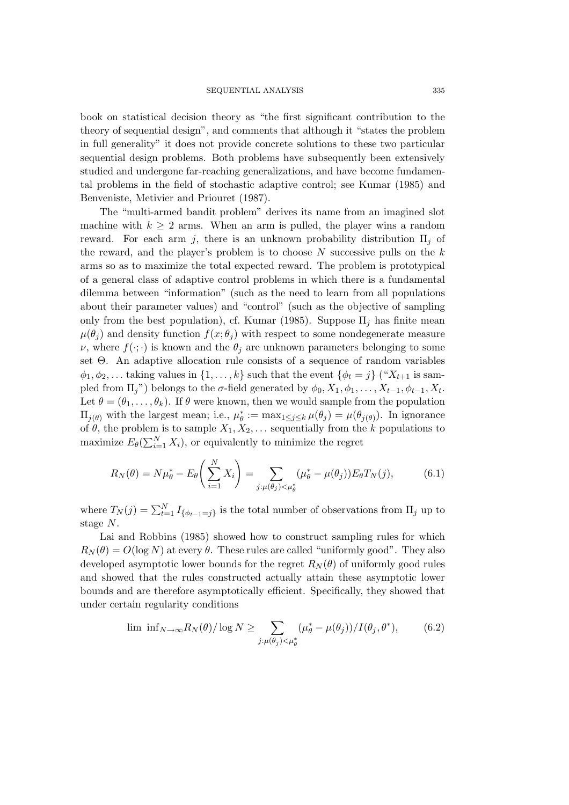book on statistical decision theory as "the first significant contribution to the theory of sequential design", and comments that although it "states the problem in full generality" it does not provide concrete solutions to these two particular sequential design problems. Both problems have subsequently been extensively studied and undergone far-reaching generalizations, and have become fundamental problems in the field of stochastic adaptive control; see Kumar (1985) and Benveniste, Metivier and Priouret (1987).

The "multi-armed bandit problem" derives its name from an imagined slot machine with  $k \geq 2$  arms. When an arm is pulled, the player wins a random reward. For each arm j, there is an unknown probability distribution  $\Pi_i$  of the reward, and the player's problem is to choose  $N$  successive pulls on the  $k$ arms so as to maximize the total expected reward. The problem is prototypical of a general class of adaptive control problems in which there is a fundamental dilemma between "information" (such as the need to learn from all populations about their parameter values) and "control" (such as the objective of sampling only from the best population), cf. Kumar (1985). Suppose  $\Pi_i$  has finite mean  $\mu(\theta_i)$  and density function  $f(x; \theta_i)$  with respect to some nondegenerate measure  $\nu$ , where  $f(\cdot;\cdot)$  is known and the  $\theta_i$  are unknown parameters belonging to some set Θ. An adaptive allocation rule consists of a sequence of random variables  $\phi_1, \phi_2, \ldots$  taking values in  $\{1, \ldots, k\}$  such that the event  $\{\phi_t = j\}$  (" $X_{t+1}$  is sampled from  $\Pi_j$ ") belongs to the  $\sigma$ -field generated by  $\phi_0, X_1, \phi_1, \ldots, X_{t-1}, \phi_{t-1}, X_t$ . Let  $\theta = (\theta_1, \ldots, \theta_k)$ . If  $\theta$  were known, then we would sample from the population  $\Pi_{j(\theta)}$  with the largest mean; i.e.,  $\mu_{\theta}^* := \max_{1 \leq j \leq k} \mu(\theta_j) = \mu(\theta_{j(\theta)})$ . In ignorance of  $\theta$ , the problem is to sample  $X_1, X_2, \ldots$  sequentially from the k populations to maximize  $E_{\theta}(\sum_{i=1}^{N} X_i)$ , or equivalently to minimize the regret

$$
R_N(\theta) = N\mu_\theta^* - E_\theta \left(\sum_{i=1}^N X_i\right) = \sum_{j:\mu(\theta_j) < \mu_\theta^*} (\mu_\theta^* - \mu(\theta_j)) E_\theta T_N(j),\tag{6.1}
$$

where  $T_N(j) = \sum_{t=1}^N I_{\{\phi_{t-1}=j\}}$  is the total number of observations from  $\Pi_j$  up to stage N.

Lai and Robbins (1985) showed how to construct sampling rules for which  $R_N(\theta) = O(\log N)$  at every  $\theta$ . These rules are called "uniformly good". They also developed asymptotic lower bounds for the regret  $R_N(\theta)$  of uniformly good rules and showed that the rules constructed actually attain these asymptotic lower bounds and are therefore asymptotically efficient. Specifically, they showed that under certain regularity conditions

$$
\lim_{\delta \to \infty} \inf_{N \to \infty} R_N(\theta) / \log N \ge \sum_{j:\mu(\theta_j) < \mu_{\theta}^*} (\mu_{\theta}^* - \mu(\theta_j)) / I(\theta_j, \theta^*),\tag{6.2}
$$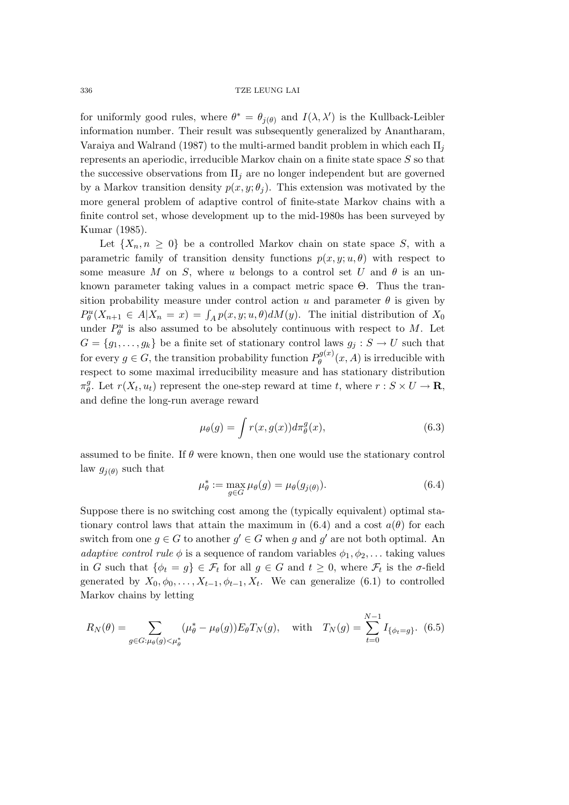for uniformly good rules, where  $\theta^* = \theta_{j(\theta)}$  and  $I(\lambda, \lambda')$  is the Kullback-Leibler information number. Their result was subsequently generalized by Anantharam, Varaiya and Walrand (1987) to the multi-armed bandit problem in which each  $\Pi_i$ represents an aperiodic, irreducible Markov chain on a finite state space S so that the successive observations from  $\Pi_i$  are no longer independent but are governed by a Markov transition density  $p(x, y; \theta_i)$ . This extension was motivated by the more general problem of adaptive control of finite-state Markov chains with a finite control set, whose development up to the mid-1980s has been surveyed by Kumar (1985).

Let  $\{X_n, n \geq 0\}$  be a controlled Markov chain on state space S, with a parametric family of transition density functions  $p(x, y; u, \theta)$  with respect to some measure M on S, where u belongs to a control set U and  $\theta$  is an unknown parameter taking values in a compact metric space Θ. Thus the transition probability measure under control action u and parameter  $\theta$  is given by  $P_{\theta}^{u}(X_{n+1} \in A | X_n = x) = \int_{A} p(x, y; u, \theta) dM(y)$ . The initial distribution of  $X_0$ under  $P_{\theta}^{u}$  is also assumed to be absolutely continuous with respect to M. Let  $G = \{g_1, \ldots, g_k\}$  be a finite set of stationary control laws  $g_j : S \to U$  such that for every  $g \in G$ , the transition probability function  $P_{\theta}^{g(x)}(x, A)$  is irreducible with respect to some maximal irreducibility measure and has stationary distribution  $\pi_{\theta}^{g}$ . Let  $r(X_t, u_t)$  represent the one-step reward at time t, where  $r : S \times U \to \mathbf{R}$ , and define the long-run average reward

$$
\mu_{\theta}(g) = \int r(x, g(x)) d\pi_{\theta}^{g}(x), \qquad (6.3)
$$

assumed to be finite. If  $\theta$  were known, then one would use the stationary control law  $g_{i(\theta)}$  such that

$$
\mu_{\theta}^* := \max_{g \in G} \mu_{\theta}(g) = \mu_{\theta}(g_{j(\theta)}).
$$
\n(6.4)

Suppose there is no switching cost among the (typically equivalent) optimal stationary control laws that attain the maximum in  $(6.4)$  and a cost  $a(\theta)$  for each switch from one  $g \in G$  to another  $g' \in G$  when g and  $g'$  are not both optimal. An *adaptive control rule*  $\phi$  is a sequence of random variables  $\phi_1, \phi_2, \ldots$  taking values in G such that  $\{\phi_t = g\} \in \mathcal{F}_t$  for all  $g \in G$  and  $t \geq 0$ , where  $\mathcal{F}_t$  is the  $\sigma$ -field generated by  $X_0, \phi_0, \ldots, X_{t-1}, \phi_{t-1}, X_t$ . We can generalize (6.1) to controlled Markov chains by letting

$$
R_N(\theta) = \sum_{g \in G: \mu_{\theta}(g) < \mu_{\theta}^*} (\mu_{\theta}^* - \mu_{\theta}(g)) E_{\theta} T_N(g), \quad \text{with} \quad T_N(g) = \sum_{t=0}^{N-1} I_{\{\phi_t = g\}}. \tag{6.5}
$$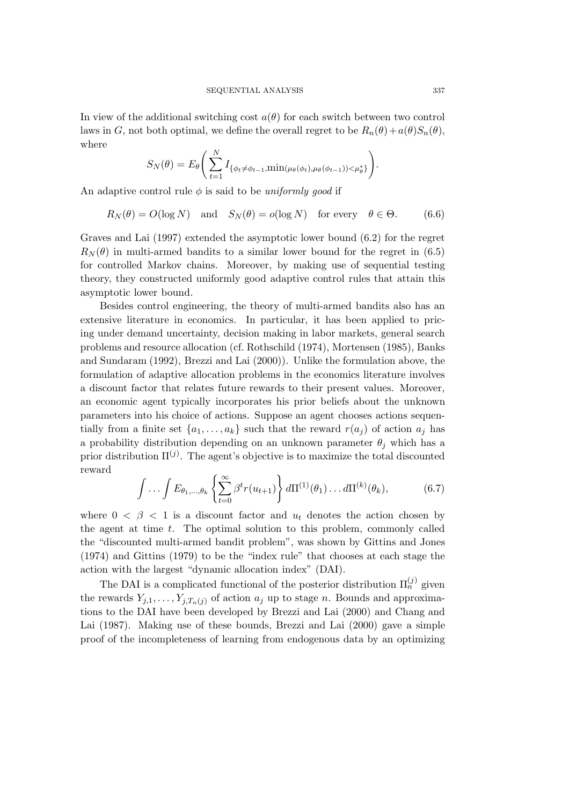In view of the additional switching cost  $a(\theta)$  for each switch between two control laws in G, not both optimal, we define the overall regret to be  $R_n(\theta) + a(\theta)S_n(\theta)$ , where

$$
S_N(\theta) = E_{\theta} \left( \sum_{t=1}^N I_{\{\phi_t \neq \phi_{t-1}, \min(\mu_{\theta}(\phi_t), \mu_{\theta}(\phi_{t-1})) < \mu_{\theta}^* \}} \right)
$$

An adaptive control rule  $\phi$  is said to be *uniformly good* if

$$
R_N(\theta) = O(\log N) \quad \text{and} \quad S_N(\theta) = o(\log N) \quad \text{for every} \quad \theta \in \Theta. \tag{6.6}
$$

Graves and Lai (1997) extended the asymptotic lower bound (6.2) for the regret  $R_N(\theta)$  in multi-armed bandits to a similar lower bound for the regret in (6.5) for controlled Markov chains. Moreover, by making use of sequential testing theory, they constructed uniformly good adaptive control rules that attain this asymptotic lower bound.

Besides control engineering, the theory of multi-armed bandits also has an extensive literature in economics. In particular, it has been applied to pricing under demand uncertainty, decision making in labor markets, general search problems and resource allocation (cf. Rothschild (1974), Mortensen (1985), Banks and Sundaram (1992), Brezzi and Lai (2000)). Unlike the formulation above, the formulation of adaptive allocation problems in the economics literature involves a discount factor that relates future rewards to their present values. Moreover, an economic agent typically incorporates his prior beliefs about the unknown parameters into his choice of actions. Suppose an agent chooses actions sequentially from a finite set  $\{a_1,\ldots,a_k\}$  such that the reward  $r(a_j)$  of action  $a_j$  has a probability distribution depending on an unknown parameter  $\theta_j$  which has a prior distribution  $\Pi^{(j)}$ . The agent's objective is to maximize the total discounted reward

$$
\int \ldots \int E_{\theta_1,\ldots,\theta_k} \left\{ \sum_{t=0}^{\infty} \beta^t r(u_{t+1}) \right\} d\Pi^{(1)}(\theta_1) \ldots d\Pi^{(k)}(\theta_k), \tag{6.7}
$$

where  $0 < \beta < 1$  is a discount factor and  $u_t$  denotes the action chosen by the agent at time t. The optimal solution to this problem, commonly called the "discounted multi-armed bandit problem", was shown by Gittins and Jones (1974) and Gittins (1979) to be the "index rule" that chooses at each stage the action with the largest "dynamic allocation index" (DAI).

The DAI is a complicated functional of the posterior distribution  $\Pi_n^{(j)}$  given the rewards  $Y_{j,1},\ldots,Y_{j,T_n(j)}$  of action  $a_j$  up to stage n. Bounds and approximations to the DAI have been developed by Brezzi and Lai (2000) and Chang and Lai (1987). Making use of these bounds, Brezzi and Lai (2000) gave a simple proof of the incompleteness of learning from endogenous data by an optimizing

.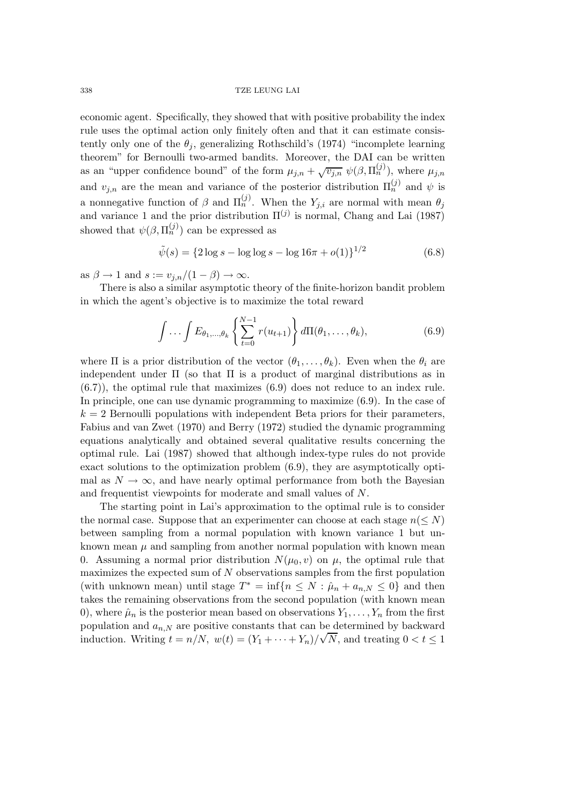economic agent. Specifically, they showed that with positive probability the index rule uses the optimal action only finitely often and that it can estimate consistently only one of the  $\theta_i$ , generalizing Rothschild's (1974) "incomplete learning theorem" for Bernoulli two-armed bandits. Moreover, the DAI can be written as an "upper confidence bound" of the form  $\mu_{j,n} + \sqrt{v_{j,n}} \ \psi(\beta, \Pi_n^{(j)})$ , where  $\mu_{j,n}$ and  $v_{j,n}$  are the mean and variance of the posterior distribution  $\Pi_n^{(j)}$  and  $\psi$  is a nonnegative function of  $\beta$  and  $\Pi_n^{(j)}$ . When the  $Y_{j,i}$  are normal with mean  $\theta_j$ and variance 1 and the prior distribution  $\Pi^{(j)}$  is normal, Chang and Lai (1987) showed that  $\psi(\beta, \Pi_n^{(j)})$  can be expressed as

$$
\tilde{\psi}(s) = \{2\log s - \log \log s - \log 16\pi + o(1)\}^{1/2}
$$
\n(6.8)

as  $\beta \to 1$  and  $s := v_{j,n}/(1-\beta) \to \infty$ .

There is also a similar asymptotic theory of the finite-horizon bandit problem in which the agent's objective is to maximize the total reward

$$
\int \ldots \int E_{\theta_1,\ldots,\theta_k} \left\{ \sum_{t=0}^{N-1} r(u_{t+1}) \right\} d\Pi(\theta_1,\ldots,\theta_k), \tag{6.9}
$$

where  $\Pi$  is a prior distribution of the vector  $(\theta_1,\ldots,\theta_k)$ . Even when the  $\theta_i$  are independent under  $\Pi$  (so that  $\Pi$  is a product of marginal distributions as in (6.7)), the optimal rule that maximizes (6.9) does not reduce to an index rule. In principle, one can use dynamic programming to maximize (6.9). In the case of  $k = 2$  Bernoulli populations with independent Beta priors for their parameters, Fabius and van Zwet (1970) and Berry (1972) studied the dynamic programming equations analytically and obtained several qualitative results concerning the optimal rule. Lai (1987) showed that although index-type rules do not provide exact solutions to the optimization problem (6.9), they are asymptotically optimal as  $N \to \infty$ , and have nearly optimal performance from both the Bayesian and frequentist viewpoints for moderate and small values of N.

The starting point in Lai's approximation to the optimal rule is to consider the normal case. Suppose that an experimenter can choose at each stage  $n(< N)$ between sampling from a normal population with known variance 1 but unknown mean  $\mu$  and sampling from another normal population with known mean 0. Assuming a normal prior distribution  $N(\mu_0, v)$  on  $\mu$ , the optimal rule that maximizes the expected sum of N observations samples from the first population (with unknown mean) until stage  $T^* = \inf\{n \leq N : \hat{\mu}_n + a_{n,N} \leq 0\}$  and then takes the remaining observations from the second population (with known mean 0), where  $\hat{\mu}_n$  is the posterior mean based on observations  $Y_1, \ldots, Y_n$  from the first population and  $a_{n,N}$  are positive constants that can be determined by backward induction. Writing  $t = n/N$ ,  $w(t) = (Y_1 + \cdots + Y_n)/\sqrt{N}$ , and treating  $0 < t \leq 1$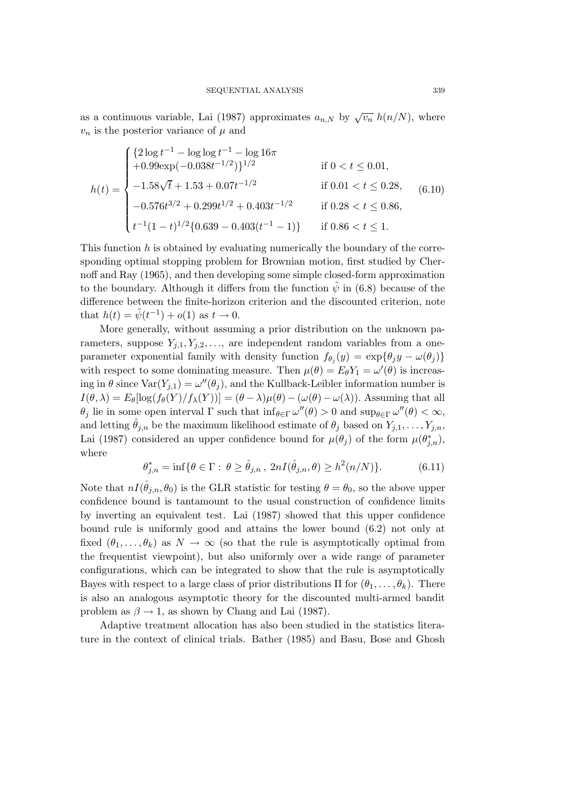as a continuous variable, Lai (1987) approximates  $a_{n,N}$  by  $\sqrt{v_n}$   $h(n/N)$ , where  $v_n$  is the posterior variance of  $\mu$  and

$$
h(t) = \begin{cases} \{2\log t^{-1} - \log \log t^{-1} - \log 16\pi \\ +0.99\exp(-0.038t^{-1/2})\}^{1/2} & \text{if } 0 < t \le 0.01, \\ -1.58\sqrt{t} + 1.53 + 0.07t^{-1/2} & \text{if } 0.01 < t \le 0.28, \\ -0.576t^{3/2} + 0.299t^{1/2} + 0.403t^{-1/2} & \text{if } 0.28 < t \le 0.86, \\ t^{-1}(1-t)^{1/2}\{0.639 - 0.403(t^{-1} - 1)\} & \text{if } 0.86 < t \le 1. \end{cases}
$$
(6.10)

This function  $h$  is obtained by evaluating numerically the boundary of the corresponding optimal stopping problem for Brownian motion, first studied by Chernoff and Ray (1965), and then developing some simple closed-form approximation to the boundary. Although it differs from the function  $\tilde{\psi}$  in (6.8) because of the difference between the finite-horizon criterion and the discounted criterion, note that  $h(t) = \tilde{\psi}(t^{-1}) + o(1)$  as  $t \to 0$ .

More generally, without assuming a prior distribution on the unknown parameters, suppose  $Y_{j,1}, Y_{j,2}, \ldots$ , are independent random variables from a oneparameter exponential family with density function  $f_{\theta_i}(y) = \exp{\{\theta_j y - \omega(\theta_j)\}}$ with respect to some dominating measure. Then  $\mu(\theta) = E_{\theta} Y_1 = \omega'(\theta)$  is increasing in  $\theta$  since  $\text{Var}(Y_{j,1}) = \omega''(\theta_j)$ , and the Kullback-Leibler information number is  $I(\theta, \lambda) = E_{\theta}[\log(f_{\theta}(Y)/f_{\lambda}(Y))] = (\theta - \lambda)\mu(\theta) - (\omega(\theta) - \omega(\lambda)).$  Assuming that all  $\theta_j$  lie in some open interval  $\Gamma$  such that  $\inf_{\theta \in \Gamma} \omega''(\theta) > 0$  and  $\sup_{\theta \in \Gamma} \omega''(\theta) < \infty$ , and letting  $\hat{\theta}_{j,n}$  be the maximum likelihood estimate of  $\theta_j$  based on  $Y_{j,1},\ldots,Y_{j,n}$ , Lai (1987) considered an upper confidence bound for  $\mu(\theta_j)$  of the form  $\mu(\theta_{j,n}^*)$ , where

$$
\theta_{j,n}^* = \inf \{ \theta \in \Gamma : \ \theta \ge \hat{\theta}_{j,n}, \ 2nI(\hat{\theta}_{j,n}, \theta) \ge h^2(n/N) \}. \tag{6.11}
$$

Note that  $nI(\hat{\theta}_{i,n}, \theta_0)$  is the GLR statistic for testing  $\theta = \theta_0$ , so the above upper confidence bound is tantamount to the usual construction of confidence limits by inverting an equivalent test. Lai (1987) showed that this upper confidence bound rule is uniformly good and attains the lower bound (6.2) not only at fixed  $(\theta_1,\ldots,\theta_k)$  as  $N \to \infty$  (so that the rule is asymptotically optimal from the frequentist viewpoint), but also uniformly over a wide range of parameter configurations, which can be integrated to show that the rule is asymptotically Bayes with respect to a large class of prior distributions  $\Pi$  for  $(\theta_1,\ldots,\theta_k)$ . There is also an analogous asymptotic theory for the discounted multi-armed bandit problem as  $\beta \rightarrow 1$ , as shown by Chang and Lai (1987).

Adaptive treatment allocation has also been studied in the statistics literature in the context of clinical trials. Bather (1985) and Basu, Bose and Ghosh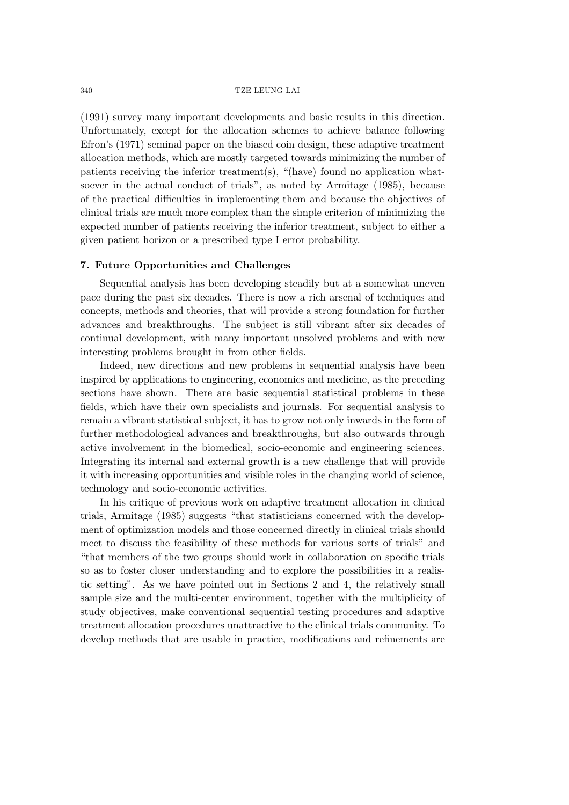(1991) survey many important developments and basic results in this direction. Unfortunately, except for the allocation schemes to achieve balance following Efron's (1971) seminal paper on the biased coin design, these adaptive treatment allocation methods, which are mostly targeted towards minimizing the number of patients receiving the inferior treatment(s), "(have) found no application whatsoever in the actual conduct of trials", as noted by Armitage (1985), because of the practical difficulties in implementing them and because the objectives of clinical trials are much more complex than the simple criterion of minimizing the expected number of patients receiving the inferior treatment, subject to either a given patient horizon or a prescribed type I error probability.

# **7. Future Opportunities and Challenges**

Sequential analysis has been developing steadily but at a somewhat uneven pace during the past six decades. There is now a rich arsenal of techniques and concepts, methods and theories, that will provide a strong foundation for further advances and breakthroughs. The subject is still vibrant after six decades of continual development, with many important unsolved problems and with new interesting problems brought in from other fields.

Indeed, new directions and new problems in sequential analysis have been inspired by applications to engineering, economics and medicine, as the preceding sections have shown. There are basic sequential statistical problems in these fields, which have their own specialists and journals. For sequential analysis to remain a vibrant statistical subject, it has to grow not only inwards in the form of further methodological advances and breakthroughs, but also outwards through active involvement in the biomedical, socio-economic and engineering sciences. Integrating its internal and external growth is a new challenge that will provide it with increasing opportunities and visible roles in the changing world of science, technology and socio-economic activities.

In his critique of previous work on adaptive treatment allocation in clinical trials, Armitage (1985) suggests "that statisticians concerned with the development of optimization models and those concerned directly in clinical trials should meet to discuss the feasibility of these methods for various sorts of trials" and "that members of the two groups should work in collaboration on specific trials so as to foster closer understanding and to explore the possibilities in a realistic setting". As we have pointed out in Sections 2 and 4, the relatively small sample size and the multi-center environment, together with the multiplicity of study objectives, make conventional sequential testing procedures and adaptive treatment allocation procedures unattractive to the clinical trials community. To develop methods that are usable in practice, modifications and refinements are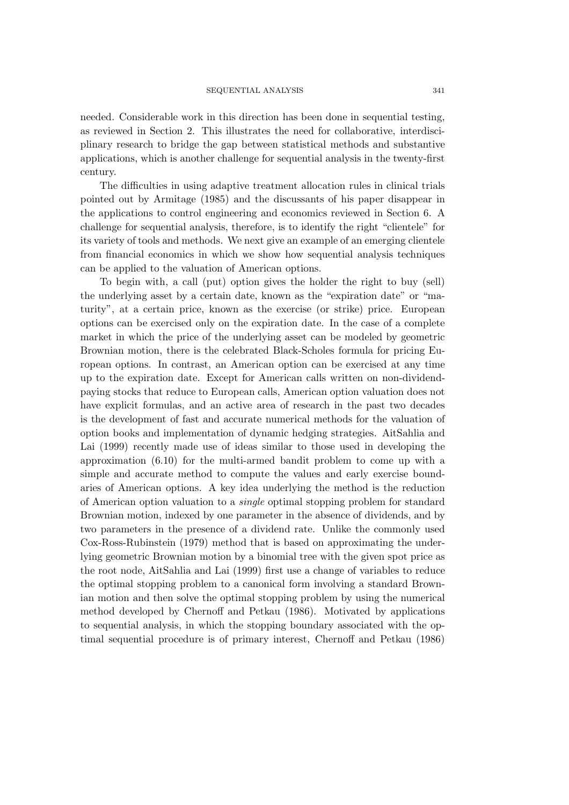needed. Considerable work in this direction has been done in sequential testing, as reviewed in Section 2. This illustrates the need for collaborative, interdisciplinary research to bridge the gap between statistical methods and substantive applications, which is another challenge for sequential analysis in the twenty-first century.

The difficulties in using adaptive treatment allocation rules in clinical trials pointed out by Armitage (1985) and the discussants of his paper disappear in the applications to control engineering and economics reviewed in Section 6. A challenge for sequential analysis, therefore, is to identify the right "clientele" for its variety of tools and methods. We next give an example of an emerging clientele from financial economics in which we show how sequential analysis techniques can be applied to the valuation of American options.

To begin with, a call (put) option gives the holder the right to buy (sell) the underlying asset by a certain date, known as the "expiration date" or "maturity", at a certain price, known as the exercise (or strike) price. European options can be exercised only on the expiration date. In the case of a complete market in which the price of the underlying asset can be modeled by geometric Brownian motion, there is the celebrated Black-Scholes formula for pricing European options. In contrast, an American option can be exercised at any time up to the expiration date. Except for American calls written on non-dividendpaying stocks that reduce to European calls, American option valuation does not have explicit formulas, and an active area of research in the past two decades is the development of fast and accurate numerical methods for the valuation of option books and implementation of dynamic hedging strategies. AitSahlia and Lai (1999) recently made use of ideas similar to those used in developing the approximation (6.10) for the multi-armed bandit problem to come up with a simple and accurate method to compute the values and early exercise boundaries of American options. A key idea underlying the method is the reduction of American option valuation to a *single* optimal stopping problem for standard Brownian motion, indexed by one parameter in the absence of dividends, and by two parameters in the presence of a dividend rate. Unlike the commonly used Cox-Ross-Rubinstein (1979) method that is based on approximating the underlying geometric Brownian motion by a binomial tree with the given spot price as the root node, AitSahlia and Lai (1999) first use a change of variables to reduce the optimal stopping problem to a canonical form involving a standard Brownian motion and then solve the optimal stopping problem by using the numerical method developed by Chernoff and Petkau (1986). Motivated by applications to sequential analysis, in which the stopping boundary associated with the optimal sequential procedure is of primary interest, Chernoff and Petkau (1986)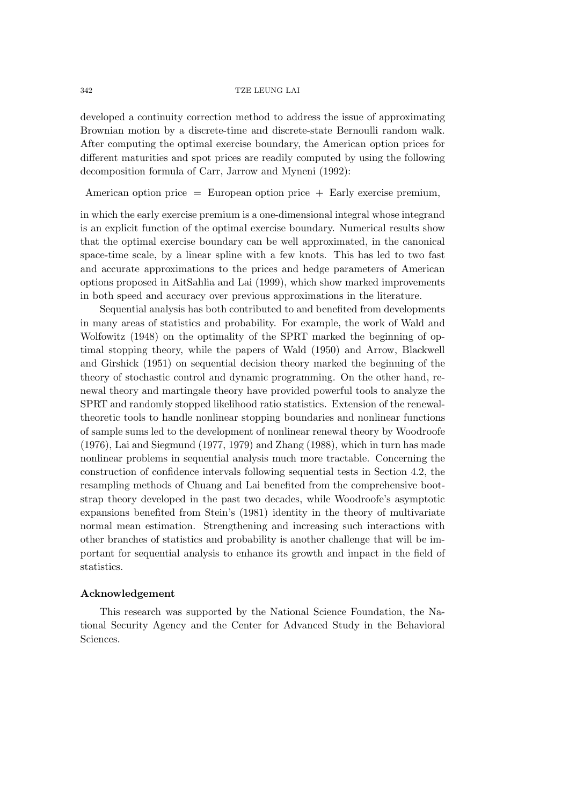developed a continuity correction method to address the issue of approximating Brownian motion by a discrete-time and discrete-state Bernoulli random walk. After computing the optimal exercise boundary, the American option prices for different maturities and spot prices are readily computed by using the following decomposition formula of Carr, Jarrow and Myneni (1992):

American option price  $=$  European option price  $+$  Early exercise premium,

in which the early exercise premium is a one-dimensional integral whose integrand is an explicit function of the optimal exercise boundary. Numerical results show that the optimal exercise boundary can be well approximated, in the canonical space-time scale, by a linear spline with a few knots. This has led to two fast and accurate approximations to the prices and hedge parameters of American options proposed in AitSahlia and Lai (1999), which show marked improvements in both speed and accuracy over previous approximations in the literature.

Sequential analysis has both contributed to and benefited from developments in many areas of statistics and probability. For example, the work of Wald and Wolfowitz (1948) on the optimality of the SPRT marked the beginning of optimal stopping theory, while the papers of Wald (1950) and Arrow, Blackwell and Girshick (1951) on sequential decision theory marked the beginning of the theory of stochastic control and dynamic programming. On the other hand, renewal theory and martingale theory have provided powerful tools to analyze the SPRT and randomly stopped likelihood ratio statistics. Extension of the renewaltheoretic tools to handle nonlinear stopping boundaries and nonlinear functions of sample sums led to the development of nonlinear renewal theory by Woodroofe (1976), Lai and Siegmund (1977, 1979) and Zhang (1988), which in turn has made nonlinear problems in sequential analysis much more tractable. Concerning the construction of confidence intervals following sequential tests in Section 4.2, the resampling methods of Chuang and Lai benefited from the comprehensive bootstrap theory developed in the past two decades, while Woodroofe's asymptotic expansions benefited from Stein's (1981) identity in the theory of multivariate normal mean estimation. Strengthening and increasing such interactions with other branches of statistics and probability is another challenge that will be important for sequential analysis to enhance its growth and impact in the field of statistics.

# **Acknowledgement**

This research was supported by the National Science Foundation, the National Security Agency and the Center for Advanced Study in the Behavioral Sciences.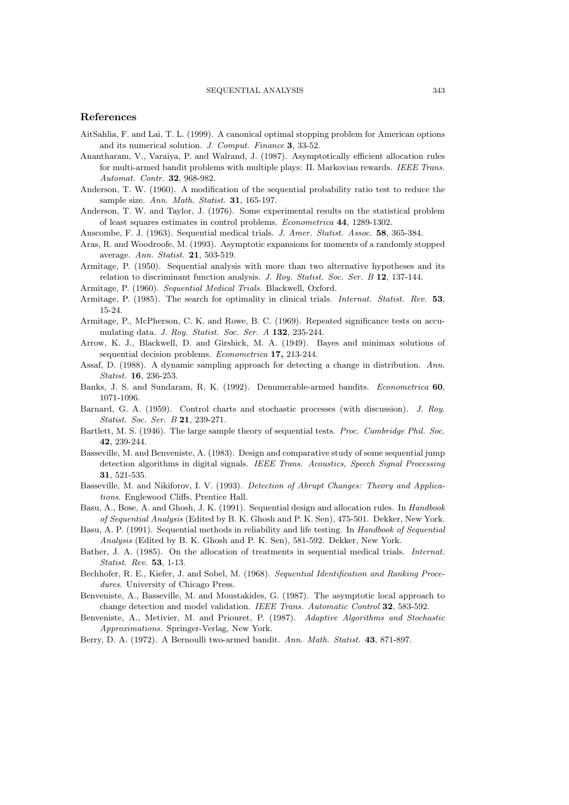## **References**

- AitSahlia, F. and Lai, T. L. (1999). A canonical optimal stopping problem for American options and its numerical solution. *J. Comput. Finance* **3**, 33-52.
- Anantharam, V., Varaiya, P. and Walrand, J. (1987). Asymptotically efficient allocation rules for multi-armed bandit problems with multiple plays: II. Markovian rewards. *IEEE Trans. Automat. Contr.* **32**, 968-982.
- Anderson, T. W. (1960). A modification of the sequential probability ratio test to reduce the sample size. *Ann. Math. Statist.* **31**, 165-197.
- Anderson, T. W. and Taylor, J. (1976). Some experimental results on the statistical problem of least squares estimates in control problems. *Econometrica* **44**, 1289-1302.
- Anscombe, F. J. (1963). Sequential medical trials. *J. Amer. Statist. Assoc.* **58**, 365-384.
- Aras, R. and Woodroofe, M. (1993). Asymptotic expansions for moments of a randomly stopped average. *Ann. Statist.* **21**, 503-519.
- Armitage, P. (1950). Sequential analysis with more than two alternative hypotheses and its relation to discriminant function analysis. *J. Roy. Statist. Soc. Ser. B* **12**, 137-144.
- Armitage, P. (1960). *Sequential Medical Trials*. Blackwell, Oxford.
- Armitage, P. (1985). The search for optimality in clinical trials. *Internat. Statist. Rev.* **53**, 15-24.
- Armitage, P., McPherson, C. K. and Rowe, B. C. (1969). Repeated significance tests on accumulating data. *J. Roy. Statist. Soc. Ser. A* **132**, 235-244.
- Arrow, K. J., Blackwell, D. and Girshick, M. A. (1949). Bayes and minimax solutions of sequential decision problems. *Econometrica* **17,** 213-244.
- Assaf, D. (1988). A dynamic sampling approach for detecting a change in distribution. *Ann. Statist.* **16**, 236-253.
- Banks, J. S. and Sundaram, R. K. (1992). Denumerable-armed bandits. *Econometrica* **60**, 1071-1096.
- Barnard, G. A. (1959). Control charts and stochastic processes (with discussion). *J. Roy. Statist. Soc. Ser. B* **21**, 239-271.
- Bartlett, M. S. (1946). The large sample theory of sequential tests. *Proc. Cambridge Phil. Soc.* **42**, 239-244.
- Basseville, M. and Benveniste, A. (1983). Design and comparative study of some sequential jump detection algorithms in digital signals. *IEEE Trans. Acoustics, Speech Signal Processing* **31**, 521-535.
- Basseville, M. and Nikiforov, I. V. (1993). *Detection of Abrupt Changes: Theory and Applications*. Englewood Cliffs, Prentice Hall.
- Basu, A., Bose, A. and Ghosh, J. K. (1991). Sequential design and allocation rules. In *Handbook of Sequential Analysis* (Edited by B. K. Ghosh and P. K. Sen), 475-501. Dekker, New York.
- Basu, A. P. (1991). Sequential methods in reliability and life testing. In *Handbook of Sequential Analysis* (Edited by B. K. Ghosh and P. K. Sen), 581-592. Dekker, New York.
- Bather, J. A. (1985). On the allocation of treatments in sequential medical trials. *Internat. Statist. Rev.* **53**, 1-13.
- Bechhofer, R. E., Kiefer, J. and Sobel, M. (1968). *Sequential Identification and Ranking Procedures*. University of Chicago Press.
- Benveniste, A., Basseville, M. and Moustakides, G. (1987). The asymptotic local approach to change detection and model validation. *IEEE Trans. Automatic Control* **32**, 583-592.
- Benveniste, A., Metivier, M. and Priouret, P. (1987). *Adaptive Algorithms and Stochastic Approximations.* Springer-Verlag, New York.
- Berry, D. A. (1972). A Bernoulli two-armed bandit. *Ann. Math. Statist.* **43**, 871-897.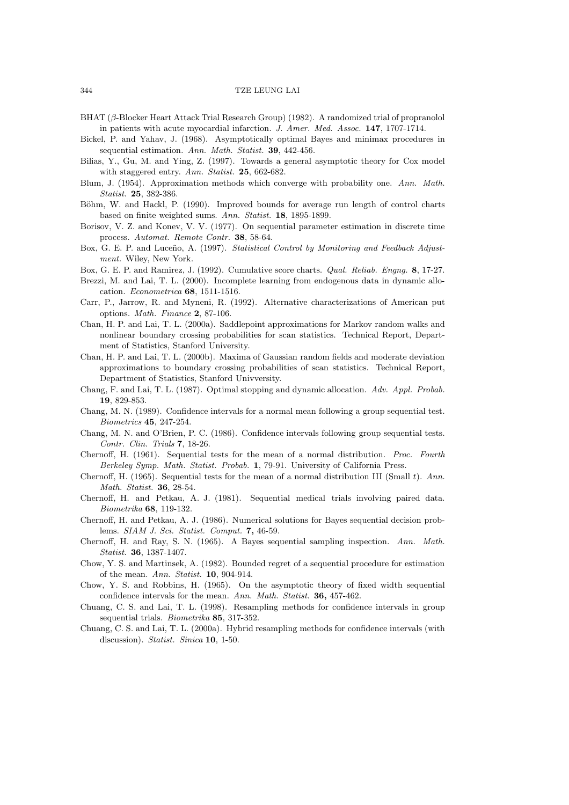- BHAT (β-Blocker Heart Attack Trial Research Group) (1982). A randomized trial of propranolol in patients with acute myocardial infarction. *J. Amer. Med. Assoc.* **147**, 1707-1714.
- Bickel, P. and Yahav, J. (1968). Asymptotically optimal Bayes and minimax procedures in sequential estimation. *Ann. Math. Statist.* **39**, 442-456.
- Bilias, Y., Gu, M. and Ying, Z. (1997). Towards a general asymptotic theory for Cox model with staggered entry. *Ann. Statist.* **25**, 662-682.
- Blum, J. (1954). Approximation methods which converge with probability one. *Ann. Math. Statist.* **25**, 382-386.
- Böhm, W. and Hackl, P. (1990). Improved bounds for average run length of control charts based on finite weighted sums. *Ann. Statist.* **18**, 1895-1899.
- Borisov, V. Z. and Konev, V. V. (1977). On sequential parameter estimation in discrete time process. *Automat. Remote Contr.* **38**, 58-64.
- Box, G. E. P. and Luceño, A. (1997). *Statistical Control by Monitoring and Feedback Adjustment.* Wiley, New York.
- Box, G. E. P. and Ramirez, J. (1992). Cumulative score charts. *Qual. Reliab. Engng.* **8**, 17-27.
- Brezzi, M. and Lai, T. L. (2000). Incomplete learning from endogenous data in dynamic allocation. *Econometrica* **68**, 1511-1516.
- Carr, P., Jarrow, R. and Myneni, R. (1992). Alternative characterizations of American put options. *Math. Finance* **2**, 87-106.
- Chan, H. P. and Lai, T. L. (2000a). Saddlepoint approximations for Markov random walks and nonlinear boundary crossing probabilities for scan statistics. Technical Report, Department of Statistics, Stanford University.
- Chan, H. P. and Lai, T. L. (2000b). Maxima of Gaussian random fields and moderate deviation approximations to boundary crossing probabilities of scan statistics. Technical Report, Department of Statistics, Stanford Univversity.
- Chang, F. and Lai, T. L. (1987). Optimal stopping and dynamic allocation. *Adv. Appl. Probab.* **19**, 829-853.
- Chang, M. N. (1989). Confidence intervals for a normal mean following a group sequential test. *Biometrics* **45**, 247-254.
- Chang, M. N. and O'Brien, P. C. (1986). Confidence intervals following group sequential tests. *Contr. Clin. Trials* **7**, 18-26.
- Chernoff, H. (1961). Sequential tests for the mean of a normal distribution. *Proc. Fourth Berkeley Symp. Math. Statist. Probab.* **1**, 79-91. University of California Press.
- Chernoff, H. (1965). Sequential tests for the mean of a normal distribution III (Small t). *Ann. Math. Statist.* **36**, 28-54.
- Chernoff, H. and Petkau, A. J. (1981). Sequential medical trials involving paired data. *Biometrika* **68**, 119-132.
- Chernoff, H. and Petkau, A. J. (1986). Numerical solutions for Bayes sequential decision problems. *SIAM J. Sci. Statist. Comput.* **7,** 46-59.
- Chernoff, H. and Ray, S. N. (1965). A Bayes sequential sampling inspection. *Ann. Math. Statist.* **36**, 1387-1407.
- Chow, Y. S. and Martinsek, A. (1982). Bounded regret of a sequential procedure for estimation of the mean. *Ann. Statist.* **10**, 904-914.
- Chow, Y. S. and Robbins, H. (1965). On the asymptotic theory of fixed width sequential confidence intervals for the mean. *Ann. Math. Statist.* **36,** 457-462.
- Chuang, C. S. and Lai, T. L. (1998). Resampling methods for confidence intervals in group sequential trials. *Biometrika* **85**, 317-352.
- Chuang, C. S. and Lai, T. L. (2000a). Hybrid resampling methods for confidence intervals (with discussion). *Statist. Sinica* **10**, 1-50.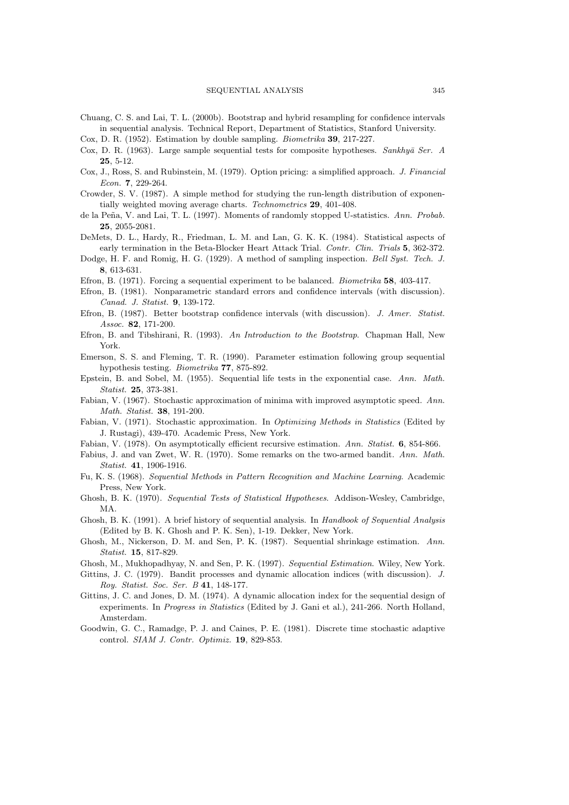Chuang, C. S. and Lai, T. L. (2000b). Bootstrap and hybrid resampling for confidence intervals in sequential analysis. Technical Report, Department of Statistics, Stanford University.

Cox, D. R. (1952). Estimation by double sampling. *Biometrika* **39**, 217-227.

- Cox, D. R. (1963). Large sample sequential tests for composite hypotheses. *Sankhy¯a Ser. A* **25**, 5-12.
- Cox, J., Ross, S. and Rubinstein, M. (1979). Option pricing: a simplified approach. *J. Financial Econ.* **7**, 229-264.
- Crowder, S. V. (1987). A simple method for studying the run-length distribution of exponentially weighted moving average charts. *Technometrics* **29**, 401-408.
- de la Peña, V. and Lai, T. L. (1997). Moments of randomly stopped U-statistics. Ann. Probab. **25**, 2055-2081.
- DeMets, D. L., Hardy, R., Friedman, L. M. and Lan, G. K. K. (1984). Statistical aspects of early termination in the Beta-Blocker Heart Attack Trial. *Contr. Clin. Trials* **5**, 362-372.
- Dodge, H. F. and Romig, H. G. (1929). A method of sampling inspection. *Bell Syst. Tech. J.* **8**, 613-631.
- Efron, B. (1971). Forcing a sequential experiment to be balanced. *Biometrika* **58**, 403-417.
- Efron, B. (1981). Nonparametric standard errors and confidence intervals (with discussion). *Canad. J. Statist.* **9**, 139-172.
- Efron, B. (1987). Better bootstrap confidence intervals (with discussion). *J. Amer. Statist. Assoc.* **82**, 171-200.
- Efron, B. and Tibshirani, R. (1993). *An Introduction to the Bootstrap*. Chapman Hall, New York.
- Emerson, S. S. and Fleming, T. R. (1990). Parameter estimation following group sequential hypothesis testing. *Biometrika* **77**, 875-892.
- Epstein, B. and Sobel, M. (1955). Sequential life tests in the exponential case. *Ann. Math. Statist.* **25**, 373-381.
- Fabian, V. (1967). Stochastic approximation of minima with improved asymptotic speed. *Ann. Math. Statist.* **38**, 191-200.
- Fabian, V. (1971). Stochastic approximation. In *Optimizing Methods in Statistics* (Edited by J. Rustagi), 439-470. Academic Press, New York.
- Fabian, V. (1978). On asymptotically efficient recursive estimation. *Ann. Statist.* **6**, 854-866.
- Fabius, J. and van Zwet, W. R. (1970). Some remarks on the two-armed bandit. *Ann. Math. Statist.* **41**, 1906-1916.
- Fu, K. S. (1968). *Sequential Methods in Pattern Recognition and Machine Learning*. Academic Press, New York.
- Ghosh, B. K. (1970). *Sequential Tests of Statistical Hypotheses*. Addison-Wesley, Cambridge, MA.
- Ghosh, B. K. (1991). A brief history of sequential analysis. In *Handbook of Sequential Analysis* (Edited by B. K. Ghosh and P. K. Sen), 1-19. Dekker, New York.
- Ghosh, M., Nickerson, D. M. and Sen, P. K. (1987). Sequential shrinkage estimation. *Ann. Statist.* **15**, 817-829.
- Ghosh, M., Mukhopadhyay, N. and Sen, P. K. (1997). *Sequential Estimation*. Wiley, New York.
- Gittins, J. C. (1979). Bandit processes and dynamic allocation indices (with discussion). *J. Roy. Statist. Soc. Ser. B* **41**, 148-177.
- Gittins, J. C. and Jones, D. M. (1974). A dynamic allocation index for the sequential design of experiments. In *Progress in Statistics* (Edited by J. Gani et al.), 241-266. North Holland, Amsterdam.
- Goodwin, G. C., Ramadge, P. J. and Caines, P. E. (1981). Discrete time stochastic adaptive control. *SIAM J. Contr. Optimiz.* **19**, 829-853.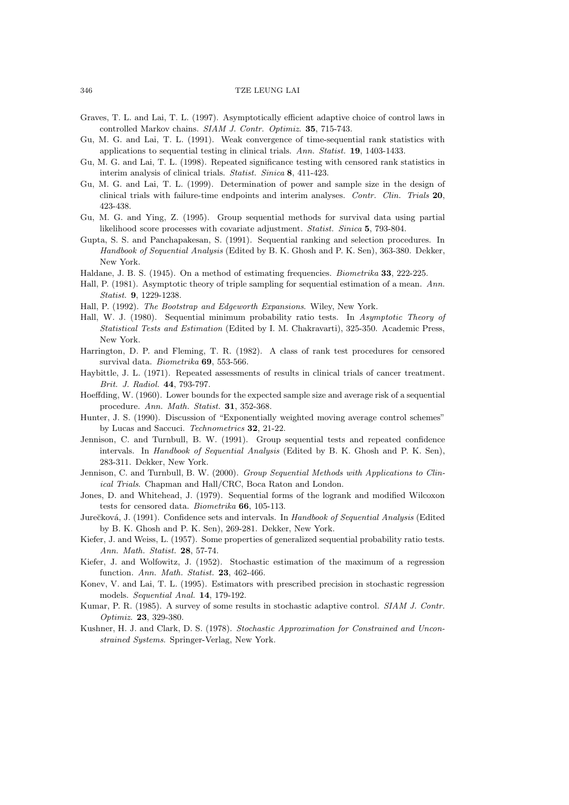- Graves, T. L. and Lai, T. L. (1997). Asymptotically efficient adaptive choice of control laws in controlled Markov chains. *SIAM J. Contr. Optimiz.* **35**, 715-743.
- Gu, M. G. and Lai, T. L. (1991). Weak convergence of time-sequential rank statistics with applications to sequential testing in clinical trials. *Ann. Statist.* **19**, 1403-1433.
- Gu, M. G. and Lai, T. L. (1998). Repeated significance testing with censored rank statistics in interim analysis of clinical trials. *Statist. Sinica* **8**, 411-423.
- Gu, M. G. and Lai, T. L. (1999). Determination of power and sample size in the design of clinical trials with failure-time endpoints and interim analyses. *Contr. Clin. Trials* **20**, 423-438.
- Gu, M. G. and Ying, Z. (1995). Group sequential methods for survival data using partial likelihood score processes with covariate adjustment. *Statist. Sinica* **5**, 793-804.
- Gupta, S. S. and Panchapakesan, S. (1991). Sequential ranking and selection procedures. In *Handbook of Sequential Analysis* (Edited by B. K. Ghosh and P. K. Sen), 363-380. Dekker, New York.
- Haldane, J. B. S. (1945). On a method of estimating frequencies. *Biometrika* **33**, 222-225.
- Hall, P. (1981). Asymptotic theory of triple sampling for sequential estimation of a mean. *Ann. Statist.* **9**, 1229-1238.
- Hall, P. (1992). *The Bootstrap and Edgeworth Expansions*. Wiley, New York.
- Hall, W. J. (1980). Sequential minimum probability ratio tests. In *Asymptotic Theory of Statistical Tests and Estimation* (Edited by I. M. Chakravarti), 325-350. Academic Press, New York.
- Harrington, D. P. and Fleming, T. R. (1982). A class of rank test procedures for censored survival data. *Biometrika* **69**, 553-566.
- Haybittle, J. L. (1971). Repeated assessments of results in clinical trials of cancer treatment. *Brit. J. Radiol.* **44**, 793-797.
- Hoeffding, W. (1960). Lower bounds for the expected sample size and average risk of a sequential procedure. *Ann. Math. Statist.* **31**, 352-368.
- Hunter, J. S. (1990). Discussion of "Exponentially weighted moving average control schemes" by Lucas and Saccuci. *Technometrics* **32**, 21-22.
- Jennison, C. and Turnbull, B. W. (1991). Group sequential tests and repeated confidence intervals. In *Handbook of Sequential Analysis* (Edited by B. K. Ghosh and P. K. Sen), 283-311. Dekker, New York.
- Jennison, C. and Turnbull, B. W. (2000). *Group Sequential Methods with Applications to Clinical Trials*. Chapman and Hall/CRC, Boca Raton and London.
- Jones, D. and Whitehead, J. (1979). Sequential forms of the logrank and modified Wilcoxon tests for censored data. *Biometrika* **66**, 105-113.
- Jurečková, J. (1991). Confidence sets and intervals. In *Handbook of Sequential Analysis* (Edited by B. K. Ghosh and P. K. Sen), 269-281. Dekker, New York.
- Kiefer, J. and Weiss, L. (1957). Some properties of generalized sequential probability ratio tests. *Ann. Math. Statist.* **28**, 57-74.
- Kiefer, J. and Wolfowitz, J. (1952). Stochastic estimation of the maximum of a regression function. *Ann. Math. Statist.* **23**, 462-466.
- Konev, V. and Lai, T. L. (1995). Estimators with prescribed precision in stochastic regression models. *Sequential Anal.* **14**, 179-192.
- Kumar, P. R. (1985). A survey of some results in stochastic adaptive control. *SIAM J. Contr. Optimiz.* **23**, 329-380.
- Kushner, H. J. and Clark, D. S. (1978). *Stochastic Approximation for Constrained and Unconstrained Systems*. Springer-Verlag, New York.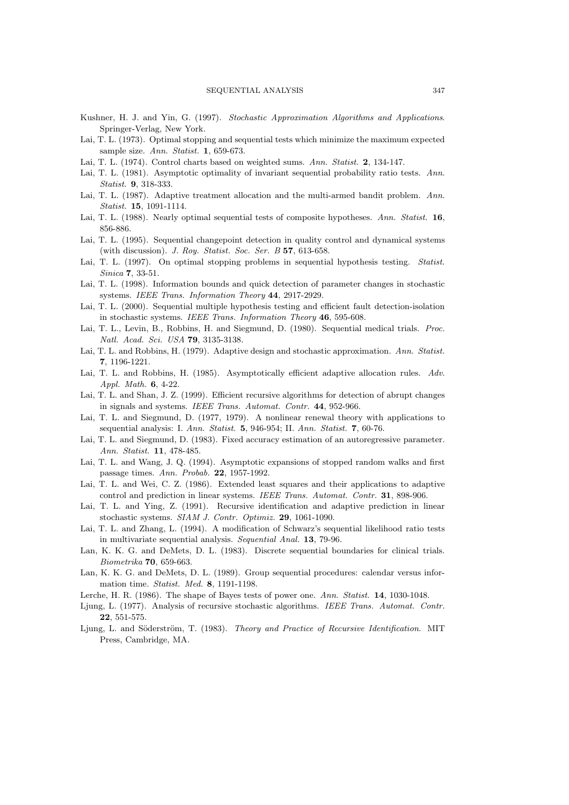- Kushner, H. J. and Yin, G. (1997). *Stochastic Approximation Algorithms and Applications*. Springer-Verlag, New York.
- Lai, T. L. (1973). Optimal stopping and sequential tests which minimize the maximum expected sample size. *Ann. Statist.* **1**, 659-673.
- Lai, T. L. (1974). Control charts based on weighted sums. *Ann. Statist.* **2**, 134-147.
- Lai, T. L. (1981). Asymptotic optimality of invariant sequential probability ratio tests. *Ann. Statist.* **9**, 318-333.
- Lai, T. L. (1987). Adaptive treatment allocation and the multi-armed bandit problem. *Ann. Statist.* **15**, 1091-1114.
- Lai, T. L. (1988). Nearly optimal sequential tests of composite hypotheses. *Ann. Statist.* **16**, 856-886.
- Lai, T. L. (1995). Sequential changepoint detection in quality control and dynamical systems (with discussion). *J. Roy. Statist. Soc. Ser. B* **57**, 613-658.
- Lai, T. L. (1997). On optimal stopping problems in sequential hypothesis testing. *Statist. Sinica* **7**, 33-51.
- Lai, T. L. (1998). Information bounds and quick detection of parameter changes in stochastic systems. *IEEE Trans. Information Theory* **44**, 2917-2929.
- Lai, T. L. (2000). Sequential multiple hypothesis testing and efficient fault detection-isolation in stochastic systems. *IEEE Trans. Information Theory* **46**, 595-608.
- Lai, T. L., Levin, B., Robbins, H. and Siegmund, D. (1980). Sequential medical trials. *Proc. Natl. Acad. Sci. USA* **79**, 3135-3138.
- Lai, T. L. and Robbins, H. (1979). Adaptive design and stochastic approximation. *Ann. Statist.* **7**, 1196-1221.
- Lai, T. L. and Robbins, H. (1985). Asymptotically efficient adaptive allocation rules. *Adv. Appl. Math.* **6**, 4-22.
- Lai, T. L. and Shan, J. Z. (1999). Efficient recursive algorithms for detection of abrupt changes in signals and systems. *IEEE Trans. Automat. Contr.* **44**, 952-966.
- Lai, T. L. and Siegmund, D. (1977, 1979). A nonlinear renewal theory with applications to sequential analysis: I. *Ann. Statist.* **5**, 946-954; II. *Ann. Statist.* **7**, 60-76.
- Lai, T. L. and Siegmund, D. (1983). Fixed accuracy estimation of an autoregressive parameter. *Ann. Statist.* **11**, 478-485.
- Lai, T. L. and Wang, J. Q. (1994). Asymptotic expansions of stopped random walks and first passage times. *Ann. Probab.* **22**, 1957-1992.
- Lai, T. L. and Wei, C. Z. (1986). Extended least squares and their applications to adaptive control and prediction in linear systems. *IEEE Trans. Automat. Contr.* **31**, 898-906.
- Lai, T. L. and Ying, Z. (1991). Recursive identification and adaptive prediction in linear stochastic systems. *SIAM J. Contr. Optimiz.* **29**, 1061-1090.
- Lai, T. L. and Zhang, L. (1994). A modification of Schwarz's sequential likelihood ratio tests in multivariate sequential analysis. *Sequential Anal.* **13**, 79-96.
- Lan, K. K. G. and DeMets, D. L. (1983). Discrete sequential boundaries for clinical trials. *Biometrika* **70**, 659-663.
- Lan, K. K. G. and DeMets, D. L. (1989). Group sequential procedures: calendar versus information time. *Statist. Med.* **8**, 1191-1198.
- Lerche, H. R. (1986). The shape of Bayes tests of power one. *Ann. Statist.* **14**, 1030-1048.
- Ljung, L. (1977). Analysis of recursive stochastic algorithms. *IEEE Trans. Automat. Contr.* **22**, 551-575.
- Ljung, L. and Söderström, T. (1983). *Theory and Practice of Recursive Identification*. MIT Press, Cambridge, MA.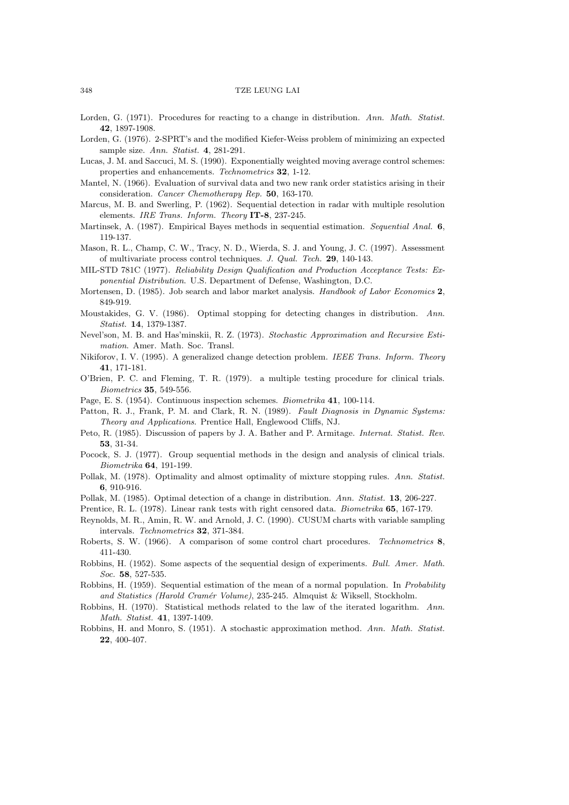- Lorden, G. (1971). Procedures for reacting to a change in distribution. *Ann. Math. Statist.* **42**, 1897-1908.
- Lorden, G. (1976). 2-SPRT's and the modified Kiefer-Weiss problem of minimizing an expected sample size. *Ann. Statist.* **4**, 281-291.
- Lucas, J. M. and Saccuci, M. S. (1990). Exponentially weighted moving average control schemes: properties and enhancements. *Technometrics* **32**, 1-12.
- Mantel, N. (1966). Evaluation of survival data and two new rank order statistics arising in their consideration. *Cancer Chemotherapy Rep.* **50**, 163-170.
- Marcus, M. B. and Swerling, P. (1962). Sequential detection in radar with multiple resolution elements. *IRE Trans. Inform. Theory* **IT-8**, 237-245.
- Martinsek, A. (1987). Empirical Bayes methods in sequential estimation. *Sequential Anal.* **6**, 119-137.
- Mason, R. L., Champ, C. W., Tracy, N. D., Wierda, S. J. and Young, J. C. (1997). Assessment of multivariate process control techniques. *J. Qual. Tech.* **29**, 140-143.
- MIL-STD 781C (1977). *Reliability Design Qualification and Production Acceptance Tests: Exponential Distribution*. U.S. Department of Defense, Washington, D.C.
- Mortensen, D. (1985). Job search and labor market analysis. *Handbook of Labor Economics* **2**, 849-919.
- Moustakides, G. V. (1986). Optimal stopping for detecting changes in distribution. *Ann. Statist.* **14**, 1379-1387.
- Nevel'son, M. B. and Has'minskii, R. Z. (1973). *Stochastic Approximation and Recursive Estimation*. Amer. Math. Soc. Transl.
- Nikiforov, I. V. (1995). A generalized change detection problem. *IEEE Trans. Inform. Theory* **41**, 171-181.
- O'Brien, P. C. and Fleming, T. R. (1979). a multiple testing procedure for clinical trials. *Biometrics* **35**, 549-556.
- Page, E. S. (1954). Continuous inspection schemes. *Biometrika* **41**, 100-114.
- Patton, R. J., Frank, P. M. and Clark, R. N. (1989). *Fault Diagnosis in Dynamic Systems: Theory and Applications*. Prentice Hall, Englewood Cliffs, NJ.
- Peto, R. (1985). Discussion of papers by J. A. Bather and P. Armitage. *Internat. Statist. Rev.* **53**, 31-34.
- Pocock, S. J. (1977). Group sequential methods in the design and analysis of clinical trials. *Biometrika* **64**, 191-199.
- Pollak, M. (1978). Optimality and almost optimality of mixture stopping rules. *Ann. Statist.* **6**, 910-916.
- Pollak, M. (1985). Optimal detection of a change in distribution. *Ann. Statist.* **13**, 206-227.
- Prentice, R. L. (1978). Linear rank tests with right censored data. *Biometrika* **65**, 167-179.
- Reynolds, M. R., Amin, R. W. and Arnold, J. C. (1990). CUSUM charts with variable sampling intervals. *Technometrics* **32**, 371-384.
- Roberts, S. W. (1966). A comparison of some control chart procedures. *Technometrics* **8**, 411-430.
- Robbins, H. (1952). Some aspects of the sequential design of experiments. *Bull. Amer. Math. Soc.* **58**, 527-535.
- Robbins, H. (1959). Sequential estimation of the mean of a normal population. In *Probability and Statistics (Harold Cram´er Volume)*, 235-245. Almquist & Wiksell, Stockholm.
- Robbins, H. (1970). Statistical methods related to the law of the iterated logarithm. *Ann. Math. Statist.* **41**, 1397-1409.
- Robbins, H. and Monro, S. (1951). A stochastic approximation method. *Ann. Math. Statist.* **22**, 400-407.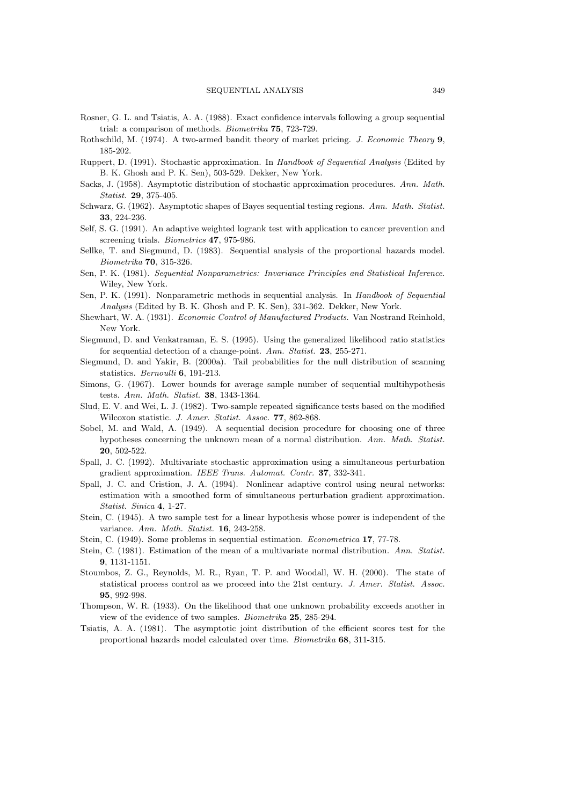- Rosner, G. L. and Tsiatis, A. A. (1988). Exact confidence intervals following a group sequential trial: a comparison of methods. *Biometrika* **75**, 723-729.
- Rothschild, M. (1974). A two-armed bandit theory of market pricing. *J. Economic Theory* **9**, 185-202.
- Ruppert, D. (1991). Stochastic approximation. In *Handbook of Sequential Analysis* (Edited by B. K. Ghosh and P. K. Sen), 503-529. Dekker, New York.
- Sacks, J. (1958). Asymptotic distribution of stochastic approximation procedures. *Ann. Math. Statist.* **29**, 375-405.
- Schwarz, G. (1962). Asymptotic shapes of Bayes sequential testing regions. *Ann. Math. Statist.* **33**, 224-236.
- Self, S. G. (1991). An adaptive weighted logrank test with application to cancer prevention and screening trials. *Biometrics* **47**, 975-986.
- Sellke, T. and Siegmund, D. (1983). Sequential analysis of the proportional hazards model. *Biometrika* **70**, 315-326.
- Sen, P. K. (1981). *Sequential Nonparametrics: Invariance Principles and Statistical Inference*. Wiley, New York.
- Sen, P. K. (1991). Nonparametric methods in sequential analysis. In *Handbook of Sequential Analysis* (Edited by B. K. Ghosh and P. K. Sen), 331-362. Dekker, New York.
- Shewhart, W. A. (1931). *Economic Control of Manufactured Products*. Van Nostrand Reinhold, New York.
- Siegmund, D. and Venkatraman, E. S. (1995). Using the generalized likelihood ratio statistics for sequential detection of a change-point. *Ann. Statist.* **23**, 255-271.
- Siegmund, D. and Yakir, B. (2000a). Tail probabilities for the null distribution of scanning statistics. *Bernoulli* **6**, 191-213.
- Simons, G. (1967). Lower bounds for average sample number of sequential multihypothesis tests. *Ann. Math. Statist.* **38**, 1343-1364.
- Slud, E. V. and Wei, L. J. (1982). Two-sample repeated significance tests based on the modified Wilcoxon statistic. *J. Amer. Statist. Assoc.* **77**, 862-868.
- Sobel, M. and Wald, A. (1949). A sequential decision procedure for choosing one of three hypotheses concerning the unknown mean of a normal distribution. *Ann. Math. Statist.* **20**, 502-522.
- Spall, J. C. (1992). Multivariate stochastic approximation using a simultaneous perturbation gradient approximation. *IEEE Trans. Automat. Contr.* **37**, 332-341.
- Spall, J. C. and Cristion, J. A. (1994). Nonlinear adaptive control using neural networks: estimation with a smoothed form of simultaneous perturbation gradient approximation. *Statist. Sinica* **4**, 1-27.
- Stein, C. (1945). A two sample test for a linear hypothesis whose power is independent of the variance. *Ann. Math. Statist.* **16**, 243-258.
- Stein, C. (1949). Some problems in sequential estimation. *Econometrica* **17**, 77-78.
- Stein, C. (1981). Estimation of the mean of a multivariate normal distribution. *Ann. Statist.* **9**, 1131-1151.
- Stoumbos, Z. G., Reynolds, M. R., Ryan, T. P. and Woodall, W. H. (2000). The state of statistical process control as we proceed into the 21st century. *J. Amer. Statist. Assoc.* **95**, 992-998.
- Thompson, W. R. (1933). On the likelihood that one unknown probability exceeds another in view of the evidence of two samples. *Biometrika* **25**, 285-294.
- Tsiatis, A. A. (1981). The asymptotic joint distribution of the efficient scores test for the proportional hazards model calculated over time. *Biometrika* **68**, 311-315.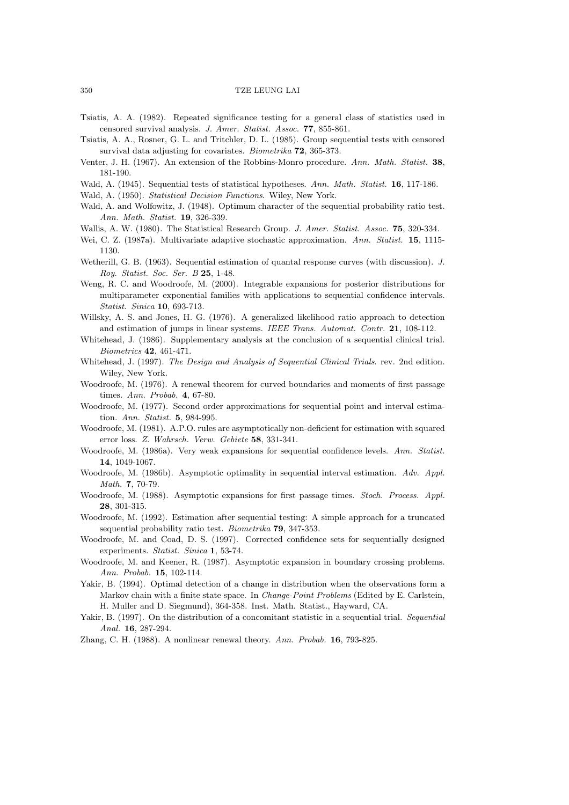- Tsiatis, A. A. (1982). Repeated significance testing for a general class of statistics used in censored survival analysis. *J. Amer. Statist. Assoc.* **77**, 855-861.
- Tsiatis, A. A., Rosner, G. L. and Tritchler, D. L. (1985). Group sequential tests with censored survival data adjusting for covariates. *Biometrika* **72**, 365-373.
- Venter, J. H. (1967). An extension of the Robbins-Monro procedure. *Ann. Math. Statist.* **38**, 181-190.
- Wald, A. (1945). Sequential tests of statistical hypotheses. *Ann. Math. Statist.* **16**, 117-186.
- Wald, A. (1950). *Statistical Decision Functions*. Wiley, New York.
- Wald, A. and Wolfowitz, J. (1948). Optimum character of the sequential probability ratio test. *Ann. Math. Statist.* **19**, 326-339.
- Wallis, A. W. (1980). The Statistical Research Group. *J. Amer. Statist. Assoc.* **75**, 320-334.
- Wei, C. Z. (1987a). Multivariate adaptive stochastic approximation. *Ann. Statist.* **15**, 1115- 1130.
- Wetherill, G. B. (1963). Sequential estimation of quantal response curves (with discussion). *J. Roy. Statist. Soc. Ser. B* **25**, 1-48.
- Weng, R. C. and Woodroofe, M. (2000). Integrable expansions for posterior distributions for multiparameter exponential families with applications to sequential confidence intervals. *Statist. Sinica* **10**, 693-713.
- Willsky, A. S. and Jones, H. G. (1976). A generalized likelihood ratio approach to detection and estimation of jumps in linear systems. *IEEE Trans. Automat. Contr.* **21**, 108-112.
- Whitehead, J. (1986). Supplementary analysis at the conclusion of a sequential clinical trial. *Biometrics* **42**, 461-471.
- Whitehead, J. (1997). *The Design and Analysis of Sequential Clinical Trials*. rev. 2nd edition. Wiley, New York.
- Woodroofe, M. (1976). A renewal theorem for curved boundaries and moments of first passage times. *Ann. Probab.* **4**, 67-80.
- Woodroofe, M. (1977). Second order approximations for sequential point and interval estimation. *Ann. Statist.* **5**, 984-995.
- Woodroofe, M. (1981). A.P.O. rules are asymptotically non-deficient for estimation with squared error loss. *Z. Wahrsch. Verw. Gebiete* **58**, 331-341.
- Woodroofe, M. (1986a). Very weak expansions for sequential confidence levels. *Ann. Statist.* **14**, 1049-1067.
- Woodroofe, M. (1986b). Asymptotic optimality in sequential interval estimation. *Adv. Appl. Math.* **7**, 70-79.
- Woodroofe, M. (1988). Asymptotic expansions for first passage times. *Stoch. Process. Appl.* **28**, 301-315.
- Woodroofe, M. (1992). Estimation after sequential testing: A simple approach for a truncated sequential probability ratio test. *Biometrika* **79**, 347-353.
- Woodroofe, M. and Coad, D. S. (1997). Corrected confidence sets for sequentially designed experiments. *Statist. Sinica* **1**, 53-74.
- Woodroofe, M. and Keener, R. (1987). Asymptotic expansion in boundary crossing problems. *Ann. Probab.* **15**, 102-114.
- Yakir, B. (1994). Optimal detection of a change in distribution when the observations form a Markov chain with a finite state space. In *Change-Point Problems* (Edited by E. Carlstein, H. Muller and D. Siegmund), 364-358. Inst. Math. Statist., Hayward, CA.
- Yakir, B. (1997). On the distribution of a concomitant statistic in a sequential trial. *Sequential Anal.* **16**, 287-294.
- Zhang, C. H. (1988). A nonlinear renewal theory. *Ann. Probab.* **16**, 793-825.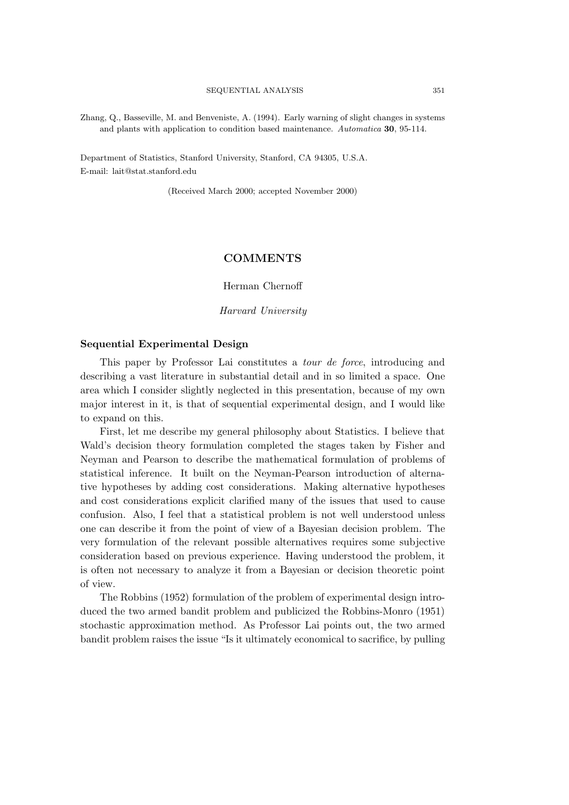Zhang, Q., Basseville, M. and Benveniste, A. (1994). Early warning of slight changes in systems and plants with application to condition based maintenance. *Automatica* **30**, 95-114.

Department of Statistics, Stanford University, Stanford, CA 94305, U.S.A. E-mail: lait@stat.stanford.edu

(Received March 2000; accepted November 2000)

# **COMMENTS**

Herman Chernoff

*Harvard University*

# **Sequential Experimental Design**

This paper by Professor Lai constitutes a *tour de force*, introducing and describing a vast literature in substantial detail and in so limited a space. One area which I consider slightly neglected in this presentation, because of my own major interest in it, is that of sequential experimental design, and I would like to expand on this.

First, let me describe my general philosophy about Statistics. I believe that Wald's decision theory formulation completed the stages taken by Fisher and Neyman and Pearson to describe the mathematical formulation of problems of statistical inference. It built on the Neyman-Pearson introduction of alternative hypotheses by adding cost considerations. Making alternative hypotheses and cost considerations explicit clarified many of the issues that used to cause confusion. Also, I feel that a statistical problem is not well understood unless one can describe it from the point of view of a Bayesian decision problem. The very formulation of the relevant possible alternatives requires some subjective consideration based on previous experience. Having understood the problem, it is often not necessary to analyze it from a Bayesian or decision theoretic point of view.

The Robbins (1952) formulation of the problem of experimental design introduced the two armed bandit problem and publicized the Robbins-Monro (1951) stochastic approximation method. As Professor Lai points out, the two armed bandit problem raises the issue "Is it ultimately economical to sacrifice, by pulling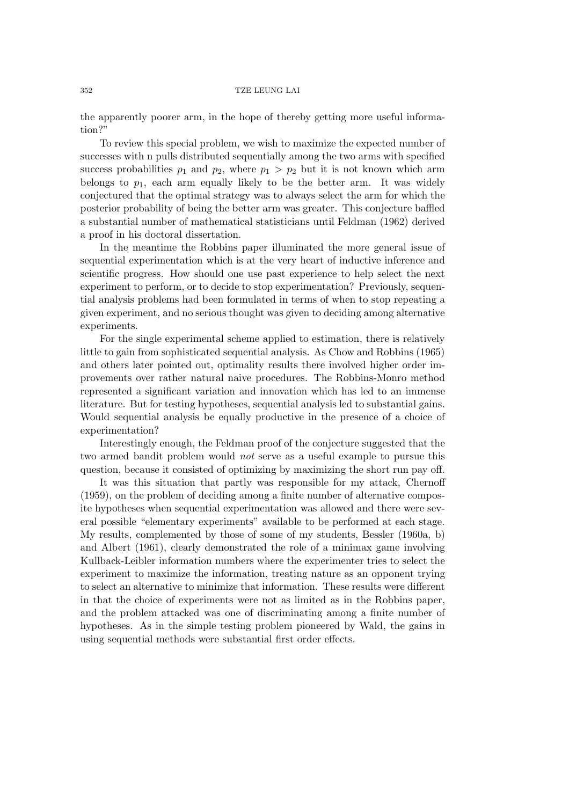the apparently poorer arm, in the hope of thereby getting more useful information?"

To review this special problem, we wish to maximize the expected number of successes with n pulls distributed sequentially among the two arms with specified success probabilities  $p_1$  and  $p_2$ , where  $p_1 > p_2$  but it is not known which arm belongs to  $p_1$ , each arm equally likely to be the better arm. It was widely conjectured that the optimal strategy was to always select the arm for which the posterior probability of being the better arm was greater. This conjecture baffled a substantial number of mathematical statisticians until Feldman (1962) derived a proof in his doctoral dissertation.

In the meantime the Robbins paper illuminated the more general issue of sequential experimentation which is at the very heart of inductive inference and scientific progress. How should one use past experience to help select the next experiment to perform, or to decide to stop experimentation? Previously, sequential analysis problems had been formulated in terms of when to stop repeating a given experiment, and no serious thought was given to deciding among alternative experiments.

For the single experimental scheme applied to estimation, there is relatively little to gain from sophisticated sequential analysis. As Chow and Robbins (1965) and others later pointed out, optimality results there involved higher order improvements over rather natural naive procedures. The Robbins-Monro method represented a significant variation and innovation which has led to an immense literature. But for testing hypotheses, sequential analysis led to substantial gains. Would sequential analysis be equally productive in the presence of a choice of experimentation?

Interestingly enough, the Feldman proof of the conjecture suggested that the two armed bandit problem would *not* serve as a useful example to pursue this question, because it consisted of optimizing by maximizing the short run pay off.

It was this situation that partly was responsible for my attack, Chernoff (1959), on the problem of deciding among a finite number of alternative composite hypotheses when sequential experimentation was allowed and there were several possible "elementary experiments" available to be performed at each stage. My results, complemented by those of some of my students, Bessler (1960a, b) and Albert (1961), clearly demonstrated the role of a minimax game involving Kullback-Leibler information numbers where the experimenter tries to select the experiment to maximize the information, treating nature as an opponent trying to select an alternative to minimize that information. These results were different in that the choice of experiments were not as limited as in the Robbins paper, and the problem attacked was one of discriminating among a finite number of hypotheses. As in the simple testing problem pioneered by Wald, the gains in using sequential methods were substantial first order effects.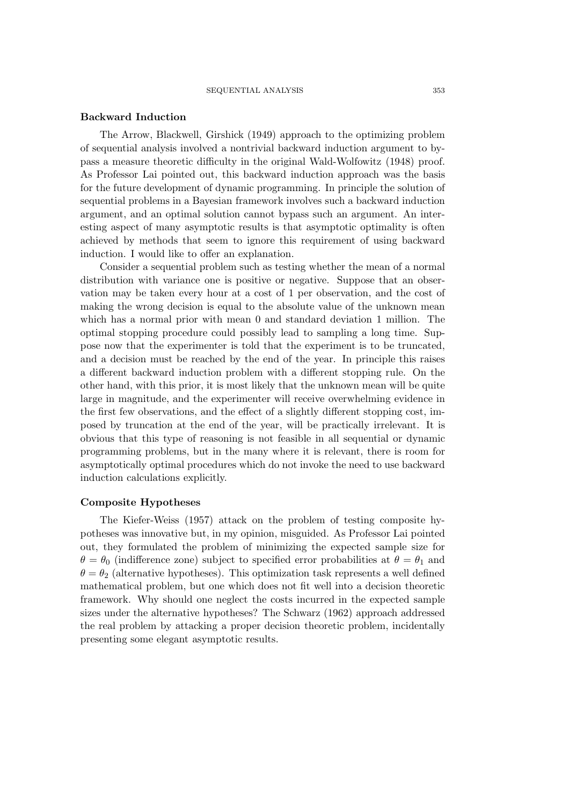## **Backward Induction**

The Arrow, Blackwell, Girshick (1949) approach to the optimizing problem of sequential analysis involved a nontrivial backward induction argument to bypass a measure theoretic difficulty in the original Wald-Wolfowitz (1948) proof. As Professor Lai pointed out, this backward induction approach was the basis for the future development of dynamic programming. In principle the solution of sequential problems in a Bayesian framework involves such a backward induction argument, and an optimal solution cannot bypass such an argument. An interesting aspect of many asymptotic results is that asymptotic optimality is often achieved by methods that seem to ignore this requirement of using backward induction. I would like to offer an explanation.

Consider a sequential problem such as testing whether the mean of a normal distribution with variance one is positive or negative. Suppose that an observation may be taken every hour at a cost of 1 per observation, and the cost of making the wrong decision is equal to the absolute value of the unknown mean which has a normal prior with mean 0 and standard deviation 1 million. The optimal stopping procedure could possibly lead to sampling a long time. Suppose now that the experimenter is told that the experiment is to be truncated, and a decision must be reached by the end of the year. In principle this raises a different backward induction problem with a different stopping rule. On the other hand, with this prior, it is most likely that the unknown mean will be quite large in magnitude, and the experimenter will receive overwhelming evidence in the first few observations, and the effect of a slightly different stopping cost, imposed by truncation at the end of the year, will be practically irrelevant. It is obvious that this type of reasoning is not feasible in all sequential or dynamic programming problems, but in the many where it is relevant, there is room for asymptotically optimal procedures which do not invoke the need to use backward induction calculations explicitly.

# **Composite Hypotheses**

The Kiefer-Weiss (1957) attack on the problem of testing composite hypotheses was innovative but, in my opinion, misguided. As Professor Lai pointed out, they formulated the problem of minimizing the expected sample size for  $\theta = \theta_0$  (indifference zone) subject to specified error probabilities at  $\theta = \theta_1$  and  $\theta = \theta_2$  (alternative hypotheses). This optimization task represents a well defined mathematical problem, but one which does not fit well into a decision theoretic framework. Why should one neglect the costs incurred in the expected sample sizes under the alternative hypotheses? The Schwarz (1962) approach addressed the real problem by attacking a proper decision theoretic problem, incidentally presenting some elegant asymptotic results.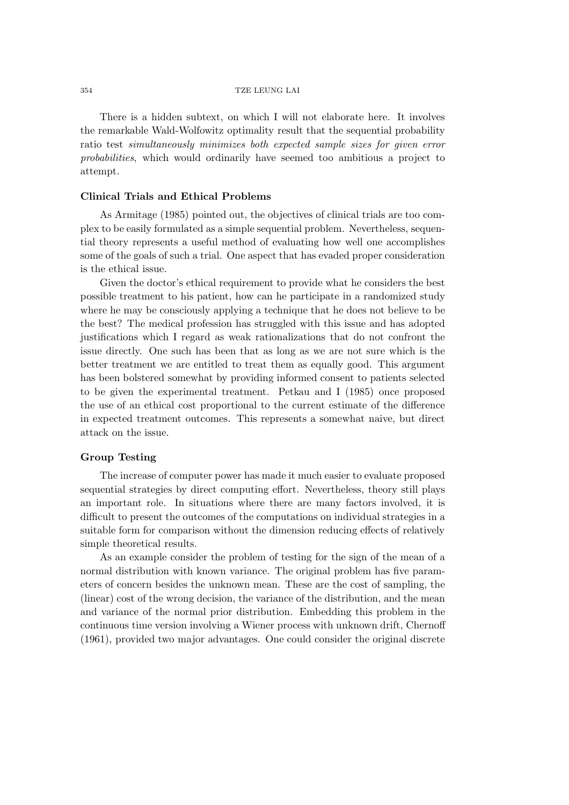There is a hidden subtext, on which I will not elaborate here. It involves the remarkable Wald-Wolfowitz optimality result that the sequential probability ratio test *simultaneously minimizes both expected sample sizes for given error probabilities*, which would ordinarily have seemed too ambitious a project to attempt.

# **Clinical Trials and Ethical Problems**

As Armitage (1985) pointed out, the objectives of clinical trials are too complex to be easily formulated as a simple sequential problem. Nevertheless, sequential theory represents a useful method of evaluating how well one accomplishes some of the goals of such a trial. One aspect that has evaded proper consideration is the ethical issue.

Given the doctor's ethical requirement to provide what he considers the best possible treatment to his patient, how can he participate in a randomized study where he may be consciously applying a technique that he does not believe to be the best? The medical profession has struggled with this issue and has adopted justifications which I regard as weak rationalizations that do not confront the issue directly. One such has been that as long as we are not sure which is the better treatment we are entitled to treat them as equally good. This argument has been bolstered somewhat by providing informed consent to patients selected to be given the experimental treatment. Petkau and I (1985) once proposed the use of an ethical cost proportional to the current estimate of the difference in expected treatment outcomes. This represents a somewhat naive, but direct attack on the issue.

# **Group Testing**

The increase of computer power has made it much easier to evaluate proposed sequential strategies by direct computing effort. Nevertheless, theory still plays an important role. In situations where there are many factors involved, it is difficult to present the outcomes of the computations on individual strategies in a suitable form for comparison without the dimension reducing effects of relatively simple theoretical results.

As an example consider the problem of testing for the sign of the mean of a normal distribution with known variance. The original problem has five parameters of concern besides the unknown mean. These are the cost of sampling, the (linear) cost of the wrong decision, the variance of the distribution, and the mean and variance of the normal prior distribution. Embedding this problem in the continuous time version involving a Wiener process with unknown drift, Chernoff (1961), provided two major advantages. One could consider the original discrete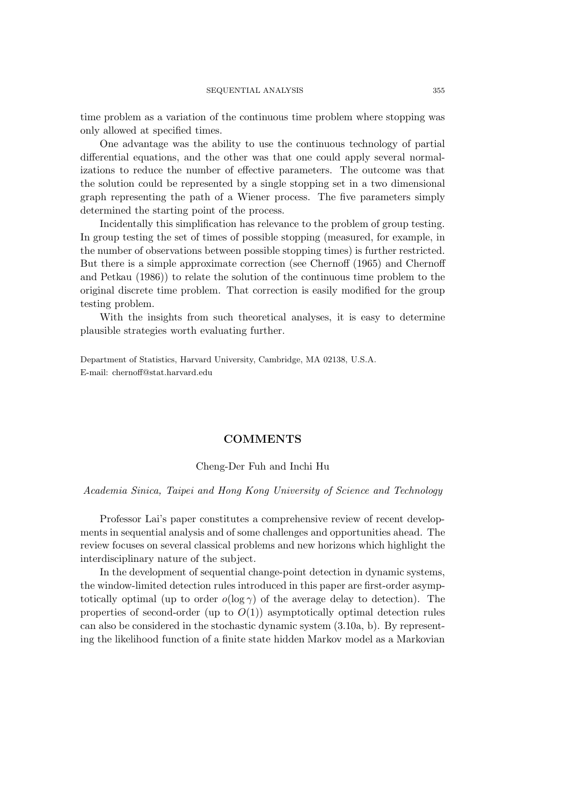time problem as a variation of the continuous time problem where stopping was only allowed at specified times.

One advantage was the ability to use the continuous technology of partial differential equations, and the other was that one could apply several normalizations to reduce the number of effective parameters. The outcome was that the solution could be represented by a single stopping set in a two dimensional graph representing the path of a Wiener process. The five parameters simply determined the starting point of the process.

Incidentally this simplification has relevance to the problem of group testing. In group testing the set of times of possible stopping (measured, for example, in the number of observations between possible stopping times) is further restricted. But there is a simple approximate correction (see Chernoff (1965) and Chernoff and Petkau (1986)) to relate the solution of the continuous time problem to the original discrete time problem. That correction is easily modified for the group testing problem.

With the insights from such theoretical analyses, it is easy to determine plausible strategies worth evaluating further.

Department of Statistics, Harvard University, Cambridge, MA 02138, U.S.A. E-mail: chernoff@stat.harvard.edu

# **COMMENTS**

# Cheng-Der Fuh and Inchi Hu

## *Academia Sinica, Taipei and Hong Kong University of Science and Technology*

Professor Lai's paper constitutes a comprehensive review of recent developments in sequential analysis and of some challenges and opportunities ahead. The review focuses on several classical problems and new horizons which highlight the interdisciplinary nature of the subject.

In the development of sequential change-point detection in dynamic systems, the window-limited detection rules introduced in this paper are first-order asymptotically optimal (up to order  $o(\log \gamma)$  of the average delay to detection). The properties of second-order (up to  $O(1)$ ) asymptotically optimal detection rules can also be considered in the stochastic dynamic system (3.10a, b). By representing the likelihood function of a finite state hidden Markov model as a Markovian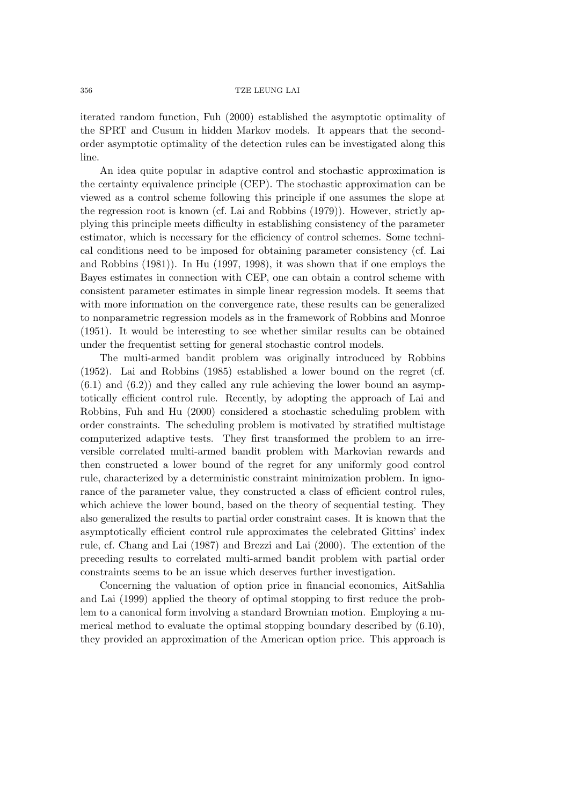iterated random function, Fuh (2000) established the asymptotic optimality of the SPRT and Cusum in hidden Markov models. It appears that the secondorder asymptotic optimality of the detection rules can be investigated along this line.

An idea quite popular in adaptive control and stochastic approximation is the certainty equivalence principle (CEP). The stochastic approximation can be viewed as a control scheme following this principle if one assumes the slope at the regression root is known (cf. Lai and Robbins (1979)). However, strictly applying this principle meets difficulty in establishing consistency of the parameter estimator, which is necessary for the efficiency of control schemes. Some technical conditions need to be imposed for obtaining parameter consistency (cf. Lai and Robbins (1981)). In Hu (1997, 1998), it was shown that if one employs the Bayes estimates in connection with CEP, one can obtain a control scheme with consistent parameter estimates in simple linear regression models. It seems that with more information on the convergence rate, these results can be generalized to nonparametric regression models as in the framework of Robbins and Monroe (1951). It would be interesting to see whether similar results can be obtained under the frequentist setting for general stochastic control models.

The multi-armed bandit problem was originally introduced by Robbins (1952). Lai and Robbins (1985) established a lower bound on the regret (cf.  $(6.1)$  and  $(6.2)$  and they called any rule achieving the lower bound an asymptotically efficient control rule. Recently, by adopting the approach of Lai and Robbins, Fuh and Hu (2000) considered a stochastic scheduling problem with order constraints. The scheduling problem is motivated by stratified multistage computerized adaptive tests. They first transformed the problem to an irreversible correlated multi-armed bandit problem with Markovian rewards and then constructed a lower bound of the regret for any uniformly good control rule, characterized by a deterministic constraint minimization problem. In ignorance of the parameter value, they constructed a class of efficient control rules, which achieve the lower bound, based on the theory of sequential testing. They also generalized the results to partial order constraint cases. It is known that the asymptotically efficient control rule approximates the celebrated Gittins' index rule, cf. Chang and Lai (1987) and Brezzi and Lai (2000). The extention of the preceding results to correlated multi-armed bandit problem with partial order constraints seems to be an issue which deserves further investigation.

Concerning the valuation of option price in financial economics, AitSahlia and Lai (1999) applied the theory of optimal stopping to first reduce the problem to a canonical form involving a standard Brownian motion. Employing a numerical method to evaluate the optimal stopping boundary described by (6.10), they provided an approximation of the American option price. This approach is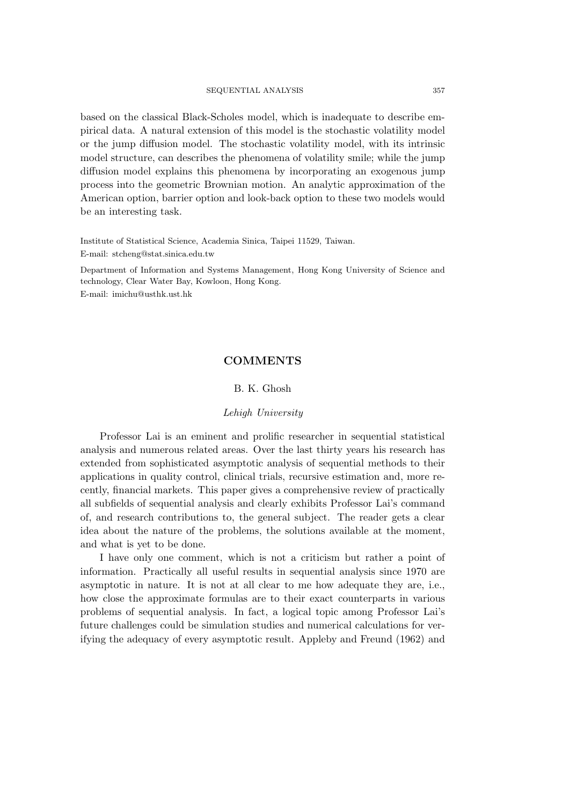#### SEQUENTIAL ANALYSIS 357

based on the classical Black-Scholes model, which is inadequate to describe empirical data. A natural extension of this model is the stochastic volatility model or the jump diffusion model. The stochastic volatility model, with its intrinsic model structure, can describes the phenomena of volatility smile; while the jump diffusion model explains this phenomena by incorporating an exogenous jump process into the geometric Brownian motion. An analytic approximation of the American option, barrier option and look-back option to these two models would be an interesting task.

Institute of Statistical Science, Academia Sinica, Taipei 11529, Taiwan.

E-mail: stcheng@stat.sinica.edu.tw

Department of Information and Systems Management, Hong Kong University of Science and technology, Clear Water Bay, Kowloon, Hong Kong. E-mail: imichu@usthk.ust.hk

# **COMMENTS**

## B. K. Ghosh

# *Lehigh University*

Professor Lai is an eminent and prolific researcher in sequential statistical analysis and numerous related areas. Over the last thirty years his research has extended from sophisticated asymptotic analysis of sequential methods to their applications in quality control, clinical trials, recursive estimation and, more recently, financial markets. This paper gives a comprehensive review of practically all subfields of sequential analysis and clearly exhibits Professor Lai's command of, and research contributions to, the general subject. The reader gets a clear idea about the nature of the problems, the solutions available at the moment, and what is yet to be done.

I have only one comment, which is not a criticism but rather a point of information. Practically all useful results in sequential analysis since 1970 are asymptotic in nature. It is not at all clear to me how adequate they are, i.e., how close the approximate formulas are to their exact counterparts in various problems of sequential analysis. In fact, a logical topic among Professor Lai's future challenges could be simulation studies and numerical calculations for verifying the adequacy of every asymptotic result. Appleby and Freund (1962) and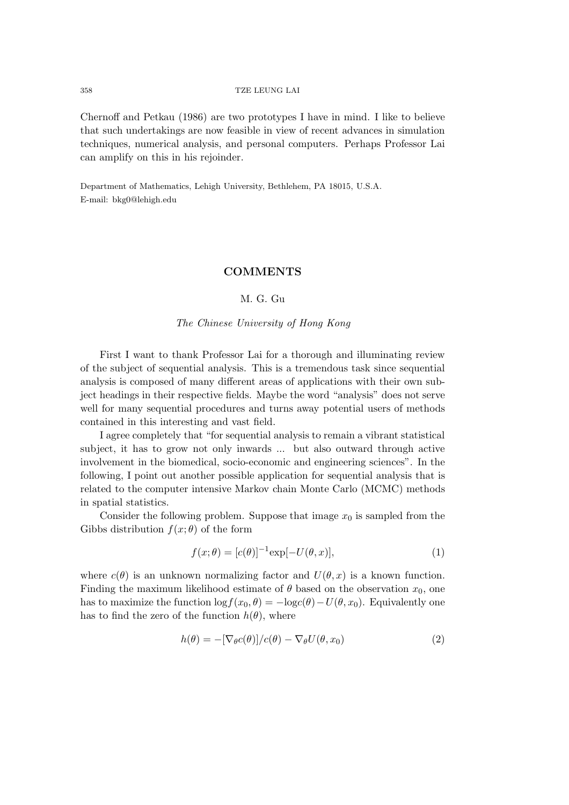Chernoff and Petkau (1986) are two prototypes I have in mind. I like to believe that such undertakings are now feasible in view of recent advances in simulation techniques, numerical analysis, and personal computers. Perhaps Professor Lai can amplify on this in his rejoinder.

Department of Mathematics, Lehigh University, Bethlehem, PA 18015, U.S.A. E-mail: bkg0@lehigh.edu

# **COMMENTS**

# M. G. Gu

## *The Chinese University of Hong Kong*

First I want to thank Professor Lai for a thorough and illuminating review of the subject of sequential analysis. This is a tremendous task since sequential analysis is composed of many different areas of applications with their own subject headings in their respective fields. Maybe the word "analysis" does not serve well for many sequential procedures and turns away potential users of methods contained in this interesting and vast field.

I agree completely that "for sequential analysis to remain a vibrant statistical subject, it has to grow not only inwards ... but also outward through active involvement in the biomedical, socio-economic and engineering sciences". In the following, I point out another possible application for sequential analysis that is related to the computer intensive Markov chain Monte Carlo (MCMC) methods in spatial statistics.

Consider the following problem. Suppose that image  $x_0$  is sampled from the Gibbs distribution  $f(x; \theta)$  of the form

$$
f(x; \theta) = [c(\theta)]^{-1} \exp[-U(\theta, x)], \qquad (1)
$$

where  $c(\theta)$  is an unknown normalizing factor and  $U(\theta, x)$  is a known function. Finding the maximum likelihood estimate of  $\theta$  based on the observation  $x_0$ , one has to maximize the function  $\log f(x_0, \theta) = -\log c(\theta) - U(\theta, x_0)$ . Equivalently one has to find the zero of the function  $h(\theta)$ , where

$$
h(\theta) = -[\nabla_{\theta}c(\theta)]/c(\theta) - \nabla_{\theta}U(\theta, x_0)
$$
\n(2)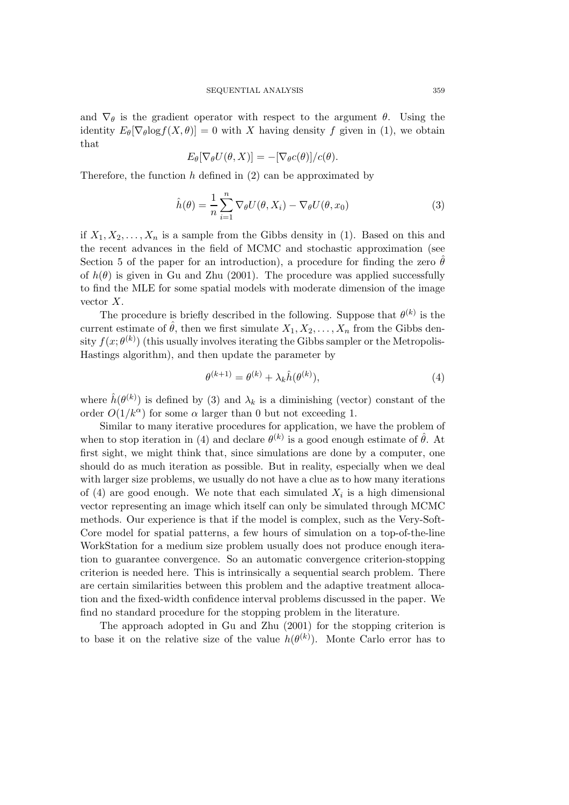and  $\nabla_{\theta}$  is the gradient operator with respect to the argument  $\theta$ . Using the identity  $E_{\theta}[\nabla_{\theta}log f(X, \theta)] = 0$  with X having density f given in (1), we obtain that

$$
E_{\theta}[\nabla_{\theta}U(\theta, X)] = -[\nabla_{\theta}c(\theta)]/c(\theta).
$$

Therefore, the function  $h$  defined in  $(2)$  can be approximated by

$$
\hat{h}(\theta) = \frac{1}{n} \sum_{i=1}^{n} \nabla_{\theta} U(\theta, X_i) - \nabla_{\theta} U(\theta, x_0)
$$
\n(3)

if  $X_1, X_2, \ldots, X_n$  is a sample from the Gibbs density in (1). Based on this and the recent advances in the field of MCMC and stochastic approximation (see Section 5 of the paper for an introduction), a procedure for finding the zero  $\hat{\theta}$ of  $h(\theta)$  is given in Gu and Zhu (2001). The procedure was applied successfully to find the MLE for some spatial models with moderate dimension of the image vector X.

The procedure is briefly described in the following. Suppose that  $\theta^{(k)}$  is the current estimate of  $\hat{\theta}$ , then we first simulate  $X_1, X_2, \ldots, X_n$  from the Gibbs density  $f(x; \theta^{(k)})$  (this usually involves iterating the Gibbs sampler or the Metropolis-Hastings algorithm), and then update the parameter by

$$
\theta^{(k+1)} = \theta^{(k)} + \lambda_k \hat{h}(\theta^{(k)}),\tag{4}
$$

where  $\hat{h}(\theta^{(k)})$  is defined by (3) and  $\lambda_k$  is a diminishing (vector) constant of the order  $O(1/k^{\alpha})$  for some  $\alpha$  larger than 0 but not exceeding 1.

Similar to many iterative procedures for application, we have the problem of when to stop iteration in (4) and declare  $\theta^{(k)}$  is a good enough estimate of  $\hat{\theta}$ . At first sight, we might think that, since simulations are done by a computer, one should do as much iteration as possible. But in reality, especially when we deal with larger size problems, we usually do not have a clue as to how many iterations of (4) are good enough. We note that each simulated  $X_i$  is a high dimensional vector representing an image which itself can only be simulated through MCMC methods. Our experience is that if the model is complex, such as the Very-Soft-Core model for spatial patterns, a few hours of simulation on a top-of-the-line WorkStation for a medium size problem usually does not produce enough iteration to guarantee convergence. So an automatic convergence criterion-stopping criterion is needed here. This is intrinsically a sequential search problem. There are certain similarities between this problem and the adaptive treatment allocation and the fixed-width confidence interval problems discussed in the paper. We find no standard procedure for the stopping problem in the literature.

The approach adopted in Gu and Zhu (2001) for the stopping criterion is to base it on the relative size of the value  $h(\theta^{(k)})$ . Monte Carlo error has to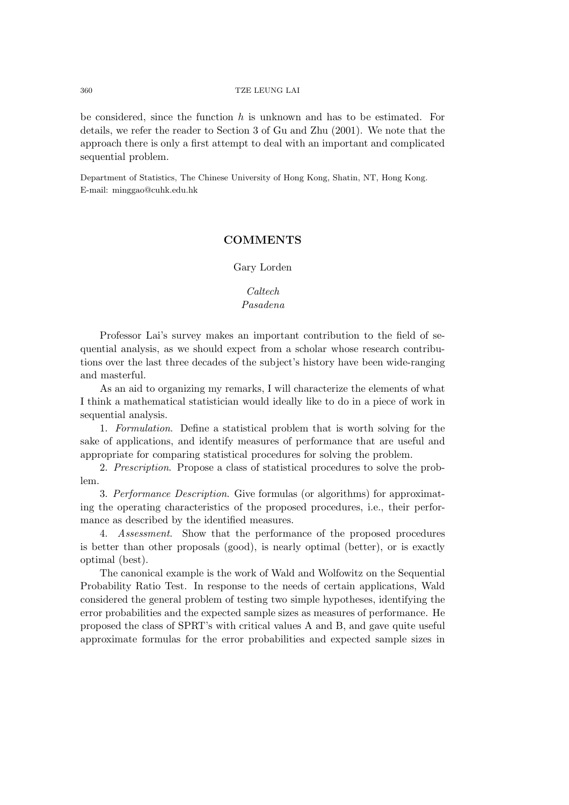be considered, since the function  $h$  is unknown and has to be estimated. For details, we refer the reader to Section 3 of Gu and Zhu (2001). We note that the approach there is only a first attempt to deal with an important and complicated sequential problem.

Department of Statistics, The Chinese University of Hong Kong, Shatin, NT, Hong Kong. E-mail: minggao@cuhk.edu.hk

# **COMMENTS**

Gary Lorden

# *Caltech*

# *Pasadena*

Professor Lai's survey makes an important contribution to the field of sequential analysis, as we should expect from a scholar whose research contributions over the last three decades of the subject's history have been wide-ranging and masterful.

As an aid to organizing my remarks, I will characterize the elements of what I think a mathematical statistician would ideally like to do in a piece of work in sequential analysis.

1. *Formulation*. Define a statistical problem that is worth solving for the sake of applications, and identify measures of performance that are useful and appropriate for comparing statistical procedures for solving the problem.

2. *Prescription*. Propose a class of statistical procedures to solve the problem.

3. *Performance Description*. Give formulas (or algorithms) for approximating the operating characteristics of the proposed procedures, i.e., their performance as described by the identified measures.

4. *Assessment*. Show that the performance of the proposed procedures is better than other proposals (good), is nearly optimal (better), or is exactly optimal (best).

The canonical example is the work of Wald and Wolfowitz on the Sequential Probability Ratio Test. In response to the needs of certain applications, Wald considered the general problem of testing two simple hypotheses, identifying the error probabilities and the expected sample sizes as measures of performance. He proposed the class of SPRT's with critical values A and B, and gave quite useful approximate formulas for the error probabilities and expected sample sizes in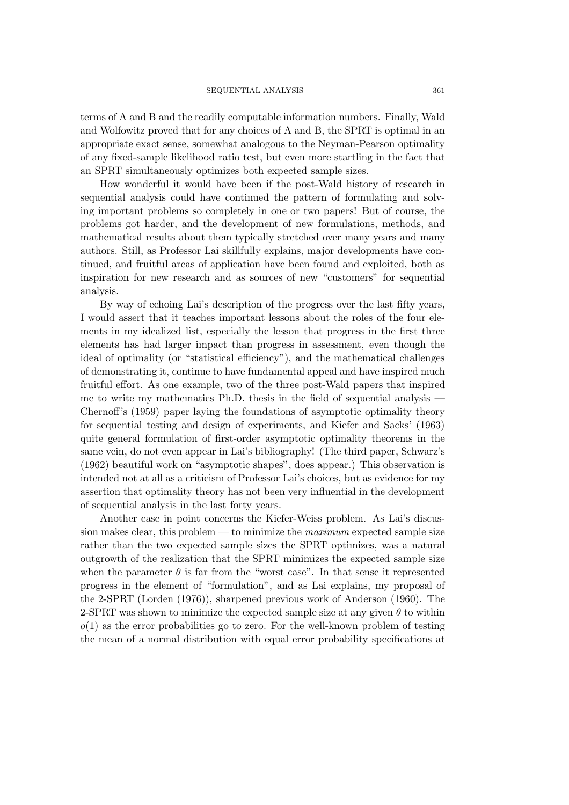terms of A and B and the readily computable information numbers. Finally, Wald and Wolfowitz proved that for any choices of A and B, the SPRT is optimal in an appropriate exact sense, somewhat analogous to the Neyman-Pearson optimality of any fixed-sample likelihood ratio test, but even more startling in the fact that an SPRT simultaneously optimizes both expected sample sizes.

How wonderful it would have been if the post-Wald history of research in sequential analysis could have continued the pattern of formulating and solving important problems so completely in one or two papers! But of course, the problems got harder, and the development of new formulations, methods, and mathematical results about them typically stretched over many years and many authors. Still, as Professor Lai skillfully explains, major developments have continued, and fruitful areas of application have been found and exploited, both as inspiration for new research and as sources of new "customers" for sequential analysis.

By way of echoing Lai's description of the progress over the last fifty years, I would assert that it teaches important lessons about the roles of the four elements in my idealized list, especially the lesson that progress in the first three elements has had larger impact than progress in assessment, even though the ideal of optimality (or "statistical efficiency"), and the mathematical challenges of demonstrating it, continue to have fundamental appeal and have inspired much fruitful effort. As one example, two of the three post-Wald papers that inspired me to write my mathematics Ph.D. thesis in the field of sequential analysis -Chernoff's (1959) paper laying the foundations of asymptotic optimality theory for sequential testing and design of experiments, and Kiefer and Sacks' (1963) quite general formulation of first-order asymptotic optimality theorems in the same vein, do not even appear in Lai's bibliography! (The third paper, Schwarz's (1962) beautiful work on "asymptotic shapes", does appear.) This observation is intended not at all as a criticism of Professor Lai's choices, but as evidence for my assertion that optimality theory has not been very influential in the development of sequential analysis in the last forty years.

Another case in point concerns the Kiefer-Weiss problem. As Lai's discussion makes clear, this problem — to minimize the *maximum* expected sample size rather than the two expected sample sizes the SPRT optimizes, was a natural outgrowth of the realization that the SPRT minimizes the expected sample size when the parameter  $\theta$  is far from the "worst case". In that sense it represented progress in the element of "formulation", and as Lai explains, my proposal of the 2-SPRT (Lorden (1976)), sharpened previous work of Anderson (1960). The 2-SPRT was shown to minimize the expected sample size at any given  $\theta$  to within  $o(1)$  as the error probabilities go to zero. For the well-known problem of testing the mean of a normal distribution with equal error probability specifications at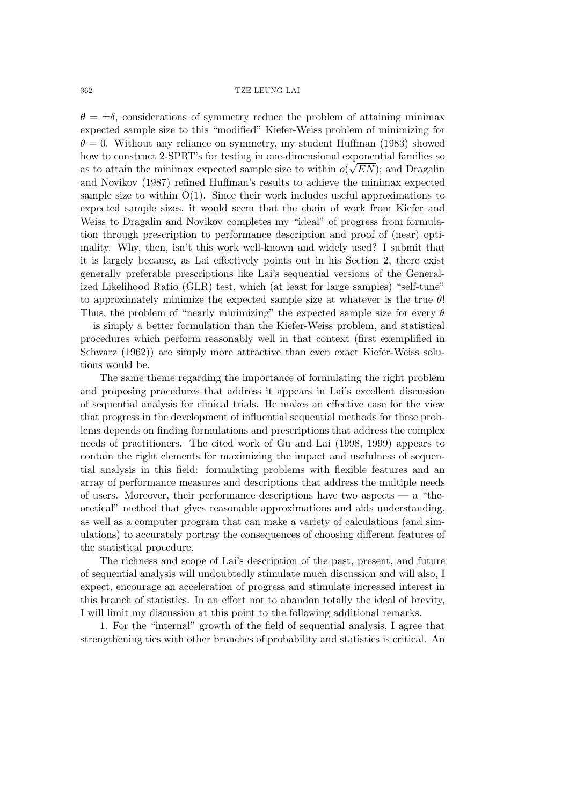$\theta = \pm \delta$ , considerations of symmetry reduce the problem of attaining minimax expected sample size to this "modified" Kiefer-Weiss problem of minimizing for  $\theta = 0$ . Without any reliance on symmetry, my student Huffman (1983) showed how to construct 2-SPRT's for testing in one-dimensional exponential families so as to attain the minimax expected sample size to within  $o(\sqrt{EN})$ ; and Dragalin and Novikov (1987) refined Huffman's results to achieve the minimax expected sample size to within  $O(1)$ . Since their work includes useful approximations to expected sample sizes, it would seem that the chain of work from Kiefer and Weiss to Dragalin and Novikov completes my "ideal" of progress from formulation through prescription to performance description and proof of (near) optimality. Why, then, isn't this work well-known and widely used? I submit that it is largely because, as Lai effectively points out in his Section 2, there exist generally preferable prescriptions like Lai's sequential versions of the Generalized Likelihood Ratio (GLR) test, which (at least for large samples) "self-tune" to approximately minimize the expected sample size at whatever is the true  $\theta$ ! Thus, the problem of "nearly minimizing" the expected sample size for every  $\theta$ 

 is simply a better formulation than the Kiefer-Weiss problem, and statistical procedures which perform reasonably well in that context (first exemplified in Schwarz (1962)) are simply more attractive than even exact Kiefer-Weiss solutions would be.

The same theme regarding the importance of formulating the right problem and proposing procedures that address it appears in Lai's excellent discussion of sequential analysis for clinical trials. He makes an effective case for the view that progress in the development of influential sequential methods for these problems depends on finding formulations and prescriptions that address the complex needs of practitioners. The cited work of Gu and Lai (1998, 1999) appears to contain the right elements for maximizing the impact and usefulness of sequential analysis in this field: formulating problems with flexible features and an array of performance measures and descriptions that address the multiple needs of users. Moreover, their performance descriptions have two aspects  $-$  a "theoretical" method that gives reasonable approximations and aids understanding, as well as a computer program that can make a variety of calculations (and simulations) to accurately portray the consequences of choosing different features of the statistical procedure.

The richness and scope of Lai's description of the past, present, and future of sequential analysis will undoubtedly stimulate much discussion and will also, I expect, encourage an acceleration of progress and stimulate increased interest in this branch of statistics. In an effort not to abandon totally the ideal of brevity, I will limit my discussion at this point to the following additional remarks.

1. For the "internal" growth of the field of sequential analysis, I agree that strengthening ties with other branches of probability and statistics is critical. An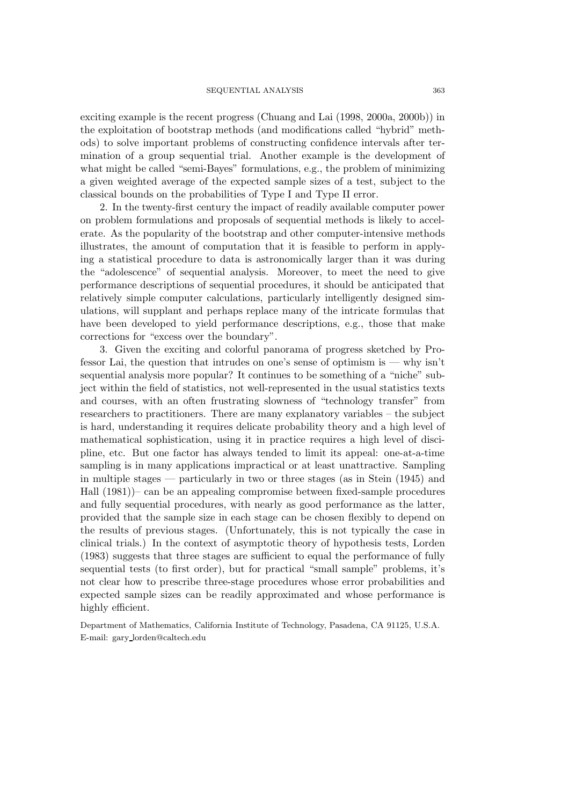exciting example is the recent progress (Chuang and Lai (1998, 2000a, 2000b)) in the exploitation of bootstrap methods (and modifications called "hybrid" methods) to solve important problems of constructing confidence intervals after termination of a group sequential trial. Another example is the development of what might be called "semi-Bayes" formulations, e.g., the problem of minimizing a given weighted average of the expected sample sizes of a test, subject to the classical bounds on the probabilities of Type I and Type II error.

2. In the twenty-first century the impact of readily available computer power on problem formulations and proposals of sequential methods is likely to accelerate. As the popularity of the bootstrap and other computer-intensive methods illustrates, the amount of computation that it is feasible to perform in applying a statistical procedure to data is astronomically larger than it was during the "adolescence" of sequential analysis. Moreover, to meet the need to give performance descriptions of sequential procedures, it should be anticipated that relatively simple computer calculations, particularly intelligently designed simulations, will supplant and perhaps replace many of the intricate formulas that have been developed to yield performance descriptions, e.g., those that make corrections for "excess over the boundary".

3. Given the exciting and colorful panorama of progress sketched by Professor Lai, the question that intrudes on one's sense of optimism is — why isn't sequential analysis more popular? It continues to be something of a "niche" subject within the field of statistics, not well-represented in the usual statistics texts and courses, with an often frustrating slowness of "technology transfer" from researchers to practitioners. There are many explanatory variables – the subject is hard, understanding it requires delicate probability theory and a high level of mathematical sophistication, using it in practice requires a high level of discipline, etc. But one factor has always tended to limit its appeal: one-at-a-time sampling is in many applications impractical or at least unattractive. Sampling in multiple stages — particularly in two or three stages (as in Stein (1945) and Hall (1981))– can be an appealing compromise between fixed-sample procedures and fully sequential procedures, with nearly as good performance as the latter, provided that the sample size in each stage can be chosen flexibly to depend on the results of previous stages. (Unfortunately, this is not typically the case in clinical trials.) In the context of asymptotic theory of hypothesis tests, Lorden (1983) suggests that three stages are sufficient to equal the performance of fully sequential tests (to first order), but for practical "small sample" problems, it's not clear how to prescribe three-stage procedures whose error probabilities and expected sample sizes can be readily approximated and whose performance is highly efficient.

Department of Mathematics, California Institute of Technology, Pasadena, CA 91125, U.S.A. E-mail: gary lorden@caltech.edu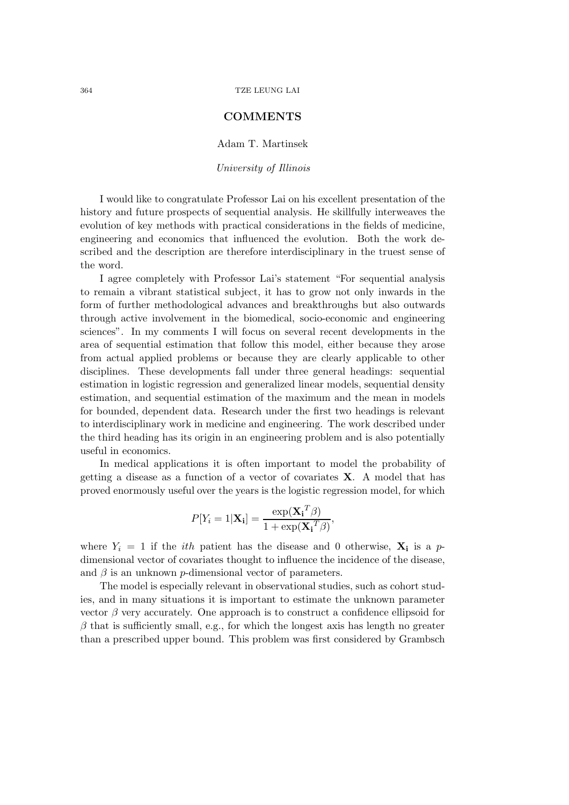# **COMMENTS**

Adam T. Martinsek

*University of Illinois*

I would like to congratulate Professor Lai on his excellent presentation of the history and future prospects of sequential analysis. He skillfully interweaves the evolution of key methods with practical considerations in the fields of medicine, engineering and economics that influenced the evolution. Both the work described and the description are therefore interdisciplinary in the truest sense of the word.

I agree completely with Professor Lai's statement "For sequential analysis to remain a vibrant statistical subject, it has to grow not only inwards in the form of further methodological advances and breakthroughs but also outwards through active involvement in the biomedical, socio-economic and engineering sciences". In my comments I will focus on several recent developments in the area of sequential estimation that follow this model, either because they arose from actual applied problems or because they are clearly applicable to other disciplines. These developments fall under three general headings: sequential estimation in logistic regression and generalized linear models, sequential density estimation, and sequential estimation of the maximum and the mean in models for bounded, dependent data. Research under the first two headings is relevant to interdisciplinary work in medicine and engineering. The work described under the third heading has its origin in an engineering problem and is also potentially useful in economics.

In medical applications it is often important to model the probability of getting a disease as a function of a vector of covariates **X**. A model that has proved enormously useful over the years is the logistic regression model, for which

$$
P[Y_i = 1 | \mathbf{X_i}] = \frac{\exp(\mathbf{X_i}^T \boldsymbol{\beta})}{1 + \exp(\mathbf{X_i}^T \boldsymbol{\beta})},
$$

where  $Y_i = 1$  if the *ith* patient has the disease and 0 otherwise,  $X_i$  is a pdimensional vector of covariates thought to influence the incidence of the disease, and  $\beta$  is an unknown p-dimensional vector of parameters.

The model is especially relevant in observational studies, such as cohort studies, and in many situations it is important to estimate the unknown parameter vector  $\beta$  very accurately. One approach is to construct a confidence ellipsoid for  $\beta$  that is sufficiently small, e.g., for which the longest axis has length no greater than a prescribed upper bound. This problem was first considered by Grambsch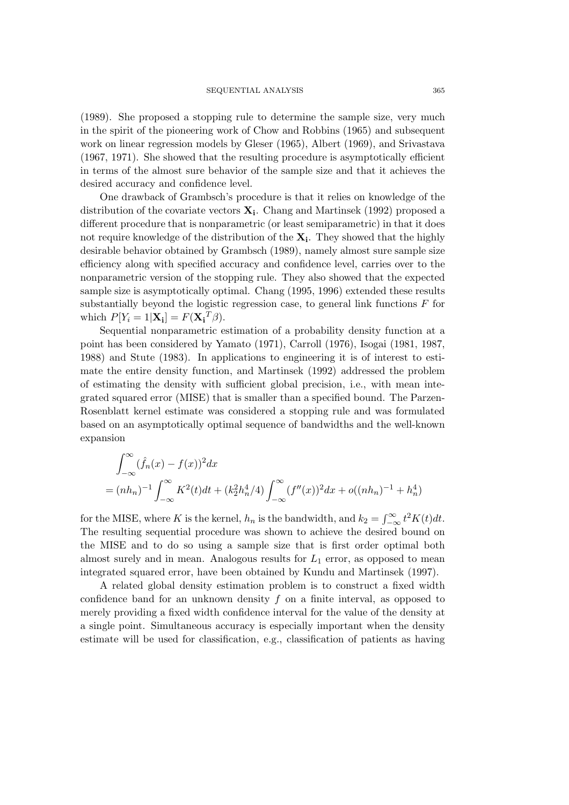(1989). She proposed a stopping rule to determine the sample size, very much in the spirit of the pioneering work of Chow and Robbins (1965) and subsequent work on linear regression models by Gleser (1965), Albert (1969), and Srivastava (1967, 1971). She showed that the resulting procedure is asymptotically efficient in terms of the almost sure behavior of the sample size and that it achieves the desired accuracy and confidence level.

One drawback of Grambsch's procedure is that it relies on knowledge of the distribution of the covariate vectors  $\mathbf{X}_i$ . Chang and Martinsek (1992) proposed a different procedure that is nonparametric (or least semiparametric) in that it does not require knowledge of the distribution of the **Xi**. They showed that the highly desirable behavior obtained by Grambsch (1989), namely almost sure sample size efficiency along with specified accuracy and confidence level, carries over to the nonparametric version of the stopping rule. They also showed that the expected sample size is asymptotically optimal. Chang (1995, 1996) extended these results substantially beyond the logistic regression case, to general link functions  $F$  for which  $P[Y_i = 1 | \mathbf{X_i}] = F(\mathbf{X_i}^T \beta).$ 

Sequential nonparametric estimation of a probability density function at a point has been considered by Yamato (1971), Carroll (1976), Isogai (1981, 1987, 1988) and Stute (1983). In applications to engineering it is of interest to estimate the entire density function, and Martinsek (1992) addressed the problem of estimating the density with sufficient global precision, i.e., with mean integrated squared error (MISE) that is smaller than a specified bound. The Parzen-Rosenblatt kernel estimate was considered a stopping rule and was formulated based on an asymptotically optimal sequence of bandwidths and the well-known expansion

$$
\int_{-\infty}^{\infty} (\hat{f}_n(x) - f(x))^2 dx
$$
  
=  $(nh_n)^{-1} \int_{-\infty}^{\infty} K^2(t) dt + (k_2^2 h_n^4/4) \int_{-\infty}^{\infty} (f''(x))^2 dx + o((nh_n)^{-1} + h_n^4)$ 

for the MISE, where K is the kernel,  $h_n$  is the bandwidth, and  $k_2 = \int_{-\infty}^{\infty} t^2 K(t) dt$ . The resulting sequential procedure was shown to achieve the desired bound on the MISE and to do so using a sample size that is first order optimal both almost surely and in mean. Analogous results for  $L_1$  error, as opposed to mean integrated squared error, have been obtained by Kundu and Martinsek (1997).

A related global density estimation problem is to construct a fixed width confidence band for an unknown density  $f$  on a finite interval, as opposed to merely providing a fixed width confidence interval for the value of the density at a single point. Simultaneous accuracy is especially important when the density estimate will be used for classification, e.g., classification of patients as having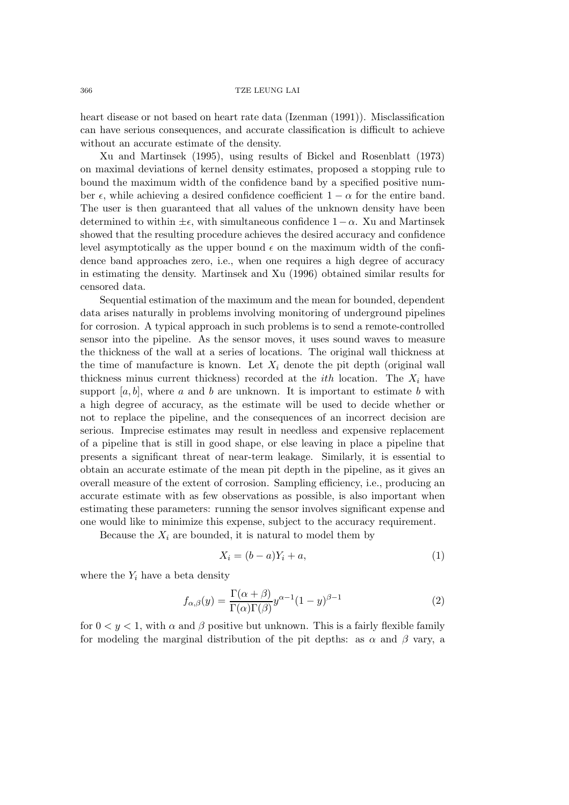heart disease or not based on heart rate data (Izenman (1991)). Misclassification can have serious consequences, and accurate classification is difficult to achieve without an accurate estimate of the density.

Xu and Martinsek (1995), using results of Bickel and Rosenblatt (1973) on maximal deviations of kernel density estimates, proposed a stopping rule to bound the maximum width of the confidence band by a specified positive number  $\epsilon$ , while achieving a desired confidence coefficient  $1 - \alpha$  for the entire band. The user is then guaranteed that all values of the unknown density have been determined to within  $\pm \epsilon$ , with simultaneous confidence  $1-\alpha$ . Xu and Martinsek showed that the resulting procedure achieves the desired accuracy and confidence level asymptotically as the upper bound  $\epsilon$  on the maximum width of the confidence band approaches zero, i.e., when one requires a high degree of accuracy in estimating the density. Martinsek and Xu (1996) obtained similar results for censored data.

Sequential estimation of the maximum and the mean for bounded, dependent data arises naturally in problems involving monitoring of underground pipelines for corrosion. A typical approach in such problems is to send a remote-controlled sensor into the pipeline. As the sensor moves, it uses sound waves to measure the thickness of the wall at a series of locations. The original wall thickness at the time of manufacture is known. Let  $X_i$  denote the pit depth (original wall thickness minus current thickness) recorded at the *ith* location. The  $X_i$  have support  $[a, b]$ , where a and b are unknown. It is important to estimate b with a high degree of accuracy, as the estimate will be used to decide whether or not to replace the pipeline, and the consequences of an incorrect decision are serious. Imprecise estimates may result in needless and expensive replacement of a pipeline that is still in good shape, or else leaving in place a pipeline that presents a significant threat of near-term leakage. Similarly, it is essential to obtain an accurate estimate of the mean pit depth in the pipeline, as it gives an overall measure of the extent of corrosion. Sampling efficiency, i.e., producing an accurate estimate with as few observations as possible, is also important when estimating these parameters: running the sensor involves significant expense and one would like to minimize this expense, subject to the accuracy requirement.

Because the  $X_i$  are bounded, it is natural to model them by

$$
X_i = (b - a)Y_i + a,\t\t(1)
$$

where the  $Y_i$  have a beta density

$$
f_{\alpha,\beta}(y) = \frac{\Gamma(\alpha+\beta)}{\Gamma(\alpha)\Gamma(\beta)} y^{\alpha-1} (1-y)^{\beta-1}
$$
 (2)

for  $0 < y < 1$ , with  $\alpha$  and  $\beta$  positive but unknown. This is a fairly flexible family for modeling the marginal distribution of the pit depths: as  $\alpha$  and  $\beta$  vary, a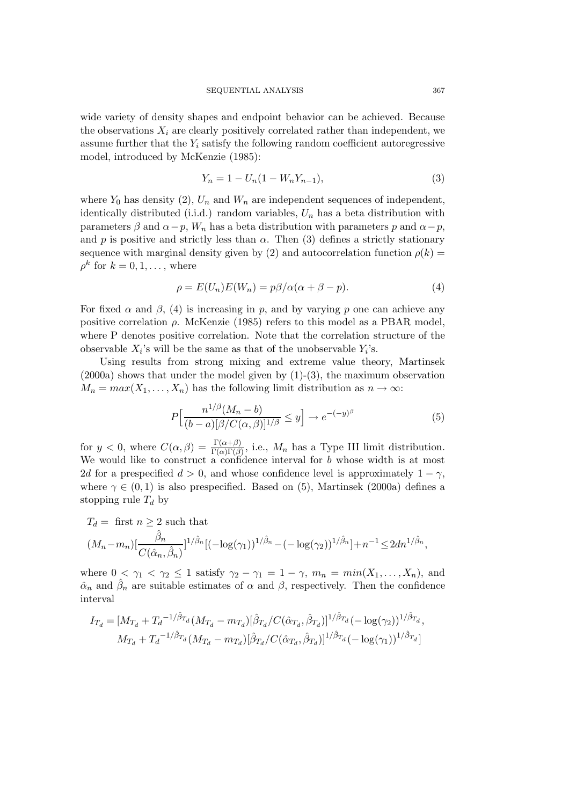wide variety of density shapes and endpoint behavior can be achieved. Because the observations  $X_i$  are clearly positively correlated rather than independent, we assume further that the  $Y_i$  satisfy the following random coefficient autoregressive model, introduced by McKenzie (1985):

$$
Y_n = 1 - U_n(1 - W_n Y_{n-1}),
$$
\n(3)

where  $Y_0$  has density (2),  $U_n$  and  $W_n$  are independent sequences of independent, identically distributed (i.i.d.) random variables,  $U_n$  has a beta distribution with parameters  $\beta$  and  $\alpha - p$ ,  $W_n$  has a beta distribution with parameters p and  $\alpha - p$ , and p is positive and strictly less than  $\alpha$ . Then (3) defines a strictly stationary sequence with marginal density given by (2) and autocorrelation function  $\rho(k)$  =  $\rho^k$  for  $k = 0, 1, \ldots$ , where

$$
\rho = E(U_n)E(W_n) = p\beta/\alpha(\alpha + \beta - p). \tag{4}
$$

For fixed  $\alpha$  and  $\beta$ , (4) is increasing in p, and by varying p one can achieve any positive correlation  $\rho$ . McKenzie (1985) refers to this model as a PBAR model, where P denotes positive correlation. Note that the correlation structure of the observable  $X_i$ 's will be the same as that of the unobservable  $Y_i$ 's.

Using results from strong mixing and extreme value theory, Martinsek  $(2000a)$  shows that under the model given by  $(1)-(3)$ , the maximum observation  $M_n = max(X_1, ..., X_n)$  has the following limit distribution as  $n \to \infty$ :

$$
P\left[\frac{n^{1/\beta}(M_n - b)}{(b - a)[\beta/C(\alpha, \beta)]^{1/\beta}} \le y\right] \to e^{-(-y)^{\beta}}\tag{5}
$$

for  $y < 0$ , where  $C(\alpha, \beta) = \frac{\Gamma(\alpha+\beta)}{\Gamma(\alpha)\Gamma(\beta)}$ , i.e.,  $M_n$  has a Type III limit distribution. We would like to construct a confidence interval for b whose width is at most 2d for a prespecified  $d > 0$ , and whose confidence level is approximately  $1 - \gamma$ , where  $\gamma \in (0, 1)$  is also prespecified. Based on (5), Martinsek (2000a) defines a stopping rule  $T_d$  by

$$
T_d = \text{ first } n \ge 2 \text{ such that}
$$
  

$$
(M_n - m_n) \left[ \frac{\hat{\beta}_n}{C(\hat{\alpha}_n, \hat{\beta}_n)} \right]^{1/\hat{\beta}_n} \left[ (-\log(\gamma_1))^{1/\hat{\beta}_n} - (-\log(\gamma_2))^{1/\hat{\beta}_n} \right] + n^{-1} \le 2dn^{1/\hat{\beta}_n},
$$

where  $0 < \gamma_1 < \gamma_2 \leq 1$  satisfy  $\gamma_2 - \gamma_1 = 1 - \gamma$ ,  $m_n = min(X_1, \ldots, X_n)$ , and  $\hat{\alpha}_n$  and  $\hat{\beta}_n$  are suitable estimates of  $\alpha$  and  $\beta$ , respectively. Then the confidence interval

$$
I_{T_d} = [M_{T_d} + T_d^{-1/\hat{\beta}_{T_d}} (M_{T_d} - m_{T_d}) [\hat{\beta}_{T_d} / C(\hat{\alpha}_{T_d}, \hat{\beta}_{T_d})]^{1/\hat{\beta}_{T_d}} (-\log(\gamma_2))^{1/\hat{\beta}_{T_d}},
$$
  

$$
M_{T_d} + T_d^{-1/\hat{\beta}_{T_d}} (M_{T_d} - m_{T_d}) [\hat{\beta}_{T_d} / C(\hat{\alpha}_{T_d}, \hat{\beta}_{T_d})]^{1/\hat{\beta}_{T_d}} (-\log(\gamma_1))^{1/\hat{\beta}_{T_d}}]
$$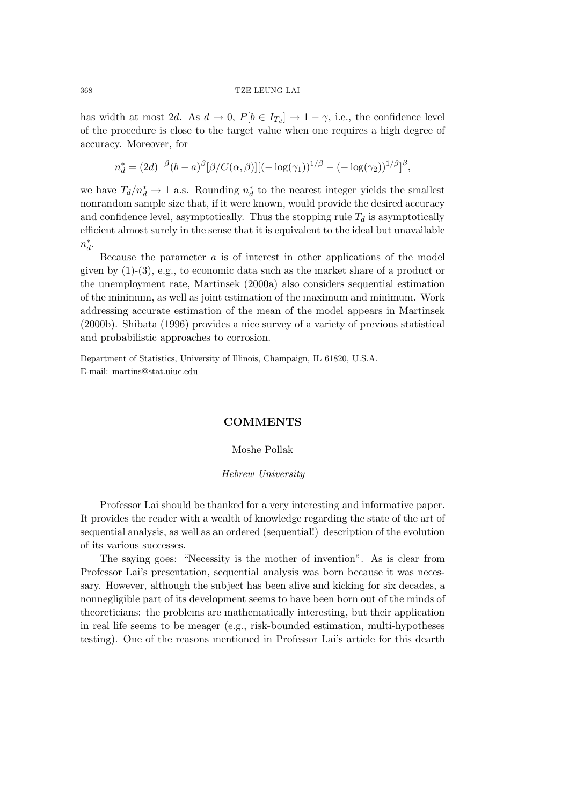has width at most 2d. As  $d \to 0$ ,  $P[b \in I_{T_d}] \to 1 - \gamma$ , i.e., the confidence level of the procedure is close to the target value when one requires a high degree of accuracy. Moreover, for

$$
n_d^* = (2d)^{-\beta} (b - a)^{\beta} [\beta / C(\alpha, \beta)][(-\log(\gamma_1))^{1/\beta} - (-\log(\gamma_2))^{1/\beta}]^{\beta},
$$

we have  $T_d/n_d^* \to 1$  a.s. Rounding  $n_d^*$  to the nearest integer yields the smallest nonrandom sample size that, if it were known, would provide the desired accuracy and confidence level, asymptotically. Thus the stopping rule  $T_d$  is asymptotically efficient almost surely in the sense that it is equivalent to the ideal but unavailable  $n_d^*$ .

Because the parameter  $\alpha$  is of interest in other applications of the model given by  $(1)-(3)$ , e.g., to economic data such as the market share of a product or the unemployment rate, Martinsek (2000a) also considers sequential estimation of the minimum, as well as joint estimation of the maximum and minimum. Work addressing accurate estimation of the mean of the model appears in Martinsek (2000b). Shibata (1996) provides a nice survey of a variety of previous statistical and probabilistic approaches to corrosion.

Department of Statistics, University of Illinois, Champaign, IL 61820, U.S.A. E-mail: martins@stat.uiuc.edu

# **COMMENTS**

### Moshe Pollak

## *Hebrew University*

Professor Lai should be thanked for a very interesting and informative paper. It provides the reader with a wealth of knowledge regarding the state of the art of sequential analysis, as well as an ordered (sequential!) description of the evolution of its various successes.

The saying goes: "Necessity is the mother of invention". As is clear from Professor Lai's presentation, sequential analysis was born because it was necessary. However, although the subject has been alive and kicking for six decades, a nonnegligible part of its development seems to have been born out of the minds of theoreticians: the problems are mathematically interesting, but their application in real life seems to be meager (e.g., risk-bounded estimation, multi-hypotheses testing). One of the reasons mentioned in Professor Lai's article for this dearth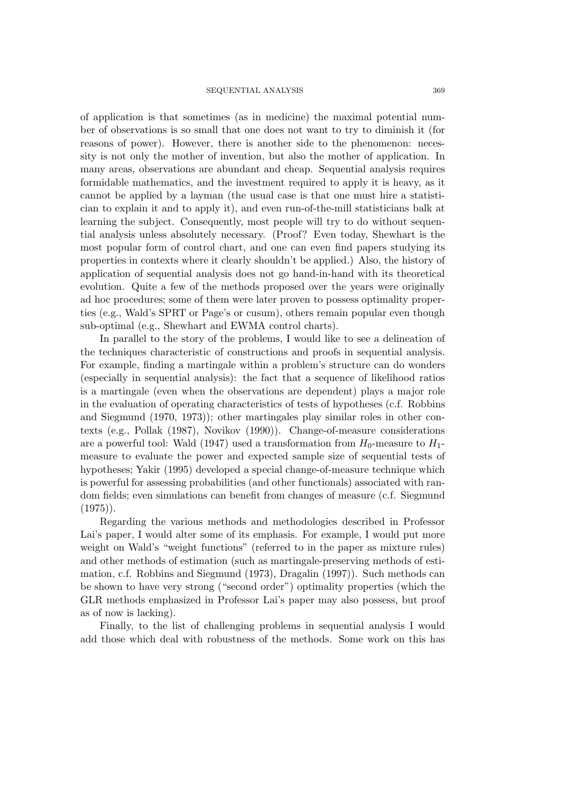of application is that sometimes (as in medicine) the maximal potential number of observations is so small that one does not want to try to diminish it (for reasons of power). However, there is another side to the phenomenon: necessity is not only the mother of invention, but also the mother of application. In many areas, observations are abundant and cheap. Sequential analysis requires formidable mathematics, and the investment required to apply it is heavy, as it cannot be applied by a layman (the usual case is that one must hire a statistician to explain it and to apply it), and even run-of-the-mill statisticians balk at learning the subject. Consequently, most people will try to do without sequential analysis unless absolutely necessary. (Proof? Even today, Shewhart is the most popular form of control chart, and one can even find papers studying its properties in contexts where it clearly shouldn't be applied.) Also, the history of application of sequential analysis does not go hand-in-hand with its theoretical evolution. Quite a few of the methods proposed over the years were originally ad hoc procedures; some of them were later proven to possess optimality properties (e.g., Wald's SPRT or Page's or cusum), others remain popular even though sub-optimal (e.g., Shewhart and EWMA control charts).

In parallel to the story of the problems, I would like to see a delineation of the techniques characteristic of constructions and proofs in sequential analysis. For example, finding a martingale within a problem's structure can do wonders (especially in sequential analysis): the fact that a sequence of likelihood ratios is a martingale (even when the observations are dependent) plays a major role in the evaluation of operating characteristics of tests of hypotheses (c.f. Robbins and Siegmund (1970, 1973)); other martingales play similar roles in other contexts (e.g., Pollak (1987), Novikov (1990)). Change-of-measure considerations are a powerful tool: Wald (1947) used a transformation from  $H_0$ -measure to  $H_1$ measure to evaluate the power and expected sample size of sequential tests of hypotheses; Yakir (1995) developed a special change-of-measure technique which is powerful for assessing probabilities (and other functionals) associated with random fields; even simulations can benefit from changes of measure (c.f. Siegmund  $(1975)$ .

Regarding the various methods and methodologies described in Professor Lai's paper, I would alter some of its emphasis. For example, I would put more weight on Wald's "weight functions" (referred to in the paper as mixture rules) and other methods of estimation (such as martingale-preserving methods of estimation, c.f. Robbins and Siegmund (1973), Dragalin (1997)). Such methods can be shown to have very strong ("second order") optimality properties (which the GLR methods emphasized in Professor Lai's paper may also possess, but proof as of now is lacking).

Finally, to the list of challenging problems in sequential analysis I would add those which deal with robustness of the methods. Some work on this has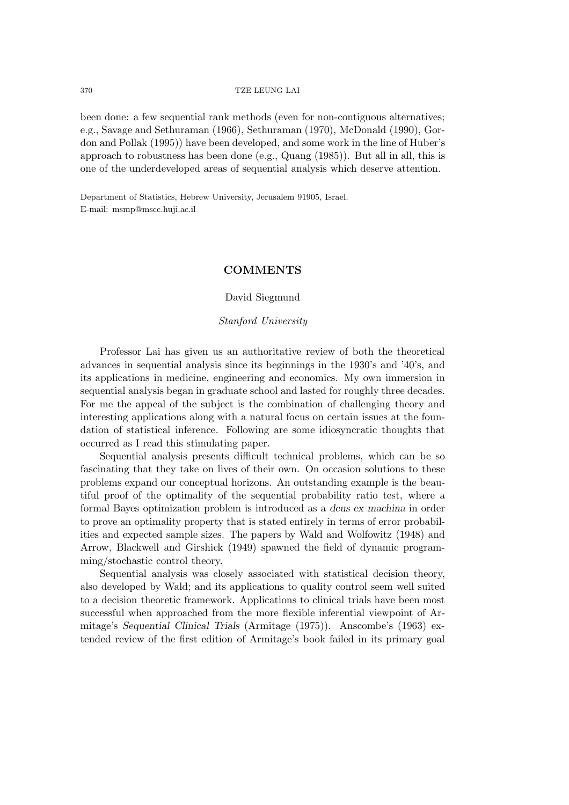been done: a few sequential rank methods (even for non-contiguous alternatives; e.g., Savage and Sethuraman (1966), Sethuraman (1970), McDonald (1990), Gordon and Pollak (1995)) have been developed, and some work in the line of Huber's approach to robustness has been done (e.g., Quang (1985)). But all in all, this is one of the underdeveloped areas of sequential analysis which deserve attention.

Department of Statistics, Hebrew University, Jerusalem 91905, Israel. E-mail: msmp@mscc.huji.ac.il

# **COMMENTS**

# David Siegmund

## *Stanford University*

Professor Lai has given us an authoritative review of both the theoretical advances in sequential analysis since its beginnings in the 1930's and '40's, and its applications in medicine, engineering and economics. My own immersion in sequential analysis began in graduate school and lasted for roughly three decades. For me the appeal of the subject is the combination of challenging theory and interesting applications along with a natural focus on certain issues at the foundation of statistical inference. Following are some idiosyncratic thoughts that occurred as I read this stimulating paper.

Sequential analysis presents difficult technical problems, which can be so fascinating that they take on lives of their own. On occasion solutions to these problems expand our conceptual horizons. An outstanding example is the beautiful proof of the optimality of the sequential probability ratio test, where a formal Bayes optimization problem is introduced as a *deus ex machina* in order to prove an optimality property that is stated entirely in terms of error probabilities and expected sample sizes. The papers by Wald and Wolfowitz (1948) and Arrow, Blackwell and Girshick (1949) spawned the field of dynamic programming/stochastic control theory.

Sequential analysis was closely associated with statistical decision theory, also developed by Wald; and its applications to quality control seem well suited to a decision theoretic framework. Applications to clinical trials have been most successful when approached from the more flexible inferential viewpoint of Armitage's *Sequential Clinical Trials* (Armitage (1975)). Anscombe's (1963) extended review of the first edition of Armitage's book failed in its primary goal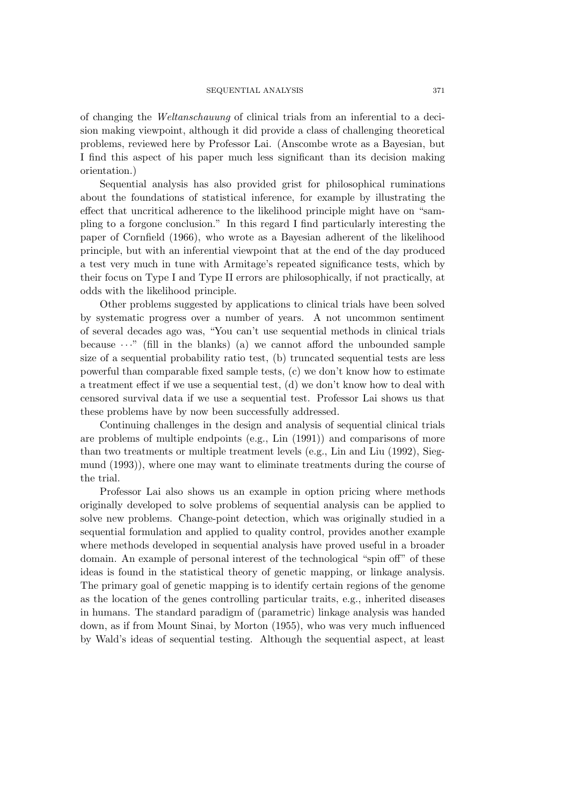of changing the *Weltanschauung* of clinical trials from an inferential to a decision making viewpoint, although it did provide a class of challenging theoretical problems, reviewed here by Professor Lai. (Anscombe wrote as a Bayesian, but I find this aspect of his paper much less significant than its decision making orientation.)

Sequential analysis has also provided grist for philosophical ruminations about the foundations of statistical inference, for example by illustrating the effect that uncritical adherence to the likelihood principle might have on "sampling to a forgone conclusion." In this regard I find particularly interesting the paper of Cornfield (1966), who wrote as a Bayesian adherent of the likelihood principle, but with an inferential viewpoint that at the end of the day produced a test very much in tune with Armitage's repeated significance tests, which by their focus on Type I and Type II errors are philosophically, if not practically, at odds with the likelihood principle.

Other problems suggested by applications to clinical trials have been solved by systematic progress over a number of years. A not uncommon sentiment of several decades ago was, "You can't use sequential methods in clinical trials because  $\cdots$ " (fill in the blanks) (a) we cannot afford the unbounded sample size of a sequential probability ratio test, (b) truncated sequential tests are less powerful than comparable fixed sample tests, (c) we don't know how to estimate a treatment effect if we use a sequential test, (d) we don't know how to deal with censored survival data if we use a sequential test. Professor Lai shows us that these problems have by now been successfully addressed.

Continuing challenges in the design and analysis of sequential clinical trials are problems of multiple endpoints (e.g., Lin (1991)) and comparisons of more than two treatments or multiple treatment levels (e.g., Lin and Liu (1992), Siegmund (1993)), where one may want to eliminate treatments during the course of the trial.

Professor Lai also shows us an example in option pricing where methods originally developed to solve problems of sequential analysis can be applied to solve new problems. Change-point detection, which was originally studied in a sequential formulation and applied to quality control, provides another example where methods developed in sequential analysis have proved useful in a broader domain. An example of personal interest of the technological "spin off" of these ideas is found in the statistical theory of genetic mapping, or linkage analysis. The primary goal of genetic mapping is to identify certain regions of the genome as the location of the genes controlling particular traits, e.g., inherited diseases in humans. The standard paradigm of (parametric) linkage analysis was handed down, as if from Mount Sinai, by Morton (1955), who was very much influenced by Wald's ideas of sequential testing. Although the sequential aspect, at least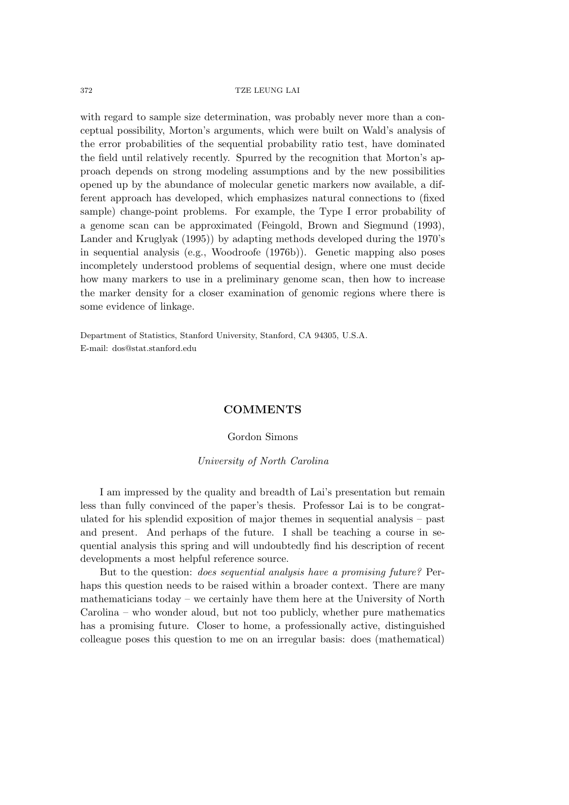with regard to sample size determination, was probably never more than a conceptual possibility, Morton's arguments, which were built on Wald's analysis of the error probabilities of the sequential probability ratio test, have dominated the field until relatively recently. Spurred by the recognition that Morton's approach depends on strong modeling assumptions and by the new possibilities opened up by the abundance of molecular genetic markers now available, a different approach has developed, which emphasizes natural connections to (fixed sample) change-point problems. For example, the Type I error probability of a genome scan can be approximated (Feingold, Brown and Siegmund (1993), Lander and Kruglyak (1995)) by adapting methods developed during the 1970's in sequential analysis (e.g., Woodroofe (1976b)). Genetic mapping also poses incompletely understood problems of sequential design, where one must decide how many markers to use in a preliminary genome scan, then how to increase the marker density for a closer examination of genomic regions where there is some evidence of linkage.

Department of Statistics, Stanford University, Stanford, CA 94305, U.S.A. E-mail: dos@stat.stanford.edu

# **COMMENTS**

# Gordon Simons

## *University of North Carolina*

I am impressed by the quality and breadth of Lai's presentation but remain less than fully convinced of the paper's thesis. Professor Lai is to be congratulated for his splendid exposition of major themes in sequential analysis – past and present. And perhaps of the future. I shall be teaching a course in sequential analysis this spring and will undoubtedly find his description of recent developments a most helpful reference source.

But to the question: *does sequential analysis have a promising future?* Perhaps this question needs to be raised within a broader context. There are many mathematicians today – we certainly have them here at the University of North Carolina – who wonder aloud, but not too publicly, whether pure mathematics has a promising future. Closer to home, a professionally active, distinguished colleague poses this question to me on an irregular basis: does (mathematical)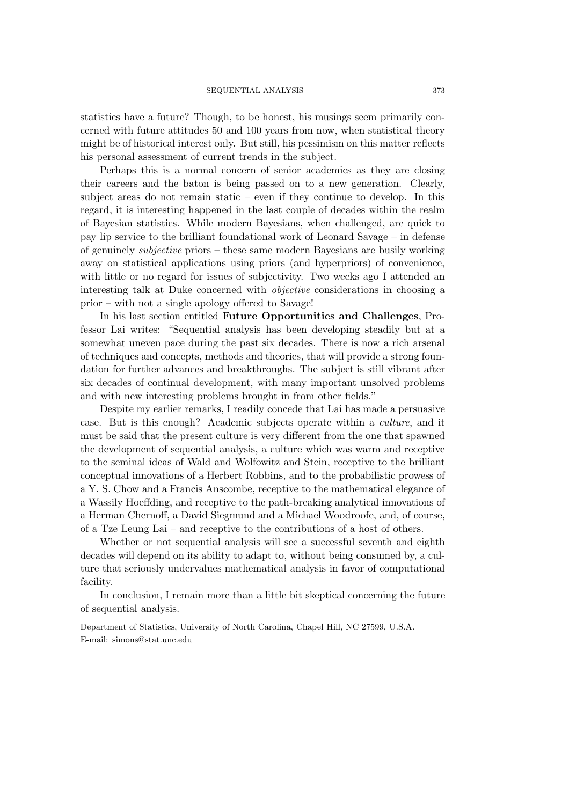statistics have a future? Though, to be honest, his musings seem primarily concerned with future attitudes 50 and 100 years from now, when statistical theory might be of historical interest only. But still, his pessimism on this matter reflects his personal assessment of current trends in the subject.

Perhaps this is a normal concern of senior academics as they are closing their careers and the baton is being passed on to a new generation. Clearly, subject areas do not remain static – even if they continue to develop. In this regard, it is interesting happened in the last couple of decades within the realm of Bayesian statistics. While modern Bayesians, when challenged, are quick to pay lip service to the brilliant foundational work of Leonard Savage – in defense of genuinely *subjective* priors – these same modern Bayesians are busily working away on statistical applications using priors (and hyperpriors) of convenience, with little or no regard for issues of subjectivity. Two weeks ago I attended an interesting talk at Duke concerned with *objective* considerations in choosing a prior – with not a single apology offered to Savage!

In his last section entitled **Future Opportunities and Challenges**, Professor Lai writes: "Sequential analysis has been developing steadily but at a somewhat uneven pace during the past six decades. There is now a rich arsenal of techniques and concepts, methods and theories, that will provide a strong foundation for further advances and breakthroughs. The subject is still vibrant after six decades of continual development, with many important unsolved problems and with new interesting problems brought in from other fields."

Despite my earlier remarks, I readily concede that Lai has made a persuasive case. But is this enough? Academic subjects operate within a *culture*, and it must be said that the present culture is very different from the one that spawned the development of sequential analysis, a culture which was warm and receptive to the seminal ideas of Wald and Wolfowitz and Stein, receptive to the brilliant conceptual innovations of a Herbert Robbins, and to the probabilistic prowess of a Y. S. Chow and a Francis Anscombe, receptive to the mathematical elegance of a Wassily Hoeffding, and receptive to the path-breaking analytical innovations of a Herman Chernoff, a David Siegmund and a Michael Woodroofe, and, of course, of a Tze Leung Lai – and receptive to the contributions of a host of others.

Whether or not sequential analysis will see a successful seventh and eighth decades will depend on its ability to adapt to, without being consumed by, a culture that seriously undervalues mathematical analysis in favor of computational facility.

In conclusion, I remain more than a little bit skeptical concerning the future of sequential analysis.

Department of Statistics, University of North Carolina, Chapel Hill, NC 27599, U.S.A. E-mail: simons@stat.unc.edu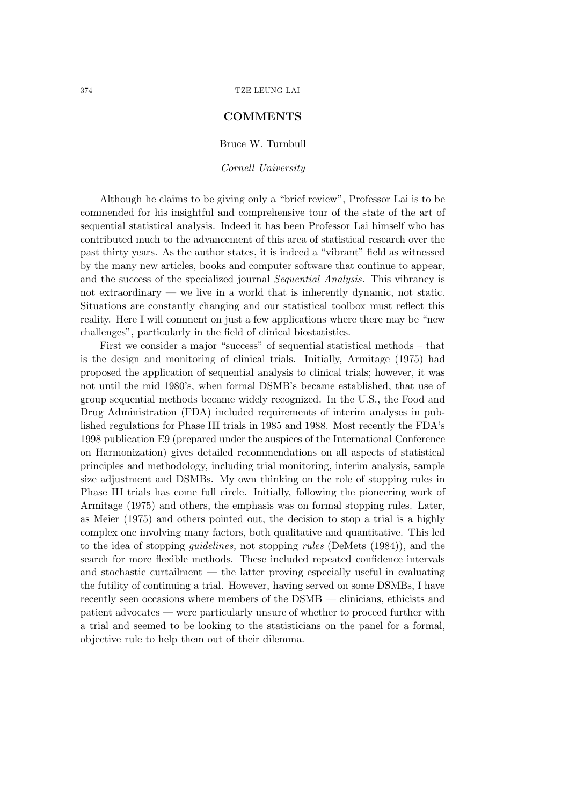# **COMMENTS**

Bruce W. Turnbull

*Cornell University*

Although he claims to be giving only a "brief review", Professor Lai is to be commended for his insightful and comprehensive tour of the state of the art of sequential statistical analysis. Indeed it has been Professor Lai himself who has contributed much to the advancement of this area of statistical research over the past thirty years. As the author states, it is indeed a "vibrant" field as witnessed by the many new articles, books and computer software that continue to appear, and the success of the specialized journal *Sequential Analysis.* This vibrancy is not extraordinary — we live in a world that is inherently dynamic, not static. Situations are constantly changing and our statistical toolbox must reflect this reality. Here I will comment on just a few applications where there may be "new challenges", particularly in the field of clinical biostatistics.

First we consider a major "success" of sequential statistical methods – that is the design and monitoring of clinical trials. Initially, Armitage (1975) had proposed the application of sequential analysis to clinical trials; however, it was not until the mid 1980's, when formal DSMB's became established, that use of group sequential methods became widely recognized. In the U.S., the Food and Drug Administration (FDA) included requirements of interim analyses in published regulations for Phase III trials in 1985 and 1988. Most recently the FDA's 1998 publication E9 (prepared under the auspices of the International Conference on Harmonization) gives detailed recommendations on all aspects of statistical principles and methodology, including trial monitoring, interim analysis, sample size adjustment and DSMBs. My own thinking on the role of stopping rules in Phase III trials has come full circle. Initially, following the pioneering work of Armitage (1975) and others, the emphasis was on formal stopping rules. Later, as Meier (1975) and others pointed out, the decision to stop a trial is a highly complex one involving many factors, both qualitative and quantitative. This led to the idea of stopping *guidelines,* not stopping *rules* (DeMets (1984)), and the search for more flexible methods. These included repeated confidence intervals and stochastic curtailment — the latter proving especially useful in evaluating the futility of continuing a trial. However, having served on some DSMBs, I have recently seen occasions where members of the DSMB — clinicians, ethicists and patient advocates — were particularly unsure of whether to proceed further with a trial and seemed to be looking to the statisticians on the panel for a formal, objective rule to help them out of their dilemma.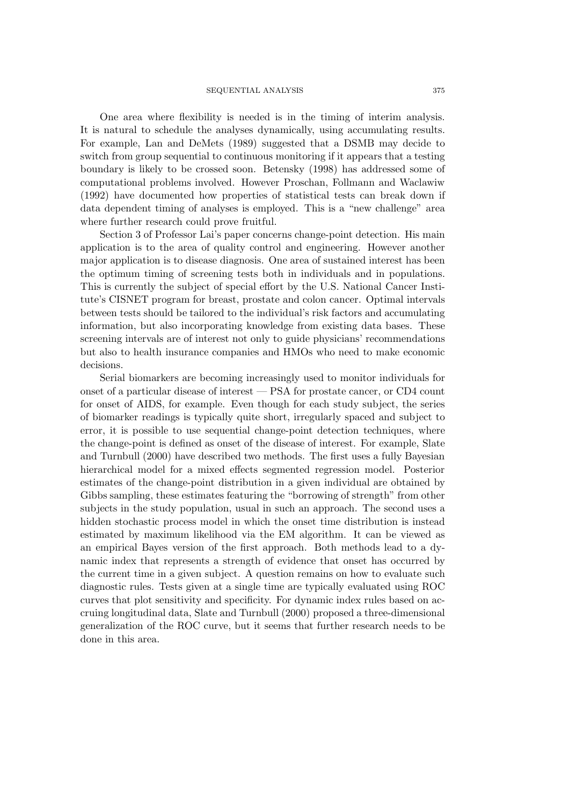One area where flexibility is needed is in the timing of interim analysis. It is natural to schedule the analyses dynamically, using accumulating results. For example, Lan and DeMets (1989) suggested that a DSMB may decide to switch from group sequential to continuous monitoring if it appears that a testing boundary is likely to be crossed soon. Betensky (1998) has addressed some of computational problems involved. However Proschan, Follmann and Waclawiw (1992) have documented how properties of statistical tests can break down if data dependent timing of analyses is employed. This is a "new challenge" area where further research could prove fruitful.

Section 3 of Professor Lai's paper concerns change-point detection. His main application is to the area of quality control and engineering. However another major application is to disease diagnosis. One area of sustained interest has been the optimum timing of screening tests both in individuals and in populations. This is currently the subject of special effort by the U.S. National Cancer Institute's CISNET program for breast, prostate and colon cancer. Optimal intervals between tests should be tailored to the individual's risk factors and accumulating information, but also incorporating knowledge from existing data bases. These screening intervals are of interest not only to guide physicians' recommendations but also to health insurance companies and HMOs who need to make economic decisions.

Serial biomarkers are becoming increasingly used to monitor individuals for onset of a particular disease of interest — PSA for prostate cancer, or CD4 count for onset of AIDS, for example. Even though for each study subject, the series of biomarker readings is typically quite short, irregularly spaced and subject to error, it is possible to use sequential change-point detection techniques, where the change-point is defined as onset of the disease of interest. For example, Slate and Turnbull (2000) have described two methods. The first uses a fully Bayesian hierarchical model for a mixed effects segmented regression model. Posterior estimates of the change-point distribution in a given individual are obtained by Gibbs sampling, these estimates featuring the "borrowing of strength" from other subjects in the study population, usual in such an approach. The second uses a hidden stochastic process model in which the onset time distribution is instead estimated by maximum likelihood via the EM algorithm. It can be viewed as an empirical Bayes version of the first approach. Both methods lead to a dynamic index that represents a strength of evidence that onset has occurred by the current time in a given subject. A question remains on how to evaluate such diagnostic rules. Tests given at a single time are typically evaluated using ROC curves that plot sensitivity and specificity. For dynamic index rules based on accruing longitudinal data, Slate and Turnbull (2000) proposed a three-dimensional generalization of the ROC curve, but it seems that further research needs to be done in this area.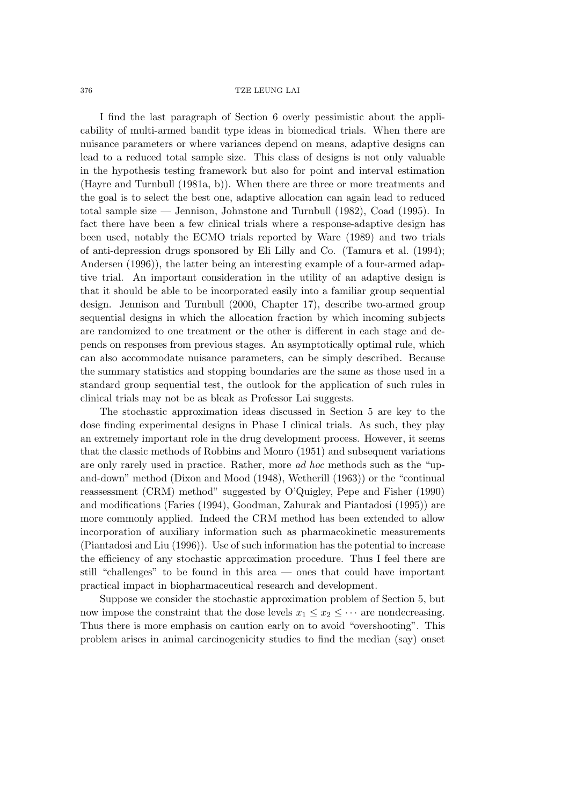I find the last paragraph of Section 6 overly pessimistic about the applicability of multi-armed bandit type ideas in biomedical trials. When there are nuisance parameters or where variances depend on means, adaptive designs can lead to a reduced total sample size. This class of designs is not only valuable in the hypothesis testing framework but also for point and interval estimation (Hayre and Turnbull (1981a, b)). When there are three or more treatments and the goal is to select the best one, adaptive allocation can again lead to reduced total sample size — Jennison, Johnstone and Turnbull (1982), Coad (1995). In fact there have been a few clinical trials where a response-adaptive design has been used, notably the ECMO trials reported by Ware (1989) and two trials of anti-depression drugs sponsored by Eli Lilly and Co. (Tamura et al. (1994); Andersen (1996)), the latter being an interesting example of a four-armed adaptive trial. An important consideration in the utility of an adaptive design is that it should be able to be incorporated easily into a familiar group sequential design. Jennison and Turnbull (2000, Chapter 17), describe two-armed group sequential designs in which the allocation fraction by which incoming subjects are randomized to one treatment or the other is different in each stage and depends on responses from previous stages. An asymptotically optimal rule, which can also accommodate nuisance parameters, can be simply described. Because the summary statistics and stopping boundaries are the same as those used in a standard group sequential test, the outlook for the application of such rules in clinical trials may not be as bleak as Professor Lai suggests.

The stochastic approximation ideas discussed in Section 5 are key to the dose finding experimental designs in Phase I clinical trials. As such, they play an extremely important role in the drug development process. However, it seems that the classic methods of Robbins and Monro (1951) and subsequent variations are only rarely used in practice. Rather, more *ad hoc* methods such as the "upand-down" method (Dixon and Mood (1948), Wetherill (1963)) or the "continual reassessment (CRM) method" suggested by O'Quigley, Pepe and Fisher (1990) and modifications (Faries (1994), Goodman, Zahurak and Piantadosi (1995)) are more commonly applied. Indeed the CRM method has been extended to allow incorporation of auxiliary information such as pharmacokinetic measurements (Piantadosi and Liu (1996)). Use of such information has the potential to increase the efficiency of any stochastic approximation procedure. Thus I feel there are still "challenges" to be found in this area — ones that could have important practical impact in biopharmaceutical research and development.

Suppose we consider the stochastic approximation problem of Section 5, but now impose the constraint that the dose levels  $x_1 \leq x_2 \leq \cdots$  are nondecreasing. Thus there is more emphasis on caution early on to avoid "overshooting". This problem arises in animal carcinogenicity studies to find the median (say) onset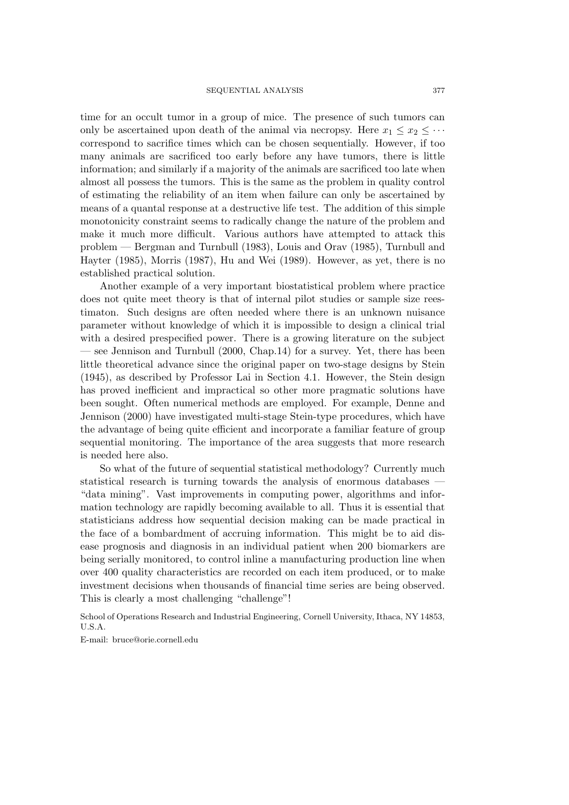time for an occult tumor in a group of mice. The presence of such tumors can only be ascertained upon death of the animal via necropsy. Here  $x_1 \leq x_2 \leq \cdots$ correspond to sacrifice times which can be chosen sequentially. However, if too many animals are sacrificed too early before any have tumors, there is little information; and similarly if a majority of the animals are sacrificed too late when almost all possess the tumors. This is the same as the problem in quality control of estimating the reliability of an item when failure can only be ascertained by means of a quantal response at a destructive life test. The addition of this simple monotonicity constraint seems to radically change the nature of the problem and make it much more difficult. Various authors have attempted to attack this problem — Bergman and Turnbull (1983), Louis and Orav (1985), Turnbull and Hayter (1985), Morris (1987), Hu and Wei (1989). However, as yet, there is no established practical solution.

Another example of a very important biostatistical problem where practice does not quite meet theory is that of internal pilot studies or sample size reestimaton. Such designs are often needed where there is an unknown nuisance parameter without knowledge of which it is impossible to design a clinical trial with a desired prespecified power. There is a growing literature on the subject — see Jennison and Turnbull (2000, Chap.14) for a survey. Yet, there has been little theoretical advance since the original paper on two-stage designs by Stein (1945), as described by Professor Lai in Section 4.1. However, the Stein design has proved inefficient and impractical so other more pragmatic solutions have been sought. Often numerical methods are employed. For example, Denne and Jennison (2000) have investigated multi-stage Stein-type procedures, which have the advantage of being quite efficient and incorporate a familiar feature of group sequential monitoring. The importance of the area suggests that more research is needed here also.

So what of the future of sequential statistical methodology? Currently much statistical research is turning towards the analysis of enormous databases — "data mining". Vast improvements in computing power, algorithms and information technology are rapidly becoming available to all. Thus it is essential that statisticians address how sequential decision making can be made practical in the face of a bombardment of accruing information. This might be to aid disease prognosis and diagnosis in an individual patient when 200 biomarkers are being serially monitored, to control inline a manufacturing production line when over 400 quality characteristics are recorded on each item produced, or to make investment decisions when thousands of financial time series are being observed. This is clearly a most challenging "challenge"!

School of Operations Research and Industrial Engineering, Cornell University, Ithaca, NY 14853, U.S.A.

E-mail: bruce@orie.cornell.edu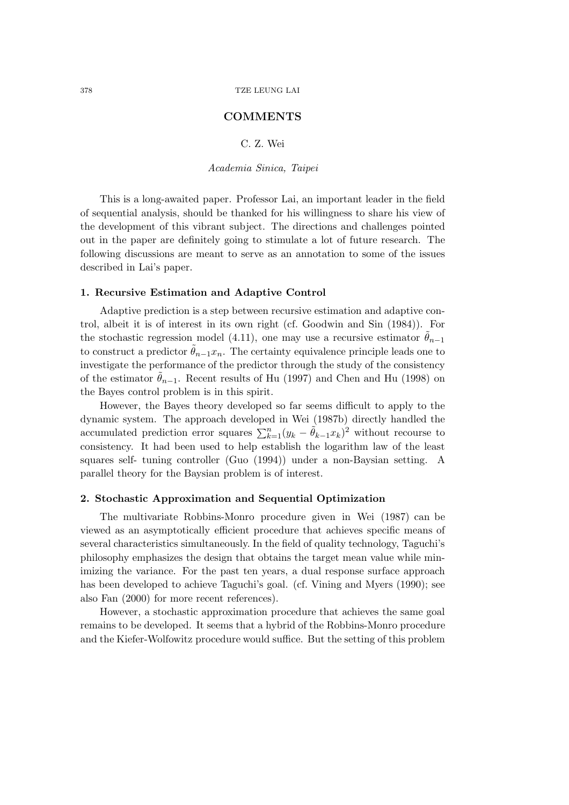### **COMMENTS**

# C. Z. Wei

*Academia Sinica, Taipei*

This is a long-awaited paper. Professor Lai, an important leader in the field of sequential analysis, should be thanked for his willingness to share his view of the development of this vibrant subject. The directions and challenges pointed out in the paper are definitely going to stimulate a lot of future research. The following discussions are meant to serve as an annotation to some of the issues described in Lai's paper.

### **1. Recursive Estimation and Adaptive Control**

Adaptive prediction is a step between recursive estimation and adaptive control, albeit it is of interest in its own right (cf. Goodwin and Sin (1984)). For the stochastic regression model (4.11), one may use a recursive estimator  $\theta_{n-1}$ to construct a predictor  $\tilde{\theta}_{n-1}x_n$ . The certainty equivalence principle leads one to investigate the performance of the predictor through the study of the consistency of the estimator  $\theta_{n-1}$ . Recent results of Hu (1997) and Chen and Hu (1998) on the Bayes control problem is in this spirit.

However, the Bayes theory developed so far seems difficult to apply to the dynamic system. The approach developed in Wei (1987b) directly handled the accumulated prediction error squares  $\sum_{k=1}^{n} (y_k - \tilde{\theta}_{k-1} x_k)^2$  without recourse to consistency. It had been used to help establish the logarithm law of the least squares self- tuning controller (Guo (1994)) under a non-Baysian setting. A parallel theory for the Baysian problem is of interest.

### **2. Stochastic Approximation and Sequential Optimization**

The multivariate Robbins-Monro procedure given in Wei (1987) can be viewed as an asymptotically efficient procedure that achieves specific means of several characteristics simultaneously. In the field of quality technology, Taguchi's philosophy emphasizes the design that obtains the target mean value while minimizing the variance. For the past ten years, a dual response surface approach has been developed to achieve Taguchi's goal. (cf. Vining and Myers (1990); see also Fan (2000) for more recent references).

However, a stochastic approximation procedure that achieves the same goal remains to be developed. It seems that a hybrid of the Robbins-Monro procedure and the Kiefer-Wolfowitz procedure would suffice. But the setting of this problem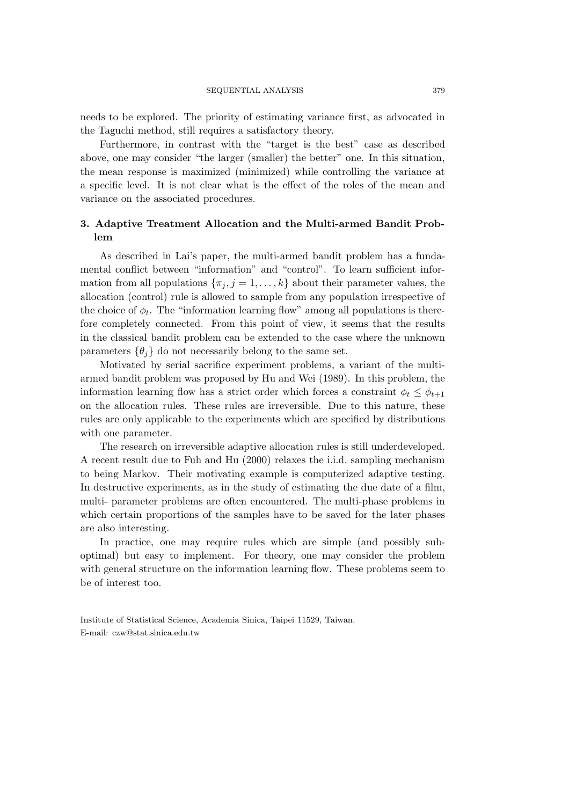needs to be explored. The priority of estimating variance first, as advocated in the Taguchi method, still requires a satisfactory theory.

Furthermore, in contrast with the "target is the best" case as described above, one may consider "the larger (smaller) the better" one. In this situation, the mean response is maximized (minimized) while controlling the variance at a specific level. It is not clear what is the effect of the roles of the mean and variance on the associated procedures.

# **3. Adaptive Treatment Allocation and the Multi-armed Bandit Problem**

As described in Lai's paper, the multi-armed bandit problem has a fundamental conflict between "information" and "control". To learn sufficient information from all populations  $\{\pi_j, j = 1, \ldots, k\}$  about their parameter values, the allocation (control) rule is allowed to sample from any population irrespective of the choice of  $\phi_t$ . The "information learning flow" among all populations is therefore completely connected. From this point of view, it seems that the results in the classical bandit problem can be extended to the case where the unknown parameters  $\{\theta_i\}$  do not necessarily belong to the same set.

Motivated by serial sacrifice experiment problems, a variant of the multiarmed bandit problem was proposed by Hu and Wei (1989). In this problem, the information learning flow has a strict order which forces a constraint  $\phi_t \leq \phi_{t+1}$ on the allocation rules. These rules are irreversible. Due to this nature, these rules are only applicable to the experiments which are specified by distributions with one parameter.

The research on irreversible adaptive allocation rules is still underdeveloped. A recent result due to Fuh and Hu (2000) relaxes the i.i.d. sampling mechanism to being Markov. Their motivating example is computerized adaptive testing. In destructive experiments, as in the study of estimating the due date of a film, multi- parameter problems are often encountered. The multi-phase problems in which certain proportions of the samples have to be saved for the later phases are also interesting.

In practice, one may require rules which are simple (and possibly suboptimal) but easy to implement. For theory, one may consider the problem with general structure on the information learning flow. These problems seem to be of interest too.

Institute of Statistical Science, Academia Sinica, Taipei 11529, Taiwan. E-mail: czw@stat.sinica.edu.tw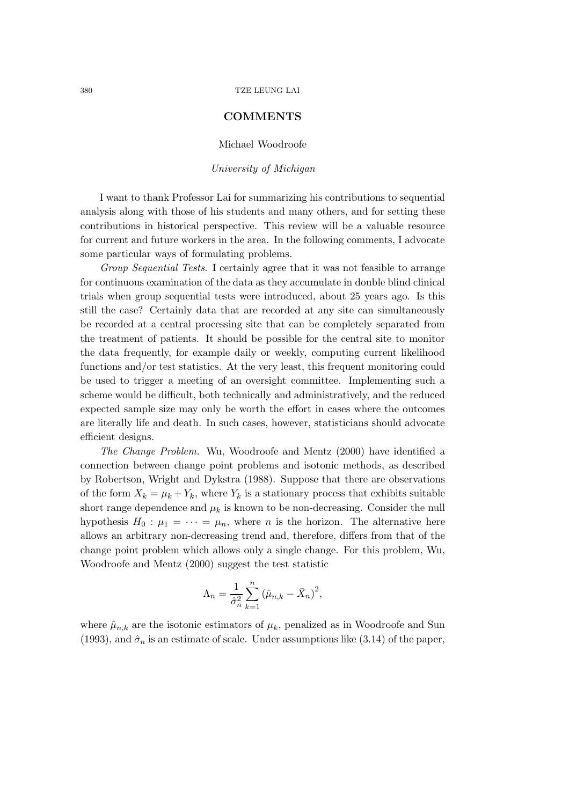### **COMMENTS**

#### Michael Woodroofe

### *University of Michigan*

I want to thank Professor Lai for summarizing his contributions to sequential analysis along with those of his students and many others, and for setting these contributions in historical perspective. This review will be a valuable resource for current and future workers in the area. In the following comments, I advocate some particular ways of formulating problems.

*Group Sequential Tests.* I certainly agree that it was not feasible to arrange for continuous examination of the data as they accumulate in double blind clinical trials when group sequential tests were introduced, about 25 years ago. Is this still the case? Certainly data that are recorded at any site can simultaneously be recorded at a central processing site that can be completely separated from the treatment of patients. It should be possible for the central site to monitor the data frequently, for example daily or weekly, computing current likelihood functions and/or test statistics. At the very least, this frequent monitoring could be used to trigger a meeting of an oversight committee. Implementing such a scheme would be difficult, both technically and administratively, and the reduced expected sample size may only be worth the effort in cases where the outcomes are literally life and death. In such cases, however, statisticians should advocate efficient designs.

*The Change Problem.* Wu, Woodroofe and Mentz (2000) have identified a connection between change point problems and isotonic methods, as described by Robertson, Wright and Dykstra (1988). Suppose that there are observations of the form  $X_k = \mu_k + Y_k$ , where  $Y_k$  is a stationary process that exhibits suitable short range dependence and  $\mu_k$  is known to be non-decreasing. Consider the null hypothesis  $H_0: \mu_1 = \cdots = \mu_n$ , where *n* is the horizon. The alternative here allows an arbitrary non-decreasing trend and, therefore, differs from that of the change point problem which allows only a single change. For this problem, Wu, Woodroofe and Mentz (2000) suggest the test statistic

$$
\Lambda_n = \frac{1}{\hat{\sigma}_n^2} \sum_{k=1}^n (\hat{\mu}_{n,k} - \bar{X}_n)^2,
$$

where  $\hat{\mu}_{n,k}$  are the isotonic estimators of  $\mu_k$ , penalized as in Woodroofe and Sun (1993), and  $\hat{\sigma}_n$  is an estimate of scale. Under assumptions like (3.14) of the paper,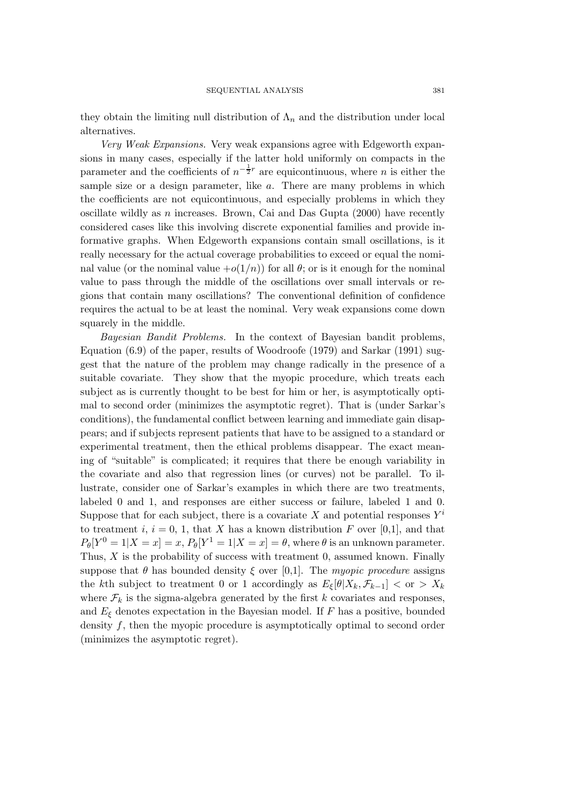they obtain the limiting null distribution of  $\Lambda_n$  and the distribution under local alternatives.

*Very Weak Expansions.* Very weak expansions agree with Edgeworth expansions in many cases, especially if the latter hold uniformly on compacts in the parameter and the coefficients of  $n^{-\frac{1}{2}r}$  are equicontinuous, where n is either the sample size or a design parameter, like a. There are many problems in which the coefficients are not equicontinuous, and especially problems in which they oscillate wildly as  $n$  increases. Brown, Cai and Das Gupta (2000) have recently considered cases like this involving discrete exponential families and provide informative graphs. When Edgeworth expansions contain small oscillations, is it really necessary for the actual coverage probabilities to exceed or equal the nominal value (or the nominal value  $+o(1/n)$ ) for all  $\theta$ ; or is it enough for the nominal value to pass through the middle of the oscillations over small intervals or regions that contain many oscillations? The conventional definition of confidence requires the actual to be at least the nominal. Very weak expansions come down squarely in the middle.

*Bayesian Bandit Problems.* In the context of Bayesian bandit problems, Equation (6.9) of the paper, results of Woodroofe (1979) and Sarkar (1991) suggest that the nature of the problem may change radically in the presence of a suitable covariate. They show that the myopic procedure, which treats each subject as is currently thought to be best for him or her, is asymptotically optimal to second order (minimizes the asymptotic regret). That is (under Sarkar's conditions), the fundamental conflict between learning and immediate gain disappears; and if subjects represent patients that have to be assigned to a standard or experimental treatment, then the ethical problems disappear. The exact meaning of "suitable" is complicated; it requires that there be enough variability in the covariate and also that regression lines (or curves) not be parallel. To illustrate, consider one of Sarkar's examples in which there are two treatments, labeled 0 and 1, and responses are either success or failure, labeled 1 and 0. Suppose that for each subject, there is a covariate X and potential responses  $Y^i$ to treatment i,  $i = 0, 1$ , that X has a known distribution F over [0,1], and that  $P_{\theta}[Y^0 = 1 | X = x] = x$ ,  $P_{\theta}[Y^1 = 1 | X = x] = \theta$ , where  $\theta$  is an unknown parameter. Thus,  $X$  is the probability of success with treatment 0, assumed known. Finally suppose that  $\theta$  has bounded density  $\xi$  over [0,1]. The *myopic procedure* assigns the kth subject to treatment 0 or 1 accordingly as  $E_{\xi}[\theta|X_k, \mathcal{F}_{k-1}] < \text{or} > X_k$ where  $\mathcal{F}_k$  is the sigma-algebra generated by the first k covariates and responses, and  $E_{\xi}$  denotes expectation in the Bayesian model. If F has a positive, bounded density f, then the myopic procedure is asymptotically optimal to second order (minimizes the asymptotic regret).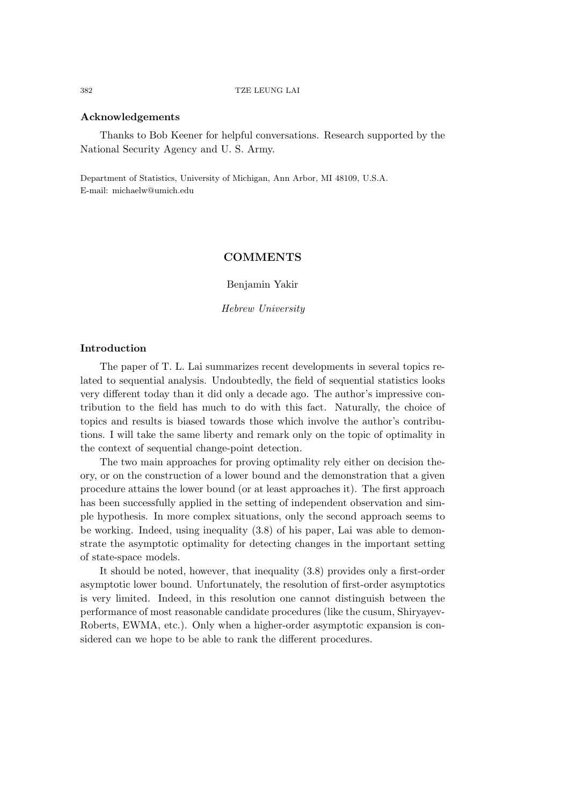#### **Acknowledgements**

Thanks to Bob Keener for helpful conversations. Research supported by the National Security Agency and U. S. Army.

Department of Statistics, University of Michigan, Ann Arbor, MI 48109, U.S.A. E-mail: michaelw@umich.edu

# **COMMENTS**

Benjamin Yakir

*Hebrew University*

#### **Introduction**

The paper of T. L. Lai summarizes recent developments in several topics related to sequential analysis. Undoubtedly, the field of sequential statistics looks very different today than it did only a decade ago. The author's impressive contribution to the field has much to do with this fact. Naturally, the choice of topics and results is biased towards those which involve the author's contributions. I will take the same liberty and remark only on the topic of optimality in the context of sequential change-point detection.

The two main approaches for proving optimality rely either on decision theory, or on the construction of a lower bound and the demonstration that a given procedure attains the lower bound (or at least approaches it). The first approach has been successfully applied in the setting of independent observation and simple hypothesis. In more complex situations, only the second approach seems to be working. Indeed, using inequality (3.8) of his paper, Lai was able to demonstrate the asymptotic optimality for detecting changes in the important setting of state-space models.

It should be noted, however, that inequality (3.8) provides only a first-order asymptotic lower bound. Unfortunately, the resolution of first-order asymptotics is very limited. Indeed, in this resolution one cannot distinguish between the performance of most reasonable candidate procedures (like the cusum, Shiryayev-Roberts, EWMA, etc.). Only when a higher-order asymptotic expansion is considered can we hope to be able to rank the different procedures.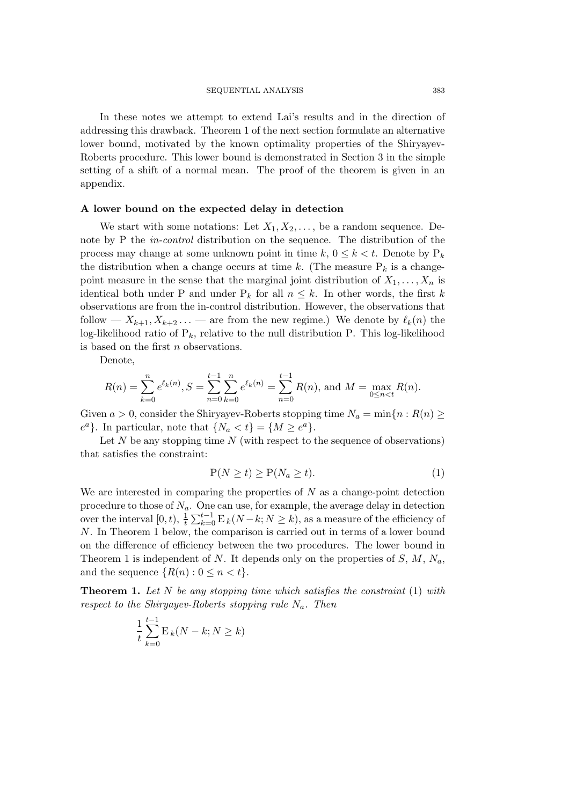In these notes we attempt to extend Lai's results and in the direction of addressing this drawback. Theorem 1 of the next section formulate an alternative lower bound, motivated by the known optimality properties of the Shiryayev-Roberts procedure. This lower bound is demonstrated in Section 3 in the simple setting of a shift of a normal mean. The proof of the theorem is given in an appendix.

### **A lower bound on the expected delay in detection**

We start with some notations: Let  $X_1, X_2, \ldots$ , be a random sequence. Denote by P the *in-control* distribution on the sequence. The distribution of the process may change at some unknown point in time  $k, 0 \leq k < t$ . Denote by  $P_k$ the distribution when a change occurs at time k. (The measure  $P_k$  is a changepoint measure in the sense that the marginal joint distribution of  $X_1, \ldots, X_n$  is identical both under P and under  $P_k$  for all  $n \leq k$ . In other words, the first k observations are from the in-control distribution. However, the observations that follow —  $X_{k+1}, X_{k+2}, \ldots$  — are from the new regime.) We denote by  $\ell_k(n)$  the log-likelihood ratio of  $P_k$ , relative to the null distribution P. This log-likelihood is based on the first n observations.

Denote,

$$
R(n) = \sum_{k=0}^{n} e^{\ell_k(n)}, S = \sum_{n=0}^{t-1} \sum_{k=0}^{n} e^{\ell_k(n)} = \sum_{n=0}^{t-1} R(n), \text{ and } M = \max_{0 \le n < t} R(n).
$$

Given  $a > 0$ , consider the Shiryayev-Roberts stopping time  $N_a = \min\{n : R(n) \geq 0\}$  $e^a$ . In particular, note that  $\{N_a < t\} = \{M \geq e^a\}.$ 

Let  $N$  be any stopping time  $N$  (with respect to the sequence of observations) that satisfies the constraint:

$$
P(N \ge t) \ge P(N_a \ge t). \tag{1}
$$

We are interested in comparing the properties of  $N$  as a change-point detection procedure to those of  $N_a$ . One can use, for example, the average delay in detection over the interval  $[0, t)$ ,  $\frac{1}{t} \sum_{k=0}^{t-1} E_k(N-k; N \ge k)$ , as a measure of the efficiency of N. In Theorem 1 below, the comparison is carried out in terms of a lower bound on the difference of efficiency between the two procedures. The lower bound in Theorem 1 is independent of N. It depends only on the properties of  $S, M, N_a$ , and the sequence  $\{R(n):0\leq n < t\}.$ 

**Theorem 1.** *Let* N *be any stopping time which satisfies the constraint* (1) *with respect to the Shiryayev-Roberts stopping rule* Na*. Then*

$$
\frac{1}{t}\sum_{k=0}^{t-1} \mathbf{E}_k(N-k;N\geq k)
$$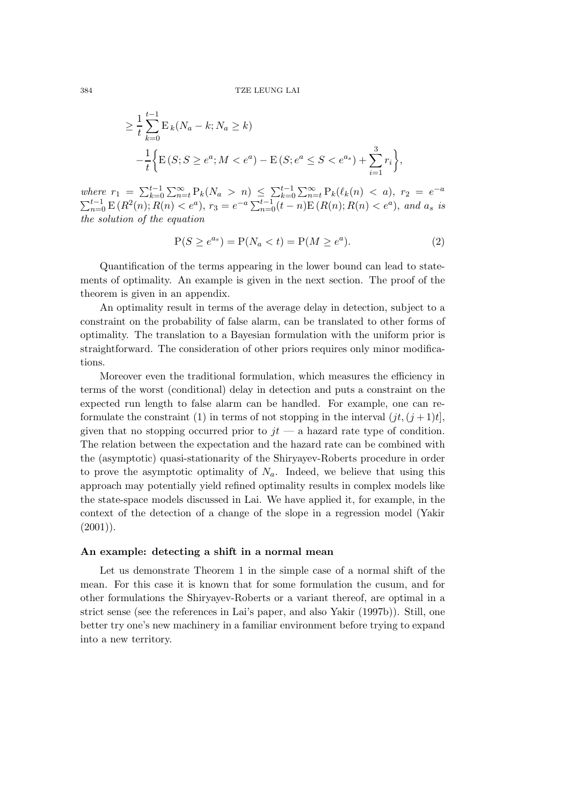$$
\geq \frac{1}{t} \sum_{k=0}^{t-1} \mathcal{E}_k(N_a - k; N_a \geq k)
$$
  

$$
-\frac{1}{t} \Big\{ \mathcal{E}(S; S \geq e^a; M < e^a) - \mathcal{E}(S; e^a \leq S < e^{a_s}) + \sum_{i=1}^3 r_i \Big\},
$$

 $where r_1 = \sum_{k=0}^{t-1} \sum_{n=t}^{\infty} P_k(N_a > n) \leq \sum_{k=0}^{t-1} \sum_{n=t}^{\infty} P_k(\ell_k(n) < a), r_2 = e^{-a}$  $\sum_{n=0}^{t-1} E(R^2(n); R(n) < e^a)$ ,  $r_3 = e^{-a} \sum_{n=0}^{t-1} (t-n) E(R(n); R(n) < e^a)$ , and  $a_s$  *is the solution of the equation*

$$
P(S \ge e^{a_s}) = P(N_a < t) = P(M \ge e^a). \tag{2}
$$

Quantification of the terms appearing in the lower bound can lead to statements of optimality. An example is given in the next section. The proof of the theorem is given in an appendix.

An optimality result in terms of the average delay in detection, subject to a constraint on the probability of false alarm, can be translated to other forms of optimality. The translation to a Bayesian formulation with the uniform prior is straightforward. The consideration of other priors requires only minor modifications.

Moreover even the traditional formulation, which measures the efficiency in terms of the worst (conditional) delay in detection and puts a constraint on the expected run length to false alarm can be handled. For example, one can reformulate the constraint (1) in terms of not stopping in the interval  $(jt, (j+1)t]$ , given that no stopping occurred prior to  $it - a$  hazard rate type of condition. The relation between the expectation and the hazard rate can be combined with the (asymptotic) quasi-stationarity of the Shiryayev-Roberts procedure in order to prove the asymptotic optimality of  $N_a$ . Indeed, we believe that using this approach may potentially yield refined optimality results in complex models like the state-space models discussed in Lai. We have applied it, for example, in the context of the detection of a change of the slope in a regression model (Yakir  $(2001)$ ).

### **An example: detecting a shift in a normal mean**

Let us demonstrate Theorem 1 in the simple case of a normal shift of the mean. For this case it is known that for some formulation the cusum, and for other formulations the Shiryayev-Roberts or a variant thereof, are optimal in a strict sense (see the references in Lai's paper, and also Yakir (1997b)). Still, one better try one's new machinery in a familiar environment before trying to expand into a new territory.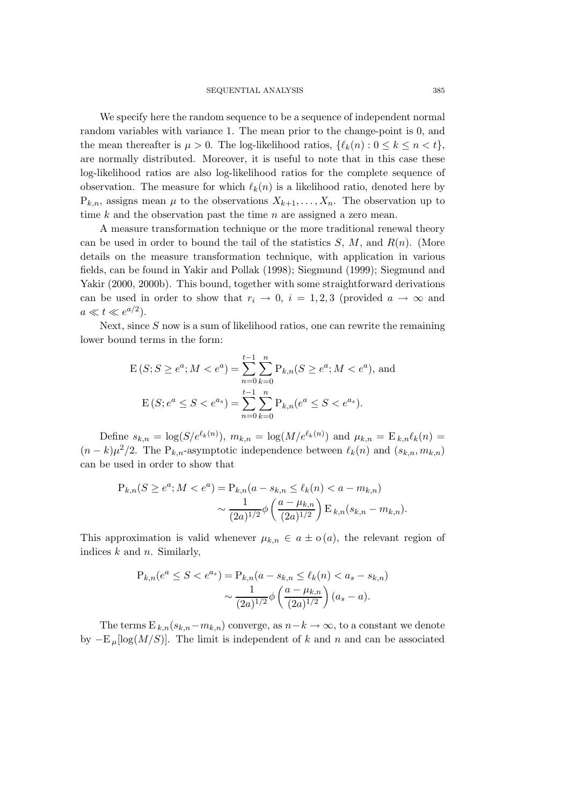We specify here the random sequence to be a sequence of independent normal random variables with variance 1. The mean prior to the change-point is 0, and the mean thereafter is  $\mu > 0$ . The log-likelihood ratios,  $\{\ell_k(n): 0 \leq k \leq n \leq t\}$ , are normally distributed. Moreover, it is useful to note that in this case these log-likelihood ratios are also log-likelihood ratios for the complete sequence of observation. The measure for which  $\ell_k(n)$  is a likelihood ratio, denoted here by  $P_{k,n}$ , assigns mean  $\mu$  to the observations  $X_{k+1},\ldots,X_n$ . The observation up to time  $k$  and the observation past the time  $n$  are assigned a zero mean.

A measure transformation technique or the more traditional renewal theory can be used in order to bound the tail of the statistics  $S, M$ , and  $R(n)$ . (More details on the measure transformation technique, with application in various fields, can be found in Yakir and Pollak (1998); Siegmund (1999); Siegmund and Yakir (2000, 2000b). This bound, together with some straightforward derivations can be used in order to show that  $r_i \rightarrow 0$ ,  $i = 1, 2, 3$  (provided  $a \rightarrow \infty$  and  $a \ll t \ll e^{a/2}$ ).

Next, since  $S$  now is a sum of likelihood ratios, one can rewrite the remaining lower bound terms in the form:

$$
E(S; S \ge e^a; M < e^a) = \sum_{n=0}^{t-1} \sum_{k=0}^n P_{k,n}(S \ge e^a; M < e^a), \text{ and}
$$
\n
$$
E(S; e^a \le S < e^{a_s}) = \sum_{n=0}^{t-1} \sum_{k=0}^n P_{k,n}(e^a \le S < e^{a_s}).
$$

Define  $s_{k,n} = \log(S/e^{\ell_k(n)})$ ,  $m_{k,n} = \log(M/e^{\ell_k(n)})$  and  $\mu_{k,n} = E_{k,n} \ell_k(n) =$  $(n - k)\mu^2/2$ . The P<sub>k,n</sub>-asymptotic independence between  $\ell_k(n)$  and  $(s_{k,n}, m_{k,n})$ can be used in order to show that

$$
P_{k,n}(S \ge e^a; M < e^a) = P_{k,n}(a - s_{k,n} \le \ell_k(n) < a - m_{k,n})
$$
\n
$$
\sim \frac{1}{(2a)^{1/2}} \phi\left(\frac{a - \mu_{k,n}}{(2a)^{1/2}}\right) \to k_n(s_{k,n} - m_{k,n}).
$$

This approximation is valid whenever  $\mu_{k,n} \in a \pm o(a)$ , the relevant region of indices  $k$  and  $n$ . Similarly,

$$
P_{k,n}(e^a \le S < e^{a_s}) = P_{k,n}(a - s_{k,n} \le \ell_k(n) < a_s - s_{k,n})
$$
\n
$$
\sim \frac{1}{(2a)^{1/2}} \phi\left(\frac{a - \mu_{k,n}}{(2a)^{1/2}}\right)(a_s - a).
$$

The terms  $E_{k,n}(s_{k,n}-m_{k,n})$  converge, as  $n-k\to\infty$ , to a constant we denote by  $-E_\mu[\log(M/S)]$ . The limit is independent of k and n and can be associated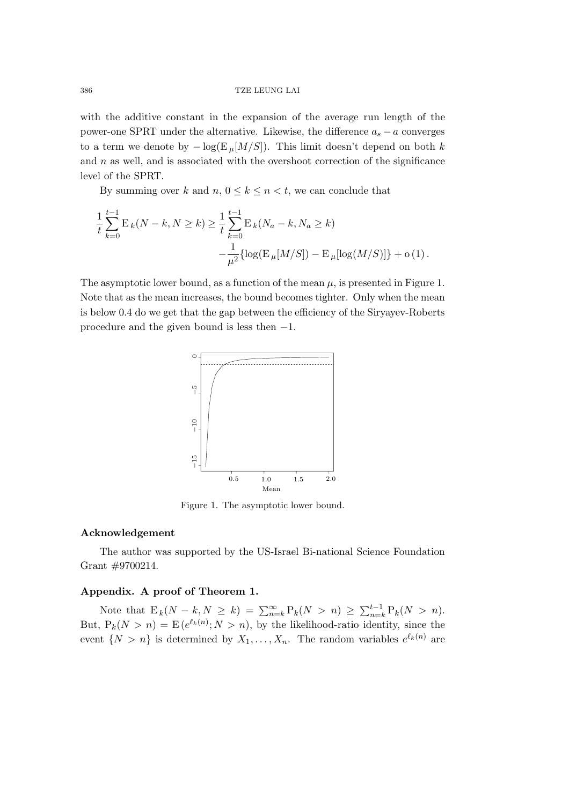with the additive constant in the expansion of the average run length of the power-one SPRT under the alternative. Likewise, the difference  $a_s - a$  converges to a term we denote by  $-\log(E_\mu[M/S])$ . This limit doesn't depend on both k and  $n$  as well, and is associated with the overshoot correction of the significance level of the SPRT.

By summing over k and  $n, 0 \le k \le n < t$ , we can conclude that

$$
\frac{1}{t} \sum_{k=0}^{t-1} \mathcal{E}_k(N-k, N \ge k) \ge \frac{1}{t} \sum_{k=0}^{t-1} \mathcal{E}_k(N_a - k, N_a \ge k) -\frac{1}{\mu^2} \{ \log(\mathcal{E}_\mu[M/S]) - \mathcal{E}_\mu[\log(M/S)] \} + o(1).
$$

The asymptotic lower bound, as a function of the mean  $\mu$ , is presented in Figure 1. Note that as the mean increases, the bound becomes tighter. Only when the mean is below 0.4 do we get that the gap between the efficiency of the Siryayev-Roberts procedure and the given bound is less then −1.



Figure 1. The asymptotic lower bound.

### **Acknowledgement**

The author was supported by the US-Israel Bi-national Science Foundation Grant #9700214.

# **Appendix. A proof of Theorem 1.**

Note that  $E_k(N - k, N \ge k) = \sum_{n=k}^{\infty} P_k(N > n) \ge \sum_{n=k}^{t-1} P_k(N > n)$ . But,  $P_k(N > n) = E(e^{\ell_k(n)}; N > n)$ , by the likelihood-ratio identity, since the event  $\{N>n\}$  is determined by  $X_1,\ldots,X_n$ . The random variables  $e^{\ell_k(n)}$  are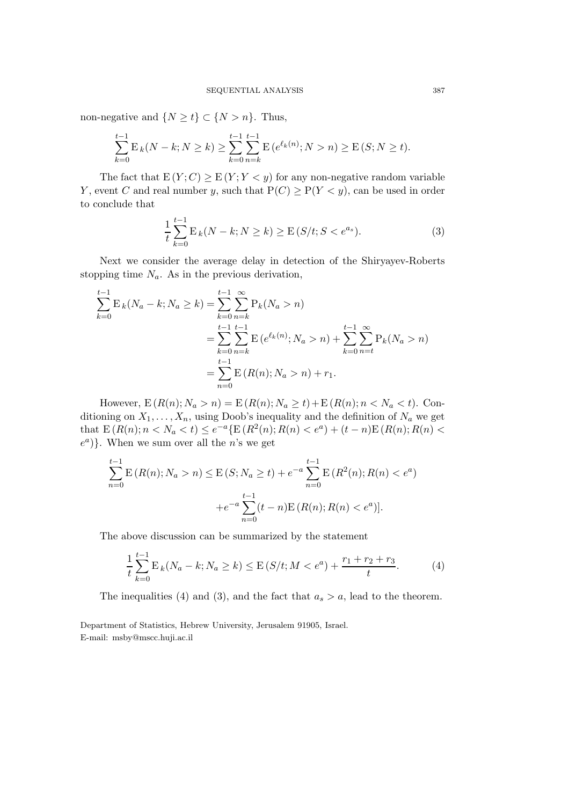non-negative and  $\{N \ge t\} \subset \{N > n\}$ . Thus,

$$
\sum_{k=0}^{t-1} \mathbf{E}_k(N-k;N\geq k) \geq \sum_{k=0}^{t-1} \sum_{n=k}^{t-1} \mathbf{E}\left(e^{\ell_k(n)};N>n\right) \geq \mathbf{E}\left(S;N\geq t\right).
$$

The fact that  $E(Y; C) \ge E(Y; Y < y)$  for any non-negative random variable Y, event C and real number y, such that  $P(C) \ge P(Y \le y)$ , can be used in order to conclude that

$$
\frac{1}{t}\sum_{k=0}^{t-1} \mathcal{E}_k(N-k;N\geq k) \geq \mathcal{E}(S/t;S
$$

Next we consider the average delay in detection of the Shiryayev-Roberts stopping time  $N_a$ . As in the previous derivation,

$$
\sum_{k=0}^{t-1} \mathbf{E}_k(N_a - k; N_a \ge k) = \sum_{k=0}^{t-1} \sum_{n=k}^{\infty} \mathbf{P}_k(N_a > n)
$$
  
= 
$$
\sum_{k=0}^{t-1} \sum_{n=k}^{t-1} \mathbf{E}(e^{\ell_k(n)}; N_a > n) + \sum_{k=0}^{t-1} \sum_{n=t}^{\infty} \mathbf{P}_k(N_a > n)
$$
  
= 
$$
\sum_{n=0}^{t-1} \mathbf{E}(R(n); N_a > n) + r_1.
$$

However,  $E(R(n); N_a > n) = E(R(n); N_a \ge t) + E(R(n); n < N_a < t)$ . Conditioning on  $X_1, \ldots, X_n$ , using Doob's inequality and the definition of  $N_a$  we get that  $E(R(n); n < N_a < t) \le e^{-a} \{E(R^2(n); R(n) < e^a) + (t - n)E(R(n); R(n) < t\}$  $e^a$ ). When we sum over all the *n*'s we get

$$
\sum_{n=0}^{t-1} \mathbb{E}\left(R(n); N_a > n\right) \le \mathbb{E}\left(S; N_a \ge t\right) + e^{-a} \sum_{n=0}^{t-1} \mathbb{E}\left(R^2(n); R(n) < e^a\right) + e^{-a} \sum_{n=0}^{t-1} (t-n) \mathbb{E}\left(R(n); R(n) < e^a\right).
$$

The above discussion can be summarized by the statement

$$
\frac{1}{t}\sum_{k=0}^{t-1} \mathcal{E}_k(N_a - k; N_a \ge k) \le \mathcal{E}(S/t; M < e^a) + \frac{r_1 + r_2 + r_3}{t}.\tag{4}
$$

The inequalities (4) and (3), and the fact that  $a_s > a$ , lead to the theorem.

Department of Statistics, Hebrew University, Jerusalem 91905, Israel. E-mail: msby@mscc.huji.ac.il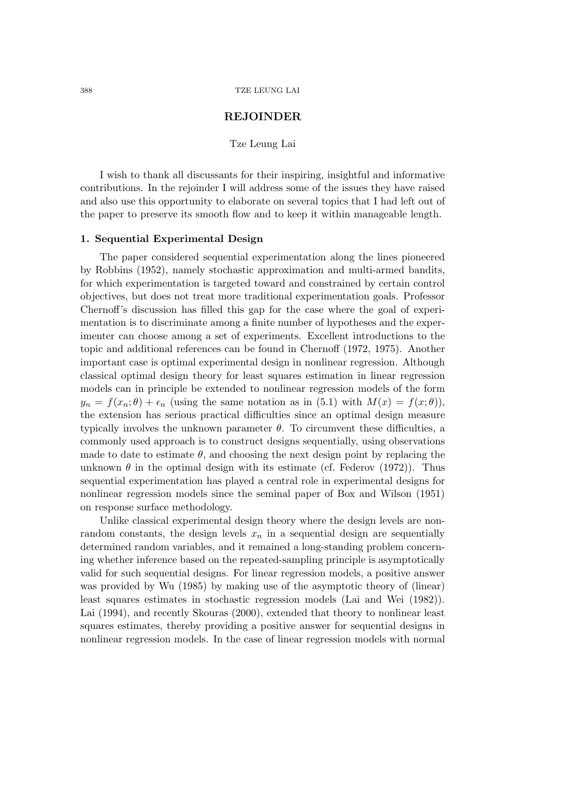# **REJOINDER**

### Tze Leung Lai

I wish to thank all discussants for their inspiring, insightful and informative contributions. In the rejoinder I will address some of the issues they have raised and also use this opportunity to elaborate on several topics that I had left out of the paper to preserve its smooth flow and to keep it within manageable length.

### **1. Sequential Experimental Design**

The paper considered sequential experimentation along the lines pioneered by Robbins (1952), namely stochastic approximation and multi-armed bandits, for which experimentation is targeted toward and constrained by certain control objectives, but does not treat more traditional experimentation goals. Professor Chernoff's discussion has filled this gap for the case where the goal of experimentation is to discriminate among a finite number of hypotheses and the experimenter can choose among a set of experiments. Excellent introductions to the topic and additional references can be found in Chernoff (1972, 1975). Another important case is optimal experimental design in nonlinear regression. Although classical optimal design theory for least squares estimation in linear regression models can in principle be extended to nonlinear regression models of the form  $y_n = f(x_n; \theta) + \epsilon_n$  (using the same notation as in (5.1) with  $M(x) = f(x; \theta)$ , the extension has serious practical difficulties since an optimal design measure typically involves the unknown parameter  $\theta$ . To circumvent these difficulties, a commonly used approach is to construct designs sequentially, using observations made to date to estimate  $\theta$ , and choosing the next design point by replacing the unknown  $\theta$  in the optimal design with its estimate (cf. Federov (1972)). Thus sequential experimentation has played a central role in experimental designs for nonlinear regression models since the seminal paper of Box and Wilson (1951) on response surface methodology.

Unlike classical experimental design theory where the design levels are nonrandom constants, the design levels  $x_n$  in a sequential design are sequentially determined random variables, and it remained a long-standing problem concerning whether inference based on the repeated-sampling principle is asymptotically valid for such sequential designs. For linear regression models, a positive answer was provided by Wu (1985) by making use of the asymptotic theory of (linear) least squares estimates in stochastic regression models (Lai and Wei (1982)). Lai (1994), and recently Skouras (2000), extended that theory to nonlinear least squares estimates, thereby providing a positive answer for sequential designs in nonlinear regression models. In the case of linear regression models with normal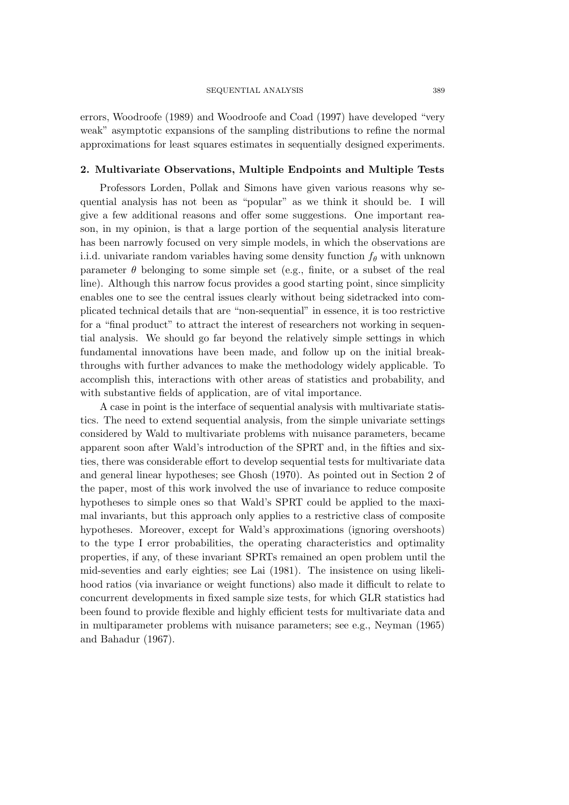#### SEQUENTIAL ANALYSIS 389

errors, Woodroofe (1989) and Woodroofe and Coad (1997) have developed "very weak" asymptotic expansions of the sampling distributions to refine the normal approximations for least squares estimates in sequentially designed experiments.

### **2. Multivariate Observations, Multiple Endpoints and Multiple Tests**

Professors Lorden, Pollak and Simons have given various reasons why sequential analysis has not been as "popular" as we think it should be. I will give a few additional reasons and offer some suggestions. One important reason, in my opinion, is that a large portion of the sequential analysis literature has been narrowly focused on very simple models, in which the observations are i.i.d. univariate random variables having some density function  $f_{\theta}$  with unknown parameter  $\theta$  belonging to some simple set (e.g., finite, or a subset of the real line). Although this narrow focus provides a good starting point, since simplicity enables one to see the central issues clearly without being sidetracked into complicated technical details that are "non-sequential" in essence, it is too restrictive for a "final product" to attract the interest of researchers not working in sequential analysis. We should go far beyond the relatively simple settings in which fundamental innovations have been made, and follow up on the initial breakthroughs with further advances to make the methodology widely applicable. To accomplish this, interactions with other areas of statistics and probability, and with substantive fields of application, are of vital importance.

A case in point is the interface of sequential analysis with multivariate statistics. The need to extend sequential analysis, from the simple univariate settings considered by Wald to multivariate problems with nuisance parameters, became apparent soon after Wald's introduction of the SPRT and, in the fifties and sixties, there was considerable effort to develop sequential tests for multivariate data and general linear hypotheses; see Ghosh (1970). As pointed out in Section 2 of the paper, most of this work involved the use of invariance to reduce composite hypotheses to simple ones so that Wald's SPRT could be applied to the maximal invariants, but this approach only applies to a restrictive class of composite hypotheses. Moreover, except for Wald's approximations (ignoring overshoots) to the type I error probabilities, the operating characteristics and optimality properties, if any, of these invariant SPRTs remained an open problem until the mid-seventies and early eighties; see Lai (1981). The insistence on using likelihood ratios (via invariance or weight functions) also made it difficult to relate to concurrent developments in fixed sample size tests, for which GLR statistics had been found to provide flexible and highly efficient tests for multivariate data and in multiparameter problems with nuisance parameters; see e.g., Neyman (1965) and Bahadur (1967).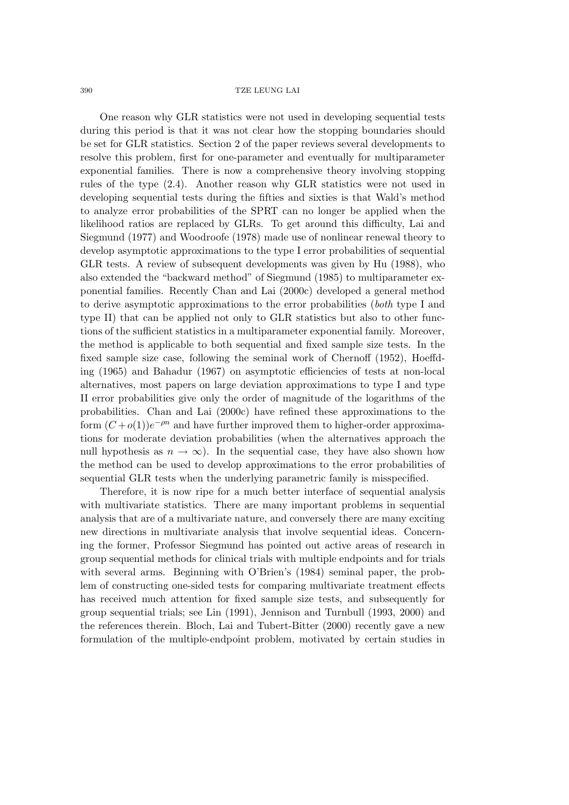One reason why GLR statistics were not used in developing sequential tests during this period is that it was not clear how the stopping boundaries should be set for GLR statistics. Section 2 of the paper reviews several developments to resolve this problem, first for one-parameter and eventually for multiparameter exponential families. There is now a comprehensive theory involving stopping rules of the type (2.4). Another reason why GLR statistics were not used in developing sequential tests during the fifties and sixties is that Wald's method to analyze error probabilities of the SPRT can no longer be applied when the likelihood ratios are replaced by GLRs. To get around this difficulty, Lai and Siegmund (1977) and Woodroofe (1978) made use of nonlinear renewal theory to develop asymptotic approximations to the type I error probabilities of sequential GLR tests. A review of subsequent developments was given by Hu (1988), who also extended the "backward method" of Siegmund (1985) to multiparameter exponential families. Recently Chan and Lai (2000c) developed a general method to derive asymptotic approximations to the error probabilities (*both* type I and type II) that can be applied not only to GLR statistics but also to other functions of the sufficient statistics in a multiparameter exponential family. Moreover, the method is applicable to both sequential and fixed sample size tests. In the fixed sample size case, following the seminal work of Chernoff (1952), Hoeffding (1965) and Bahadur (1967) on asymptotic efficiencies of tests at non-local alternatives, most papers on large deviation approximations to type I and type II error probabilities give only the order of magnitude of the logarithms of the probabilities. Chan and Lai (2000c) have refined these approximations to the form  $(C+o(1))e^{-\rho n}$  and have further improved them to higher-order approximations for moderate deviation probabilities (when the alternatives approach the null hypothesis as  $n \to \infty$ ). In the sequential case, they have also shown how the method can be used to develop approximations to the error probabilities of sequential GLR tests when the underlying parametric family is misspecified.

Therefore, it is now ripe for a much better interface of sequential analysis with multivariate statistics. There are many important problems in sequential analysis that are of a multivariate nature, and conversely there are many exciting new directions in multivariate analysis that involve sequential ideas. Concerning the former, Professor Siegmund has pointed out active areas of research in group sequential methods for clinical trials with multiple endpoints and for trials with several arms. Beginning with O'Brien's (1984) seminal paper, the problem of constructing one-sided tests for comparing multivariate treatment effects has received much attention for fixed sample size tests, and subsequently for group sequential trials; see Lin (1991), Jennison and Turnbull (1993, 2000) and the references therein. Bloch, Lai and Tubert-Bitter (2000) recently gave a new formulation of the multiple-endpoint problem, motivated by certain studies in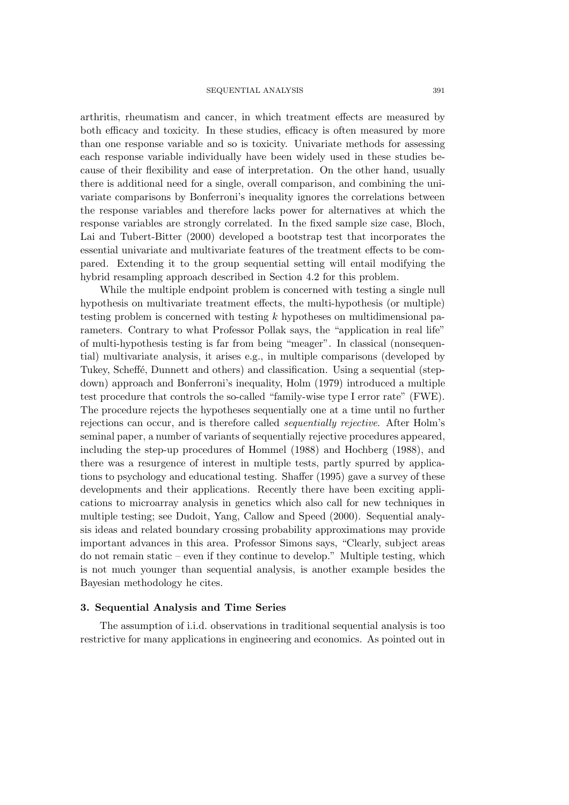arthritis, rheumatism and cancer, in which treatment effects are measured by both efficacy and toxicity. In these studies, efficacy is often measured by more than one response variable and so is toxicity. Univariate methods for assessing each response variable individually have been widely used in these studies because of their flexibility and ease of interpretation. On the other hand, usually there is additional need for a single, overall comparison, and combining the univariate comparisons by Bonferroni's inequality ignores the correlations between the response variables and therefore lacks power for alternatives at which the response variables are strongly correlated. In the fixed sample size case, Bloch, Lai and Tubert-Bitter (2000) developed a bootstrap test that incorporates the essential univariate and multivariate features of the treatment effects to be compared. Extending it to the group sequential setting will entail modifying the hybrid resampling approach described in Section 4.2 for this problem.

While the multiple endpoint problem is concerned with testing a single null hypothesis on multivariate treatment effects, the multi-hypothesis (or multiple) testing problem is concerned with testing k hypotheses on multidimensional parameters. Contrary to what Professor Pollak says, the "application in real life" of multi-hypothesis testing is far from being "meager". In classical (nonsequential) multivariate analysis, it arises e.g., in multiple comparisons (developed by Tukey, Scheffé, Dunnett and others) and classification. Using a sequential (stepdown) approach and Bonferroni's inequality, Holm (1979) introduced a multiple test procedure that controls the so-called "family-wise type I error rate" (FWE). The procedure rejects the hypotheses sequentially one at a time until no further rejections can occur, and is therefore called *sequentially rejective*. After Holm's seminal paper, a number of variants of sequentially rejective procedures appeared, including the step-up procedures of Hommel (1988) and Hochberg (1988), and there was a resurgence of interest in multiple tests, partly spurred by applications to psychology and educational testing. Shaffer (1995) gave a survey of these developments and their applications. Recently there have been exciting applications to microarray analysis in genetics which also call for new techniques in multiple testing; see Dudoit, Yang, Callow and Speed (2000). Sequential analysis ideas and related boundary crossing probability approximations may provide important advances in this area. Professor Simons says, "Clearly, subject areas do not remain static – even if they continue to develop." Multiple testing, which is not much younger than sequential analysis, is another example besides the Bayesian methodology he cites.

#### **3. Sequential Analysis and Time Series**

The assumption of i.i.d. observations in traditional sequential analysis is too restrictive for many applications in engineering and economics. As pointed out in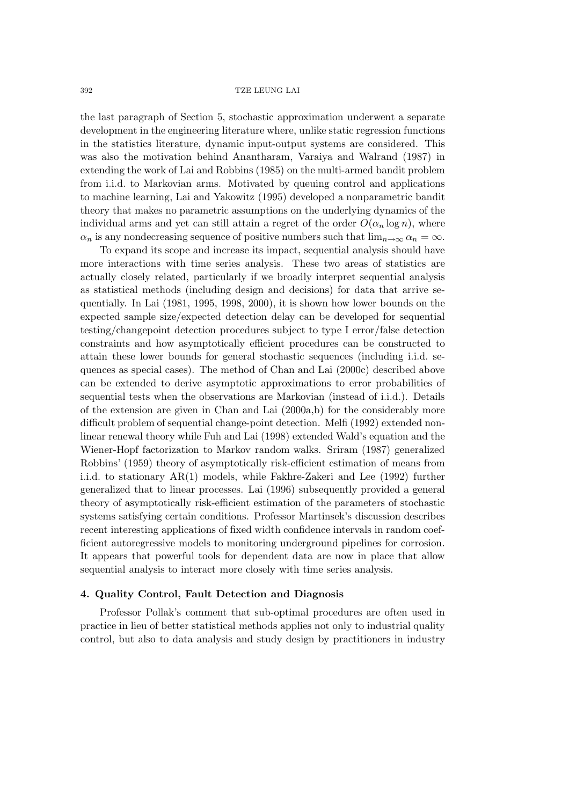the last paragraph of Section 5, stochastic approximation underwent a separate development in the engineering literature where, unlike static regression functions in the statistics literature, dynamic input-output systems are considered. This was also the motivation behind Anantharam, Varaiya and Walrand (1987) in extending the work of Lai and Robbins (1985) on the multi-armed bandit problem from i.i.d. to Markovian arms. Motivated by queuing control and applications to machine learning, Lai and Yakowitz (1995) developed a nonparametric bandit theory that makes no parametric assumptions on the underlying dynamics of the individual arms and yet can still attain a regret of the order  $O(\alpha_n \log n)$ , where  $\alpha_n$  is any nondecreasing sequence of positive numbers such that  $\lim_{n\to\infty} \alpha_n = \infty$ .

To expand its scope and increase its impact, sequential analysis should have more interactions with time series analysis. These two areas of statistics are actually closely related, particularly if we broadly interpret sequential analysis as statistical methods (including design and decisions) for data that arrive sequentially. In Lai (1981, 1995, 1998, 2000), it is shown how lower bounds on the expected sample size/expected detection delay can be developed for sequential testing/changepoint detection procedures subject to type I error/false detection constraints and how asymptotically efficient procedures can be constructed to attain these lower bounds for general stochastic sequences (including i.i.d. sequences as special cases). The method of Chan and Lai (2000c) described above can be extended to derive asymptotic approximations to error probabilities of sequential tests when the observations are Markovian (instead of i.i.d.). Details of the extension are given in Chan and Lai (2000a,b) for the considerably more difficult problem of sequential change-point detection. Melfi (1992) extended nonlinear renewal theory while Fuh and Lai (1998) extended Wald's equation and the Wiener-Hopf factorization to Markov random walks. Sriram (1987) generalized Robbins' (1959) theory of asymptotically risk-efficient estimation of means from i.i.d. to stationary AR(1) models, while Fakhre-Zakeri and Lee (1992) further generalized that to linear processes. Lai (1996) subsequently provided a general theory of asymptotically risk-efficient estimation of the parameters of stochastic systems satisfying certain conditions. Professor Martinsek's discussion describes recent interesting applications of fixed width confidence intervals in random coefficient autoregressive models to monitoring underground pipelines for corrosion. It appears that powerful tools for dependent data are now in place that allow sequential analysis to interact more closely with time series analysis.

### **4. Quality Control, Fault Detection and Diagnosis**

Professor Pollak's comment that sub-optimal procedures are often used in practice in lieu of better statistical methods applies not only to industrial quality control, but also to data analysis and study design by practitioners in industry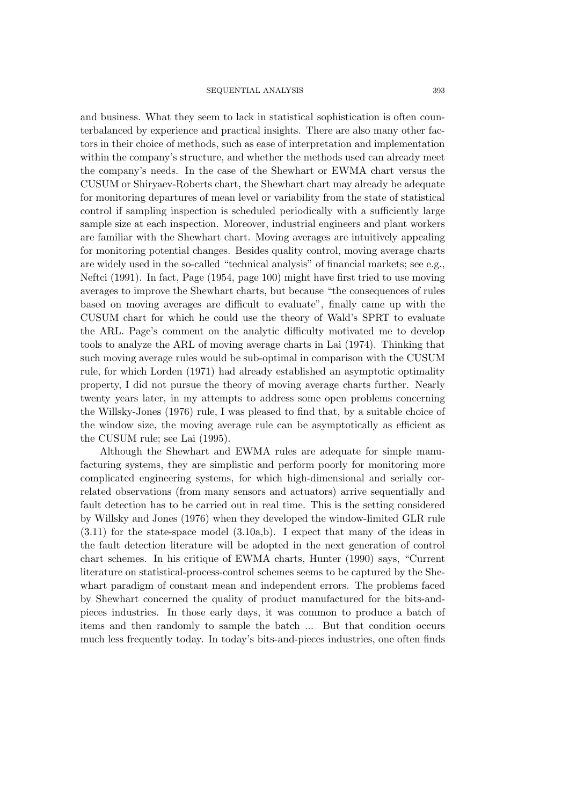and business. What they seem to lack in statistical sophistication is often counterbalanced by experience and practical insights. There are also many other factors in their choice of methods, such as ease of interpretation and implementation within the company's structure, and whether the methods used can already meet the company's needs. In the case of the Shewhart or EWMA chart versus the CUSUM or Shiryaev-Roberts chart, the Shewhart chart may already be adequate for monitoring departures of mean level or variability from the state of statistical control if sampling inspection is scheduled periodically with a sufficiently large sample size at each inspection. Moreover, industrial engineers and plant workers are familiar with the Shewhart chart. Moving averages are intuitively appealing for monitoring potential changes. Besides quality control, moving average charts are widely used in the so-called "technical analysis" of financial markets; see e.g., Neftci (1991). In fact, Page (1954, page 100) might have first tried to use moving averages to improve the Shewhart charts, but because "the consequences of rules based on moving averages are difficult to evaluate", finally came up with the CUSUM chart for which he could use the theory of Wald's SPRT to evaluate the ARL. Page's comment on the analytic difficulty motivated me to develop tools to analyze the ARL of moving average charts in Lai (1974). Thinking that such moving average rules would be sub-optimal in comparison with the CUSUM rule, for which Lorden (1971) had already established an asymptotic optimality property, I did not pursue the theory of moving average charts further. Nearly twenty years later, in my attempts to address some open problems concerning the Willsky-Jones (1976) rule, I was pleased to find that, by a suitable choice of the window size, the moving average rule can be asymptotically as efficient as the CUSUM rule; see Lai (1995).

Although the Shewhart and EWMA rules are adequate for simple manufacturing systems, they are simplistic and perform poorly for monitoring more complicated engineering systems, for which high-dimensional and serially correlated observations (from many sensors and actuators) arrive sequentially and fault detection has to be carried out in real time. This is the setting considered by Willsky and Jones (1976) when they developed the window-limited GLR rule (3.11) for the state-space model (3.10a,b). I expect that many of the ideas in the fault detection literature will be adopted in the next generation of control chart schemes. In his critique of EWMA charts, Hunter (1990) says, "Current literature on statistical-process-control schemes seems to be captured by the Shewhart paradigm of constant mean and independent errors. The problems faced by Shewhart concerned the quality of product manufactured for the bits-andpieces industries. In those early days, it was common to produce a batch of items and then randomly to sample the batch ... But that condition occurs much less frequently today. In today's bits-and-pieces industries, one often finds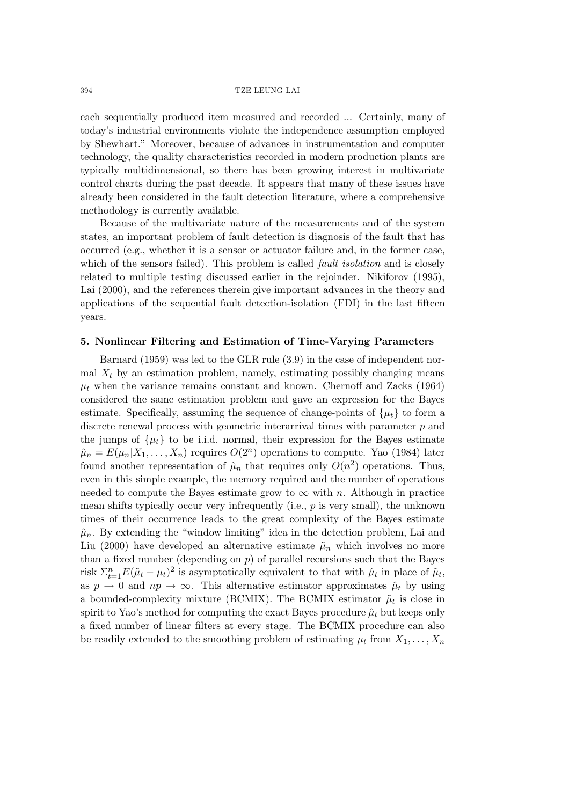each sequentially produced item measured and recorded ... Certainly, many of today's industrial environments violate the independence assumption employed by Shewhart." Moreover, because of advances in instrumentation and computer technology, the quality characteristics recorded in modern production plants are typically multidimensional, so there has been growing interest in multivariate control charts during the past decade. It appears that many of these issues have already been considered in the fault detection literature, where a comprehensive methodology is currently available.

Because of the multivariate nature of the measurements and of the system states, an important problem of fault detection is diagnosis of the fault that has occurred (e.g., whether it is a sensor or actuator failure and, in the former case, which of the sensors failed). This problem is called *fault isolation* and is closely related to multiple testing discussed earlier in the rejoinder. Nikiforov (1995), Lai (2000), and the references therein give important advances in the theory and applications of the sequential fault detection-isolation (FDI) in the last fifteen years.

### **5. Nonlinear Filtering and Estimation of Time-Varying Parameters**

Barnard (1959) was led to the GLR rule (3.9) in the case of independent normal  $X_t$  by an estimation problem, namely, estimating possibly changing means  $\mu_t$  when the variance remains constant and known. Chernoff and Zacks (1964) considered the same estimation problem and gave an expression for the Bayes estimate. Specifically, assuming the sequence of change-points of  $\{\mu_t\}$  to form a discrete renewal process with geometric interarrival times with parameter p and the jumps of  $\{\mu_t\}$  to be i.i.d. normal, their expression for the Bayes estimate  $\hat{\mu}_n = E(\mu_n | X_1, \dots, X_n)$  requires  $O(2^n)$  operations to compute. Yao (1984) later found another representation of  $\hat{\mu}_n$  that requires only  $O(n^2)$  operations. Thus, even in this simple example, the memory required and the number of operations needed to compute the Bayes estimate grow to  $\infty$  with n. Although in practice mean shifts typically occur very infrequently (i.e.,  $p$  is very small), the unknown times of their occurrence leads to the great complexity of the Bayes estimate  $\hat{\mu}_n$ . By extending the "window limiting" idea in the detection problem, Lai and Liu (2000) have developed an alternative estimate  $\tilde{\mu}_n$  which involves no more than a fixed number (depending on  $p$ ) of parallel recursions such that the Bayes risk  $\Sigma_{t=1}^n E(\tilde{\mu}_t - \mu_t)^2$  is asymptotically equivalent to that with  $\hat{\mu}_t$  in place of  $\tilde{\mu}_t$ , as  $p \to 0$  and  $np \to \infty$ . This alternative estimator approximates  $\hat{\mu}_t$  by using a bounded-complexity mixture (BCMIX). The BCMIX estimator  $\tilde{\mu}_t$  is close in spirit to Yao's method for computing the exact Bayes procedure  $\hat{\mu}_t$  but keeps only a fixed number of linear filters at every stage. The BCMIX procedure can also be readily extended to the smoothing problem of estimating  $\mu_t$  from  $X_1, \ldots, X_n$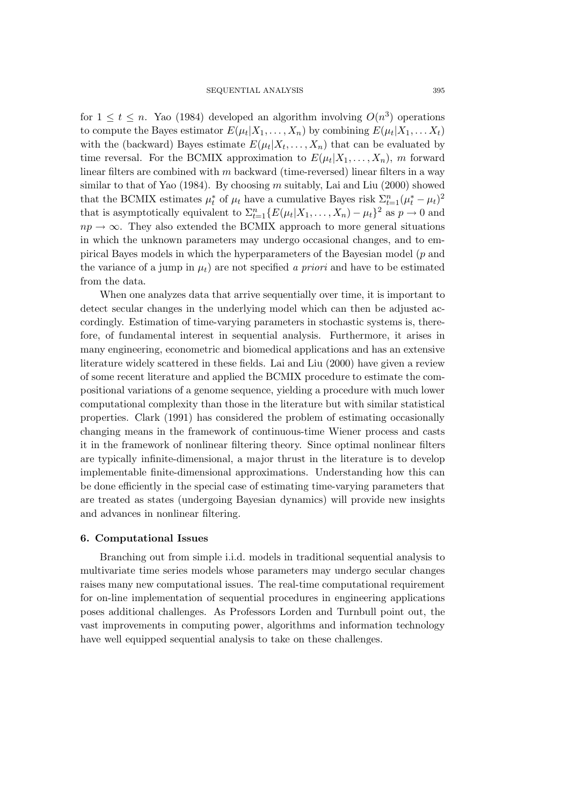for  $1 \leq t \leq n$ . Yao (1984) developed an algorithm involving  $O(n^3)$  operations to compute the Bayes estimator  $E(\mu_t|X_1,\ldots,X_n)$  by combining  $E(\mu_t|X_1,\ldots,X_t)$ with the (backward) Bayes estimate  $E(\mu_t|X_t,\ldots,X_n)$  that can be evaluated by time reversal. For the BCMIX approximation to  $E(\mu_t|X_1,\ldots,X_n)$ , m forward linear filters are combined with m backward (time-reversed) linear filters in a way similar to that of Yao (1984). By choosing  $m$  suitably, Lai and Liu (2000) showed that the BCMIX estimates  $\mu_t^*$  of  $\mu_t$  have a cumulative Bayes risk  $\Sigma_{t=1}^n(\mu_t^* - \mu_t)^2$ that is asymptotically equivalent to  $\Sigma_{t=1}^n \{E(\mu_t|X_1,\ldots,X_n) - \mu_t\}^2$  as  $p \to 0$  and  $np \rightarrow \infty$ . They also extended the BCMIX approach to more general situations in which the unknown parameters may undergo occasional changes, and to empirical Bayes models in which the hyperparameters of the Bayesian model (p and the variance of a jump in  $\mu_t$ ) are not specified *a priori* and have to be estimated from the data.

When one analyzes data that arrive sequentially over time, it is important to detect secular changes in the underlying model which can then be adjusted accordingly. Estimation of time-varying parameters in stochastic systems is, therefore, of fundamental interest in sequential analysis. Furthermore, it arises in many engineering, econometric and biomedical applications and has an extensive literature widely scattered in these fields. Lai and Liu (2000) have given a review of some recent literature and applied the BCMIX procedure to estimate the compositional variations of a genome sequence, yielding a procedure with much lower computational complexity than those in the literature but with similar statistical properties. Clark (1991) has considered the problem of estimating occasionally changing means in the framework of continuous-time Wiener process and casts it in the framework of nonlinear filtering theory. Since optimal nonlinear filters are typically infinite-dimensional, a major thrust in the literature is to develop implementable finite-dimensional approximations. Understanding how this can be done efficiently in the special case of estimating time-varying parameters that are treated as states (undergoing Bayesian dynamics) will provide new insights and advances in nonlinear filtering.

#### **6. Computational Issues**

Branching out from simple i.i.d. models in traditional sequential analysis to multivariate time series models whose parameters may undergo secular changes raises many new computational issues. The real-time computational requirement for on-line implementation of sequential procedures in engineering applications poses additional challenges. As Professors Lorden and Turnbull point out, the vast improvements in computing power, algorithms and information technology have well equipped sequential analysis to take on these challenges.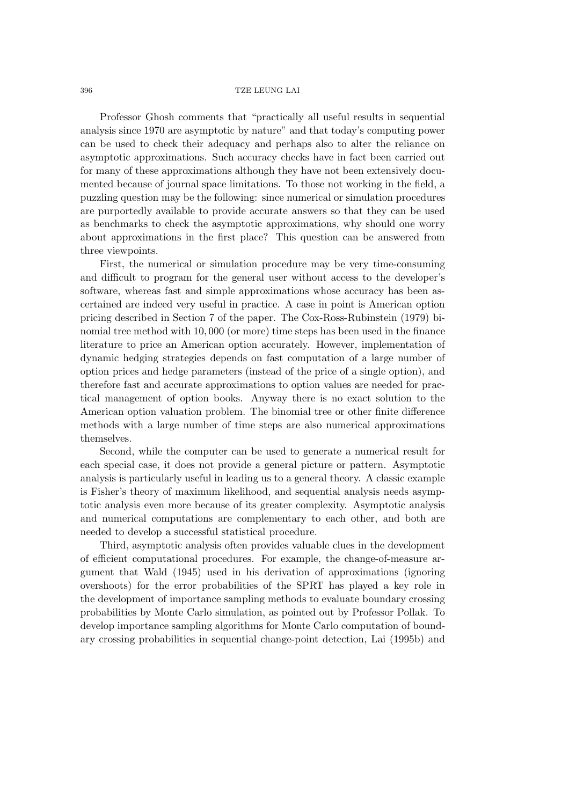Professor Ghosh comments that "practically all useful results in sequential analysis since 1970 are asymptotic by nature" and that today's computing power can be used to check their adequacy and perhaps also to alter the reliance on asymptotic approximations. Such accuracy checks have in fact been carried out for many of these approximations although they have not been extensively documented because of journal space limitations. To those not working in the field, a puzzling question may be the following: since numerical or simulation procedures are purportedly available to provide accurate answers so that they can be used as benchmarks to check the asymptotic approximations, why should one worry about approximations in the first place? This question can be answered from three viewpoints.

First, the numerical or simulation procedure may be very time-consuming and difficult to program for the general user without access to the developer's software, whereas fast and simple approximations whose accuracy has been ascertained are indeed very useful in practice. A case in point is American option pricing described in Section 7 of the paper. The Cox-Ross-Rubinstein (1979) binomial tree method with 10, 000 (or more) time steps has been used in the finance literature to price an American option accurately. However, implementation of dynamic hedging strategies depends on fast computation of a large number of option prices and hedge parameters (instead of the price of a single option), and therefore fast and accurate approximations to option values are needed for practical management of option books. Anyway there is no exact solution to the American option valuation problem. The binomial tree or other finite difference methods with a large number of time steps are also numerical approximations themselves.

Second, while the computer can be used to generate a numerical result for each special case, it does not provide a general picture or pattern. Asymptotic analysis is particularly useful in leading us to a general theory. A classic example is Fisher's theory of maximum likelihood, and sequential analysis needs asymptotic analysis even more because of its greater complexity. Asymptotic analysis and numerical computations are complementary to each other, and both are needed to develop a successful statistical procedure.

Third, asymptotic analysis often provides valuable clues in the development of efficient computational procedures. For example, the change-of-measure argument that Wald (1945) used in his derivation of approximations (ignoring overshoots) for the error probabilities of the SPRT has played a key role in the development of importance sampling methods to evaluate boundary crossing probabilities by Monte Carlo simulation, as pointed out by Professor Pollak. To develop importance sampling algorithms for Monte Carlo computation of boundary crossing probabilities in sequential change-point detection, Lai (1995b) and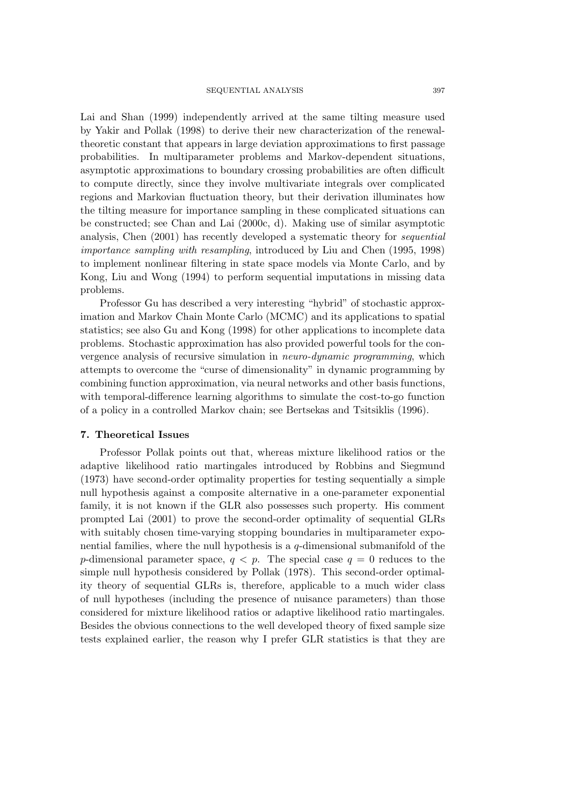Lai and Shan (1999) independently arrived at the same tilting measure used by Yakir and Pollak (1998) to derive their new characterization of the renewaltheoretic constant that appears in large deviation approximations to first passage probabilities. In multiparameter problems and Markov-dependent situations, asymptotic approximations to boundary crossing probabilities are often difficult to compute directly, since they involve multivariate integrals over complicated regions and Markovian fluctuation theory, but their derivation illuminates how the tilting measure for importance sampling in these complicated situations can be constructed; see Chan and Lai (2000c, d). Making use of similar asymptotic analysis, Chen (2001) has recently developed a systematic theory for *sequential importance sampling with resampling*, introduced by Liu and Chen (1995, 1998) to implement nonlinear filtering in state space models via Monte Carlo, and by Kong, Liu and Wong (1994) to perform sequential imputations in missing data problems.

Professor Gu has described a very interesting "hybrid" of stochastic approximation and Markov Chain Monte Carlo (MCMC) and its applications to spatial statistics; see also Gu and Kong (1998) for other applications to incomplete data problems. Stochastic approximation has also provided powerful tools for the convergence analysis of recursive simulation in *neuro-dynamic programming*, which attempts to overcome the "curse of dimensionality" in dynamic programming by combining function approximation, via neural networks and other basis functions, with temporal-difference learning algorithms to simulate the cost-to-go function of a policy in a controlled Markov chain; see Bertsekas and Tsitsiklis (1996).

### **7. Theoretical Issues**

Professor Pollak points out that, whereas mixture likelihood ratios or the adaptive likelihood ratio martingales introduced by Robbins and Siegmund (1973) have second-order optimality properties for testing sequentially a simple null hypothesis against a composite alternative in a one-parameter exponential family, it is not known if the GLR also possesses such property. His comment prompted Lai (2001) to prove the second-order optimality of sequential GLRs with suitably chosen time-varying stopping boundaries in multiparameter exponential families, where the null hypothesis is a q-dimensional submanifold of the p-dimensional parameter space,  $q < p$ . The special case  $q = 0$  reduces to the simple null hypothesis considered by Pollak (1978). This second-order optimality theory of sequential GLRs is, therefore, applicable to a much wider class of null hypotheses (including the presence of nuisance parameters) than those considered for mixture likelihood ratios or adaptive likelihood ratio martingales. Besides the obvious connections to the well developed theory of fixed sample size tests explained earlier, the reason why I prefer GLR statistics is that they are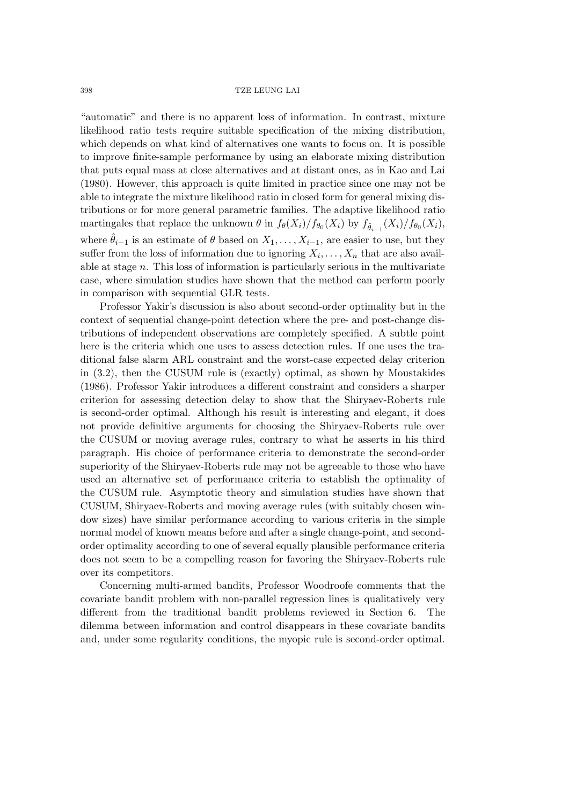"automatic" and there is no apparent loss of information. In contrast, mixture likelihood ratio tests require suitable specification of the mixing distribution, which depends on what kind of alternatives one wants to focus on. It is possible to improve finite-sample performance by using an elaborate mixing distribution that puts equal mass at close alternatives and at distant ones, as in Kao and Lai (1980). However, this approach is quite limited in practice since one may not be able to integrate the mixture likelihood ratio in closed form for general mixing distributions or for more general parametric families. The adaptive likelihood ratio martingales that replace the unknown  $\theta$  in  $f_{\theta}(X_i)/f_{\theta_0}(X_i)$  by  $f_{\hat{\theta}_{i-1}}(X_i)/f_{\theta_0}(X_i)$ , where  $\hat{\theta}_{i-1}$  is an estimate of  $\theta$  based on  $X_1,\ldots,X_{i-1}$ , are easier to use, but they suffer from the loss of information due to ignoring  $X_i, \ldots, X_n$  that are also available at stage  $n$ . This loss of information is particularly serious in the multivariate case, where simulation studies have shown that the method can perform poorly in comparison with sequential GLR tests.

Professor Yakir's discussion is also about second-order optimality but in the context of sequential change-point detection where the pre- and post-change distributions of independent observations are completely specified. A subtle point here is the criteria which one uses to assess detection rules. If one uses the traditional false alarm ARL constraint and the worst-case expected delay criterion in (3.2), then the CUSUM rule is (exactly) optimal, as shown by Moustakides (1986). Professor Yakir introduces a different constraint and considers a sharper criterion for assessing detection delay to show that the Shiryaev-Roberts rule is second-order optimal. Although his result is interesting and elegant, it does not provide definitive arguments for choosing the Shiryaev-Roberts rule over the CUSUM or moving average rules, contrary to what he asserts in his third paragraph. His choice of performance criteria to demonstrate the second-order superiority of the Shiryaev-Roberts rule may not be agreeable to those who have used an alternative set of performance criteria to establish the optimality of the CUSUM rule. Asymptotic theory and simulation studies have shown that CUSUM, Shiryaev-Roberts and moving average rules (with suitably chosen window sizes) have similar performance according to various criteria in the simple normal model of known means before and after a single change-point, and secondorder optimality according to one of several equally plausible performance criteria does not seem to be a compelling reason for favoring the Shiryaev-Roberts rule over its competitors.

Concerning multi-armed bandits, Professor Woodroofe comments that the covariate bandit problem with non-parallel regression lines is qualitatively very different from the traditional bandit problems reviewed in Section 6. The dilemma between information and control disappears in these covariate bandits and, under some regularity conditions, the myopic rule is second-order optimal.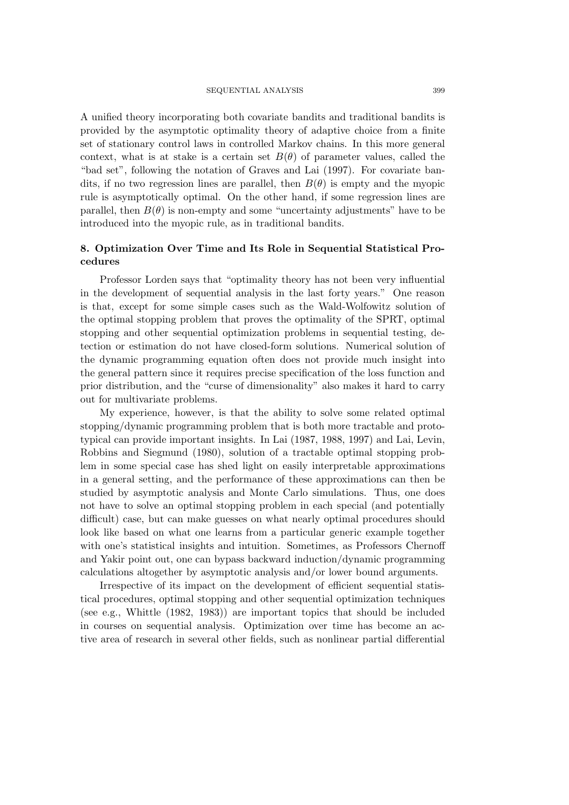A unified theory incorporating both covariate bandits and traditional bandits is provided by the asymptotic optimality theory of adaptive choice from a finite set of stationary control laws in controlled Markov chains. In this more general context, what is at stake is a certain set  $B(\theta)$  of parameter values, called the "bad set", following the notation of Graves and Lai (1997). For covariate bandits, if no two regression lines are parallel, then  $B(\theta)$  is empty and the myopic rule is asymptotically optimal. On the other hand, if some regression lines are parallel, then  $B(\theta)$  is non-empty and some "uncertainty adjustments" have to be introduced into the myopic rule, as in traditional bandits.

# **8. Optimization Over Time and Its Role in Sequential Statistical Procedures**

Professor Lorden says that "optimality theory has not been very influential in the development of sequential analysis in the last forty years." One reason is that, except for some simple cases such as the Wald-Wolfowitz solution of the optimal stopping problem that proves the optimality of the SPRT, optimal stopping and other sequential optimization problems in sequential testing, detection or estimation do not have closed-form solutions. Numerical solution of the dynamic programming equation often does not provide much insight into the general pattern since it requires precise specification of the loss function and prior distribution, and the "curse of dimensionality" also makes it hard to carry out for multivariate problems.

My experience, however, is that the ability to solve some related optimal stopping/dynamic programming problem that is both more tractable and prototypical can provide important insights. In Lai (1987, 1988, 1997) and Lai, Levin, Robbins and Siegmund (1980), solution of a tractable optimal stopping problem in some special case has shed light on easily interpretable approximations in a general setting, and the performance of these approximations can then be studied by asymptotic analysis and Monte Carlo simulations. Thus, one does not have to solve an optimal stopping problem in each special (and potentially difficult) case, but can make guesses on what nearly optimal procedures should look like based on what one learns from a particular generic example together with one's statistical insights and intuition. Sometimes, as Professors Chernoff and Yakir point out, one can bypass backward induction/dynamic programming calculations altogether by asymptotic analysis and/or lower bound arguments.

Irrespective of its impact on the development of efficient sequential statistical procedures, optimal stopping and other sequential optimization techniques (see e.g., Whittle (1982, 1983)) are important topics that should be included in courses on sequential analysis. Optimization over time has become an active area of research in several other fields, such as nonlinear partial differential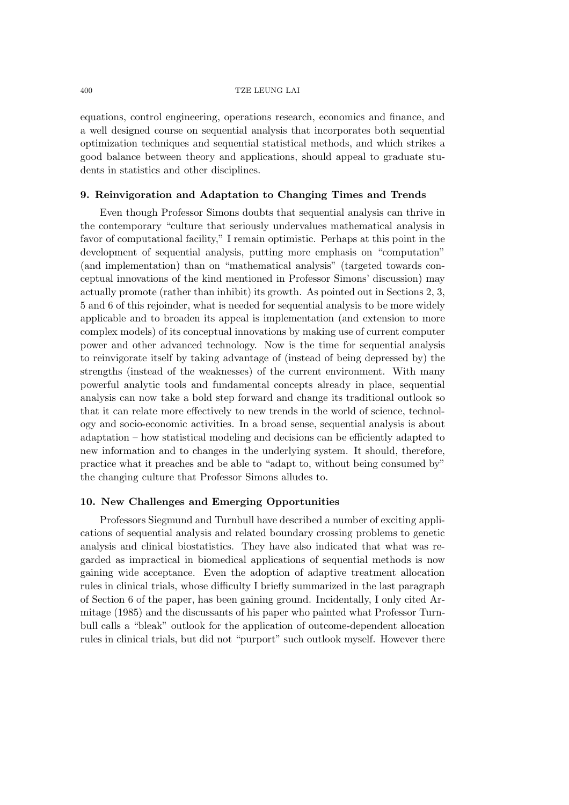equations, control engineering, operations research, economics and finance, and a well designed course on sequential analysis that incorporates both sequential optimization techniques and sequential statistical methods, and which strikes a good balance between theory and applications, should appeal to graduate students in statistics and other disciplines.

# **9. Reinvigoration and Adaptation to Changing Times and Trends**

Even though Professor Simons doubts that sequential analysis can thrive in the contemporary "culture that seriously undervalues mathematical analysis in favor of computational facility," I remain optimistic. Perhaps at this point in the development of sequential analysis, putting more emphasis on "computation" (and implementation) than on "mathematical analysis" (targeted towards conceptual innovations of the kind mentioned in Professor Simons' discussion) may actually promote (rather than inhibit) its growth. As pointed out in Sections 2, 3, 5 and 6 of this rejoinder, what is needed for sequential analysis to be more widely applicable and to broaden its appeal is implementation (and extension to more complex models) of its conceptual innovations by making use of current computer power and other advanced technology. Now is the time for sequential analysis to reinvigorate itself by taking advantage of (instead of being depressed by) the strengths (instead of the weaknesses) of the current environment. With many powerful analytic tools and fundamental concepts already in place, sequential analysis can now take a bold step forward and change its traditional outlook so that it can relate more effectively to new trends in the world of science, technology and socio-economic activities. In a broad sense, sequential analysis is about adaptation – how statistical modeling and decisions can be efficiently adapted to new information and to changes in the underlying system. It should, therefore, practice what it preaches and be able to "adapt to, without being consumed by" the changing culture that Professor Simons alludes to.

# **10. New Challenges and Emerging Opportunities**

Professors Siegmund and Turnbull have described a number of exciting applications of sequential analysis and related boundary crossing problems to genetic analysis and clinical biostatistics. They have also indicated that what was regarded as impractical in biomedical applications of sequential methods is now gaining wide acceptance. Even the adoption of adaptive treatment allocation rules in clinical trials, whose difficulty I briefly summarized in the last paragraph of Section 6 of the paper, has been gaining ground. Incidentally, I only cited Armitage (1985) and the discussants of his paper who painted what Professor Turnbull calls a "bleak" outlook for the application of outcome-dependent allocation rules in clinical trials, but did not "purport" such outlook myself. However there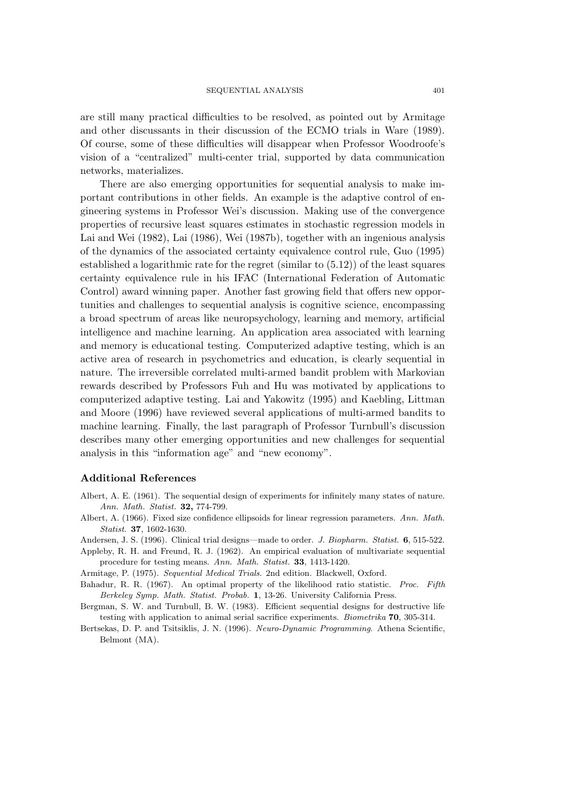are still many practical difficulties to be resolved, as pointed out by Armitage and other discussants in their discussion of the ECMO trials in Ware (1989). Of course, some of these difficulties will disappear when Professor Woodroofe's vision of a "centralized" multi-center trial, supported by data communication networks, materializes.

There are also emerging opportunities for sequential analysis to make important contributions in other fields. An example is the adaptive control of engineering systems in Professor Wei's discussion. Making use of the convergence properties of recursive least squares estimates in stochastic regression models in Lai and Wei (1982), Lai (1986), Wei (1987b), together with an ingenious analysis of the dynamics of the associated certainty equivalence control rule, Guo (1995) established a logarithmic rate for the regret (similar to (5.12)) of the least squares certainty equivalence rule in his IFAC (International Federation of Automatic Control) award winning paper. Another fast growing field that offers new opportunities and challenges to sequential analysis is cognitive science, encompassing a broad spectrum of areas like neuropsychology, learning and memory, artificial intelligence and machine learning. An application area associated with learning and memory is educational testing. Computerized adaptive testing, which is an active area of research in psychometrics and education, is clearly sequential in nature. The irreversible correlated multi-armed bandit problem with Markovian rewards described by Professors Fuh and Hu was motivated by applications to computerized adaptive testing. Lai and Yakowitz (1995) and Kaebling, Littman and Moore (1996) have reviewed several applications of multi-armed bandits to machine learning. Finally, the last paragraph of Professor Turnbull's discussion describes many other emerging opportunities and new challenges for sequential analysis in this "information age" and "new economy".

# **Additional References**

- Albert, A. E. (1961). The sequential design of experiments for infinitely many states of nature. *Ann. Math. Statist.* **32,** 774-799.
- Albert, A. (1966). Fixed size confidence ellipsoids for linear regression parameters. *Ann. Math. Statist.* **37**, 1602-1630.
- Andersen, J. S. (1996). Clinical trial designs—made to order. *J. Biopharm. Statist.* **6**, 515-522.
- Appleby, R. H. and Freund, R. J. (1962). An empirical evaluation of multivariate sequential procedure for testing means. *Ann. Math. Statist.* **33**, 1413-1420.
- Armitage, P. (1975). *Sequential Medical Trials*. 2nd edition. Blackwell, Oxford.
- Bahadur, R. R. (1967). An optimal property of the likelihood ratio statistic. *Proc. Fifth Berkeley Symp. Math. Statist. Probab.* **1**, 13-26. University California Press.
- Bergman, S. W. and Turnbull, B. W. (1983). Efficient sequential designs for destructive life testing with application to animal serial sacrifice experiments. *Biometrika* **70**, 305-314.
- Bertsekas, D. P. and Tsitsiklis, J. N. (1996). *Neuro-Dynamic Programming*. Athena Scientific, Belmont (MA).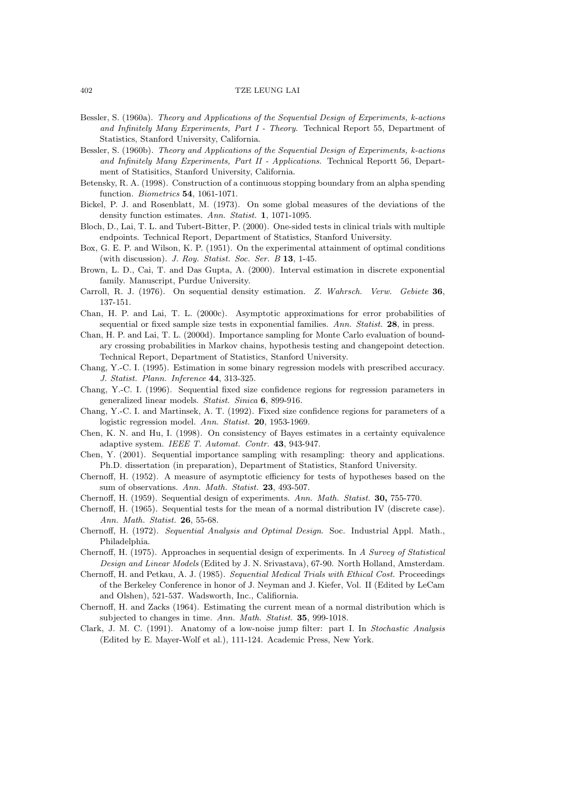- Bessler, S. (1960a). *Theory and Applications of the Sequential Design of Experiments, k-actions and Infinitely Many Experiments, Part I - Theory*. Technical Report 55, Department of Statistics, Stanford University, California.
- Bessler, S. (1960b). *Theory and Applications of the Sequential Design of Experiments, k-actions and Infinitely Many Experiments, Part II - Applications*. Technical Reportt 56, Department of Statisitics, Stanford University, California.
- Betensky, R. A. (1998). Construction of a continuous stopping boundary from an alpha spending function. *Biometrics* **54**, 1061-1071.
- Bickel, P. J. and Rosenblatt, M. (1973). On some global measures of the deviations of the density function estimates. *Ann. Statist.* **1**, 1071-1095.
- Bloch, D., Lai, T. L. and Tubert-Bitter, P. (2000). One-sided tests in clinical trials with multiple endpoints. Technical Report, Department of Statistics, Stanford University.
- Box, G. E. P. and Wilson, K. P. (1951). On the experimental attainment of optimal conditions (with discussion). *J. Roy. Statist. Soc. Ser. B* **13**, 1-45.
- Brown, L. D., Cai, T. and Das Gupta, A. (2000). Interval estimation in discrete exponential family. Manuscript, Purdue University.
- Carroll, R. J. (1976). On sequential density estimation. *Z. Wahrsch. Verw. Gebiete* **36**, 137-151.
- Chan, H. P. and Lai, T. L. (2000c). Asymptotic approximations for error probabilities of sequential or fixed sample size tests in exponential families. *Ann. Statist.* **28**, in press.
- Chan, H. P. and Lai, T. L. (2000d). Importance sampling for Monte Carlo evaluation of boundary crossing probabilities in Markov chains, hypothesis testing and changepoint detection. Technical Report, Department of Statistics, Stanford University.
- Chang, Y.-C. I. (1995). Estimation in some binary regression models with prescribed accuracy. *J. Statist. Plann. Inference* **44**, 313-325.
- Chang, Y.-C. I. (1996). Sequential fixed size confidence regions for regression parameters in generalized linear models. *Statist. Sinica* **6**, 899-916.
- Chang, Y.-C. I. and Martinsek, A. T. (1992). Fixed size confidence regions for parameters of a logistic regression model. *Ann. Statist.* **20**, 1953-1969.
- Chen, K. N. and Hu, I. (1998). On consistency of Bayes estimates in a certainty equivalence adaptive system. *IEEE T. Automat. Contr.* **43**, 943-947.
- Chen, Y. (2001). Sequential importance sampling with resampling: theory and applications. Ph.D. dissertation (in preparation), Department of Statistics, Stanford University.
- Chernoff, H. (1952). A measure of asymptotic efficiency for tests of hypotheses based on the sum of observations. *Ann. Math. Statist.* **23**, 493-507.
- Chernoff, H. (1959). Sequential design of experiments. *Ann. Math. Statist.* **30,** 755-770.
- Chernoff, H. (1965). Sequential tests for the mean of a normal distribution IV (discrete case). *Ann. Math. Statist.* **26**, 55-68.
- Chernoff, H. (1972). *Sequential Analysis and Optimal Design*. Soc. Industrial Appl. Math., Philadelphia.
- Chernoff, H. (1975). Approaches in sequential design of experiments. In *A Survey of Statistical Design and Linear Models* (Edited by J. N. Srivastava), 67-90. North Holland, Amsterdam.
- Chernoff, H. and Petkau, A. J. (1985). *Sequential Medical Trials with Ethical Cost.* Proceedings of the Berkeley Conference in honor of J. Neyman and J. Kiefer, Vol. II (Edited by LeCam and Olshen), 521-537. Wadsworth, Inc., Califiornia.
- Chernoff, H. and Zacks (1964). Estimating the current mean of a normal distribution which is subjected to changes in time. *Ann. Math. Statist.* **35**, 999-1018.
- Clark, J. M. C. (1991). Anatomy of a low-noise jump filter: part I. In *Stochastic Analysis* (Edited by E. Mayer-Wolf et al.), 111-124. Academic Press, New York.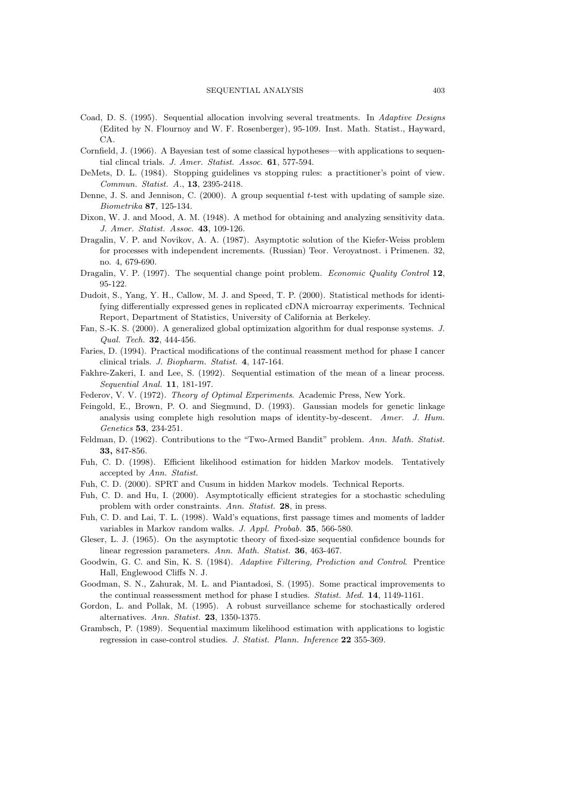- Coad, D. S. (1995). Sequential allocation involving several treatments. In *Adaptive Designs* (Edited by N. Flournoy and W. F. Rosenberger), 95-109. Inst. Math. Statist., Hayward, CA.
- Cornfield, J. (1966). A Bayesian test of some classical hypotheses—with applications to sequential clincal trials. *J. Amer. Statist. Assoc.* **61**, 577-594.
- DeMets, D. L. (1984). Stopping guidelines vs stopping rules: a practitioner's point of view. *Commun. Statist. A.*, **13**, 2395-2418.
- Denne, J. S. and Jennison, C.  $(2000)$ . A group sequential t-test with updating of sample size. *Biometrika* **87**, 125-134.
- Dixon, W. J. and Mood, A. M. (1948). A method for obtaining and analyzing sensitivity data. *J. Amer. Statist. Assoc.* **43**, 109-126.
- Dragalin, V. P. and Novikov, A. A. (1987). Asymptotic solution of the Kiefer-Weiss problem for processes with independent increments. (Russian) Teor. Veroyatnost. i Primenen. 32, no. 4, 679-690.
- Dragalin, V. P. (1997). The sequential change point problem. *Economic Quality Control* **12**, 95-122.
- Dudoit, S., Yang, Y. H., Callow, M. J. and Speed, T. P. (2000). Statistical methods for identifying differentially expressed genes in replicated cDNA microarray experiments. Technical Report, Department of Statistics, University of California at Berkeley.
- Fan, S.-K. S. (2000). A generalized global optimization algorithm for dual response systems. *J. Qual. Tech.* **32**, 444-456.
- Faries, D. (1994). Practical modifications of the continual reassment method for phase I cancer clinical trials. *J. Biopharm. Statist.* **4**, 147-164.
- Fakhre-Zakeri, I. and Lee, S. (1992). Sequential estimation of the mean of a linear process. *Sequential Anal.* **11**, 181-197.
- Federov, V. V. (1972). *Theory of Optimal Experiments*. Academic Press, New York.
- Feingold, E., Brown, P. O. and Siegmund, D. (1993). Gaussian models for genetic linkage analysis using complete high resolution maps of identity-by-descent. *Amer. J. Hum. Genetics* **53**, 234-251.
- Feldman, D. (1962). Contributions to the "Two-Armed Bandit" problem. *Ann. Math. Statist.* **33,** 847-856.
- Fuh, C. D. (1998). Efficient likelihood estimation for hidden Markov models. Tentatively accepted by *Ann. Statist.*
- Fuh, C. D. (2000). SPRT and Cusum in hidden Markov models. Technical Reports.
- Fuh, C. D. and Hu, I. (2000). Asymptotically efficient strategies for a stochastic scheduling problem with order constraints. *Ann. Statist.* **28**, in press.
- Fuh, C. D. and Lai, T. L. (1998). Wald's equations, first passage times and moments of ladder variables in Markov random walks. *J. Appl. Probab.* **35**, 566-580.
- Gleser, L. J. (1965). On the asymptotic theory of fixed-size sequential confidence bounds for linear regression parameters. *Ann. Math. Statist.* **36**, 463-467.
- Goodwin, G. C. and Sin, K. S. (1984). *Adaptive Filtering, Prediction and Control*. Prentice Hall, Englewood Cliffs N. J.
- Goodman, S. N., Zahurak, M. L. and Piantadosi, S. (1995). Some practical improvements to the continual reassessment method for phase I studies. *Statist. Med.* **14**, 1149-1161.
- Gordon, L. and Pollak, M. (1995). A robust surveillance scheme for stochastically ordered alternatives. *Ann. Statist.* **23**, 1350-1375.
- Grambsch, P. (1989). Sequential maximum likelihood estimation with applications to logistic regression in case-control studies. *J. Statist. Plann. Inference* **22** 355-369.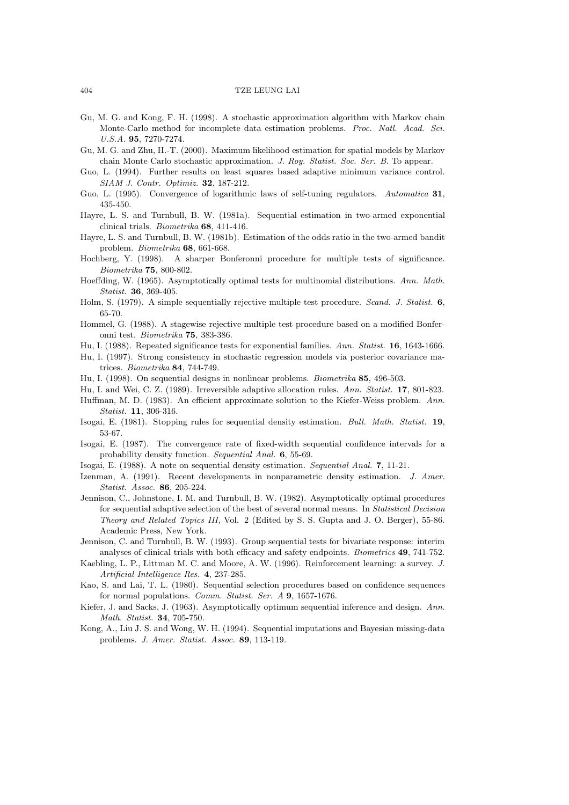- Gu, M. G. and Kong, F. H. (1998). A stochastic approximation algorithm with Markov chain Monte-Carlo method for incomplete data estimation problems. *Proc. Natl. Acad. Sci. U.S.A.* **95**, 7270-7274.
- Gu, M. G. and Zhu, H.-T. (2000). Maximum likelihood estimation for spatial models by Markov chain Monte Carlo stochastic approximation. *J. Roy. Statist. Soc. Ser. B.* To appear.
- Guo, L. (1994). Further results on least squares based adaptive minimum variance control. *SIAM J. Contr. Optimiz.* **32**, 187-212.
- Guo, L. (1995). Convergence of logarithmic laws of self-tuning regulators. *Automatica* **31**, 435-450.
- Hayre, L. S. and Turnbull, B. W. (1981a). Sequential estimation in two-armed exponential clinical trials. *Biometrika* **68**, 411-416.
- Hayre, L. S. and Turnbull, B. W. (1981b). Estimation of the odds ratio in the two-armed bandit problem. *Biometrika* **68**, 661-668.
- Hochberg, Y. (1998). A sharper Bonferonni procedure for multiple tests of significance. *Biometrika* **75**, 800-802.
- Hoeffding, W. (1965). Asymptotically optimal tests for multinomial distributions. *Ann. Math. Statist.* **36**, 369-405.
- Holm, S. (1979). A simple sequentially rejective multiple test procedure. *Scand. J. Statist.* **6**, 65-70.
- Hommel, G. (1988). A stagewise rejective multiple test procedure based on a modified Bonferonni test. *Biometrika* **75**, 383-386.
- Hu, I. (1988). Repeated significance tests for exponential families. *Ann. Statist.* **16**, 1643-1666.
- Hu, I. (1997). Strong consistency in stochastic regression models via posterior covariance matrices. *Biometrika* **84**, 744-749.
- Hu, I. (1998). On sequential designs in nonlinear problems. *Biometrika* **85**, 496-503.
- Hu, I. and Wei, C. Z. (1989). Irreversible adaptive allocation rules. *Ann. Statist.* **17**, 801-823.
- Huffman, M. D. (1983). An efficient approximate solution to the Kiefer-Weiss problem. *Ann. Statist.* **11**, 306-316.
- Isogai, E. (1981). Stopping rules for sequential density estimation. *Bull. Math. Statist.* **19**, 53-67.
- Isogai, E. (1987). The convergence rate of fixed-width sequential confidence intervals for a probability density function. *Sequential Anal.* **6**, 55-69.
- Isogai, E. (1988). A note on sequential density estimation. *Sequential Anal.* **7**, 11-21.
- Izenman, A. (1991). Recent developments in nonparametric density estimation. *J. Amer. Statist. Assoc.* **86**, 205-224.
- Jennison, C., Johnstone, I. M. and Turnbull, B. W. (1982). Asymptotically optimal procedures for sequential adaptive selection of the best of several normal means. In *Statistical Decision Theory and Related Topics III,* Vol. 2 (Edited by S. S. Gupta and J. O. Berger), 55-86. Academic Press, New York.
- Jennison, C. and Turnbull, B. W. (1993). Group sequential tests for bivariate response: interim analyses of clinical trials with both efficacy and safety endpoints. *Biometrics* **49**, 741-752.
- Kaebling, L. P., Littman M. C. and Moore, A. W. (1996). Reinforcement learning: a survey. *J. Artificial Intelligence Res.* **4**, 237-285.
- Kao, S. and Lai, T. L. (1980). Sequential selection procedures based on confidence sequences for normal populations. *Comm. Statist. Ser. A* **9**, 1657-1676.
- Kiefer, J. and Sacks, J. (1963). Asymptotically optimum sequential inference and design. *Ann. Math. Statist.* **34**, 705-750.
- Kong, A., Liu J. S. and Wong, W. H. (1994). Sequential imputations and Bayesian missing-data problems. *J. Amer. Statist. Assoc.* **89**, 113-119.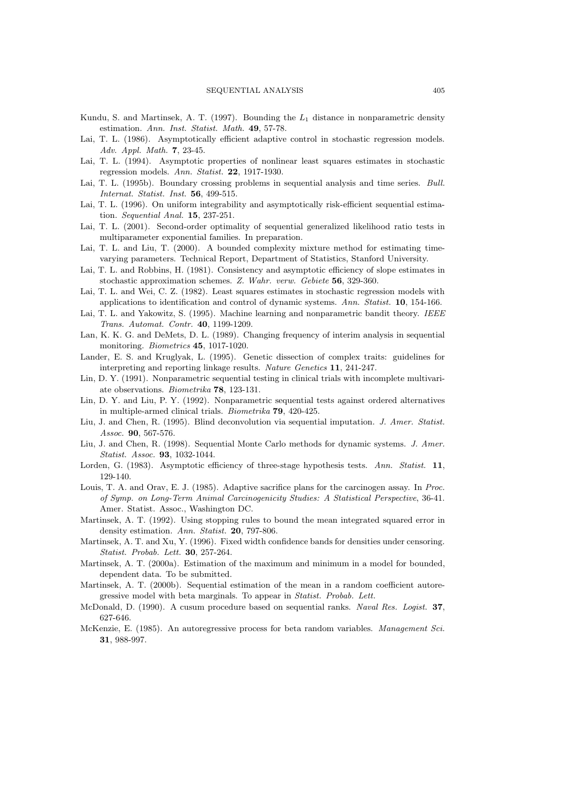- Kundu, S. and Martinsek, A. T. (1997). Bounding the  $L_1$  distance in nonparametric density estimation. *Ann. Inst. Statist. Math.* **49**, 57-78.
- Lai, T. L. (1986). Asymptotically efficient adaptive control in stochastic regression models. *Adv. Appl. Math.* **7**, 23-45.
- Lai, T. L. (1994). Asymptotic properties of nonlinear least squares estimates in stochastic regression models. *Ann. Statist.* **22**, 1917-1930.
- Lai, T. L. (1995b). Boundary crossing problems in sequential analysis and time series. *Bull. Internat. Statist. Inst.* **56**, 499-515.
- Lai, T. L. (1996). On uniform integrability and asymptotically risk-efficient sequential estimation. *Sequential Anal.* **15**, 237-251.
- Lai, T. L. (2001). Second-order optimality of sequential generalized likelihood ratio tests in multiparameter exponential families. In preparation.
- Lai, T. L. and Liu, T. (2000). A bounded complexity mixture method for estimating timevarying parameters. Technical Report, Department of Statistics, Stanford University.
- Lai, T. L. and Robbins, H. (1981). Consistency and asymptotic efficiency of slope estimates in stochastic approximation schemes. *Z. Wahr. verw. Gebiete* **56**, 329-360.
- Lai, T. L. and Wei, C. Z. (1982). Least squares estimates in stochastic regression models with applications to identification and control of dynamic systems. *Ann. Statist.* **10**, 154-166.
- Lai, T. L. and Yakowitz, S. (1995). Machine learning and nonparametric bandit theory. *IEEE Trans. Automat. Contr.* **40**, 1199-1209.
- Lan, K. K. G. and DeMets, D. L. (1989). Changing frequency of interim analysis in sequential monitoring. *Biometrics* **45**, 1017-1020.
- Lander, E. S. and Kruglyak, L. (1995). Genetic dissection of complex traits: guidelines for interpreting and reporting linkage results. *Nature Genetics* **11**, 241-247.
- Lin, D. Y. (1991). Nonparametric sequential testing in clinical trials with incomplete multivariate observations. *Biometrika* **78**, 123-131.
- Lin, D. Y. and Liu, P. Y. (1992). Nonparametric sequential tests against ordered alternatives in multiple-armed clinical trials. *Biometrika* **79**, 420-425.
- Liu, J. and Chen, R. (1995). Blind deconvolution via sequential imputation. *J. Amer. Statist. Assoc.* **90**, 567-576.
- Liu, J. and Chen, R. (1998). Sequential Monte Carlo methods for dynamic systems. *J. Amer. Statist. Assoc.* **93**, 1032-1044.
- Lorden, G. (1983). Asymptotic efficiency of three-stage hypothesis tests. *Ann. Statist.* **11**, 129-140.
- Louis, T. A. and Orav, E. J. (1985). Adaptive sacrifice plans for the carcinogen assay. In *Proc. of Symp. on Long-Term Animal Carcinogenicity Studies: A Statistical Perspective*, 36-41. Amer. Statist. Assoc., Washington DC.
- Martinsek, A. T. (1992). Using stopping rules to bound the mean integrated squared error in density estimation. *Ann. Statist.* **20**, 797-806.
- Martinsek, A. T. and Xu, Y. (1996). Fixed width confidence bands for densities under censoring. *Statist. Probab. Lett.* **30**, 257-264.
- Martinsek, A. T. (2000a). Estimation of the maximum and minimum in a model for bounded, dependent data. To be submitted.
- Martinsek, A. T. (2000b). Sequential estimation of the mean in a random coefficient autoregressive model with beta marginals. To appear in *Statist. Probab. Lett.*
- McDonald, D. (1990). A cusum procedure based on sequential ranks. *Naval Res. Logist.* **37**, 627-646.
- McKenzie, E. (1985). An autoregressive process for beta random variables. *Management Sci.* **31**, 988-997.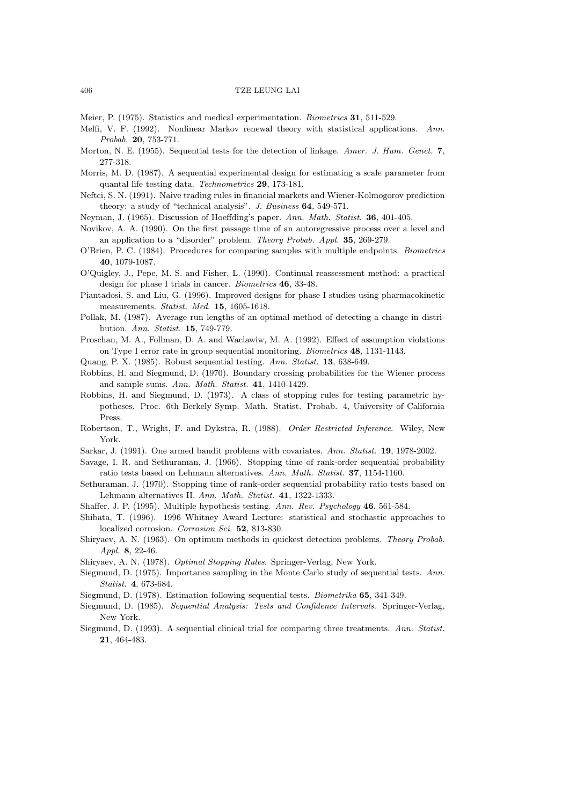- Meier, P. (1975). Statistics and medical experimentation. *Biometrics* **31**, 511-529.
- Melfi, V. F. (1992). Nonlinear Markov renewal theory with statistical applications. *Ann. Probab.* **20**, 753-771.
- Morton, N. E. (1955). Sequential tests for the detection of linkage. *Amer. J. Hum. Genet.* **7**, 277-318.
- Morris, M. D. (1987). A sequential experimental design for estimating a scale parameter from quantal life testing data. *Technometrics* **29**, 173-181.
- Neftci, S. N. (1991). Naive trading rules in financial markets and Wiener-Kolmogorov prediction theory: a study of "technical analysis". *J. Business* **64**, 549-571.
- Neyman, J. (1965). Discussion of Hoeffding's paper. *Ann. Math. Statist.* **36**, 401-405.
- Novikov, A. A. (1990). On the first passage time of an autoregressive process over a level and an application to a "disorder" problem. *Theory Probab. Appl.* **35**, 269-279.
- O'Brien, P. C. (1984). Procedures for comparing samples with multiple endpoints. *Biometrics* **40**, 1079-1087.
- O'Quigley, J., Pepe, M. S. and Fisher, L. (1990). Continual reassessment method: a practical design for phase I trials in cancer. *Biometrics* **46**, 33-48.
- Piantadosi, S. and Liu, G. (1996). Improved designs for phase I studies using pharmacokinetic measurements. *Statist. Med.* **15**, 1605-1618.
- Pollak, M. (1987). Average run lengths of an optimal method of detecting a change in distribution. *Ann. Statist.* **15**, 749-779.
- Proschan, M. A., Follman, D. A. and Waclawiw, M. A. (1992). Effect of assumption violations on Type I error rate in group sequential monitoring. *Biometrics* **48**, 1131-1143.
- Quang, P. X. (1985). Robust sequential testing. *Ann. Statist.* **13**, 638-649.
- Robbins, H. and Siegmund, D. (1970). Boundary crossing probabilities for the Wiener process and sample sums. *Ann. Math. Statist.* **41**, 1410-1429.
- Robbins, H. and Siegmund, D. (1973). A class of stopping rules for testing parametric hypotheses. Proc. 6th Berkely Symp. Math. Statist. Probab. 4, University of California Press.
- Robertson, T., Wright, F. and Dykstra, R. (1988). *Order Restricted Inference*. Wiley, New York.
- Sarkar, J. (1991). One armed bandit problems with covariates. *Ann. Statist.* **19**, 1978-2002.
- Savage, I. R. and Sethuraman, J. (1966). Stopping time of rank-order sequential probability ratio tests based on Lehmann alternatives. *Ann. Math. Statist.* **37**, 1154-1160.
- Sethuraman, J. (1970). Stopping time of rank-order sequential probability ratio tests based on Lehmann alternatives II. *Ann. Math. Statist.* **41**, 1322-1333.
- Shaffer, J. P. (1995). Multiple hypothesis testing. *Ann. Rev. Psychology* **46**, 561-584.
- Shibata, T. (1996). 1996 Whitney Award Lecture: statistical and stochastic approaches to localized corrosion. *Corrosion Sci*. **52**, 813-830.
- Shiryaev, A. N. (1963). On optimum methods in quickest detection problems. *Theory Probab. Appl.* **8**, 22-46.
- Shiryaev, A. N. (1978). *Optimal Stopping Rules*. Springer-Verlag, New York.
- Siegmund, D. (1975). Importance sampling in the Monte Carlo study of sequential tests. *Ann. Statist.* **4**, 673-684.
- Siegmund, D. (1978). Estimation following sequential tests. *Biometrika* **65**, 341-349.
- Siegmund, D. (1985). *Sequential Analysis: Tests and Confidence Intervals*. Springer-Verlag, New York.
- Siegmund, D. (1993). A sequential clinical trial for comparing three treatments. *Ann. Statist.* **21**, 464-483.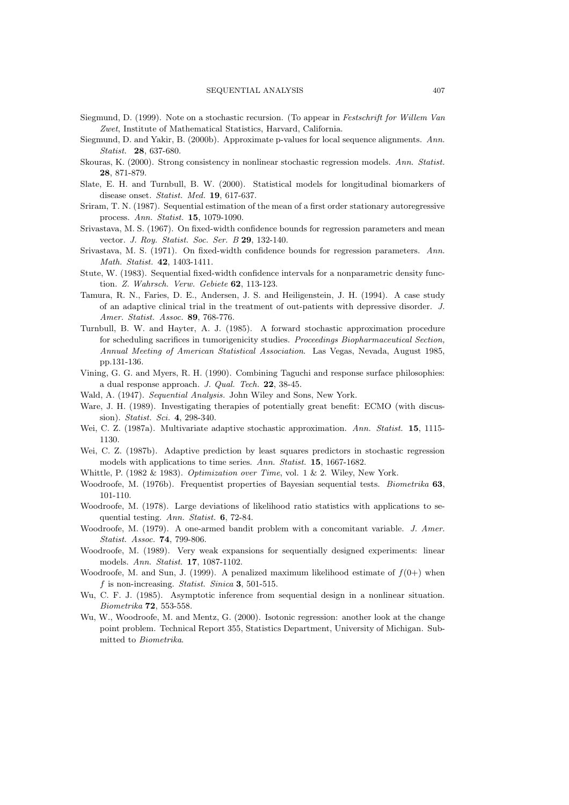- Siegmund, D. (1999). Note on a stochastic recursion. (To appear in *Festschrift for Willem Van Zwet*, Institute of Mathematical Statistics, Harvard, California.
- Siegmund, D. and Yakir, B. (2000b). Approximate p-values for local sequence alignments. *Ann. Statist.* **28**, 637-680.
- Skouras, K. (2000). Strong consistency in nonlinear stochastic regression models. *Ann. Statist.* **28**, 871-879.
- Slate, E. H. and Turnbull, B. W. (2000). Statistical models for longitudinal biomarkers of disease onset. *Statist. Med.* **19**, 617-637.
- Sriram, T. N. (1987). Sequential estimation of the mean of a first order stationary autoregressive process. *Ann. Statist.* **15**, 1079-1090.
- Srivastava, M. S. (1967). On fixed-width confidence bounds for regression parameters and mean vector. *J. Roy. Statist. Soc. Ser. B* **29**, 132-140.
- Srivastava, M. S. (1971). On fixed-width confidence bounds for regression parameters. *Ann. Math. Statist.* **42**, 1403-1411.
- Stute, W. (1983). Sequential fixed-width confidence intervals for a nonparametric density function. *Z. Wahrsch. Verw. Gebiete* **62**, 113-123.
- Tamura, R. N., Faries, D. E., Andersen, J. S. and Heiligenstein, J. H. (1994). A case study of an adaptive clinical trial in the treatment of out-patients with depressive disorder. *J. Amer. Statist. Assoc.* **89**, 768-776.
- Turnbull, B. W. and Hayter, A. J. (1985). A forward stochastic approximation procedure for scheduling sacrifices in tumorigenicity studies. *Proceedings Biopharmaceutical Section, Annual Meeting of American Statistical Association*. Las Vegas, Nevada, August 1985, pp.131-136.
- Vining, G. G. and Myers, R. H. (1990). Combining Taguchi and response surface philosophies: a dual response approach. *J. Qual. Tech.* **22**, 38-45.
- Wald, A. (1947). *Sequential Analysis.* John Wiley and Sons, New York.
- Ware, J. H. (1989). Investigating therapies of potentially great benefit: ECMO (with discussion). *Statist. Sci.* **4**, 298-340.
- Wei, C. Z. (1987a). Multivariate adaptive stochastic approximation. *Ann. Statist.* **15**, 1115- 1130.
- Wei, C. Z. (1987b). Adaptive prediction by least squares predictors in stochastic regression models with applications to time series. *Ann. Statist.* **15**, 1667-1682.
- Whittle, P. (1982 & 1983). *Optimization over Time*, vol. 1 & 2. Wiley, New York.
- Woodroofe, M. (1976b). Frequentist properties of Bayesian sequential tests. *Biometrika* **63**, 101-110.
- Woodroofe, M. (1978). Large deviations of likelihood ratio statistics with applications to sequential testing. *Ann. Statist.* **6**, 72-84.
- Woodroofe, M. (1979). A one-armed bandit problem with a concomitant variable. *J. Amer. Statist. Assoc.* **74**, 799-806.
- Woodroofe, M. (1989). Very weak expansions for sequentially designed experiments: linear models. *Ann. Statist.* **17**, 1087-1102.
- Woodroofe, M. and Sun, J. (1999). A penalized maximum likelihood estimate of  $f(0+)$  when f is non-increasing. *Statist. Sinica* **3**, 501-515.
- Wu, C. F. J. (1985). Asymptotic inference from sequential design in a nonlinear situation. *Biometrika* **72**, 553-558.
- Wu, W., Woodroofe, M. and Mentz, G. (2000). Isotonic regression: another look at the change point problem. Technical Report 355, Statistics Department, University of Michigan. Submitted to *Biometrika*.